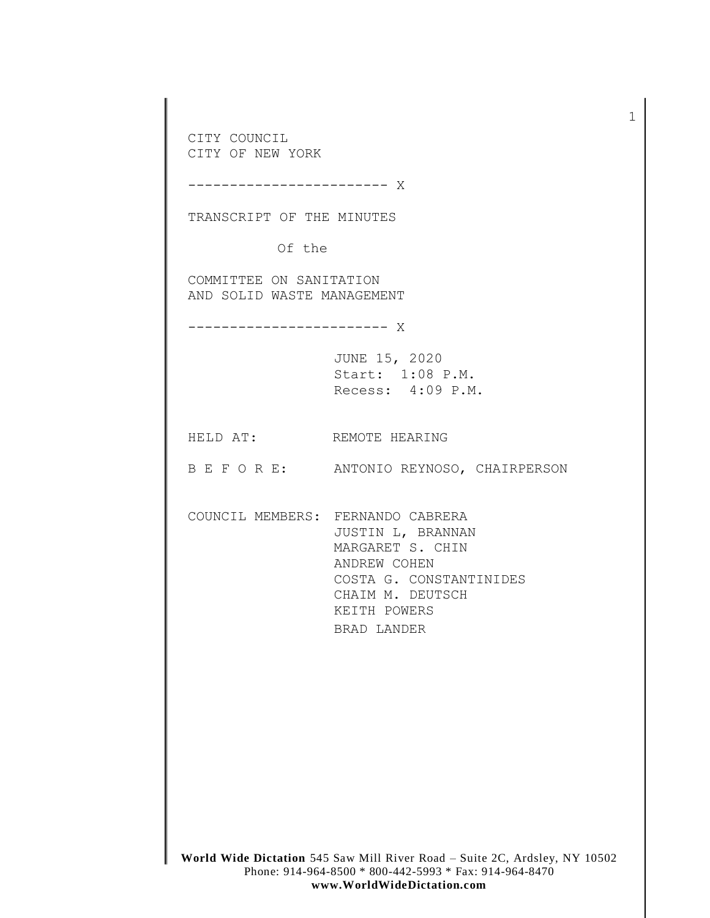CITY COUNCIL CITY OF NEW YORK ------------------------ X TRANSCRIPT OF THE MINUTES Of the COMMITTEE ON SANITATION AND SOLID WASTE MANAGEMENT ------------------------ X JUNE 15, 2020 Start: 1:08 P.M. Recess: 4:09 P.M. HELD AT: REMOTE HEARING B E F O R E: ANTONIO REYNOSO, CHAIRPERSON COUNCIL MEMBERS: FERNANDO CABRERA JUSTIN L, BRANNAN MARGARET S. CHIN ANDREW COHEN COSTA G. CONSTANTINIDES CHAIM M. DEUTSCH KEITH POWERS BRAD LANDER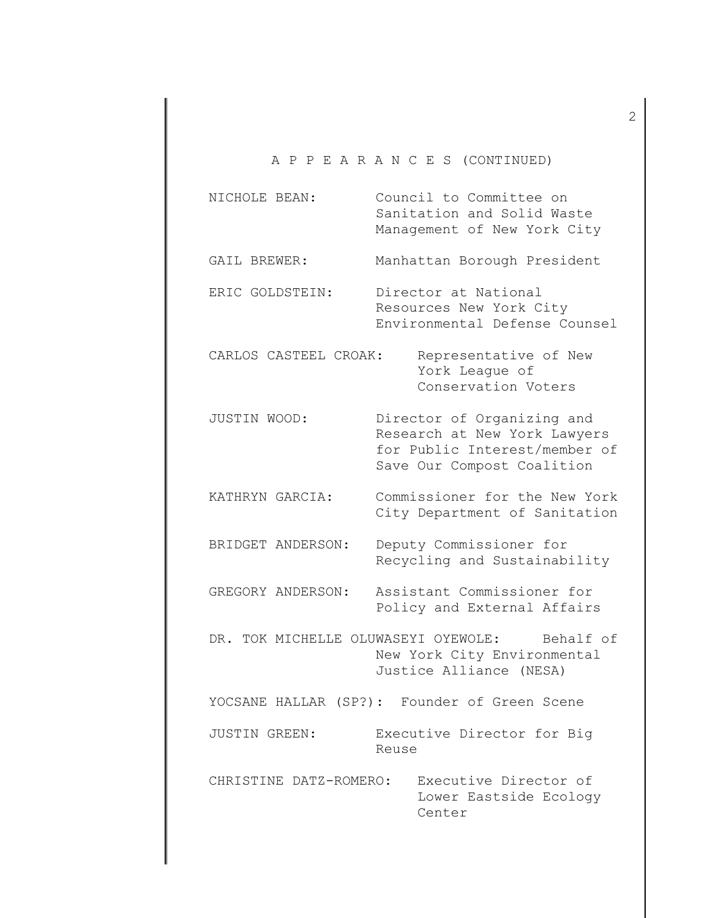| NICHOLE BEAN:                       | Council to Committee on<br>Sanitation and Solid Waste<br>Management of New York City                                      |
|-------------------------------------|---------------------------------------------------------------------------------------------------------------------------|
| GAIL BREWER:                        | Manhattan Borough President                                                                                               |
| ERIC GOLDSTEIN:                     | Director at National<br>Resources New York City<br>Environmental Defense Counsel                                          |
| CARLOS CASTEEL CROAK:               | Representative of New<br>York League of<br>Conservation Voters                                                            |
| JUSTIN WOOD:                        | Director of Organizing and<br>Research at New York Lawyers<br>for Public Interest/member of<br>Save Our Compost Coalition |
| KATHRYN GARCIA:                     | Commissioner for the New York<br>City Department of Sanitation                                                            |
| BRIDGET ANDERSON:                   | Deputy Commissioner for<br>Recycling and Sustainability                                                                   |
| GREGORY ANDERSON:                   | Assistant Commissioner for<br>Policy and External Affairs                                                                 |
| DR. TOK MICHELLE OLUWASEYI OYEWOLE: | Behalf of<br>New York City Environmental<br>Justice Alliance (NESA)                                                       |
| YOCSANE HALLAR<br>$(SP?)$ :         | Founder of Green Scene                                                                                                    |
| JUSTIN GREEN:                       | Executive Director for Big<br>Reuse                                                                                       |
| CHRISTINE DATZ-ROMERO:              | Executive Director of<br>Lower Eastside Ecology<br>Center                                                                 |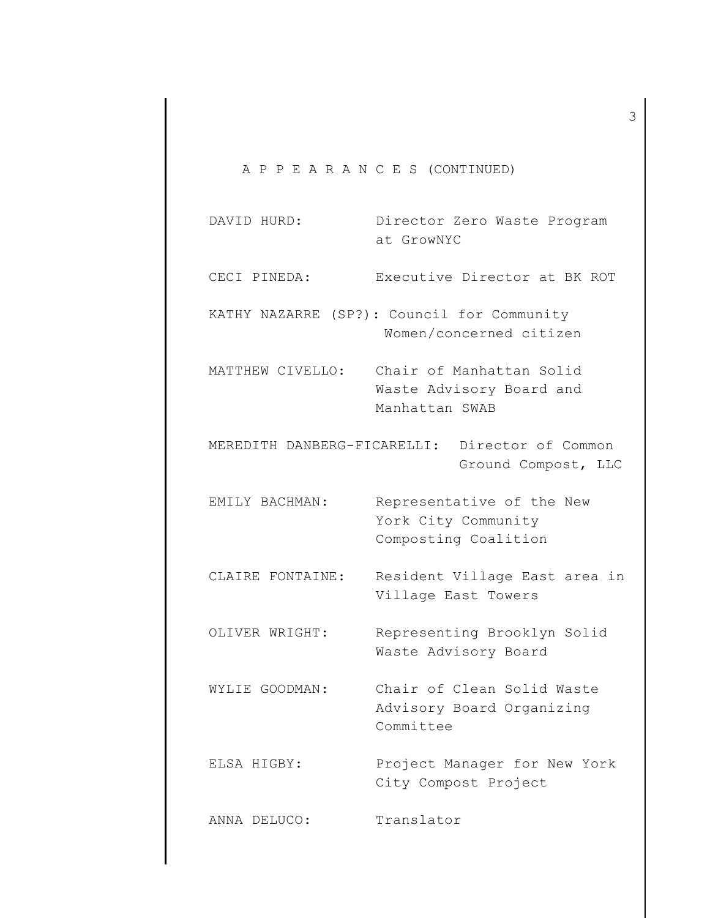| Executive Director at BK ROT<br>CECI PINEDA:<br>KATHY NAZARRE (SP?): Council for Community<br>Women/concerned citizen<br>Chair of Manhattan Solid<br>MATTHEW CIVELLO:<br>Waste Advisory Board and<br>Manhattan SWAB<br>Director of Common<br>MEREDITH DANBERG-FICARELLI:<br>Ground Compost, LLC<br>Representative of the New<br>EMILY BACHMAN:<br>York City Community<br>Composting Coalition<br>CLAIRE FONTAINE:<br>Resident Village East area in<br>Village East Towers<br>Representing Brooklyn Solid<br>OLIVER WRIGHT:<br>Waste Advisory Board<br>WYLIE GOODMAN:<br>Chair of Clean Solid Waste<br>Advisory Board Organizing<br>Committee<br>Project Manager for New York<br>ELSA HIGBY:<br>City Compost Project<br>Translator<br>ANNA DELUCO: | DAVID HURD: | Director Zero Waste Program<br>at GrowNYC |
|---------------------------------------------------------------------------------------------------------------------------------------------------------------------------------------------------------------------------------------------------------------------------------------------------------------------------------------------------------------------------------------------------------------------------------------------------------------------------------------------------------------------------------------------------------------------------------------------------------------------------------------------------------------------------------------------------------------------------------------------------|-------------|-------------------------------------------|
|                                                                                                                                                                                                                                                                                                                                                                                                                                                                                                                                                                                                                                                                                                                                                   |             |                                           |
|                                                                                                                                                                                                                                                                                                                                                                                                                                                                                                                                                                                                                                                                                                                                                   |             |                                           |
|                                                                                                                                                                                                                                                                                                                                                                                                                                                                                                                                                                                                                                                                                                                                                   |             |                                           |
|                                                                                                                                                                                                                                                                                                                                                                                                                                                                                                                                                                                                                                                                                                                                                   |             |                                           |
|                                                                                                                                                                                                                                                                                                                                                                                                                                                                                                                                                                                                                                                                                                                                                   |             |                                           |
|                                                                                                                                                                                                                                                                                                                                                                                                                                                                                                                                                                                                                                                                                                                                                   |             |                                           |
|                                                                                                                                                                                                                                                                                                                                                                                                                                                                                                                                                                                                                                                                                                                                                   |             |                                           |
|                                                                                                                                                                                                                                                                                                                                                                                                                                                                                                                                                                                                                                                                                                                                                   |             |                                           |
|                                                                                                                                                                                                                                                                                                                                                                                                                                                                                                                                                                                                                                                                                                                                                   |             |                                           |
|                                                                                                                                                                                                                                                                                                                                                                                                                                                                                                                                                                                                                                                                                                                                                   |             |                                           |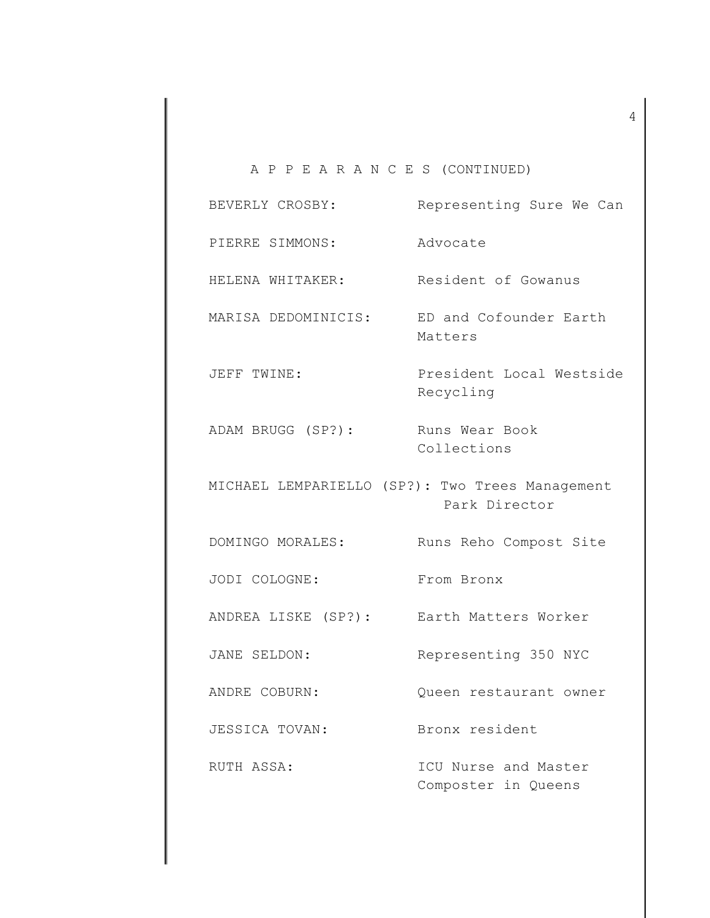| BEVERLY CROSBY:     | Representing Sure We Can                                         |
|---------------------|------------------------------------------------------------------|
| PIERRE SIMMONS:     | Advocate                                                         |
| HELENA WHITAKER:    | Resident of Gowanus                                              |
| MARISA DEDOMINICIS: | ED and Cofounder Earth<br>Matters                                |
| JEFF TWINE:         | President Local Westside<br>Recycling                            |
| ADAM BRUGG (SP?):   | Runs Wear Book<br>Collections                                    |
|                     | MICHAEL LEMPARIELLO (SP?): Two Trees Management<br>Park Director |
| DOMINGO MORALES:    | Runs Reho Compost Site                                           |
| JODI COLOGNE:       | From Bronx                                                       |
| ANDREA LISKE (SP?): | Earth Matters Worker                                             |
| JANE SELDON:        | Representing 350 NYC                                             |
| ANDRE COBURN:       | Queen restaurant owner                                           |
| JESSICA TOVAN:      | Bronx resident                                                   |
| RUTH ASSA:          | ICU Nurse and Master<br>Composter in Queens                      |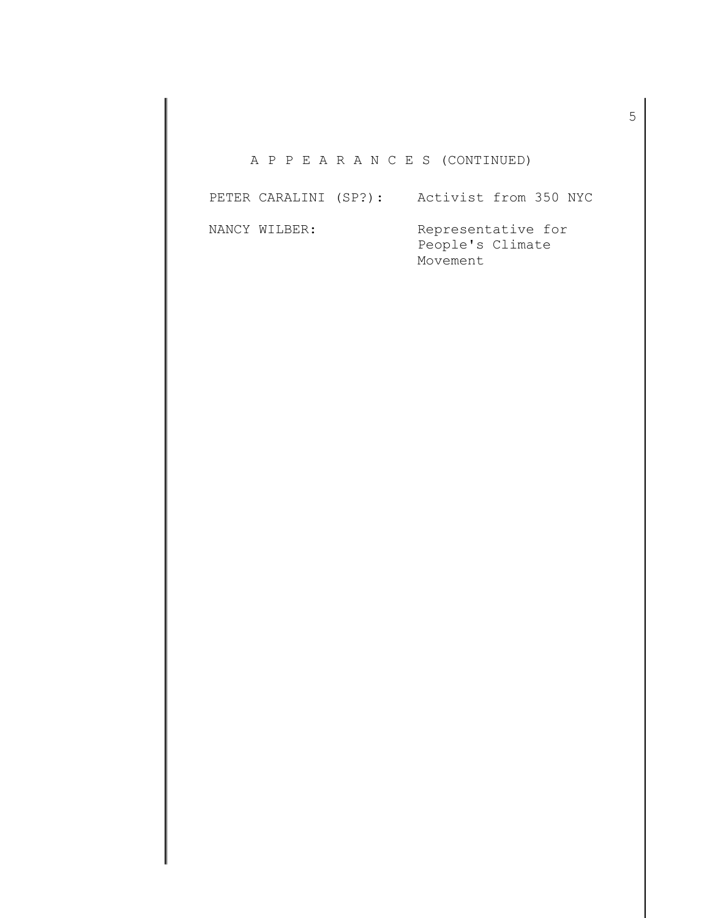| PETER CARALINI (SP?): | Activist from 350 NYC                              |
|-----------------------|----------------------------------------------------|
| NANCY WILBER:         | Representative for<br>People's Climate<br>Movement |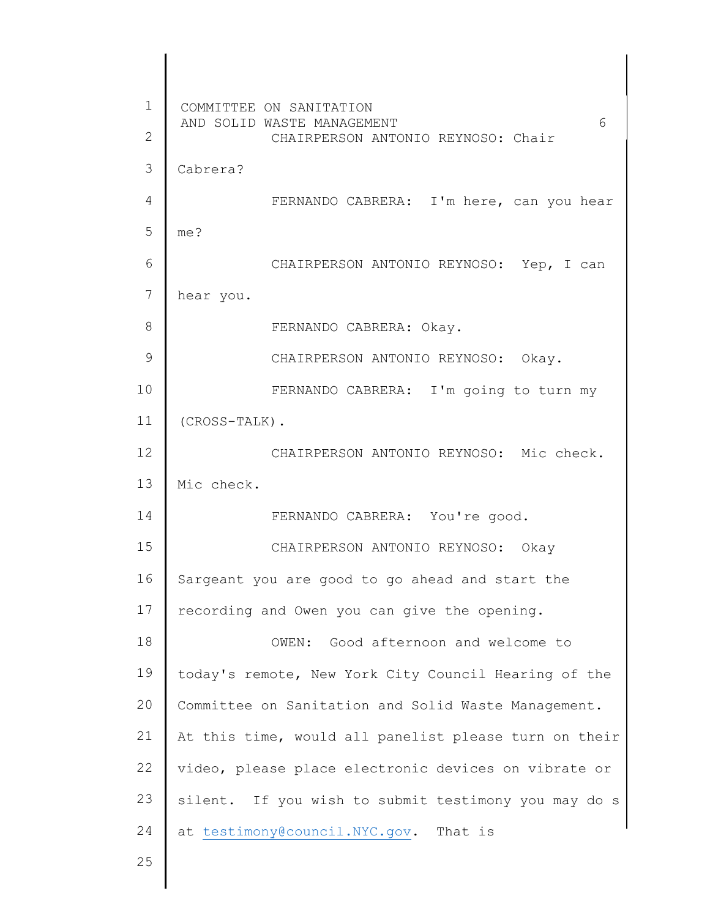1 2 3 4 5 6 7 8 9 10 11 12 13 14 15 16 17 18 19 20 21 22 23 24 25 COMMITTEE ON SANITATION AND SOLID WASTE MANAGEMENT 6 CHAIRPERSON ANTONIO REYNOSO: Chair Cabrera? FERNANDO CABRERA: I'm here, can you hear me? CHAIRPERSON ANTONIO REYNOSO: Yep, I can hear you. FERNANDO CABRERA: Okay. CHAIRPERSON ANTONIO REYNOSO: Okay. FERNANDO CABRERA: I'm going to turn my (CROSS-TALK). CHAIRPERSON ANTONIO REYNOSO: Mic check. Mic check. FERNANDO CABRERA: You're good. CHAIRPERSON ANTONIO REYNOSO: Okay Sargeant you are good to go ahead and start the recording and Owen you can give the opening. OWEN: Good afternoon and welcome to today's remote, New York City Council Hearing of the Committee on Sanitation and Solid Waste Management. At this time, would all panelist please turn on their video, please place electronic devices on vibrate or silent. If you wish to submit testimony you may do s at [testimony@council.NYC.gov.](mailto:testimony@council.NYC.gov) That is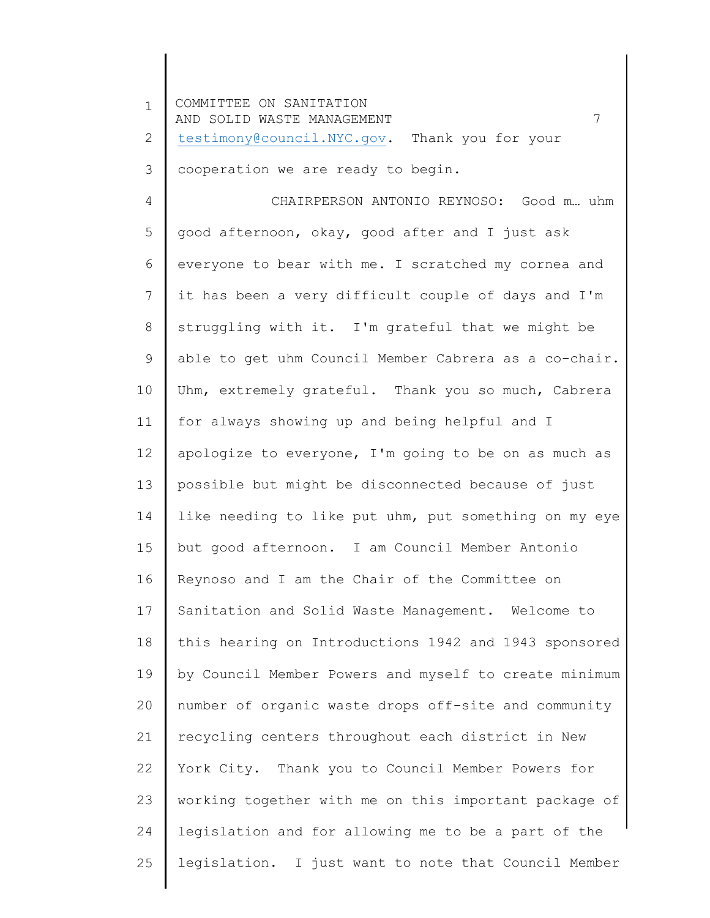1 2 3 4 5 6 7 8 9 10 11 12 13 14 15 16 17 18 19 20 21 22 23 24 25 COMMITTEE ON SANITATION AND SOLID WASTE MANAGEMENT 7 [testimony@council.NYC.gov.](mailto:testimony@council.NYC.gov) Thank you for your cooperation we are ready to begin. CHAIRPERSON ANTONIO REYNOSO: Good m… uhm good afternoon, okay, good after and I just ask everyone to bear with me. I scratched my cornea and it has been a very difficult couple of days and I'm struggling with it. I'm grateful that we might be able to get uhm Council Member Cabrera as a co-chair. Uhm, extremely grateful. Thank you so much, Cabrera for always showing up and being helpful and I apologize to everyone, I'm going to be on as much as possible but might be disconnected because of just like needing to like put uhm, put something on my eye but good afternoon. I am Council Member Antonio Reynoso and I am the Chair of the Committee on Sanitation and Solid Waste Management. Welcome to this hearing on Introductions 1942 and 1943 sponsored by Council Member Powers and myself to create minimum number of organic waste drops off-site and community recycling centers throughout each district in New York City. Thank you to Council Member Powers for working together with me on this important package of legislation and for allowing me to be a part of the legislation. I just want to note that Council Member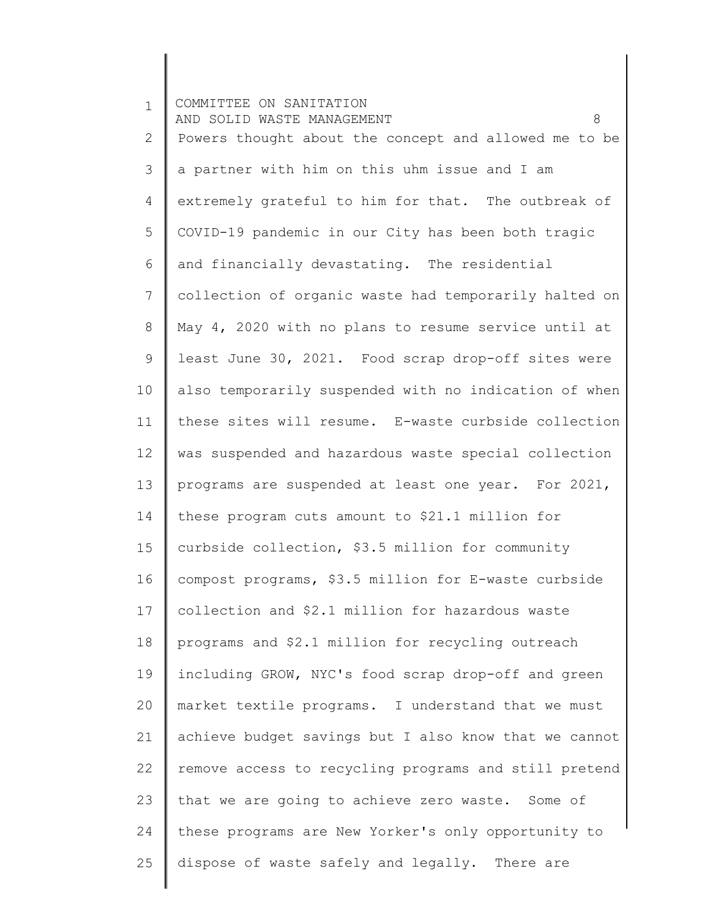1 2 3 4 5 6 7 8 9 10 11 12 13 14 15 16 17 18 19 20 21 22 23 24 25 COMMITTEE ON SANITATION AND SOLID WASTE MANAGEMENT **8** Powers thought about the concept and allowed me to be a partner with him on this uhm issue and I am extremely grateful to him for that. The outbreak of COVID-19 pandemic in our City has been both tragic and financially devastating. The residential collection of organic waste had temporarily halted on May 4, 2020 with no plans to resume service until at least June 30, 2021. Food scrap drop-off sites were also temporarily suspended with no indication of when these sites will resume. E-waste curbside collection was suspended and hazardous waste special collection programs are suspended at least one year. For 2021, these program cuts amount to \$21.1 million for curbside collection, \$3.5 million for community compost programs, \$3.5 million for E-waste curbside collection and \$2.1 million for hazardous waste programs and \$2.1 million for recycling outreach including GROW, NYC's food scrap drop-off and green market textile programs. I understand that we must achieve budget savings but I also know that we cannot remove access to recycling programs and still pretend that we are going to achieve zero waste. Some of these programs are New Yorker's only opportunity to dispose of waste safely and legally. There are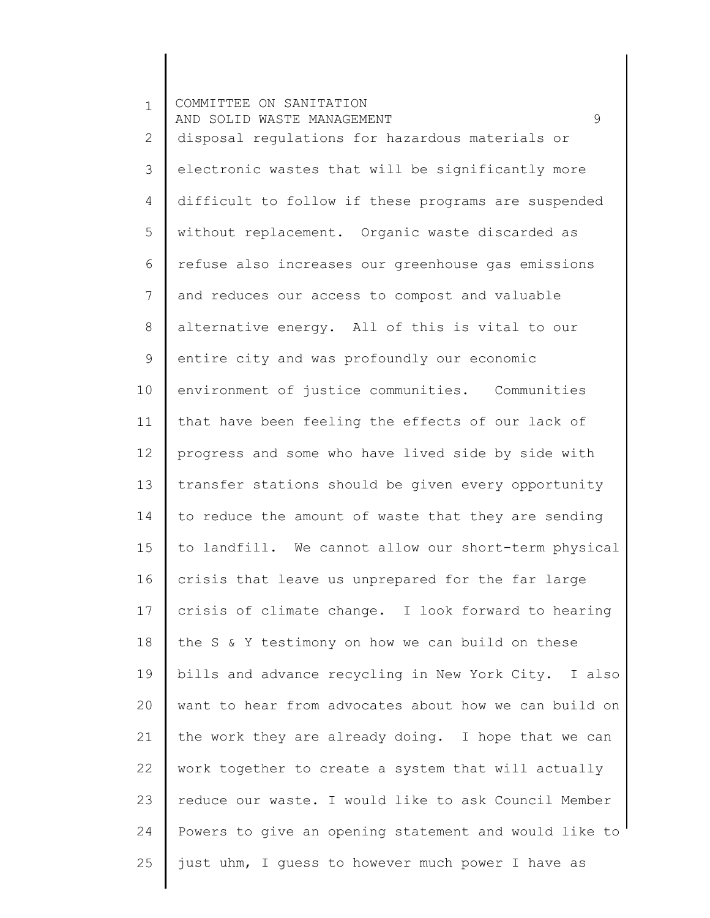1 2 3 4 5 6 7 8 9 10 11 12 13 14 15 16 17 18 19 20 21 22 23 24 25 COMMITTEE ON SANITATION AND SOLID WASTE MANAGEMENT 99 disposal regulations for hazardous materials or electronic wastes that will be significantly more difficult to follow if these programs are suspended without replacement. Organic waste discarded as refuse also increases our greenhouse gas emissions and reduces our access to compost and valuable alternative energy. All of this is vital to our entire city and was profoundly our economic environment of justice communities. Communities that have been feeling the effects of our lack of progress and some who have lived side by side with transfer stations should be given every opportunity to reduce the amount of waste that they are sending to landfill. We cannot allow our short-term physical crisis that leave us unprepared for the far large crisis of climate change. I look forward to hearing the S & Y testimony on how we can build on these bills and advance recycling in New York City. I also want to hear from advocates about how we can build on the work they are already doing. I hope that we can work together to create a system that will actually reduce our waste. I would like to ask Council Member Powers to give an opening statement and would like to just uhm, I guess to however much power I have as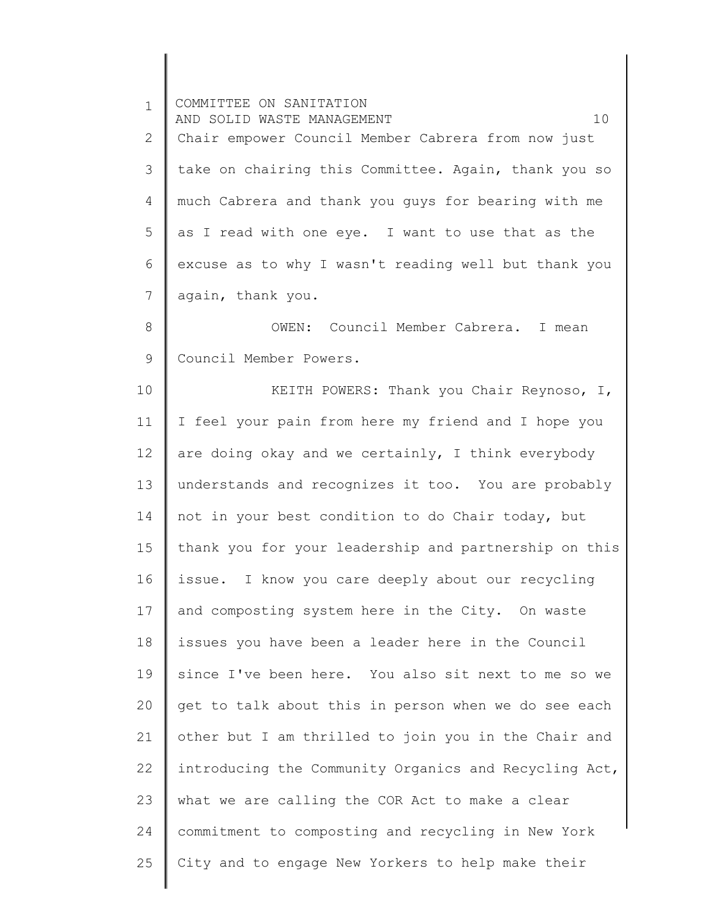1 2 3 4 5 6 7 8 9 10 11 12 13 14 15 16 17 18 19 20 21 22 23 24 25 COMMITTEE ON SANITATION AND SOLID WASTE MANAGEMENT 10 Chair empower Council Member Cabrera from now just take on chairing this Committee. Again, thank you so much Cabrera and thank you guys for bearing with me as I read with one eye. I want to use that as the excuse as to why I wasn't reading well but thank you again, thank you. OWEN: Council Member Cabrera. I mean Council Member Powers. KEITH POWERS: Thank you Chair Reynoso, I, I feel your pain from here my friend and I hope you are doing okay and we certainly, I think everybody understands and recognizes it too. You are probably not in your best condition to do Chair today, but thank you for your leadership and partnership on this issue. I know you care deeply about our recycling and composting system here in the City. On waste issues you have been a leader here in the Council since I've been here. You also sit next to me so we get to talk about this in person when we do see each other but I am thrilled to join you in the Chair and introducing the Community Organics and Recycling Act, what we are calling the COR Act to make a clear commitment to composting and recycling in New York City and to engage New Yorkers to help make their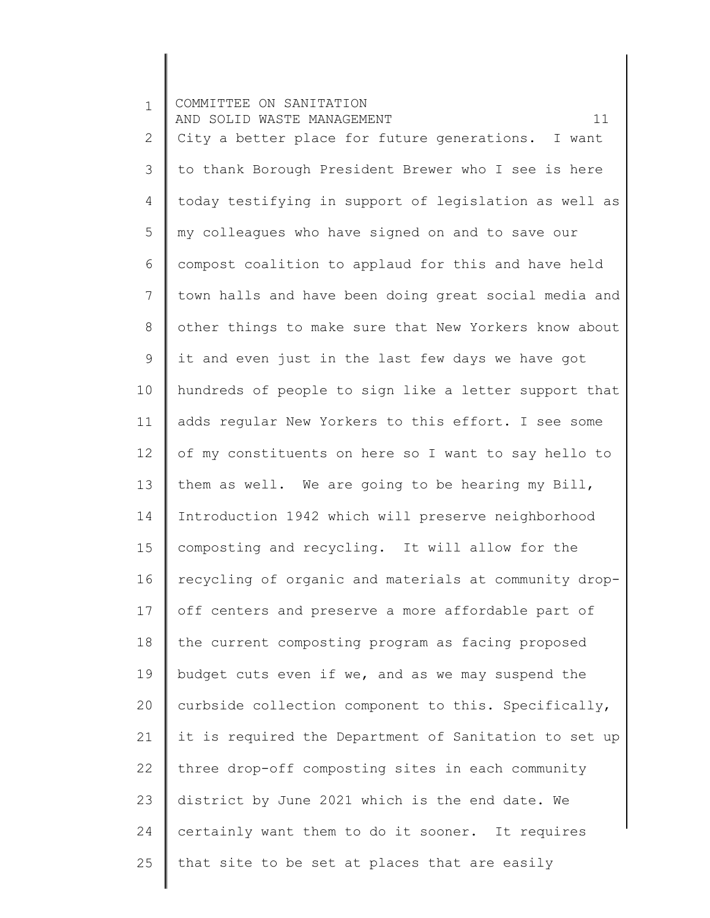1 2 3 4 5 6 7 8 9 10 11 12 13 14 15 16 17 18 19 20 21 22 23 24 25 COMMITTEE ON SANITATION AND SOLID WASTE MANAGEMENT 11 City a better place for future generations. I want to thank Borough President Brewer who I see is here today testifying in support of legislation as well as my colleagues who have signed on and to save our compost coalition to applaud for this and have held town halls and have been doing great social media and other things to make sure that New Yorkers know about it and even just in the last few days we have got hundreds of people to sign like a letter support that adds regular New Yorkers to this effort. I see some of my constituents on here so I want to say hello to them as well. We are going to be hearing my Bill, Introduction 1942 which will preserve neighborhood composting and recycling. It will allow for the recycling of organic and materials at community dropoff centers and preserve a more affordable part of the current composting program as facing proposed budget cuts even if we, and as we may suspend the curbside collection component to this. Specifically, it is required the Department of Sanitation to set up three drop-off composting sites in each community district by June 2021 which is the end date. We certainly want them to do it sooner. It requires that site to be set at places that are easily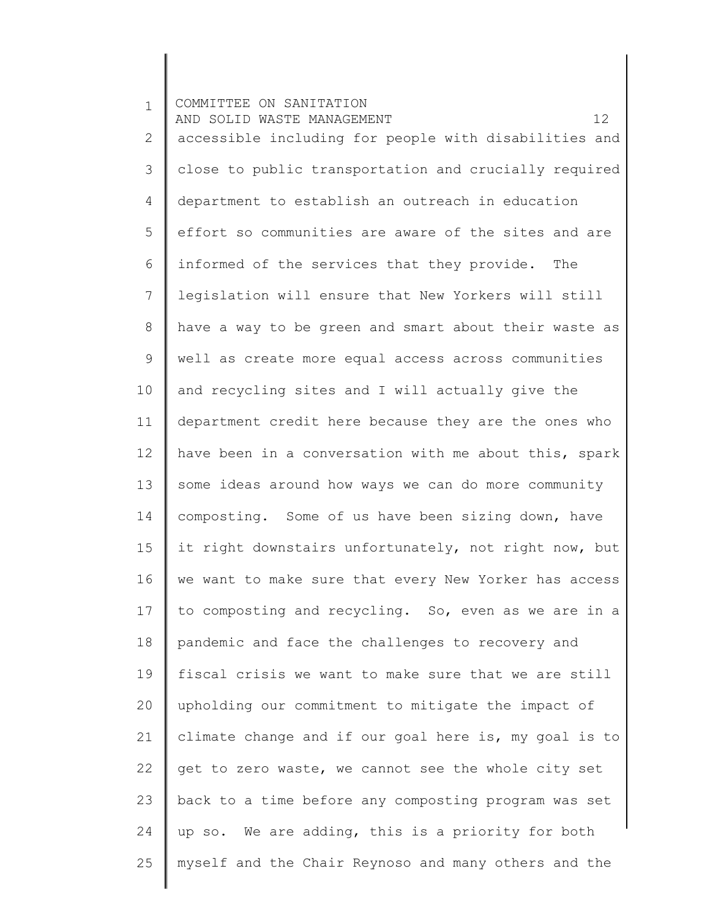1 2 3 4 5 6 7 8 9 10 11 12 13 14 15 16 17 18 19 20 21 22 23 24 25 COMMITTEE ON SANITATION AND SOLID WASTE MANAGEMENT 12 accessible including for people with disabilities and close to public transportation and crucially required department to establish an outreach in education effort so communities are aware of the sites and are informed of the services that they provide. The legislation will ensure that New Yorkers will still have a way to be green and smart about their waste as well as create more equal access across communities and recycling sites and I will actually give the department credit here because they are the ones who have been in a conversation with me about this, spark some ideas around how ways we can do more community composting. Some of us have been sizing down, have it right downstairs unfortunately, not right now, but we want to make sure that every New Yorker has access to composting and recycling. So, even as we are in a pandemic and face the challenges to recovery and fiscal crisis we want to make sure that we are still upholding our commitment to mitigate the impact of climate change and if our goal here is, my goal is to get to zero waste, we cannot see the whole city set back to a time before any composting program was set up so. We are adding, this is a priority for both myself and the Chair Reynoso and many others and the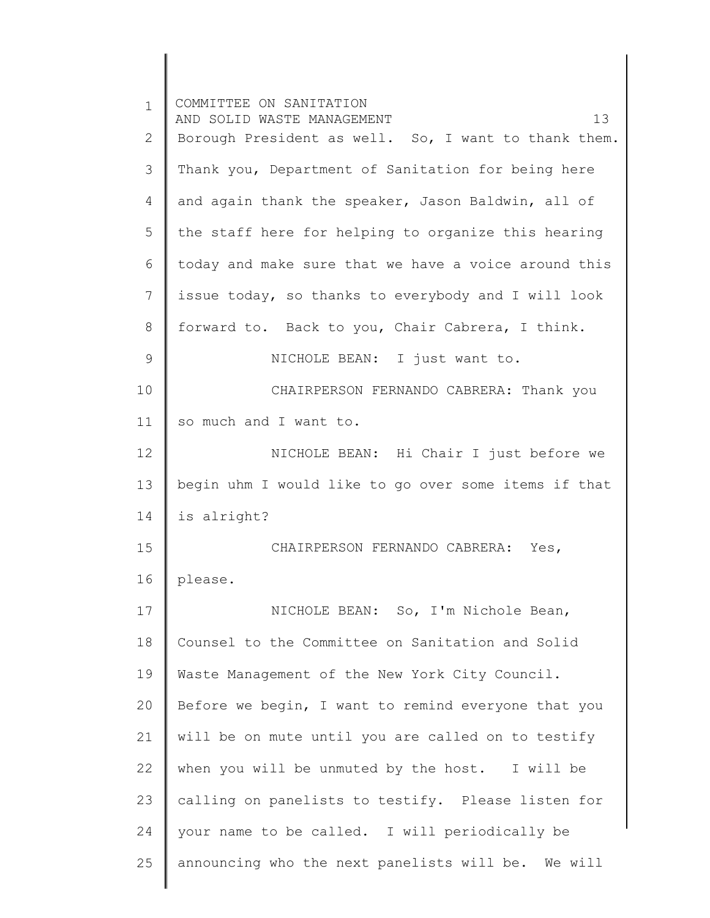| $\mathbf{1}$  | COMMITTEE ON SANITATION<br>13<br>AND SOLID WASTE MANAGEMENT |
|---------------|-------------------------------------------------------------|
| $\mathbf{2}$  | Borough President as well. So, I want to thank them.        |
| 3             | Thank you, Department of Sanitation for being here          |
| 4             | and again thank the speaker, Jason Baldwin, all of          |
| 5             | the staff here for helping to organize this hearing         |
| 6             | today and make sure that we have a voice around this        |
| 7             | issue today, so thanks to everybody and I will look         |
| 8             | forward to. Back to you, Chair Cabrera, I think.            |
| $\mathcal{G}$ | NICHOLE BEAN: I just want to.                               |
| 10            | CHAIRPERSON FERNANDO CABRERA: Thank you                     |
| 11            | so much and I want to.                                      |
| 12            | NICHOLE BEAN: Hi Chair I just before we                     |
| 13            | begin uhm I would like to go over some items if that        |
| 14            | is alright?                                                 |
| 15            | CHAIRPERSON FERNANDO CABRERA:<br>Yes,                       |
| 16            | please.                                                     |
| 17            | NICHOLE BEAN: So, I'm Nichole Bean,                         |
| 18            | Counsel to the Committee on Sanitation and Solid            |
| 19            | Waste Management of the New York City Council.              |
| 20            | Before we begin, I want to remind everyone that you         |
| 21            | will be on mute until you are called on to testify          |
| 22            | when you will be unmuted by the host. I will be             |
| 23            | calling on panelists to testify. Please listen for          |
| 24            | your name to be called. I will periodically be              |
| 25            | announcing who the next panelists will be. We will          |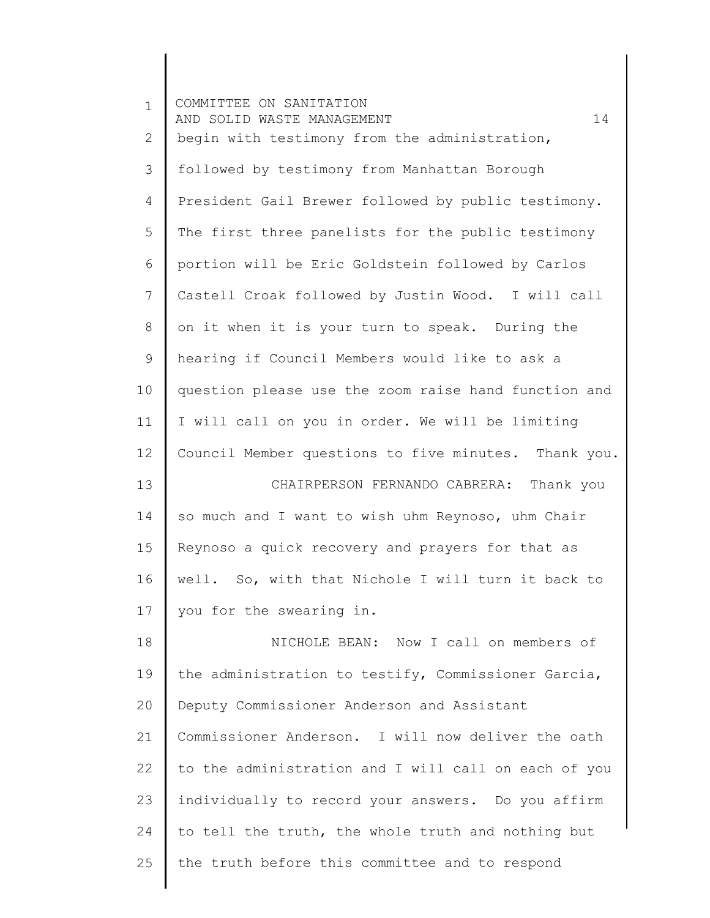| $\mathbf 1$ | COMMITTEE ON SANITATION<br>14<br>AND SOLID WASTE MANAGEMENT |
|-------------|-------------------------------------------------------------|
| 2           | begin with testimony from the administration,               |
| 3           | followed by testimony from Manhattan Borough                |
| 4           | President Gail Brewer followed by public testimony.         |
| 5           | The first three panelists for the public testimony          |
| 6           | portion will be Eric Goldstein followed by Carlos           |
| 7           | Castell Croak followed by Justin Wood. I will call          |
| 8           | on it when it is your turn to speak. During the             |
| 9           | hearing if Council Members would like to ask a              |
| 10          | question please use the zoom raise hand function and        |
| 11          | I will call on you in order. We will be limiting            |
| 12          | Council Member questions to five minutes. Thank you.        |
| 13          | CHAIRPERSON FERNANDO CABRERA:<br>Thank you                  |
| 14          | so much and I want to wish uhm Reynoso, uhm Chair           |
| 15          | Reynoso a quick recovery and prayers for that as            |
| 16          | well. So, with that Nichole I will turn it back to          |
| 17          | you for the swearing in.                                    |
| 18          | NICHOLE BEAN: Now I call on members of                      |
| 19          | the administration to testify, Commissioner Garcia,         |
| 20          | Deputy Commissioner Anderson and Assistant                  |
| 21          | Commissioner Anderson. I will now deliver the oath          |
| 22          | to the administration and I will call on each of you        |
| 23          | individually to record your answers. Do you affirm          |
| 24          | to tell the truth, the whole truth and nothing but          |
| 25          | the truth before this committee and to respond              |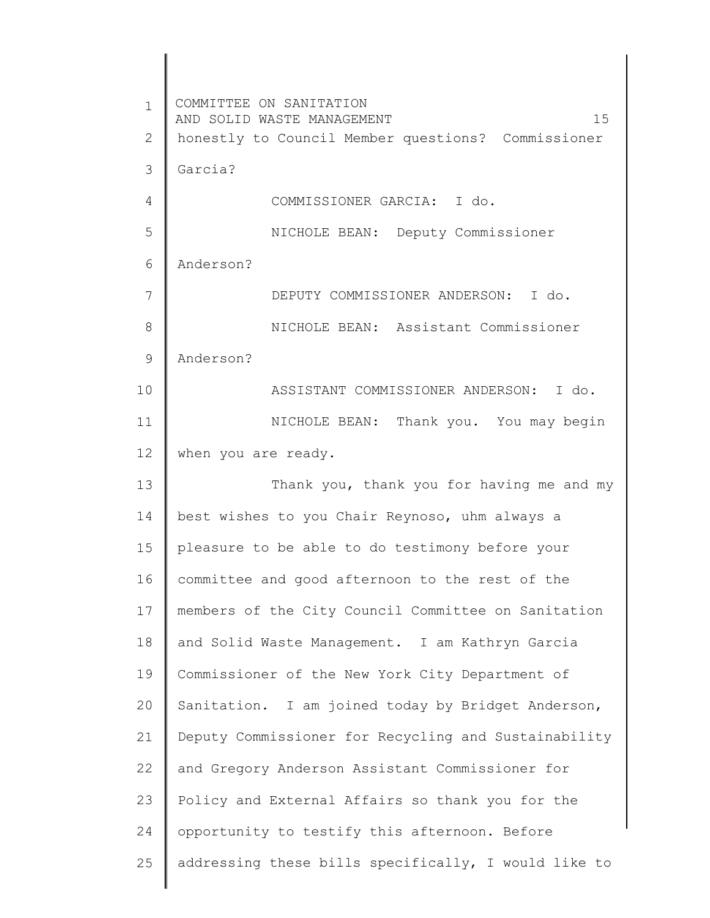1 2 3 4 5 6 7 8 9 10 11 12 13 14 15 16 17 18 19 20 21 22 23 24 25 COMMITTEE ON SANITATION AND SOLID WASTE MANAGEMENT 15 honestly to Council Member questions? Commissioner Garcia? COMMISSIONER GARCIA: I do. NICHOLE BEAN: Deputy Commissioner Anderson? DEPUTY COMMISSIONER ANDERSON: I do. NICHOLE BEAN: Assistant Commissioner Anderson? ASSISTANT COMMISSIONER ANDERSON: I do. NICHOLE BEAN: Thank you. You may begin when you are ready. Thank you, thank you for having me and my best wishes to you Chair Reynoso, uhm always a pleasure to be able to do testimony before your committee and good afternoon to the rest of the members of the City Council Committee on Sanitation and Solid Waste Management. I am Kathryn Garcia Commissioner of the New York City Department of Sanitation. I am joined today by Bridget Anderson, Deputy Commissioner for Recycling and Sustainability and Gregory Anderson Assistant Commissioner for Policy and External Affairs so thank you for the opportunity to testify this afternoon. Before addressing these bills specifically, I would like to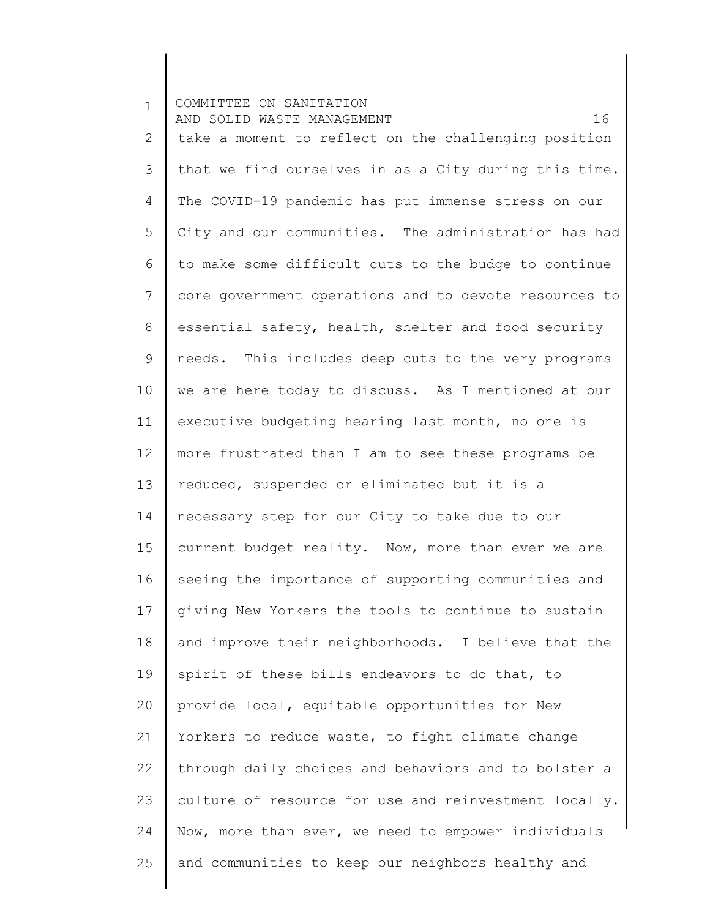1 2 3 4 5 6 7 8 9 10 11 12 13 14 15 16 17 18 19 20 21 22 23 24 25 COMMITTEE ON SANITATION AND SOLID WASTE MANAGEMENT 16 take a moment to reflect on the challenging position that we find ourselves in as a City during this time. The COVID-19 pandemic has put immense stress on our City and our communities. The administration has had to make some difficult cuts to the budge to continue core government operations and to devote resources to essential safety, health, shelter and food security needs. This includes deep cuts to the very programs we are here today to discuss. As I mentioned at our executive budgeting hearing last month, no one is more frustrated than I am to see these programs be reduced, suspended or eliminated but it is a necessary step for our City to take due to our current budget reality. Now, more than ever we are seeing the importance of supporting communities and giving New Yorkers the tools to continue to sustain and improve their neighborhoods. I believe that the spirit of these bills endeavors to do that, to provide local, equitable opportunities for New Yorkers to reduce waste, to fight climate change through daily choices and behaviors and to bolster a culture of resource for use and reinvestment locally. Now, more than ever, we need to empower individuals and communities to keep our neighbors healthy and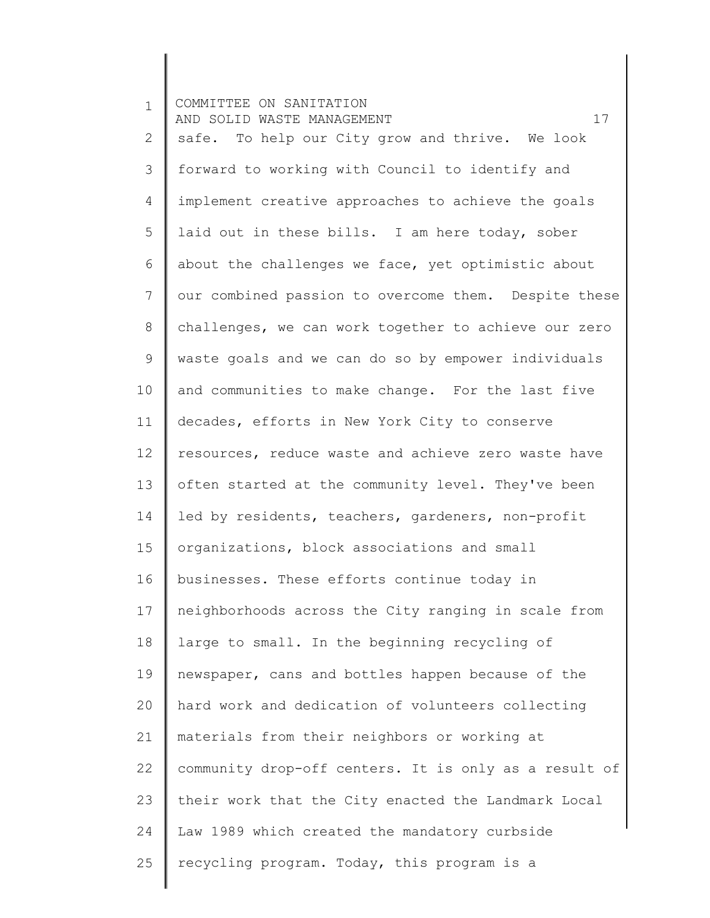1 2 3 4 5 6 7 8 9 10 11 12 13 14 15 16 17 18 19 20 21 22 23 24 25 COMMITTEE ON SANITATION AND SOLID WASTE MANAGEMENT 17 safe. To help our City grow and thrive. We look forward to working with Council to identify and implement creative approaches to achieve the goals laid out in these bills. I am here today, sober about the challenges we face, yet optimistic about our combined passion to overcome them. Despite these challenges, we can work together to achieve our zero waste goals and we can do so by empower individuals and communities to make change. For the last five decades, efforts in New York City to conserve resources, reduce waste and achieve zero waste have often started at the community level. They've been led by residents, teachers, gardeners, non-profit organizations, block associations and small businesses. These efforts continue today in neighborhoods across the City ranging in scale from large to small. In the beginning recycling of newspaper, cans and bottles happen because of the hard work and dedication of volunteers collecting materials from their neighbors or working at community drop-off centers. It is only as a result of their work that the City enacted the Landmark Local Law 1989 which created the mandatory curbside recycling program. Today, this program is a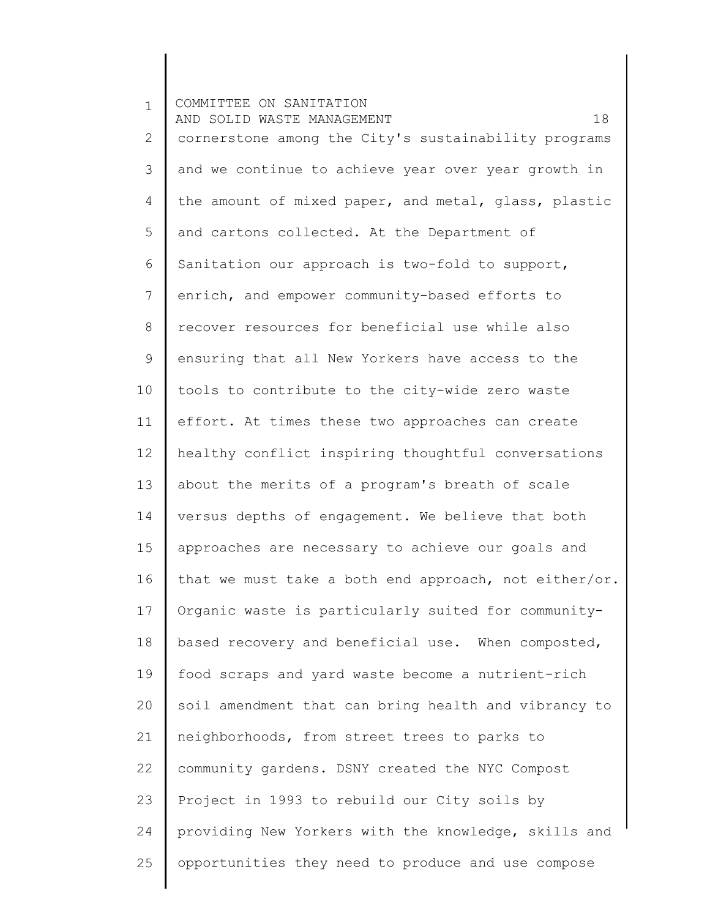1 2 3 4 5 6 7 8 9 10 11 12 13 14 15 16 17 18 19 20 21 22 23 24 25 COMMITTEE ON SANITATION AND SOLID WASTE MANAGEMENT 18 cornerstone among the City's sustainability programs and we continue to achieve year over year growth in the amount of mixed paper, and metal, glass, plastic and cartons collected. At the Department of Sanitation our approach is two-fold to support, enrich, and empower community-based efforts to recover resources for beneficial use while also ensuring that all New Yorkers have access to the tools to contribute to the city-wide zero waste effort. At times these two approaches can create healthy conflict inspiring thoughtful conversations about the merits of a program's breath of scale versus depths of engagement. We believe that both approaches are necessary to achieve our goals and that we must take a both end approach, not either/or. Organic waste is particularly suited for communitybased recovery and beneficial use. When composted, food scraps and yard waste become a nutrient-rich soil amendment that can bring health and vibrancy to neighborhoods, from street trees to parks to community gardens. DSNY created the NYC Compost Project in 1993 to rebuild our City soils by providing New Yorkers with the knowledge, skills and opportunities they need to produce and use compose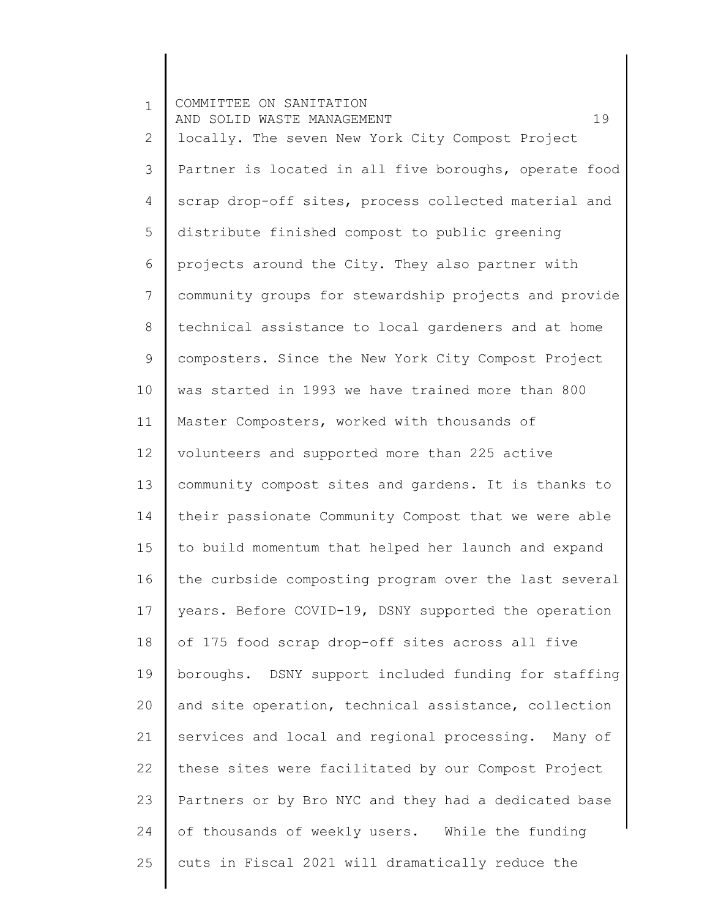1 2 3 4 5 6 7 8 9 10 11 12 13 14 15 16 17 18 19 20 21 22 23 24 25 COMMITTEE ON SANITATION AND SOLID WASTE MANAGEMENT 19 locally. The seven New York City Compost Project Partner is located in all five boroughs, operate food scrap drop-off sites, process collected material and distribute finished compost to public greening projects around the City. They also partner with community groups for stewardship projects and provide technical assistance to local gardeners and at home composters. Since the New York City Compost Project was started in 1993 we have trained more than 800 Master Composters, worked with thousands of volunteers and supported more than 225 active community compost sites and gardens. It is thanks to their passionate Community Compost that we were able to build momentum that helped her launch and expand the curbside composting program over the last several years. Before COVID-19, DSNY supported the operation of 175 food scrap drop-off sites across all five boroughs. DSNY support included funding for staffing and site operation, technical assistance, collection services and local and regional processing. Many of these sites were facilitated by our Compost Project Partners or by Bro NYC and they had a dedicated base of thousands of weekly users. While the funding cuts in Fiscal 2021 will dramatically reduce the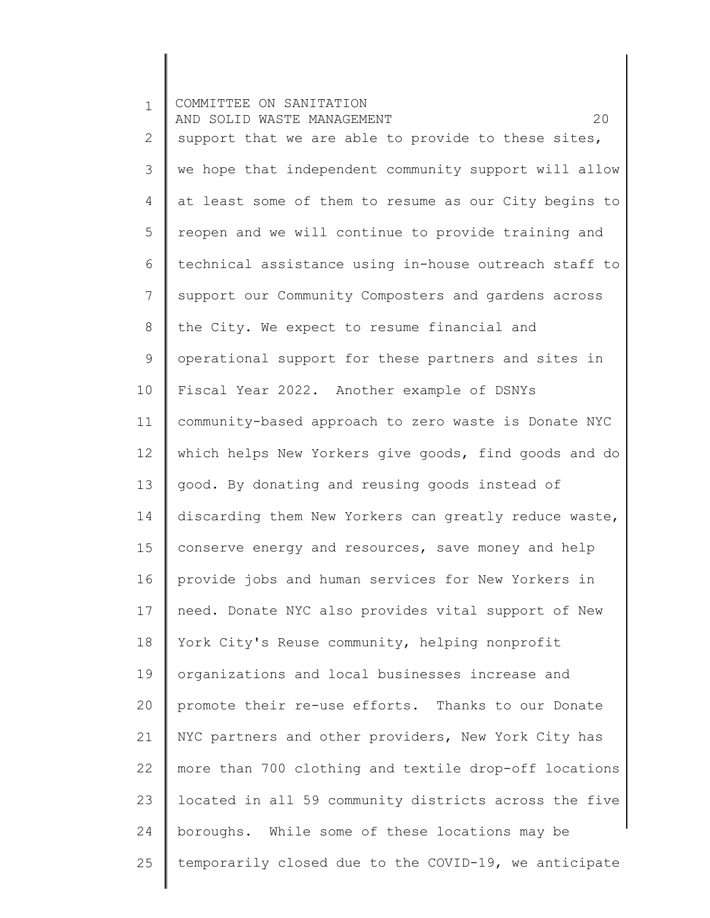1 2 3 4 5 6 7 8 9 10 11 12 13 14 15 16 17 18 19 20 21 22 23 24 25 COMMITTEE ON SANITATION AND SOLID WASTE MANAGEMENT 20 support that we are able to provide to these sites, we hope that independent community support will allow at least some of them to resume as our City begins to reopen and we will continue to provide training and technical assistance using in-house outreach staff to support our Community Composters and gardens across the City. We expect to resume financial and operational support for these partners and sites in Fiscal Year 2022. Another example of DSNYs community-based approach to zero waste is Donate NYC which helps New Yorkers give goods, find goods and do good. By donating and reusing goods instead of discarding them New Yorkers can greatly reduce waste, conserve energy and resources, save money and help provide jobs and human services for New Yorkers in need. Donate NYC also provides vital support of New York City's Reuse community, helping nonprofit organizations and local businesses increase and promote their re-use efforts. Thanks to our Donate NYC partners and other providers, New York City has more than 700 clothing and textile drop-off locations located in all 59 community districts across the five boroughs. While some of these locations may be temporarily closed due to the COVID-19, we anticipate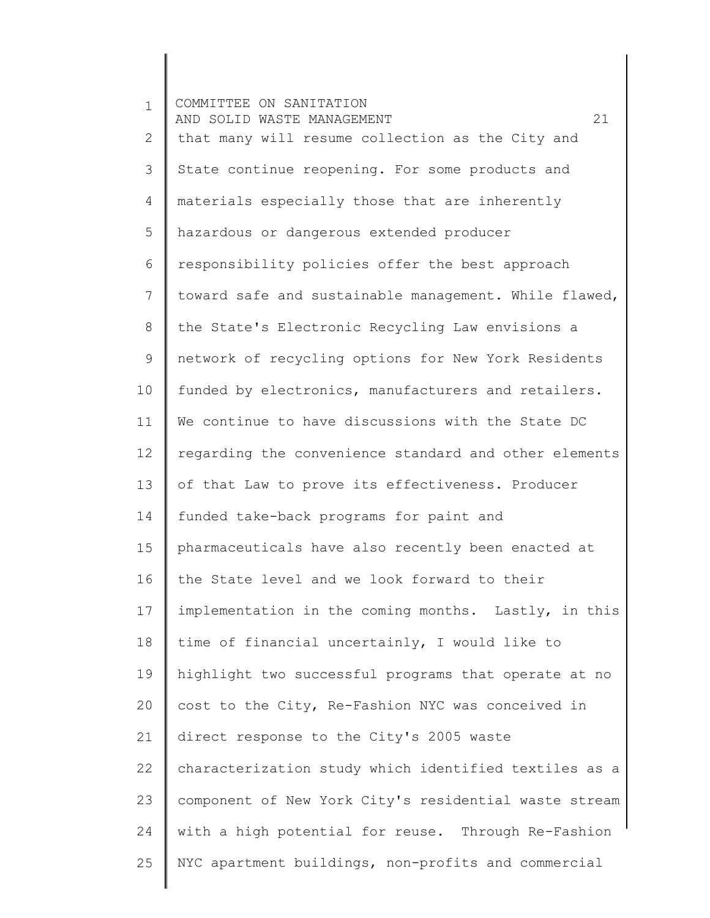| $\mathbf 1$ | COMMITTEE ON SANITATION<br>21<br>AND SOLID WASTE MANAGEMENT |
|-------------|-------------------------------------------------------------|
| 2           | that many will resume collection as the City and            |
| 3           | State continue reopening. For some products and             |
| 4           | materials especially those that are inherently              |
| 5           | hazardous or dangerous extended producer                    |
| 6           | responsibility policies offer the best approach             |
| 7           | toward safe and sustainable management. While flawed,       |
| 8           | the State's Electronic Recycling Law envisions a            |
| 9           | network of recycling options for New York Residents         |
| 10          | funded by electronics, manufacturers and retailers.         |
| 11          | We continue to have discussions with the State DC           |
| 12          | regarding the convenience standard and other elements       |
| 13          | of that Law to prove its effectiveness. Producer            |
| 14          | funded take-back programs for paint and                     |
| 15          | pharmaceuticals have also recently been enacted at          |
| 16          | the State level and we look forward to their                |
| 17          | implementation in the coming months. Lastly, in this        |
| 18          | time of financial uncertainly, I would like to              |
| 19          | highlight two successful programs that operate at no        |
| 20          | cost to the City, Re-Fashion NYC was conceived in           |
| 21          | direct response to the City's 2005 waste                    |
| 22          | characterization study which identified textiles as a       |
| 23          | component of New York City's residential waste stream       |
| 24          | with a high potential for reuse. Through Re-Fashion         |
| 25          | NYC apartment buildings, non-profits and commercial         |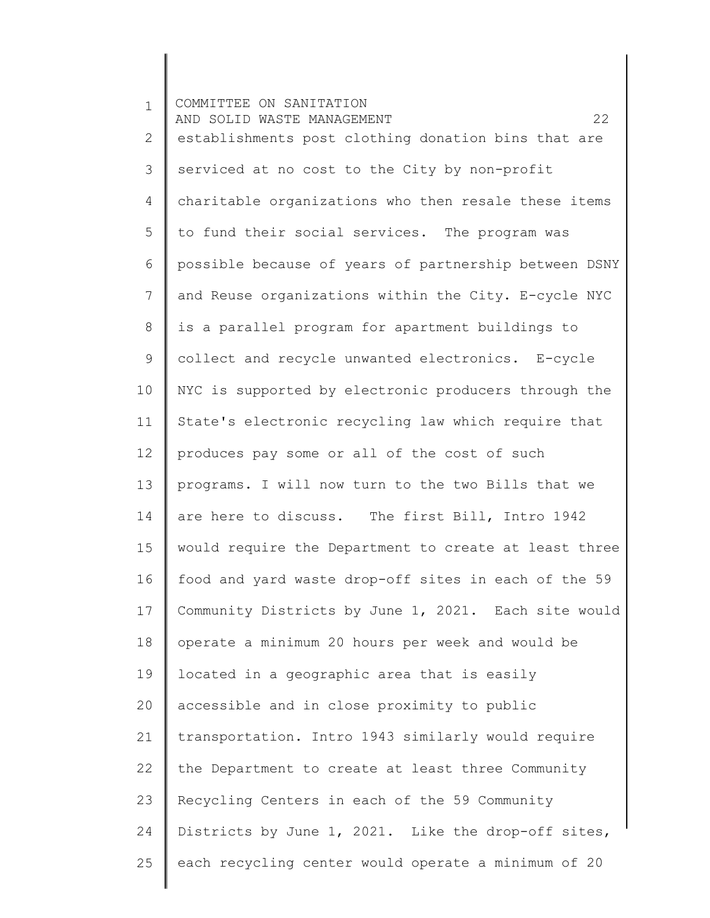1 2 3 4 5 6 7 8 9 10 11 12 13 14 15 16 17 18 19 20 21 22 23 24 25 COMMITTEE ON SANITATION AND SOLID WASTE MANAGEMENT 22 establishments post clothing donation bins that are serviced at no cost to the City by non-profit charitable organizations who then resale these items to fund their social services. The program was possible because of years of partnership between DSNY and Reuse organizations within the City. E-cycle NYC is a parallel program for apartment buildings to collect and recycle unwanted electronics. E-cycle NYC is supported by electronic producers through the State's electronic recycling law which require that produces pay some or all of the cost of such programs. I will now turn to the two Bills that we are here to discuss. The first Bill, Intro 1942 would require the Department to create at least three food and yard waste drop-off sites in each of the 59 Community Districts by June 1, 2021. Each site would operate a minimum 20 hours per week and would be located in a geographic area that is easily accessible and in close proximity to public transportation. Intro 1943 similarly would require the Department to create at least three Community Recycling Centers in each of the 59 Community Districts by June 1, 2021. Like the drop-off sites, each recycling center would operate a minimum of 20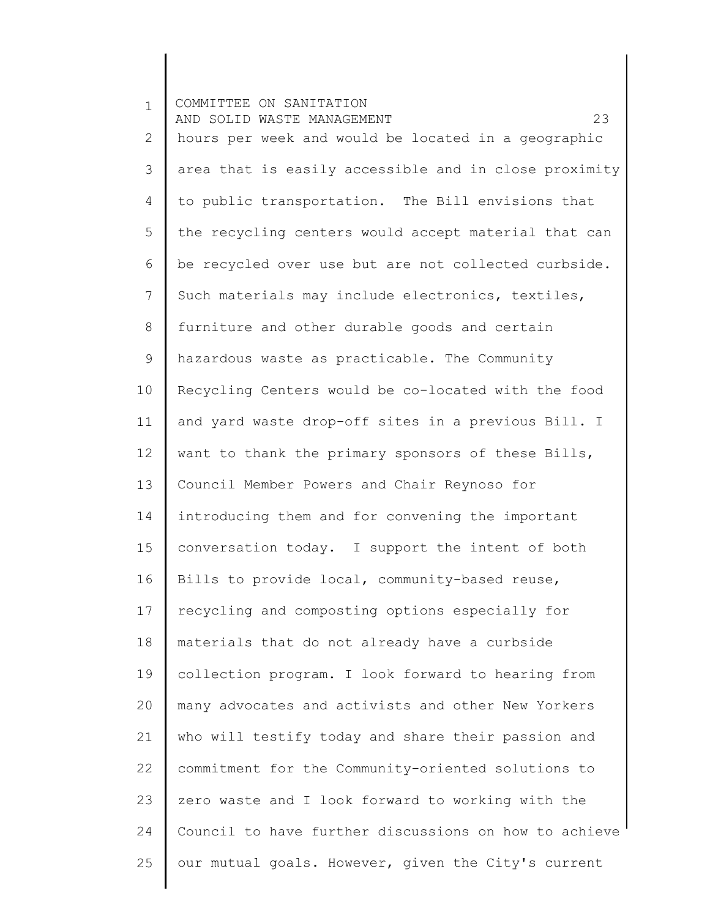1 2 3 4 5 6 7 8 9 10 11 12 13 14 15 16 17 18 19 20 21 22 23 24 25 COMMITTEE ON SANITATION AND SOLID WASTE MANAGEMENT 23 hours per week and would be located in a geographic area that is easily accessible and in close proximity to public transportation. The Bill envisions that the recycling centers would accept material that can be recycled over use but are not collected curbside. Such materials may include electronics, textiles, furniture and other durable goods and certain hazardous waste as practicable. The Community Recycling Centers would be co-located with the food and yard waste drop-off sites in a previous Bill. I want to thank the primary sponsors of these Bills, Council Member Powers and Chair Reynoso for introducing them and for convening the important conversation today. I support the intent of both Bills to provide local, community-based reuse, recycling and composting options especially for materials that do not already have a curbside collection program. I look forward to hearing from many advocates and activists and other New Yorkers who will testify today and share their passion and commitment for the Community-oriented solutions to zero waste and I look forward to working with the Council to have further discussions on how to achieve our mutual goals. However, given the City's current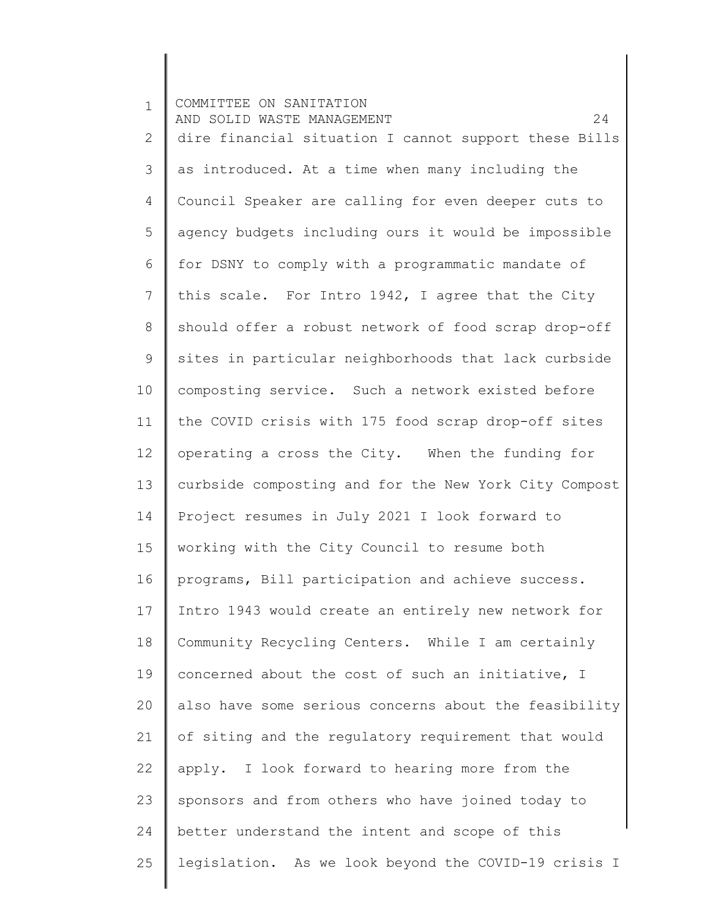1 2 3 4 5 6 7 8 9 10 11 12 13 14 15 16 17 18 19 20 21 22 23 24 25 COMMITTEE ON SANITATION AND SOLID WASTE MANAGEMENT 24 dire financial situation I cannot support these Bills as introduced. At a time when many including the Council Speaker are calling for even deeper cuts to agency budgets including ours it would be impossible for DSNY to comply with a programmatic mandate of this scale. For Intro 1942, I agree that the City should offer a robust network of food scrap drop-off sites in particular neighborhoods that lack curbside composting service. Such a network existed before the COVID crisis with 175 food scrap drop-off sites operating a cross the City. When the funding for curbside composting and for the New York City Compost Project resumes in July 2021 I look forward to working with the City Council to resume both programs, Bill participation and achieve success. Intro 1943 would create an entirely new network for Community Recycling Centers. While I am certainly concerned about the cost of such an initiative, I also have some serious concerns about the feasibility of siting and the regulatory requirement that would apply. I look forward to hearing more from the sponsors and from others who have joined today to better understand the intent and scope of this legislation. As we look beyond the COVID-19 crisis I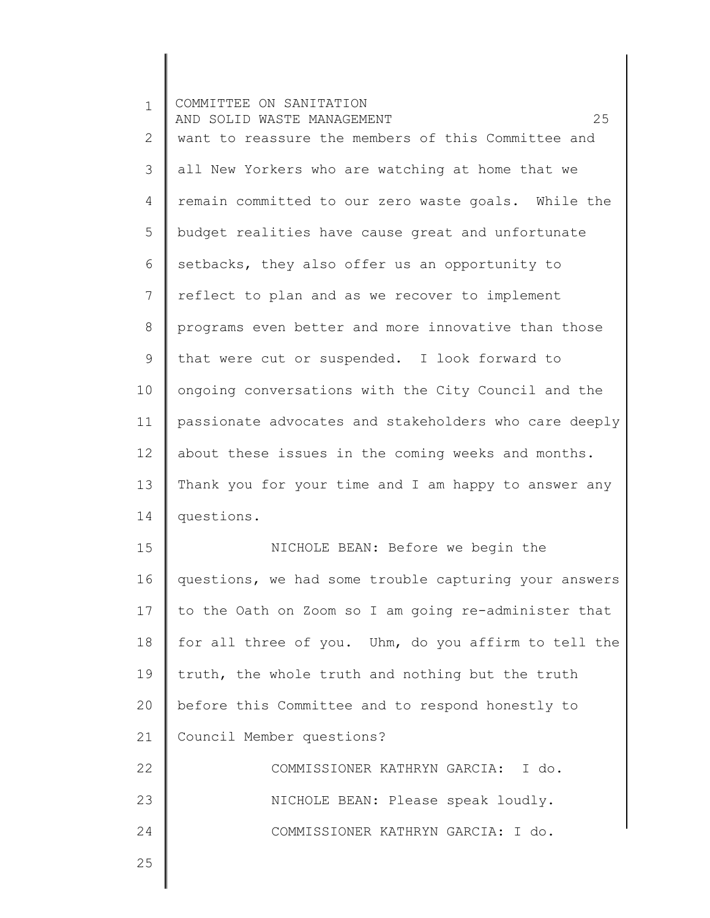1 2 3 4 5 6 7 8 9 10 11 12 13 14 15 16 17 18 19 20 21 22 23 24 25 COMMITTEE ON SANITATION AND SOLID WASTE MANAGEMENT 25 want to reassure the members of this Committee and all New Yorkers who are watching at home that we remain committed to our zero waste goals. While the budget realities have cause great and unfortunate setbacks, they also offer us an opportunity to reflect to plan and as we recover to implement programs even better and more innovative than those that were cut or suspended. I look forward to ongoing conversations with the City Council and the passionate advocates and stakeholders who care deeply about these issues in the coming weeks and months. Thank you for your time and I am happy to answer any questions. NICHOLE BEAN: Before we begin the questions, we had some trouble capturing your answers to the Oath on Zoom so I am going re-administer that for all three of you. Uhm, do you affirm to tell the truth, the whole truth and nothing but the truth before this Committee and to respond honestly to Council Member questions? COMMISSIONER KATHRYN GARCIA: I do. NICHOLE BEAN: Please speak loudly. COMMISSIONER KATHRYN GARCIA: I do.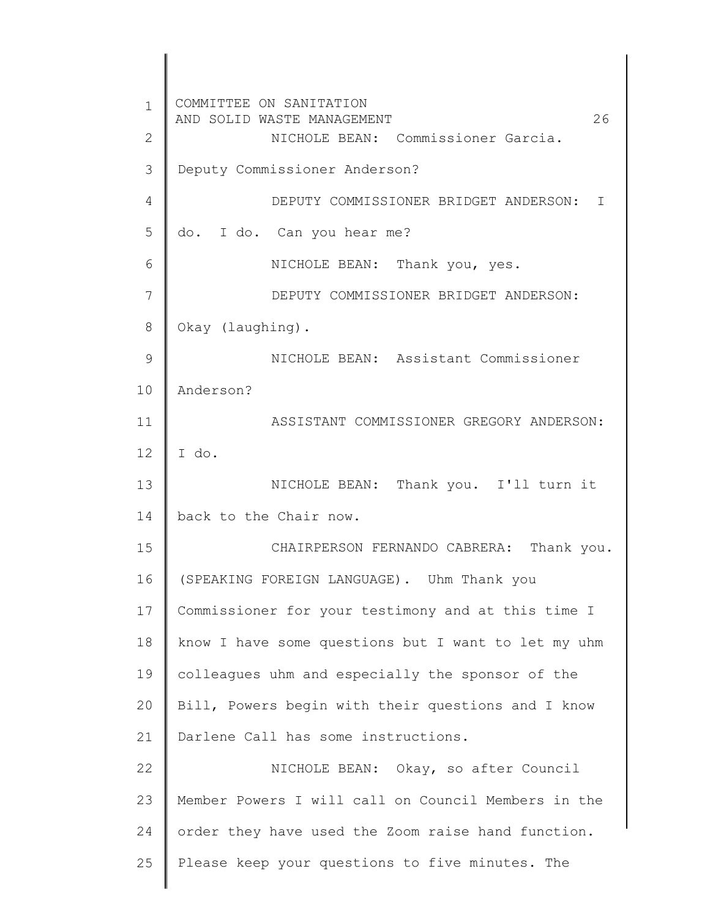| $\mathbf{1}$   | COMMITTEE ON SANITATION<br>26<br>AND SOLID WASTE MANAGEMENT |
|----------------|-------------------------------------------------------------|
| $\overline{2}$ | NICHOLE BEAN: Commissioner Garcia.                          |
| 3              | Deputy Commissioner Anderson?                               |
| 4              | DEPUTY COMMISSIONER BRIDGET ANDERSON:<br>T                  |
| 5              | do. I do. Can you hear me?                                  |
| 6              | NICHOLE BEAN: Thank you, yes.                               |
| 7              | DEPUTY COMMISSIONER BRIDGET ANDERSON:                       |
| 8              | Okay (laughing).                                            |
| $\mathsf 9$    | NICHOLE BEAN: Assistant Commissioner                        |
| 10             | Anderson?                                                   |
| 11             | ASSISTANT COMMISSIONER GREGORY ANDERSON:                    |
| 12             | I do.                                                       |
| 13             | NICHOLE BEAN: Thank you. I'll turn it                       |
| 14             | back to the Chair now.                                      |
| 15             | CHAIRPERSON FERNANDO CABRERA:<br>Thank you.                 |
| 16             | (SPEAKING FOREIGN LANGUAGE). Uhm Thank you                  |
| 17             | Commissioner for your testimony and at this time I          |
| 18             | know I have some questions but I want to let my uhm         |
| 19             | colleagues uhm and especially the sponsor of the            |
| 20             | Bill, Powers begin with their questions and I know          |
| 21             | Darlene Call has some instructions.                         |
| 22             | NICHOLE BEAN: Okay, so after Council                        |
| 23             | Member Powers I will call on Council Members in the         |
| 24             | order they have used the Zoom raise hand function.          |
| 25             | Please keep your questions to five minutes. The             |
|                |                                                             |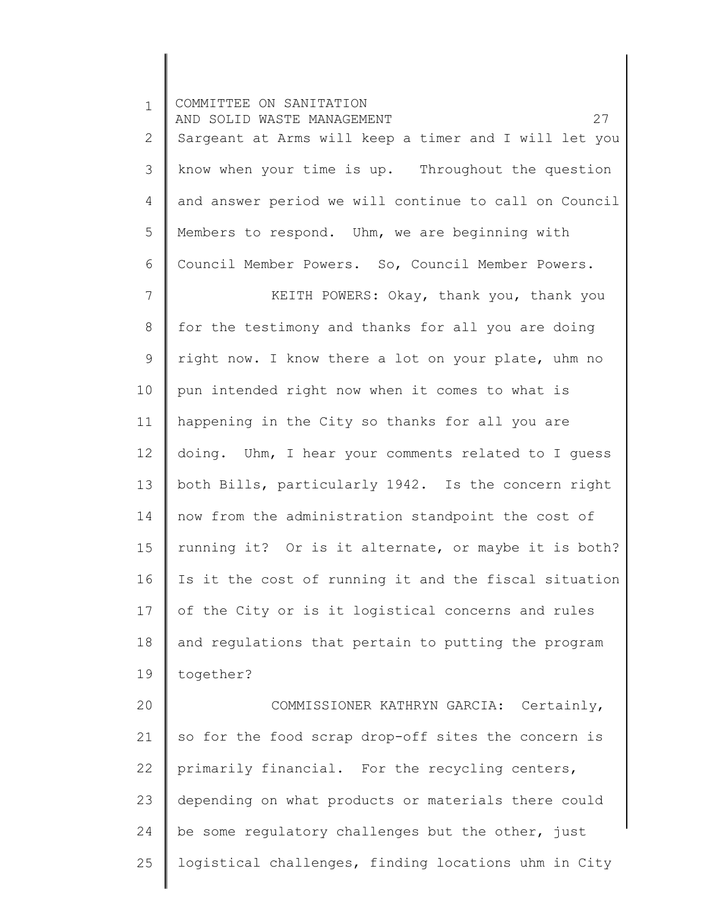1 2 3 4 5 6 7 8 9 10 11 12 13 14 15 16 17 18 19 20 21 22 23 24 25 COMMITTEE ON SANITATION AND SOLID WASTE MANAGEMENT 27 Sargeant at Arms will keep a timer and I will let you know when your time is up. Throughout the question and answer period we will continue to call on Council Members to respond. Uhm, we are beginning with Council Member Powers. So, Council Member Powers. KEITH POWERS: Okay, thank you, thank you for the testimony and thanks for all you are doing right now. I know there a lot on your plate, uhm no pun intended right now when it comes to what is happening in the City so thanks for all you are doing. Uhm, I hear your comments related to I guess both Bills, particularly 1942. Is the concern right now from the administration standpoint the cost of running it? Or is it alternate, or maybe it is both? Is it the cost of running it and the fiscal situation of the City or is it logistical concerns and rules and regulations that pertain to putting the program together? COMMISSIONER KATHRYN GARCIA: Certainly, so for the food scrap drop-off sites the concern is primarily financial. For the recycling centers, depending on what products or materials there could be some regulatory challenges but the other, just logistical challenges, finding locations uhm in City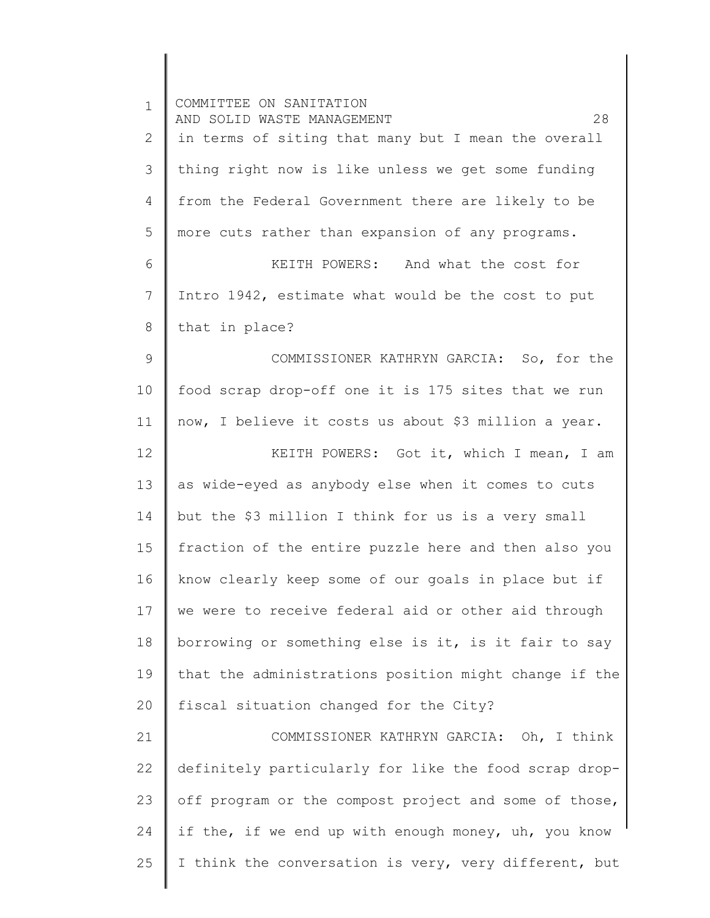| $\mathbf{1}$ | COMMITTEE ON SANITATION<br>28<br>AND SOLID WASTE MANAGEMENT |
|--------------|-------------------------------------------------------------|
| 2            | in terms of siting that many but I mean the overall         |
| 3            | thing right now is like unless we get some funding          |
| 4            | from the Federal Government there are likely to be          |
| 5            | more cuts rather than expansion of any programs.            |
| 6            | KEITH POWERS: And what the cost for                         |
| 7            | Intro 1942, estimate what would be the cost to put          |
| 8            | that in place?                                              |
| 9            | COMMISSIONER KATHRYN GARCIA: So, for the                    |
| 10           | food scrap drop-off one it is 175 sites that we run         |
| 11           | now, I believe it costs us about \$3 million a year.        |
| 12           | KEITH POWERS: Got it, which I mean, I am                    |
| 13           | as wide-eyed as anybody else when it comes to cuts          |
| 14           | but the \$3 million I think for us is a very small          |
| 15           | fraction of the entire puzzle here and then also you        |
| 16           | know clearly keep some of our goals in place but if         |
| 17           | we were to receive federal aid or other aid through         |
| 18           | borrowing or something else is it, is it fair to say        |
| 19           | that the administrations position might change if the       |
| 20           | fiscal situation changed for the City?                      |
| 21           | COMMISSIONER KATHRYN GARCIA: Oh, I think                    |
| 22           | definitely particularly for like the food scrap drop-       |
| 23           | off program or the compost project and some of those,       |
| 24           | if the, if we end up with enough money, uh, you know        |
| 25           | I think the conversation is very, very different, but       |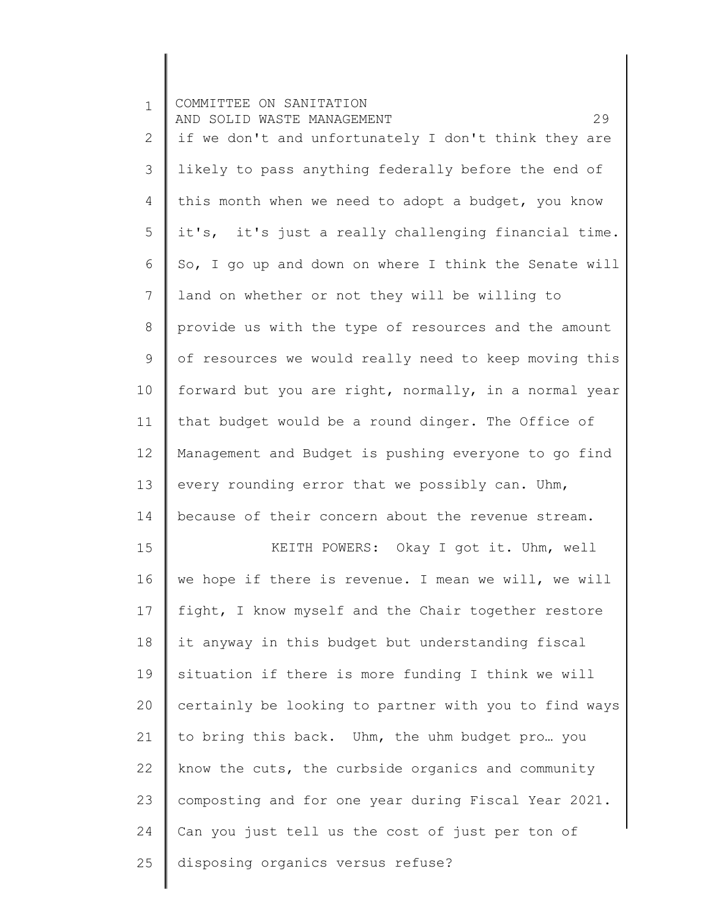| $\mathbf 1$    | COMMITTEE ON SANITATION<br>29<br>AND SOLID WASTE MANAGEMENT |
|----------------|-------------------------------------------------------------|
| 2              | if we don't and unfortunately I don't think they are        |
| 3              | likely to pass anything federally before the end of         |
| 4              | this month when we need to adopt a budget, you know         |
| 5              | it's, it's just a really challenging financial time.        |
| 6              | So, I go up and down on where I think the Senate will       |
| $\overline{7}$ | land on whether or not they will be willing to              |
| 8              | provide us with the type of resources and the amount        |
| 9              | of resources we would really need to keep moving this       |
| 10             | forward but you are right, normally, in a normal year       |
| 11             | that budget would be a round dinger. The Office of          |
| 12             | Management and Budget is pushing everyone to go find        |
| 13             | every rounding error that we possibly can. Uhm,             |
| 14             | because of their concern about the revenue stream.          |
| 15             | KEITH POWERS: Okay I got it. Uhm, well                      |
| 16             | we hope if there is revenue. I mean we will, we will        |
| 17             | fight, I know myself and the Chair together restore         |
| 18             | it anyway in this budget but understanding fiscal           |
| 19             | situation if there is more funding I think we will          |
| 20             | certainly be looking to partner with you to find ways       |
| 21             | to bring this back. Uhm, the uhm budget pro you             |
| 22             | know the cuts, the curbside organics and community          |
| 23             | composting and for one year during Fiscal Year 2021.        |
| 24             | Can you just tell us the cost of just per ton of            |
| 25             | disposing organics versus refuse?                           |
|                |                                                             |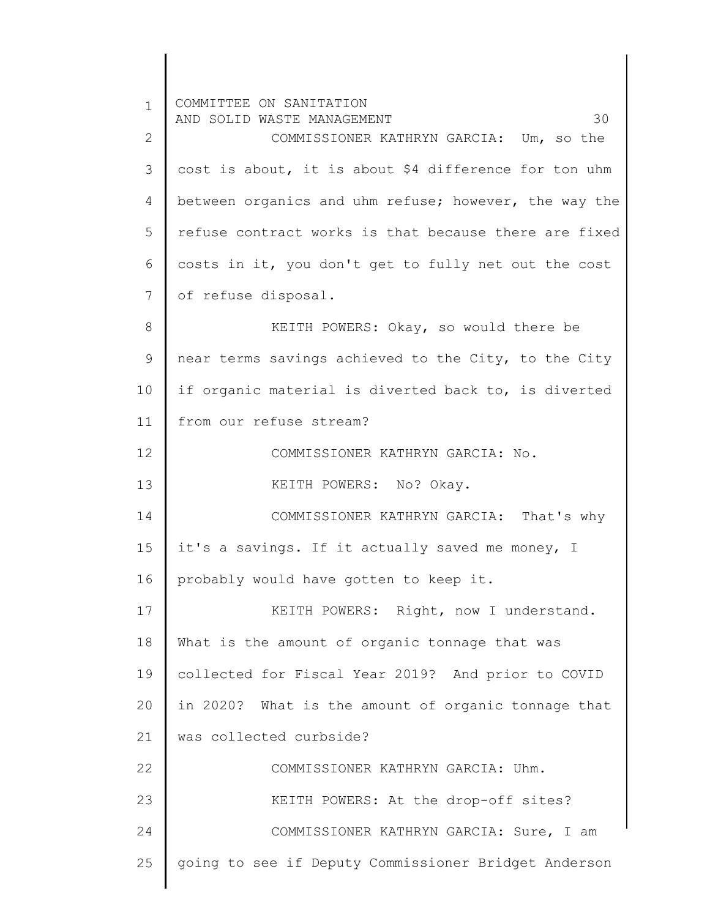| $\mathbf 1$    | COMMITTEE ON SANITATION<br>30<br>AND SOLID WASTE MANAGEMENT |
|----------------|-------------------------------------------------------------|
| $\overline{2}$ | COMMISSIONER KATHRYN GARCIA: Um, so the                     |
| 3              | cost is about, it is about \$4 difference for ton uhm       |
| 4              | between organics and uhm refuse; however, the way the       |
| 5              | refuse contract works is that because there are fixed       |
| 6              | costs in it, you don't get to fully net out the cost        |
| 7              | of refuse disposal.                                         |
| 8              | KEITH POWERS: Okay, so would there be                       |
| 9              | near terms savings achieved to the City, to the City        |
| 10             | if organic material is diverted back to, is diverted        |
| 11             | from our refuse stream?                                     |
| 12             | COMMISSIONER KATHRYN GARCIA: No.                            |
| 13             | KEITH POWERS: No? Okay.                                     |
| 14             | COMMISSIONER KATHRYN GARCIA: That's why                     |
| 15             | it's a savings. If it actually saved me money, I            |
| 16             | probably would have gotten to keep it.                      |
| 17             | KEITH POWERS: Right, now I understand.                      |
| 18             | What is the amount of organic tonnage that was              |
| 19             | collected for Fiscal Year 2019? And prior to COVID          |
| 20             | in 2020? What is the amount of organic tonnage that         |
| 21             | was collected curbside?                                     |
| 22             | COMMISSIONER KATHRYN GARCIA: Uhm.                           |
| 23             | KEITH POWERS: At the drop-off sites?                        |
| 24             | COMMISSIONER KATHRYN GARCIA: Sure, I am                     |
| 25             | going to see if Deputy Commissioner Bridget Anderson        |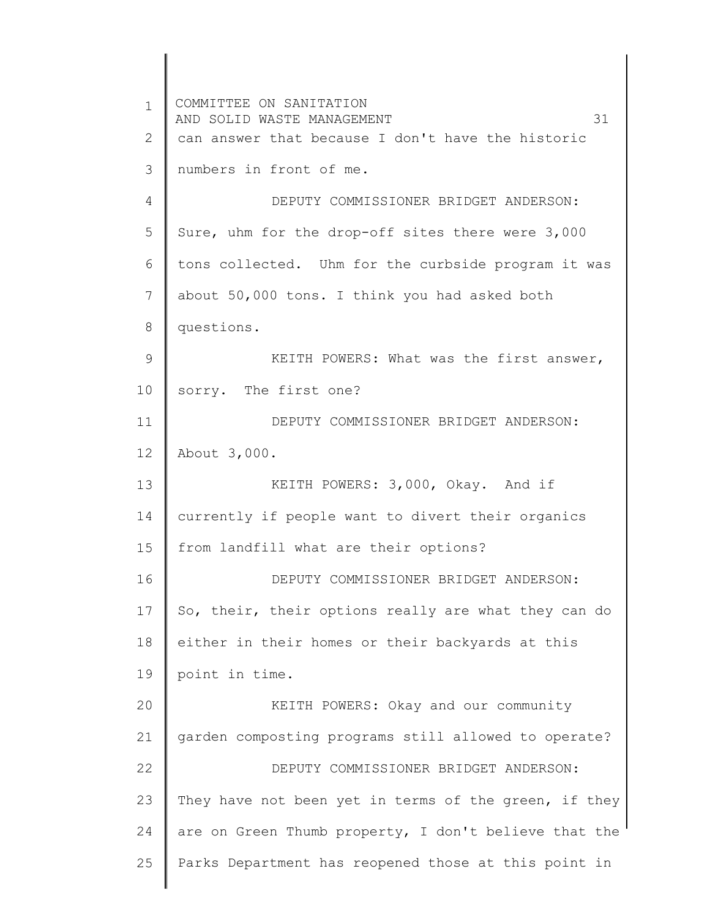1 2 3 4 5 6 7 8 9 10 11 12 13 14 15 16 17 18 19 20 21 22 23 24 25 COMMITTEE ON SANITATION AND SOLID WASTE MANAGEMENT **1999** 31 can answer that because I don't have the historic numbers in front of me. DEPUTY COMMISSIONER BRIDGET ANDERSON: Sure, uhm for the drop-off sites there were 3,000 tons collected. Uhm for the curbside program it was about 50,000 tons. I think you had asked both questions. KEITH POWERS: What was the first answer, sorry. The first one? DEPUTY COMMISSIONER BRIDGET ANDERSON: About 3,000. KEITH POWERS: 3,000, Okay. And if currently if people want to divert their organics from landfill what are their options? DEPUTY COMMISSIONER BRIDGET ANDERSON: So, their, their options really are what they can do either in their homes or their backyards at this point in time. KEITH POWERS: Okay and our community garden composting programs still allowed to operate? DEPUTY COMMISSIONER BRIDGET ANDERSON: They have not been yet in terms of the green, if they are on Green Thumb property, I don't believe that the Parks Department has reopened those at this point in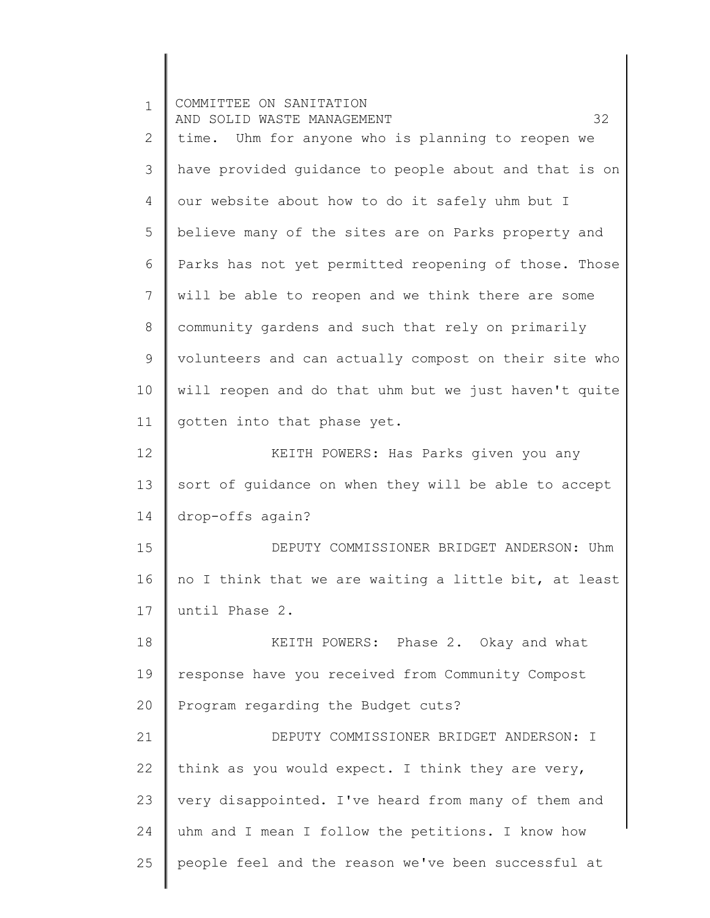1 2 3 4 5 6 7 8 9 10 11 12 13 14 15 16 17 18 19 20 21 22 23 24 25 COMMITTEE ON SANITATION AND SOLID WASTE MANAGEMENT **1999** 32 time. Uhm for anyone who is planning to reopen we have provided guidance to people about and that is on our website about how to do it safely uhm but I believe many of the sites are on Parks property and Parks has not yet permitted reopening of those. Those will be able to reopen and we think there are some community gardens and such that rely on primarily volunteers and can actually compost on their site who will reopen and do that uhm but we just haven't quite gotten into that phase yet. KEITH POWERS: Has Parks given you any sort of guidance on when they will be able to accept drop-offs again? DEPUTY COMMISSIONER BRIDGET ANDERSON: Uhm no I think that we are waiting a little bit, at least until Phase 2. KEITH POWERS: Phase 2. Okay and what response have you received from Community Compost Program regarding the Budget cuts? DEPUTY COMMISSIONER BRIDGET ANDERSON: I think as you would expect. I think they are very, very disappointed. I've heard from many of them and uhm and I mean I follow the petitions. I know how people feel and the reason we've been successful at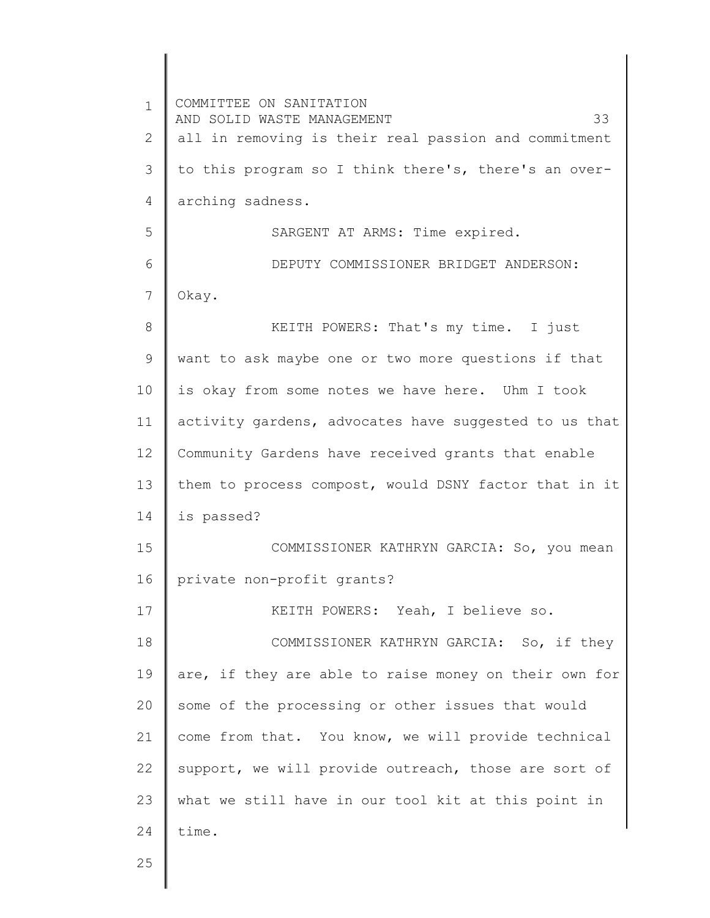1 2 3 4 5 6 7 8 9 10 11 12 13 14 15 16 17 18 19 20 21 22 23 24 25 COMMITTEE ON SANITATION AND SOLID WASTE MANAGEMENT **1996** 33 all in removing is their real passion and commitment to this program so I think there's, there's an overarching sadness. SARGENT AT ARMS: Time expired. DEPUTY COMMISSIONER BRIDGET ANDERSON: Okay. KEITH POWERS: That's my time. I just want to ask maybe one or two more questions if that is okay from some notes we have here. Uhm I took activity gardens, advocates have suggested to us that Community Gardens have received grants that enable them to process compost, would DSNY factor that in it is passed? COMMISSIONER KATHRYN GARCIA: So, you mean private non-profit grants? KEITH POWERS: Yeah, I believe so. COMMISSIONER KATHRYN GARCIA: So, if they are, if they are able to raise money on their own for some of the processing or other issues that would come from that. You know, we will provide technical support, we will provide outreach, those are sort of what we still have in our tool kit at this point in time.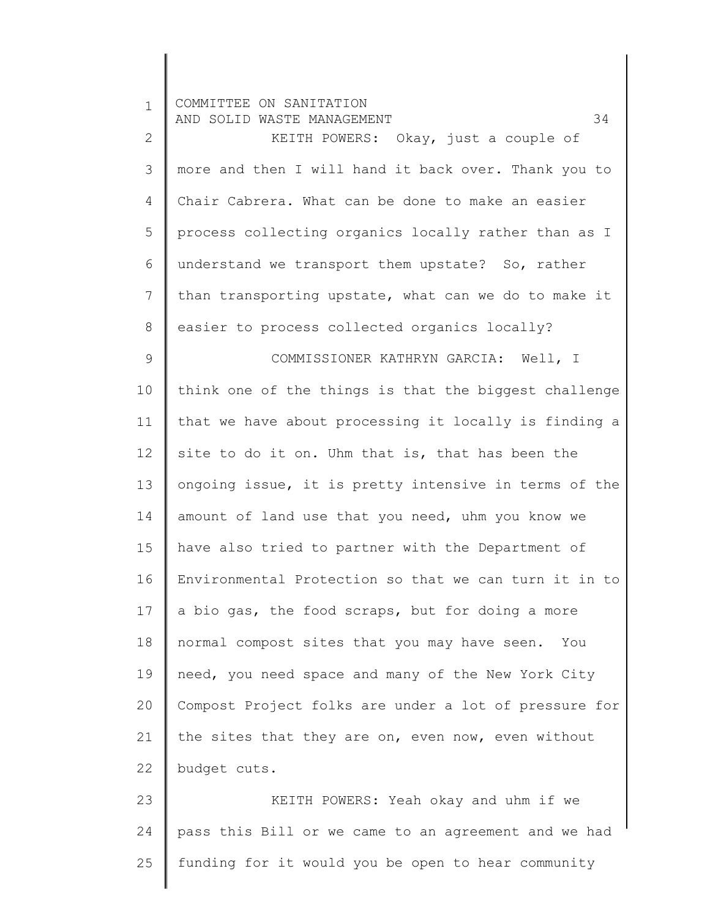1 2 3 4 5 6 7 8 9 10 11 12 13 14 15 16 17 18 19 20 21 22 23 24 25 COMMITTEE ON SANITATION AND SOLID WASTE MANAGEMENT 34 KEITH POWERS: Okay, just a couple of more and then I will hand it back over. Thank you to Chair Cabrera. What can be done to make an easier process collecting organics locally rather than as I understand we transport them upstate? So, rather than transporting upstate, what can we do to make it easier to process collected organics locally? COMMISSIONER KATHRYN GARCIA: Well, I think one of the things is that the biggest challenge that we have about processing it locally is finding a site to do it on. Uhm that is, that has been the ongoing issue, it is pretty intensive in terms of the amount of land use that you need, uhm you know we have also tried to partner with the Department of Environmental Protection so that we can turn it in to a bio gas, the food scraps, but for doing a more normal compost sites that you may have seen. You need, you need space and many of the New York City Compost Project folks are under a lot of pressure for the sites that they are on, even now, even without budget cuts. KEITH POWERS: Yeah okay and uhm if we pass this Bill or we came to an agreement and we had funding for it would you be open to hear community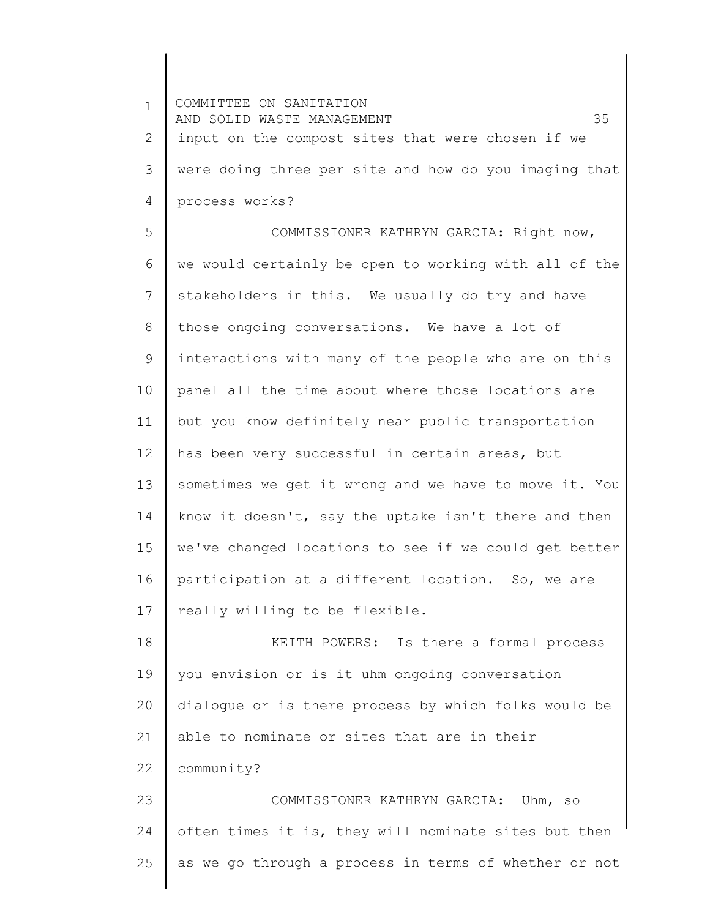1 2 3 4 5 6 7 8 9 10 11 12 13 14 15 16 17 18 19 20 21 22 23 24 25 COMMITTEE ON SANITATION AND SOLID WASTE MANAGEMENT 35 input on the compost sites that were chosen if we were doing three per site and how do you imaging that process works? COMMISSIONER KATHRYN GARCIA: Right now, we would certainly be open to working with all of the stakeholders in this. We usually do try and have those ongoing conversations. We have a lot of interactions with many of the people who are on this panel all the time about where those locations are but you know definitely near public transportation has been very successful in certain areas, but sometimes we get it wrong and we have to move it. You know it doesn't, say the uptake isn't there and then we've changed locations to see if we could get better participation at a different location. So, we are really willing to be flexible. KEITH POWERS: Is there a formal process you envision or is it uhm ongoing conversation dialogue or is there process by which folks would be able to nominate or sites that are in their community? COMMISSIONER KATHRYN GARCIA: Uhm, so often times it is, they will nominate sites but then as we go through a process in terms of whether or not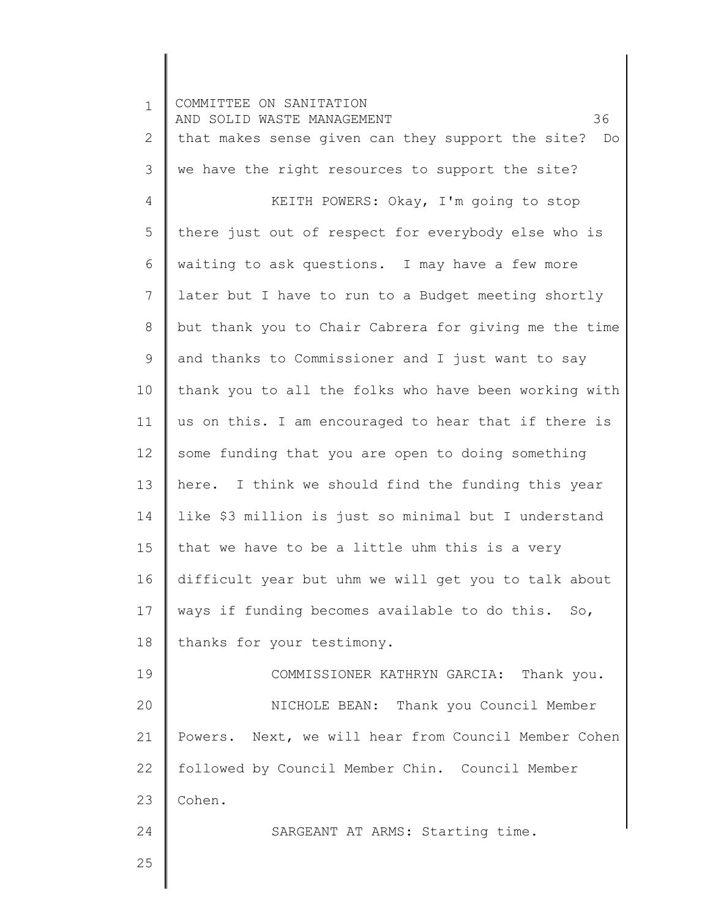1 2 3 4 5 6 7 8 9 10 11 12 13 14 15 16 17 18 19 20 21 22 23 24 25 COMMITTEE ON SANITATION AND SOLID WASTE MANAGEMENT 36 that makes sense given can they support the site? Do we have the right resources to support the site? KEITH POWERS: Okay, I'm going to stop there just out of respect for everybody else who is waiting to ask questions. I may have a few more later but I have to run to a Budget meeting shortly but thank you to Chair Cabrera for giving me the time and thanks to Commissioner and I just want to say thank you to all the folks who have been working with us on this. I am encouraged to hear that if there is some funding that you are open to doing something here. I think we should find the funding this year like \$3 million is just so minimal but I understand that we have to be a little uhm this is a very difficult year but uhm we will get you to talk about ways if funding becomes available to do this. So, thanks for your testimony. COMMISSIONER KATHRYN GARCIA: Thank you. NICHOLE BEAN: Thank you Council Member Powers. Next, we will hear from Council Member Cohen followed by Council Member Chin. Council Member Cohen. SARGEANT AT ARMS: Starting time.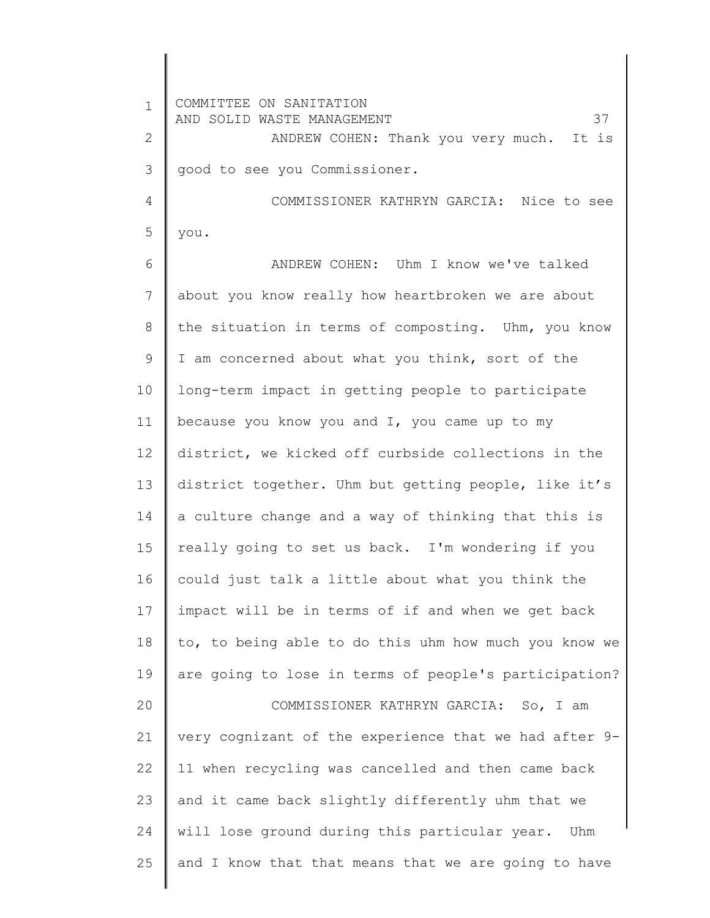1 2 3 4 5 6 7 8 9 10 11 12 13 14 15 16 17 18 19 20 21 22 23 24 25 COMMITTEE ON SANITATION AND SOLID WASTE MANAGEMENT 37 ANDREW COHEN: Thank you very much. It is good to see you Commissioner. COMMISSIONER KATHRYN GARCIA: Nice to see you. ANDREW COHEN: Uhm I know we've talked about you know really how heartbroken we are about the situation in terms of composting. Uhm, you know I am concerned about what you think, sort of the long-term impact in getting people to participate because you know you and I, you came up to my district, we kicked off curbside collections in the district together. Uhm but getting people, like it's a culture change and a way of thinking that this is really going to set us back. I'm wondering if you could just talk a little about what you think the impact will be in terms of if and when we get back to, to being able to do this uhm how much you know we are going to lose in terms of people's participation? COMMISSIONER KATHRYN GARCIA: So, I am very cognizant of the experience that we had after 9- 11 when recycling was cancelled and then came back and it came back slightly differently uhm that we will lose ground during this particular year. Uhm and I know that that means that we are going to have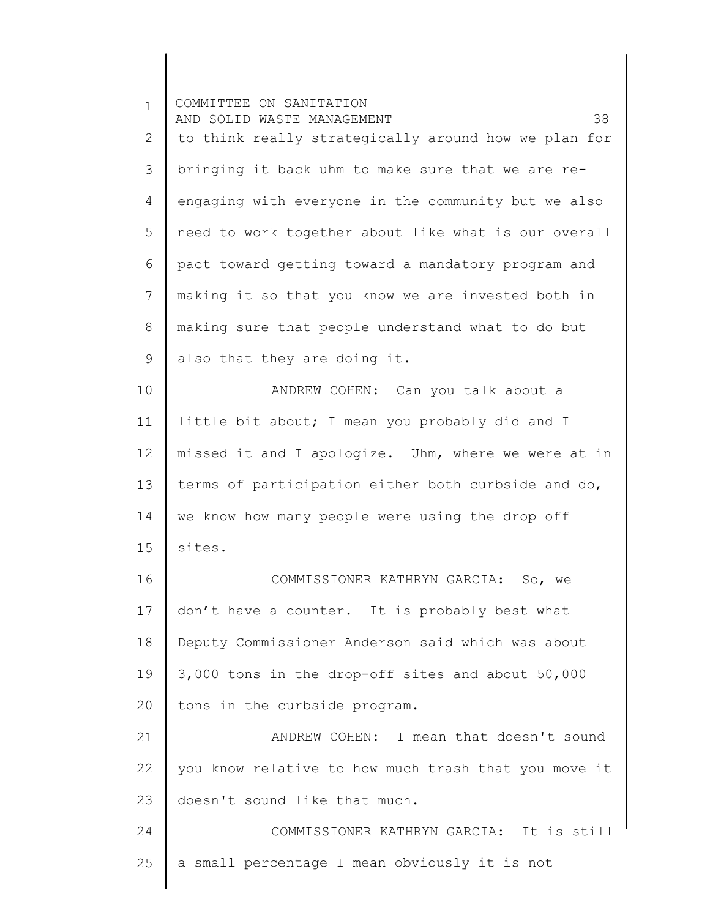| $\mathbf{1}$ | COMMITTEE ON SANITATION<br>38<br>AND SOLID WASTE MANAGEMENT |
|--------------|-------------------------------------------------------------|
| $\mathbf{2}$ | to think really strategically around how we plan for        |
| 3            | bringing it back uhm to make sure that we are re-           |
| 4            | engaging with everyone in the community but we also         |
| 5            | need to work together about like what is our overall        |
| 6            | pact toward getting toward a mandatory program and          |
| 7            | making it so that you know we are invested both in          |
| 8            | making sure that people understand what to do but           |
| 9            | also that they are doing it.                                |
| 10           | ANDREW COHEN: Can you talk about a                          |
| 11           | little bit about; I mean you probably did and I             |
| 12           | missed it and I apologize. Uhm, where we were at in         |
| 13           | terms of participation either both curbside and do,         |
| 14           | we know how many people were using the drop off             |
| 15           | sites.                                                      |
| 16           | COMMISSIONER KATHRYN GARCIA: So, we                         |
| 17           | don't have a counter. It is probably best what              |
| 18           | Deputy Commissioner Anderson said which was about           |
| 19           | 3,000 tons in the drop-off sites and about 50,000           |
| 20           | tons in the curbside program.                               |
| 21           | ANDREW COHEN: I mean that doesn't sound                     |
| 22           | you know relative to how much trash that you move it        |
| 23           | doesn't sound like that much.                               |
| 24           | COMMISSIONER KATHRYN GARCIA: It is still                    |
| 25           | a small percentage I mean obviously it is not               |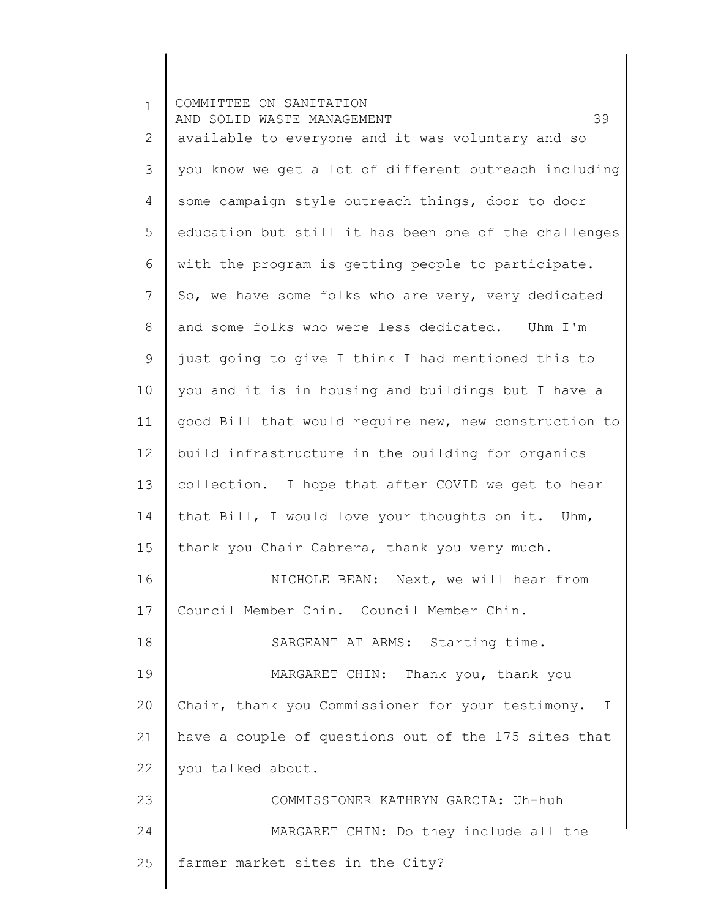| $\mathbf 1$  | COMMITTEE ON SANITATION<br>39<br>AND SOLID WASTE MANAGEMENT |
|--------------|-------------------------------------------------------------|
| $\mathbf{2}$ | available to everyone and it was voluntary and so           |
| 3            | you know we get a lot of different outreach including       |
| 4            | some campaign style outreach things, door to door           |
| 5            | education but still it has been one of the challenges       |
| 6            | with the program is getting people to participate.          |
| 7            | So, we have some folks who are very, very dedicated         |
| 8            | and some folks who were less dedicated. Uhm I'm             |
| 9            | just going to give I think I had mentioned this to          |
| 10           | you and it is in housing and buildings but I have a         |
| 11           | good Bill that would require new, new construction to       |
| 12           | build infrastructure in the building for organics           |
| 13           | collection. I hope that after COVID we get to hear          |
| 14           | that Bill, I would love your thoughts on it. Uhm,           |
| 15           | thank you Chair Cabrera, thank you very much.               |
| 16           | NICHOLE BEAN: Next, we will hear from                       |
| 17           | Council Member Chin. Council Member Chin.                   |
| 18           | SARGEANT AT ARMS: Starting time.                            |
| 19           | MARGARET CHIN: Thank you, thank you                         |
| 20           | Chair, thank you Commissioner for your testimony. I         |
| 21           | have a couple of questions out of the 175 sites that        |
| 22           | you talked about.                                           |
| 23           | COMMISSIONER KATHRYN GARCIA: Uh-huh                         |
| 24           | MARGARET CHIN: Do they include all the                      |
| 25           | farmer market sites in the City?                            |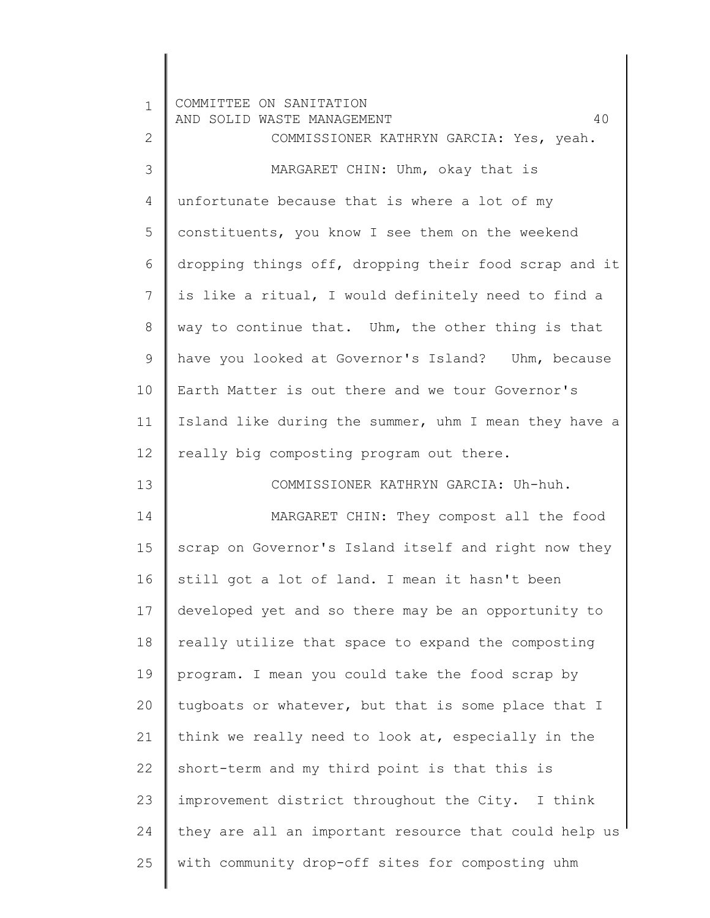| $\mathbf{1}$ | COMMITTEE ON SANITATION<br>40<br>AND SOLID WASTE MANAGEMENT |
|--------------|-------------------------------------------------------------|
| $\mathbf{2}$ | COMMISSIONER KATHRYN GARCIA: Yes, yeah.                     |
| 3            | MARGARET CHIN: Uhm, okay that is                            |
| 4            | unfortunate because that is where a lot of my               |
| 5            | constituents, you know I see them on the weekend            |
| 6            | dropping things off, dropping their food scrap and it       |
| 7            | is like a ritual, I would definitely need to find a         |
| 8            | way to continue that. Uhm, the other thing is that          |
| 9            | have you looked at Governor's Island? Uhm, because          |
| 10           | Earth Matter is out there and we tour Governor's            |
| 11           | Island like during the summer, uhm I mean they have a       |
| 12           | really big composting program out there.                    |
| 13           | COMMISSIONER KATHRYN GARCIA: Uh-huh.                        |
| 14           | MARGARET CHIN: They compost all the food                    |
| 15           | scrap on Governor's Island itself and right now they        |
| 16           | still got a lot of land. I mean it hasn't been              |
| 17           | developed yet and so there may be an opportunity to         |
| 18           | really utilize that space to expand the composting          |
| 19           | program. I mean you could take the food scrap by            |
| 20           | tugboats or whatever, but that is some place that I         |
| 21           | think we really need to look at, especially in the          |
| 22           | short-term and my third point is that this is               |
| 23           | improvement district throughout the City. I think           |
| 24           | they are all an important resource that could help us       |
| 25           | with community drop-off sites for composting uhm            |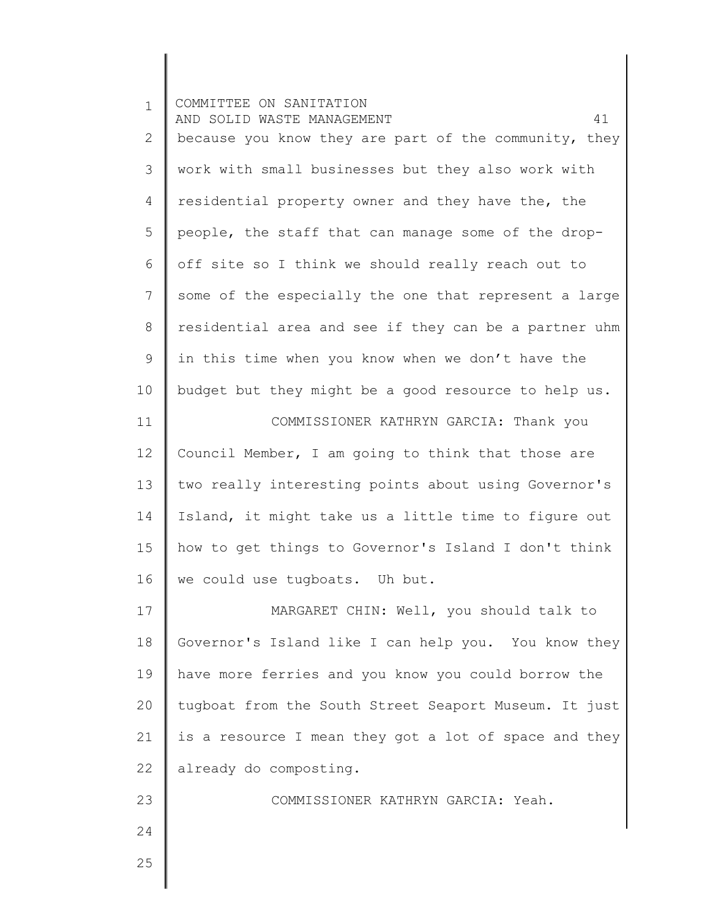| $\mathbf 1$    | COMMITTEE ON SANITATION<br>41<br>AND SOLID WASTE MANAGEMENT |
|----------------|-------------------------------------------------------------|
| $\mathbf{2}$   | because you know they are part of the community, they       |
| 3              | work with small businesses but they also work with          |
| 4              | residential property owner and they have the, the           |
| 5              | people, the staff that can manage some of the drop-         |
| 6              | off site so I think we should really reach out to           |
| $7\phantom{.}$ | some of the especially the one that represent a large       |
| 8              | residential area and see if they can be a partner uhm       |
| 9              | in this time when you know when we don't have the           |
| 10             | budget but they might be a good resource to help us.        |
| 11             | COMMISSIONER KATHRYN GARCIA: Thank you                      |
| 12             | Council Member, I am going to think that those are          |
| 13             | two really interesting points about using Governor's        |
| 14             | Island, it might take us a little time to figure out        |
| 15             | how to get things to Governor's Island I don't think        |
| 16             | we could use tugboats. Uh but.                              |
| 17             | MARGARET CHIN: Well, you should talk to                     |
| 18             | Governor's Island like I can help you. You know they        |
| 19             | have more ferries and you know you could borrow the         |
| 20             | tugboat from the South Street Seaport Museum. It just       |
| 21             | is a resource I mean they got a lot of space and they       |
| 22             | already do composting.                                      |
| 23             | COMMISSIONER KATHRYN GARCIA: Yeah.                          |
| 24             |                                                             |
| 25             |                                                             |
|                |                                                             |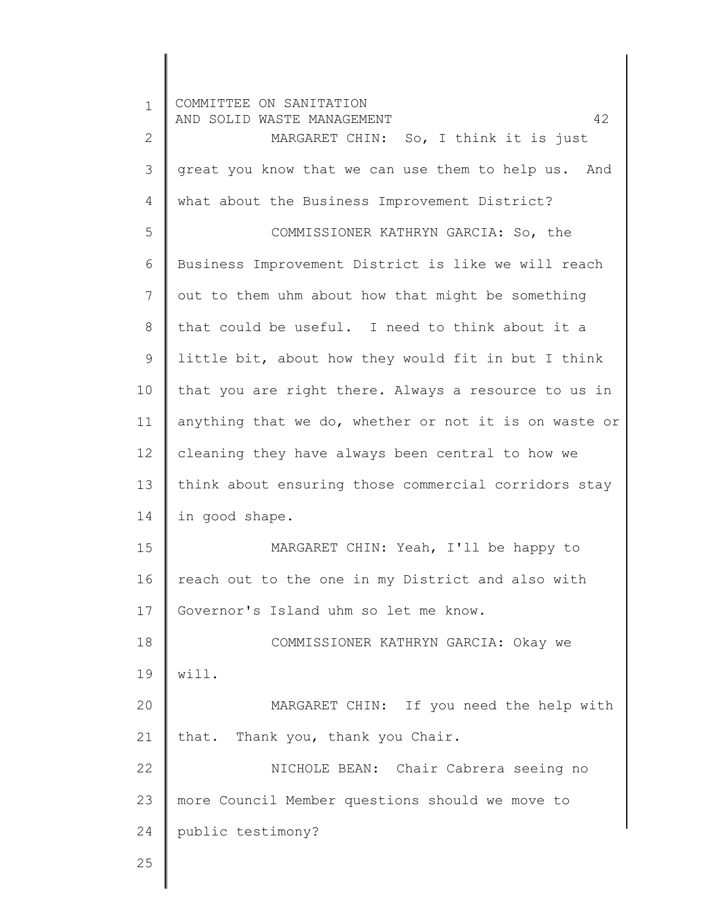1 2 3 4 5 6 7 8 9 10 11 12 13 14 15 16 17 18 19 20 21 22 23 24 25 COMMITTEE ON SANITATION AND SOLID WASTE MANAGEMENT **AND** SOLID WASTE MANAGEMENT MARGARET CHIN: So, I think it is just great you know that we can use them to help us. And what about the Business Improvement District? COMMISSIONER KATHRYN GARCIA: So, the Business Improvement District is like we will reach out to them uhm about how that might be something that could be useful. I need to think about it a little bit, about how they would fit in but I think that you are right there. Always a resource to us in anything that we do, whether or not it is on waste or cleaning they have always been central to how we think about ensuring those commercial corridors stay in good shape. MARGARET CHIN: Yeah, I'll be happy to reach out to the one in my District and also with Governor's Island uhm so let me know. COMMISSIONER KATHRYN GARCIA: Okay we will. MARGARET CHIN: If you need the help with that. Thank you, thank you Chair. NICHOLE BEAN: Chair Cabrera seeing no more Council Member questions should we move to public testimony?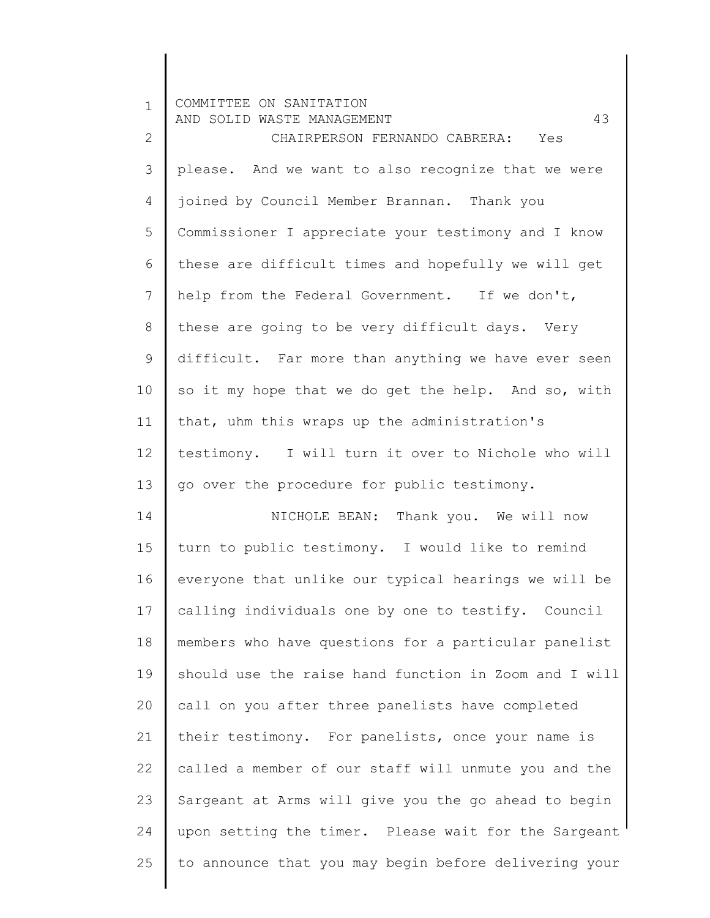| $\mathbf 1$  | COMMITTEE ON SANITATION<br>43<br>AND SOLID WASTE MANAGEMENT |
|--------------|-------------------------------------------------------------|
| $\mathbf{2}$ | CHAIRPERSON FERNANDO CABRERA: Yes                           |
| 3            | please. And we want to also recognize that we were          |
| 4            | joined by Council Member Brannan. Thank you                 |
| 5            | Commissioner I appreciate your testimony and I know         |
| 6            | these are difficult times and hopefully we will get         |
| 7            | help from the Federal Government. If we don't,              |
| 8            | these are going to be very difficult days. Very             |
| 9            | difficult. Far more than anything we have ever seen         |
| 10           | so it my hope that we do get the help. And so, with         |
| 11           | that, uhm this wraps up the administration's                |
| 12           | testimony. I will turn it over to Nichole who will          |
| 13           | go over the procedure for public testimony.                 |
| 14           | NICHOLE BEAN: Thank you. We will now                        |
| 15           | turn to public testimony. I would like to remind            |
| 16           | everyone that unlike our typical hearings we will be        |
| 17           | calling individuals one by one to testify. Council          |
| 18           | members who have questions for a particular panelist        |
| 19           | should use the raise hand function in Zoom and I will       |
| 20           | call on you after three panelists have completed            |
| 21           | their testimony. For panelists, once your name is           |
| 22           | called a member of our staff will unmute you and the        |
| 23           | Sargeant at Arms will give you the go ahead to begin        |
| 24           | upon setting the timer. Please wait for the Sargeant        |
| 25           | to announce that you may begin before delivering your       |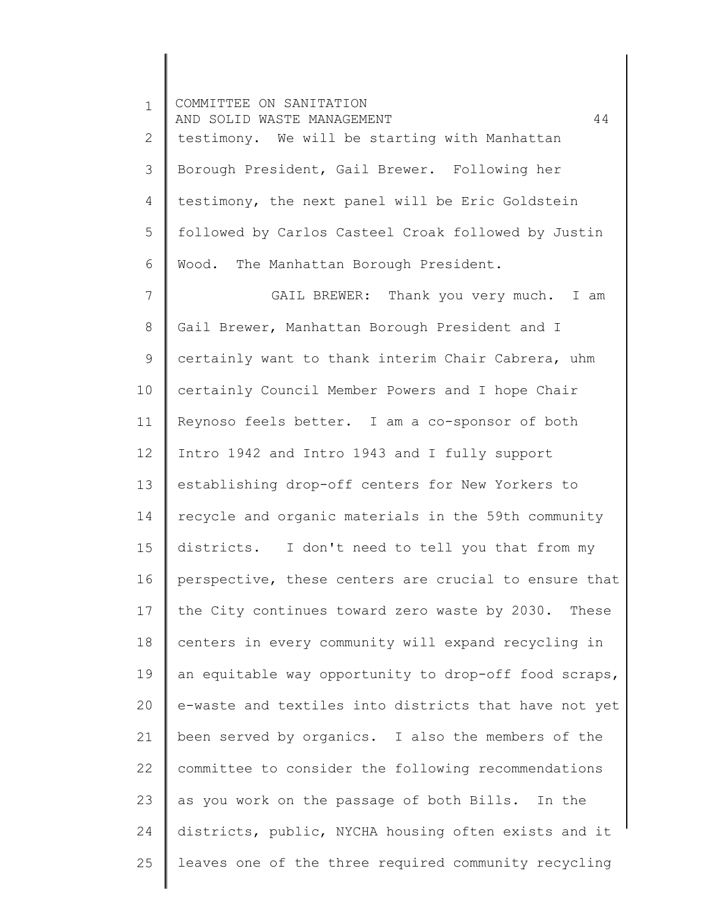1 2 3 4 5 6 7 8 9 10 11 12 13 14 15 16 17 18 19 20 21 22 23 24 25 COMMITTEE ON SANITATION AND SOLID WASTE MANAGEMENT **AND** SOLID WASTE MANAGEMENT testimony. We will be starting with Manhattan Borough President, Gail Brewer. Following her testimony, the next panel will be Eric Goldstein followed by Carlos Casteel Croak followed by Justin Wood. The Manhattan Borough President. GAIL BREWER: Thank you very much. I am Gail Brewer, Manhattan Borough President and I certainly want to thank interim Chair Cabrera, uhm certainly Council Member Powers and I hope Chair Reynoso feels better. I am a co-sponsor of both Intro 1942 and Intro 1943 and I fully support establishing drop-off centers for New Yorkers to recycle and organic materials in the 59th community districts. I don't need to tell you that from my perspective, these centers are crucial to ensure that the City continues toward zero waste by 2030. These centers in every community will expand recycling in an equitable way opportunity to drop-off food scraps, e-waste and textiles into districts that have not yet been served by organics. I also the members of the committee to consider the following recommendations as you work on the passage of both Bills. In the districts, public, NYCHA housing often exists and it leaves one of the three required community recycling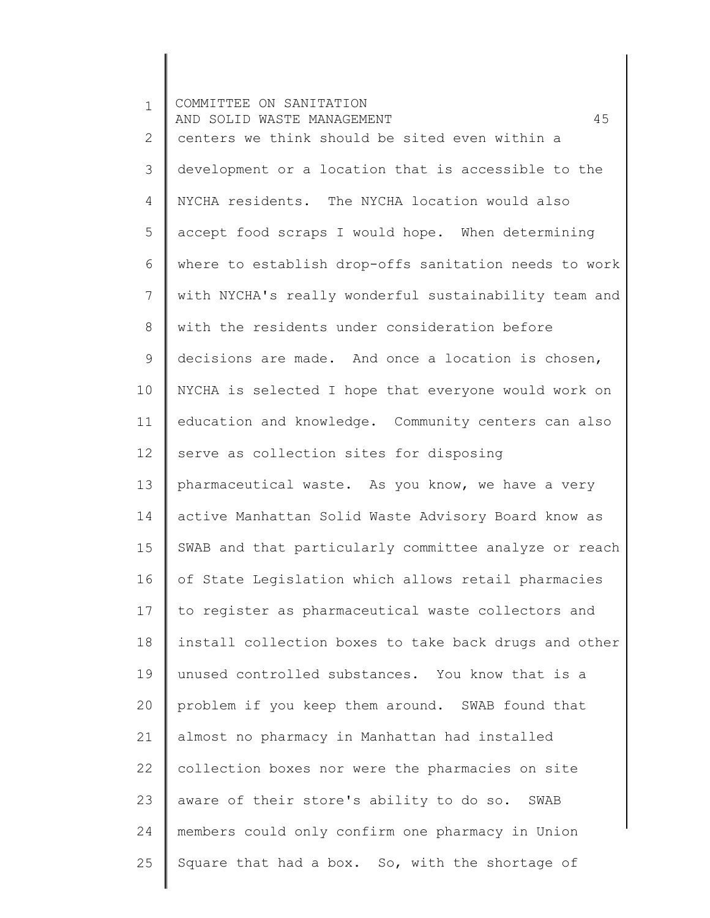1 2 3 4 5 6 7 8 9 10 11 12 13 14 15 16 17 18 19 20 21 22 23 24 25 COMMITTEE ON SANITATION AND SOLID WASTE MANAGEMENT 45 centers we think should be sited even within a development or a location that is accessible to the NYCHA residents. The NYCHA location would also accept food scraps I would hope. When determining where to establish drop-offs sanitation needs to work with NYCHA's really wonderful sustainability team and with the residents under consideration before decisions are made. And once a location is chosen, NYCHA is selected I hope that everyone would work on education and knowledge. Community centers can also serve as collection sites for disposing pharmaceutical waste. As you know, we have a very active Manhattan Solid Waste Advisory Board know as SWAB and that particularly committee analyze or reach of State Legislation which allows retail pharmacies to register as pharmaceutical waste collectors and install collection boxes to take back drugs and other unused controlled substances. You know that is a problem if you keep them around. SWAB found that almost no pharmacy in Manhattan had installed collection boxes nor were the pharmacies on site aware of their store's ability to do so. SWAB members could only confirm one pharmacy in Union Square that had a box. So, with the shortage of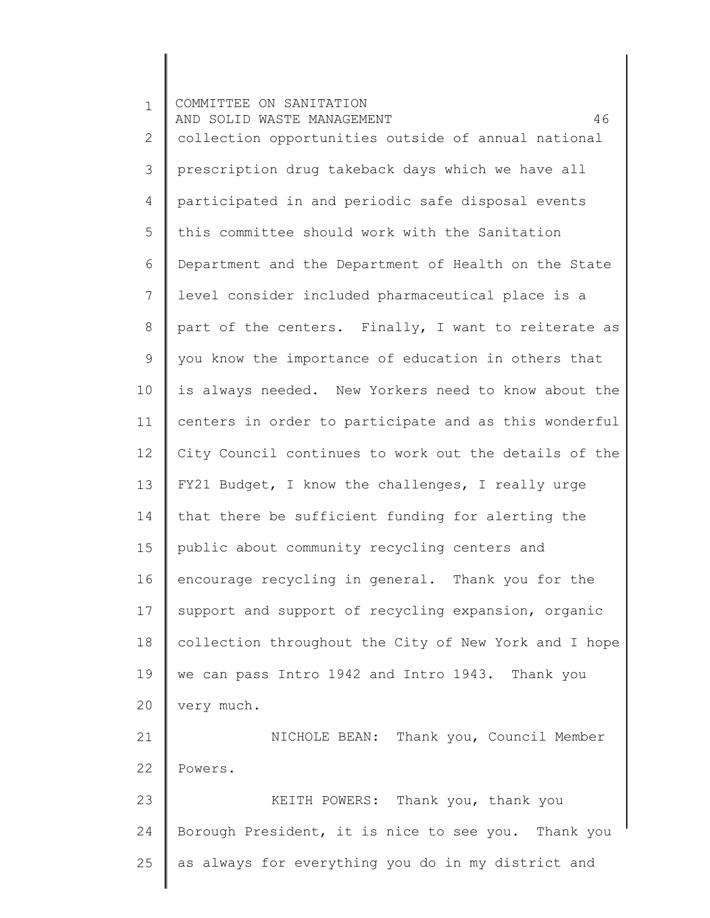1 2 3 4 5 6 7 8 9 10 11 12 13 14 15 16 17 18 19 20 21 22 23 24 25 COMMITTEE ON SANITATION AND SOLID WASTE MANAGEMENT  $46$ collection opportunities outside of annual national prescription drug takeback days which we have all participated in and periodic safe disposal events this committee should work with the Sanitation Department and the Department of Health on the State level consider included pharmaceutical place is a part of the centers. Finally, I want to reiterate as you know the importance of education in others that is always needed. New Yorkers need to know about the centers in order to participate and as this wonderful City Council continues to work out the details of the FY21 Budget, I know the challenges, I really urge that there be sufficient funding for alerting the public about community recycling centers and encourage recycling in general. Thank you for the support and support of recycling expansion, organic collection throughout the City of New York and I hope we can pass Intro 1942 and Intro 1943. Thank you very much. NICHOLE BEAN: Thank you, Council Member Powers. KEITH POWERS: Thank you, thank you Borough President, it is nice to see you. Thank you as always for everything you do in my district and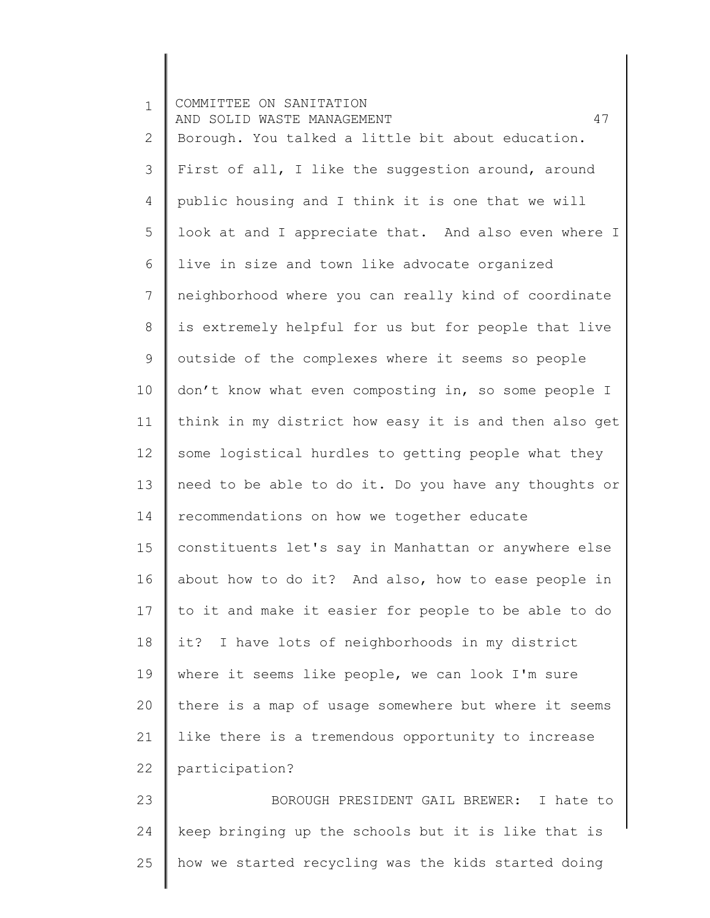1 2 3 4 5 6 7 8 9 10 11 12 13 14 15 16 17 18 19 20 21 22 23 24 COMMITTEE ON SANITATION AND SOLID WASTE MANAGEMENT **AND** SOLID WASTE MANAGEMENT Borough. You talked a little bit about education. First of all, I like the suggestion around, around public housing and I think it is one that we will look at and I appreciate that. And also even where I live in size and town like advocate organized neighborhood where you can really kind of coordinate is extremely helpful for us but for people that live outside of the complexes where it seems so people don't know what even composting in, so some people I think in my district how easy it is and then also get some logistical hurdles to getting people what they need to be able to do it. Do you have any thoughts or recommendations on how we together educate constituents let's say in Manhattan or anywhere else about how to do it? And also, how to ease people in to it and make it easier for people to be able to do it? I have lots of neighborhoods in my district where it seems like people, we can look I'm sure there is a map of usage somewhere but where it seems like there is a tremendous opportunity to increase participation? BOROUGH PRESIDENT GAIL BREWER: I hate to keep bringing up the schools but it is like that is

how we started recycling was the kids started doing

25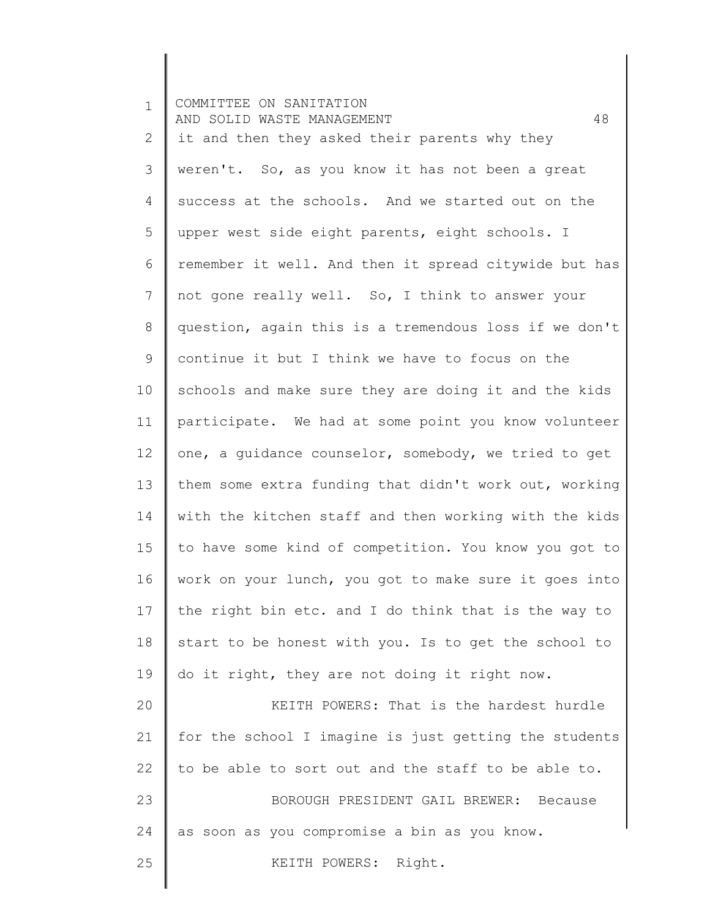1 2 3 4 5 6 7 8 9 10 11 12 13 14 15 16 17 18 19 20 21 22 23 24 25 COMMITTEE ON SANITATION AND SOLID WASTE MANAGEMENT **ASSESSED ASSESSED** 48 it and then they asked their parents why they weren't. So, as you know it has not been a great success at the schools. And we started out on the upper west side eight parents, eight schools. I remember it well. And then it spread citywide but has not gone really well. So, I think to answer your question, again this is a tremendous loss if we don't continue it but I think we have to focus on the schools and make sure they are doing it and the kids participate. We had at some point you know volunteer one, a guidance counselor, somebody, we tried to get them some extra funding that didn't work out, working with the kitchen staff and then working with the kids to have some kind of competition. You know you got to work on your lunch, you got to make sure it goes into the right bin etc. and I do think that is the way to start to be honest with you. Is to get the school to do it right, they are not doing it right now. KEITH POWERS: That is the hardest hurdle for the school I imagine is just getting the students to be able to sort out and the staff to be able to. BOROUGH PRESIDENT GAIL BREWER: Because as soon as you compromise a bin as you know. KEITH POWERS: Right.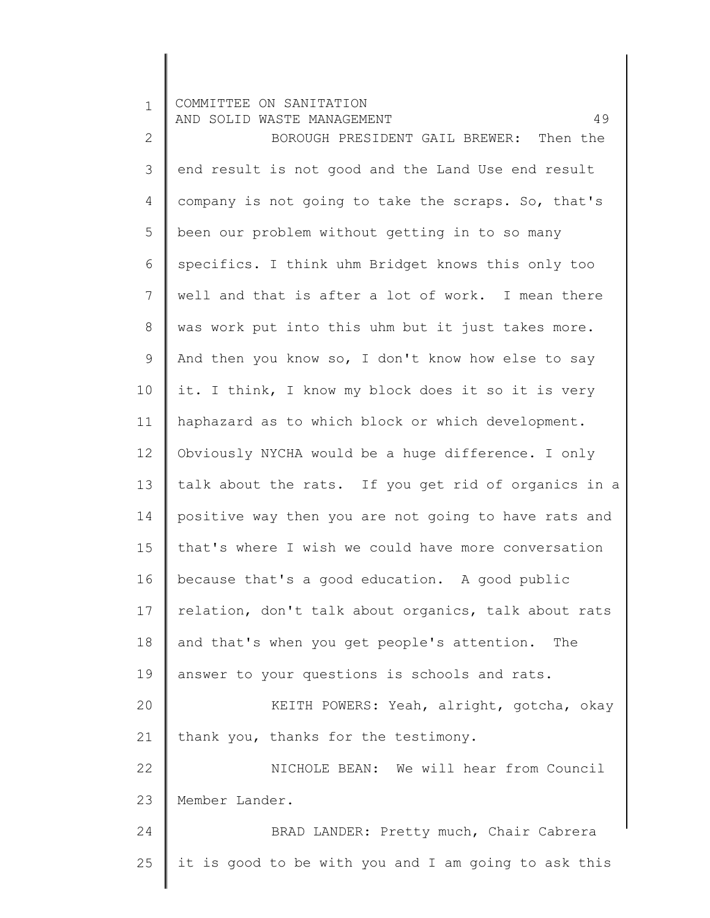1 2 3 4 5 6 7 8 9 10 11 12 13 14 15 16 17 18 19 20 21 22 23 24 25 COMMITTEE ON SANITATION AND SOLID WASTE MANAGEMENT 49 BOROUGH PRESIDENT GAIL BREWER: Then the end result is not good and the Land Use end result company is not going to take the scraps. So, that's been our problem without getting in to so many specifics. I think uhm Bridget knows this only too well and that is after a lot of work. I mean there was work put into this uhm but it just takes more. And then you know so, I don't know how else to say it. I think, I know my block does it so it is very haphazard as to which block or which development. Obviously NYCHA would be a huge difference. I only talk about the rats. If you get rid of organics in a positive way then you are not going to have rats and that's where I wish we could have more conversation because that's a good education. A good public relation, don't talk about organics, talk about rats and that's when you get people's attention. The answer to your questions is schools and rats. KEITH POWERS: Yeah, alright, gotcha, okay thank you, thanks for the testimony. NICHOLE BEAN: We will hear from Council Member Lander. BRAD LANDER: Pretty much, Chair Cabrera it is good to be with you and I am going to ask this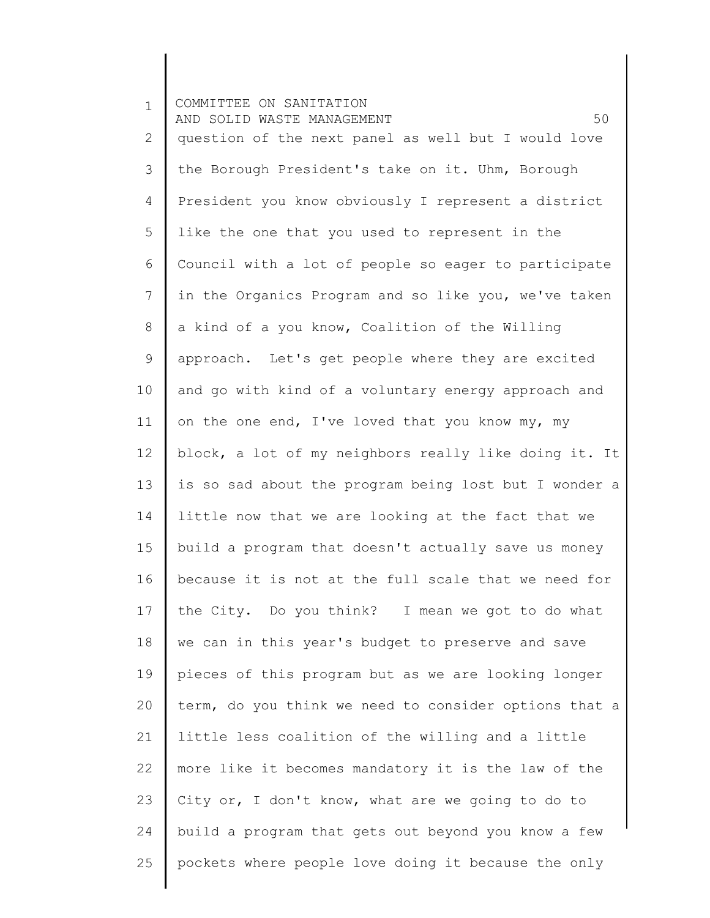1 2 3 4 5 6 7 8 9 10 11 12 13 14 15 16 17 18 19 20 21 22 23 24 25 COMMITTEE ON SANITATION AND SOLID WASTE MANAGEMENT **FOULD** 50 question of the next panel as well but I would love the Borough President's take on it. Uhm, Borough President you know obviously I represent a district like the one that you used to represent in the Council with a lot of people so eager to participate in the Organics Program and so like you, we've taken a kind of a you know, Coalition of the Willing approach. Let's get people where they are excited and go with kind of a voluntary energy approach and on the one end, I've loved that you know my, my block, a lot of my neighbors really like doing it. It is so sad about the program being lost but I wonder a little now that we are looking at the fact that we build a program that doesn't actually save us money because it is not at the full scale that we need for the City. Do you think? I mean we got to do what we can in this year's budget to preserve and save pieces of this program but as we are looking longer term, do you think we need to consider options that a little less coalition of the willing and a little more like it becomes mandatory it is the law of the City or, I don't know, what are we going to do to build a program that gets out beyond you know a few pockets where people love doing it because the only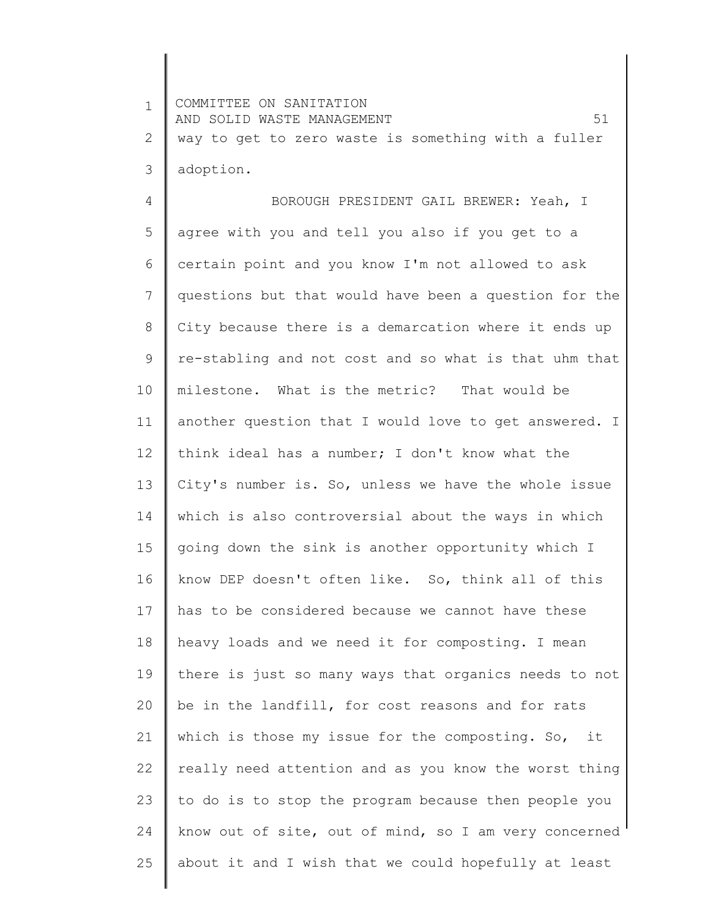1 2 3 4 5 6 7 8 9 10 11 12 13 14 15 16 17 18 19 20 21 22 23 24 25 COMMITTEE ON SANITATION AND SOLID WASTE MANAGEMENT FOR SAME SETTING AND SOLID WASTE way to get to zero waste is something with a fuller adoption. BOROUGH PRESIDENT GAIL BREWER: Yeah, I agree with you and tell you also if you get to a certain point and you know I'm not allowed to ask questions but that would have been a question for the City because there is a demarcation where it ends up re-stabling and not cost and so what is that uhm that milestone. What is the metric? That would be another question that I would love to get answered. I think ideal has a number; I don't know what the City's number is. So, unless we have the whole issue which is also controversial about the ways in which going down the sink is another opportunity which I know DEP doesn't often like. So, think all of this has to be considered because we cannot have these heavy loads and we need it for composting. I mean there is just so many ways that organics needs to not be in the landfill, for cost reasons and for rats which is those my issue for the composting. So, it really need attention and as you know the worst thing to do is to stop the program because then people you know out of site, out of mind, so I am very concerned about it and I wish that we could hopefully at least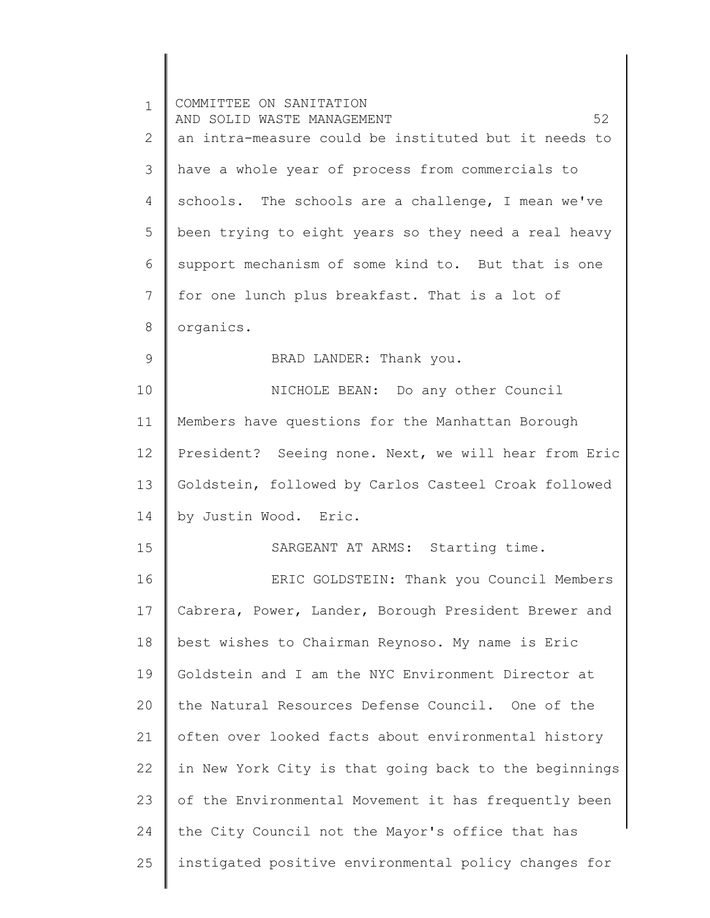| $\mathbf{1}$ | COMMITTEE ON SANITATION<br>52<br>AND SOLID WASTE MANAGEMENT |
|--------------|-------------------------------------------------------------|
| 2            | an intra-measure could be instituted but it needs to        |
| 3            | have a whole year of process from commercials to            |
| 4            | schools. The schools are a challenge, I mean we've          |
| 5            | been trying to eight years so they need a real heavy        |
| 6            | support mechanism of some kind to. But that is one          |
| 7            | for one lunch plus breakfast. That is a lot of              |
| 8            | organics.                                                   |
| 9            | BRAD LANDER: Thank you.                                     |
| 10           | NICHOLE BEAN: Do any other Council                          |
| 11           | Members have questions for the Manhattan Borough            |
| 12           | President? Seeing none. Next, we will hear from Eric        |
| 13           | Goldstein, followed by Carlos Casteel Croak followed        |
| 14           | by Justin Wood. Eric.                                       |
| 15           | SARGEANT AT ARMS: Starting time.                            |
| 16           | ERIC GOLDSTEIN: Thank you Council Members                   |
| 17           | Cabrera, Power, Lander, Borough President Brewer and        |
| 18           | best wishes to Chairman Reynoso. My name is Eric            |
| 19           | Goldstein and I am the NYC Environment Director at          |
| 20           | the Natural Resources Defense Council. One of the           |
| 21           | often over looked facts about environmental history         |
| 22           | in New York City is that going back to the beginnings       |
| 23           | of the Environmental Movement it has frequently been        |
| 24           | the City Council not the Mayor's office that has            |
| 25           | instigated positive environmental policy changes for        |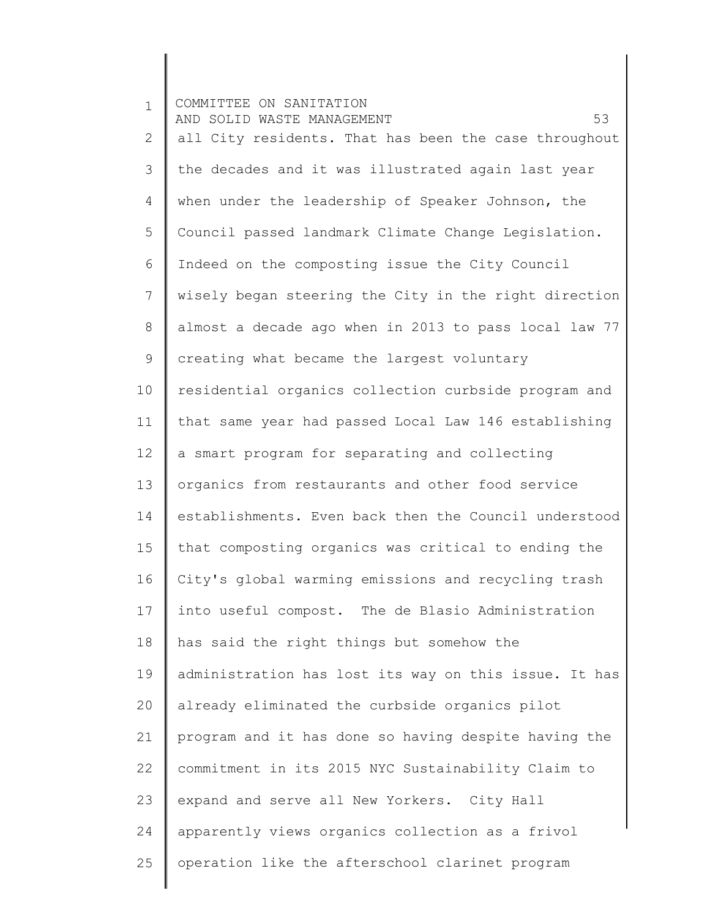1 2 3 4 5 6 7 8 9 10 11 12 13 14 15 16 17 18 19 20 21 22 23 24 25 COMMITTEE ON SANITATION AND SOLID WASTE MANAGEMENT 53 all City residents. That has been the case throughout the decades and it was illustrated again last year when under the leadership of Speaker Johnson, the Council passed landmark Climate Change Legislation. Indeed on the composting issue the City Council wisely began steering the City in the right direction almost a decade ago when in 2013 to pass local law 77 creating what became the largest voluntary residential organics collection curbside program and that same year had passed Local Law 146 establishing a smart program for separating and collecting organics from restaurants and other food service establishments. Even back then the Council understood that composting organics was critical to ending the City's global warming emissions and recycling trash into useful compost. The de Blasio Administration has said the right things but somehow the administration has lost its way on this issue. It has already eliminated the curbside organics pilot program and it has done so having despite having the commitment in its 2015 NYC Sustainability Claim to expand and serve all New Yorkers. City Hall apparently views organics collection as a frivol operation like the afterschool clarinet program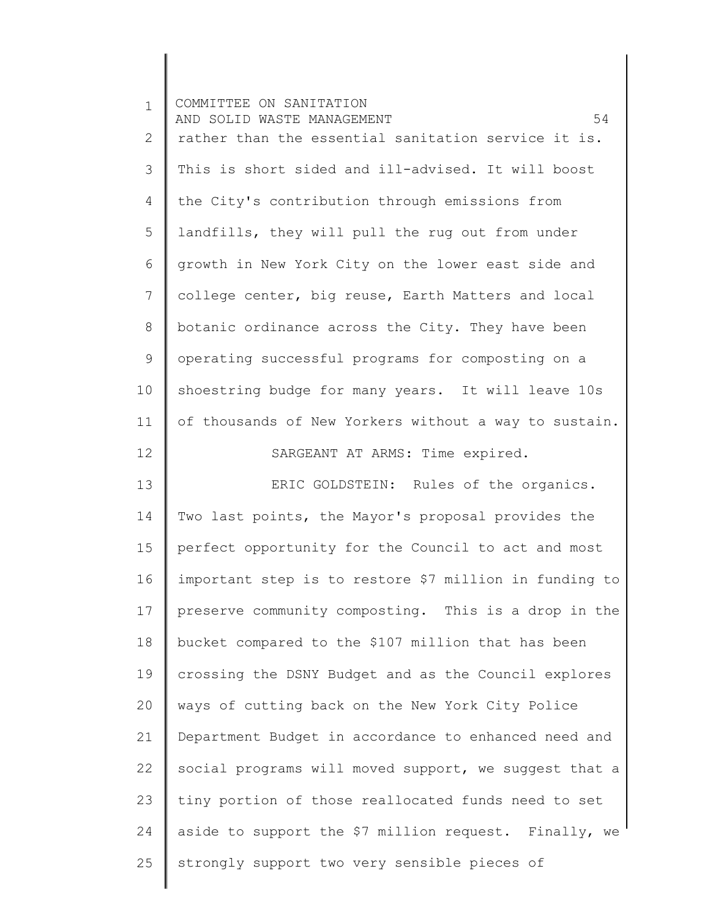| $\mathbf 1$    | COMMITTEE ON SANITATION<br>54<br>AND SOLID WASTE MANAGEMENT |
|----------------|-------------------------------------------------------------|
| $\mathbf{2}$   | rather than the essential sanitation service it is.         |
| 3              | This is short sided and ill-advised. It will boost          |
| $\overline{4}$ | the City's contribution through emissions from              |
| 5              | landfills, they will pull the rug out from under            |
| 6              | growth in New York City on the lower east side and          |
| $\overline{7}$ | college center, big reuse, Earth Matters and local          |
| 8              | botanic ordinance across the City. They have been           |
| 9              | operating successful programs for composting on a           |
| 10             | shoestring budge for many years. It will leave 10s          |
| 11             | of thousands of New Yorkers without a way to sustain.       |
| 12             | SARGEANT AT ARMS: Time expired.                             |
| 13             | ERIC GOLDSTEIN: Rules of the organics.                      |
| 14             | Two last points, the Mayor's proposal provides the          |
| 15             | perfect opportunity for the Council to act and most         |
| 16             | important step is to restore \$7 million in funding to      |
| 17             | preserve community composting. This is a drop in the        |
| 18             | bucket compared to the \$107 million that has been          |
| 19             | crossing the DSNY Budget and as the Council explores        |
| 20             | ways of cutting back on the New York City Police            |
| 21             | Department Budget in accordance to enhanced need and        |
| 22             | social programs will moved support, we suggest that a       |
| 23             | tiny portion of those reallocated funds need to set         |
| 24             | aside to support the \$7 million request. Finally, we       |
| 25             | strongly support two very sensible pieces of                |

║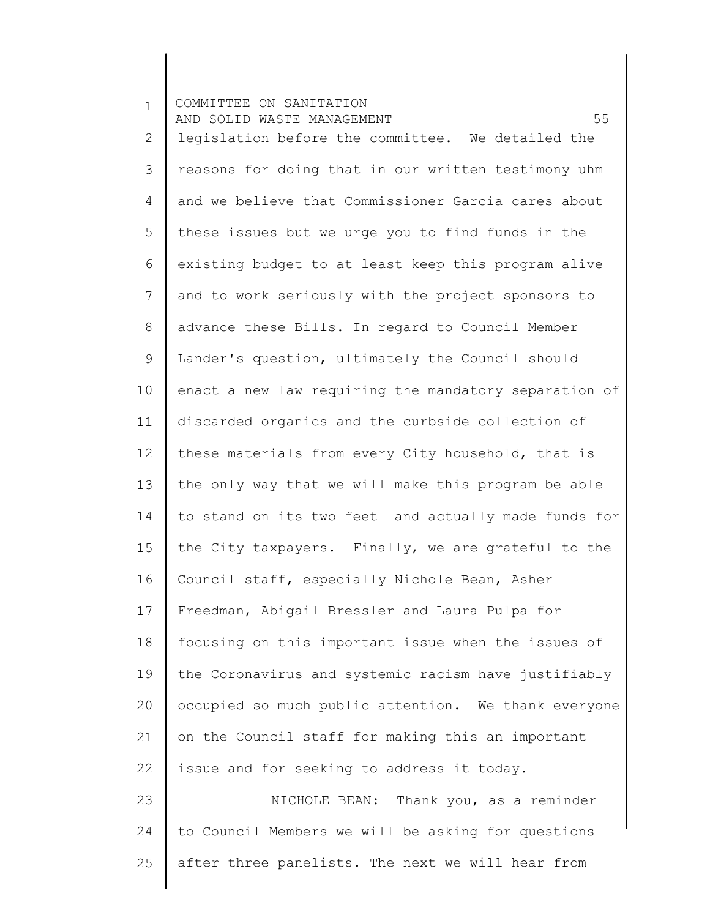1 2 3 4 5 6 7 8 9 10 11 12 13 14 15 16 17 18 19 20 21 22 23 24 25 COMMITTEE ON SANITATION AND SOLID WASTE MANAGEMENT 55 legislation before the committee. We detailed the reasons for doing that in our written testimony uhm and we believe that Commissioner Garcia cares about these issues but we urge you to find funds in the existing budget to at least keep this program alive and to work seriously with the project sponsors to advance these Bills. In regard to Council Member Lander's question, ultimately the Council should enact a new law requiring the mandatory separation of discarded organics and the curbside collection of these materials from every City household, that is the only way that we will make this program be able to stand on its two feet and actually made funds for the City taxpayers. Finally, we are grateful to the Council staff, especially Nichole Bean, Asher Freedman, Abigail Bressler and Laura Pulpa for focusing on this important issue when the issues of the Coronavirus and systemic racism have justifiably occupied so much public attention. We thank everyone on the Council staff for making this an important issue and for seeking to address it today. NICHOLE BEAN: Thank you, as a reminder to Council Members we will be asking for questions after three panelists. The next we will hear from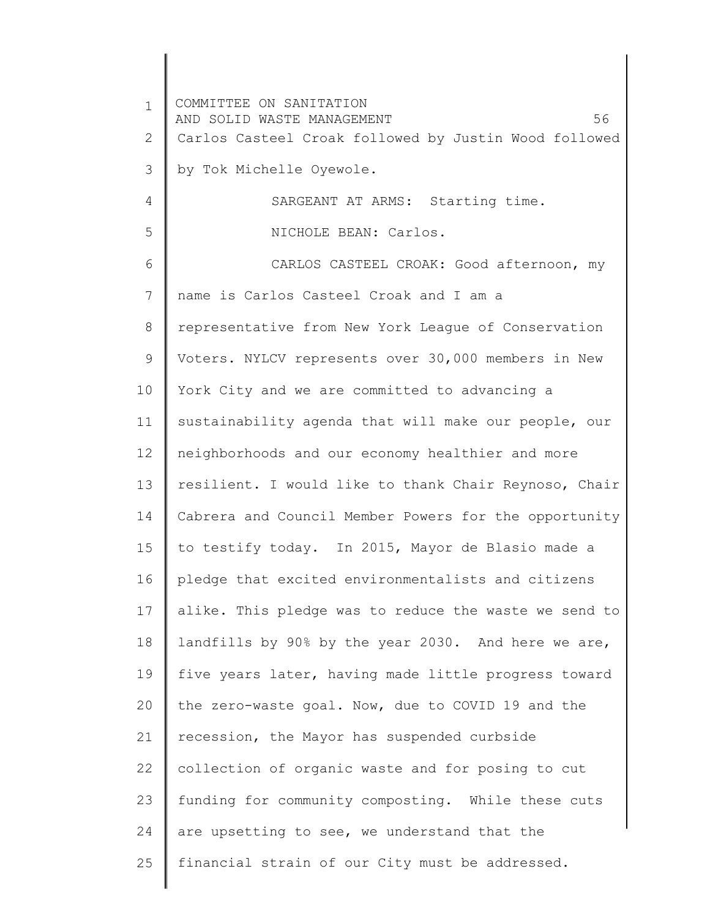1 2 3 4 5 6 7 8 9 10 11 12 13 14 15 16 17 18 19 20 21 22 23 24 25 COMMITTEE ON SANITATION AND SOLID WASTE MANAGEMENT 56 Carlos Casteel Croak followed by Justin Wood followed by Tok Michelle Oyewole. SARGEANT AT ARMS: Starting time. NICHOLE BEAN: Carlos. CARLOS CASTEEL CROAK: Good afternoon, my name is Carlos Casteel Croak and I am a representative from New York League of Conservation Voters. NYLCV represents over 30,000 members in New York City and we are committed to advancing a sustainability agenda that will make our people, our neighborhoods and our economy healthier and more resilient. I would like to thank Chair Reynoso, Chair Cabrera and Council Member Powers for the opportunity to testify today. In 2015, Mayor de Blasio made a pledge that excited environmentalists and citizens alike. This pledge was to reduce the waste we send to landfills by 90% by the year 2030. And here we are, five years later, having made little progress toward the zero-waste goal. Now, due to COVID 19 and the recession, the Mayor has suspended curbside collection of organic waste and for posing to cut funding for community composting. While these cuts are upsetting to see, we understand that the financial strain of our City must be addressed.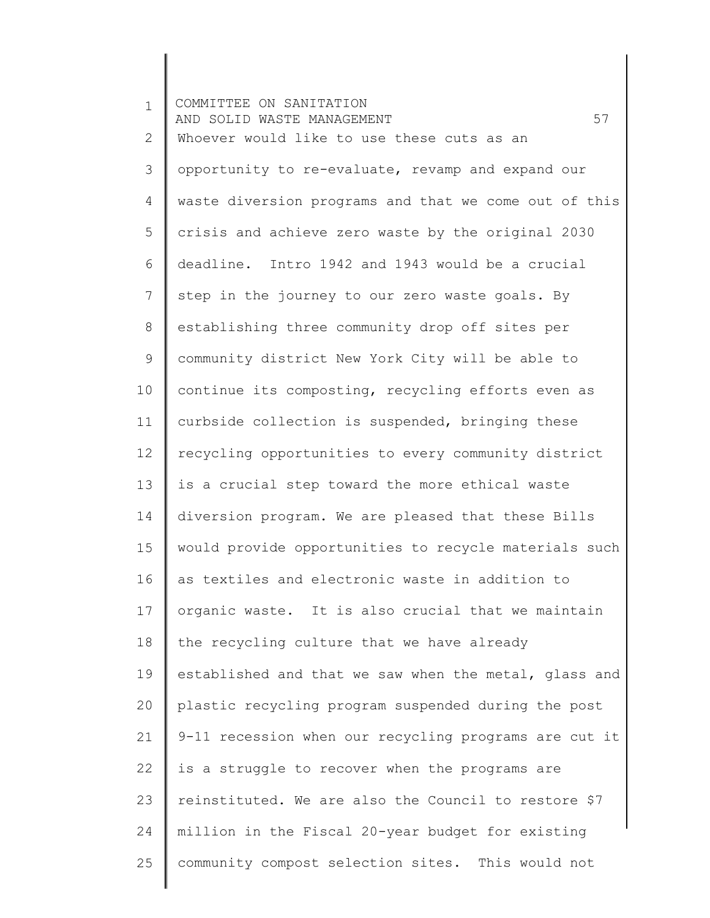1 2 3 4 5 6 7 8 9 10 11 12 13 14 15 16 17 18 19 20 21 22 23 24 25 COMMITTEE ON SANITATION AND SOLID WASTE MANAGEMENT 57 Whoever would like to use these cuts as an opportunity to re-evaluate, revamp and expand our waste diversion programs and that we come out of this crisis and achieve zero waste by the original 2030 deadline. Intro 1942 and 1943 would be a crucial step in the journey to our zero waste goals. By establishing three community drop off sites per community district New York City will be able to continue its composting, recycling efforts even as curbside collection is suspended, bringing these recycling opportunities to every community district is a crucial step toward the more ethical waste diversion program. We are pleased that these Bills would provide opportunities to recycle materials such as textiles and electronic waste in addition to organic waste. It is also crucial that we maintain the recycling culture that we have already established and that we saw when the metal, glass and plastic recycling program suspended during the post 9-11 recession when our recycling programs are cut it is a struggle to recover when the programs are reinstituted. We are also the Council to restore \$7 million in the Fiscal 20-year budget for existing community compost selection sites. This would not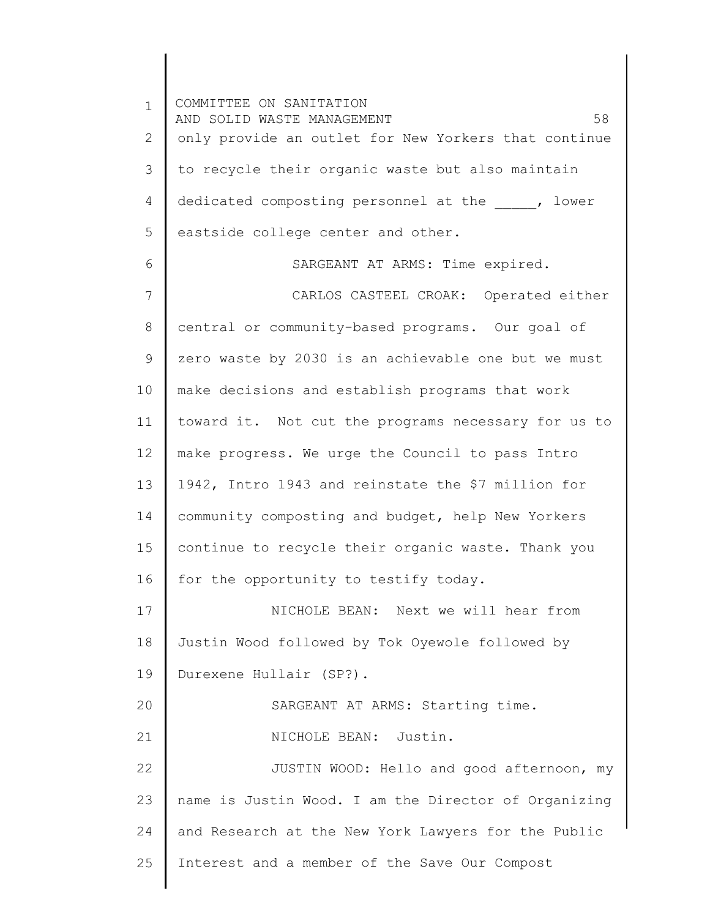1 2 3 4 5 6 7 8 9 10 11 12 13 14 15 16 17 18 19 20 21 22 23 24 25 COMMITTEE ON SANITATION AND SOLID WASTE MANAGEMENT FOR SAME AND SOLID WASTE only provide an outlet for New Yorkers that continue to recycle their organic waste but also maintain dedicated composting personnel at the  $\qquad \qquad ,\qquad$  lower eastside college center and other. SARGEANT AT ARMS: Time expired. CARLOS CASTEEL CROAK: Operated either central or community-based programs. Our goal of zero waste by 2030 is an achievable one but we must make decisions and establish programs that work toward it. Not cut the programs necessary for us to make progress. We urge the Council to pass Intro 1942, Intro 1943 and reinstate the \$7 million for community composting and budget, help New Yorkers continue to recycle their organic waste. Thank you for the opportunity to testify today. NICHOLE BEAN: Next we will hear from Justin Wood followed by Tok Oyewole followed by Durexene Hullair (SP?). SARGEANT AT ARMS: Starting time. NICHOLE BEAN: Justin. JUSTIN WOOD: Hello and good afternoon, my name is Justin Wood. I am the Director of Organizing and Research at the New York Lawyers for the Public Interest and a member of the Save Our Compost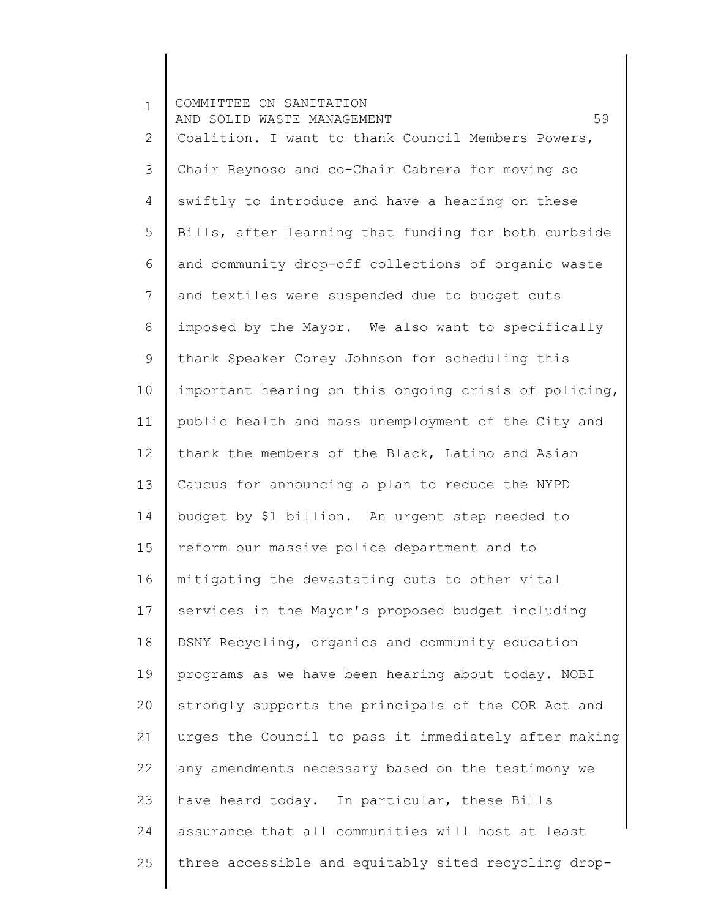1 2 3 4 5 6 7 8 9 10 11 12 13 14 15 16 17 18 19 20 21 22 23 24 25 COMMITTEE ON SANITATION AND SOLID WASTE MANAGEMENT 59 Coalition. I want to thank Council Members Powers, Chair Reynoso and co-Chair Cabrera for moving so swiftly to introduce and have a hearing on these Bills, after learning that funding for both curbside and community drop-off collections of organic waste and textiles were suspended due to budget cuts imposed by the Mayor. We also want to specifically thank Speaker Corey Johnson for scheduling this important hearing on this ongoing crisis of policing, public health and mass unemployment of the City and thank the members of the Black, Latino and Asian Caucus for announcing a plan to reduce the NYPD budget by \$1 billion. An urgent step needed to reform our massive police department and to mitigating the devastating cuts to other vital services in the Mayor's proposed budget including DSNY Recycling, organics and community education programs as we have been hearing about today. NOBI strongly supports the principals of the COR Act and urges the Council to pass it immediately after making any amendments necessary based on the testimony we have heard today. In particular, these Bills assurance that all communities will host at least three accessible and equitably sited recycling drop-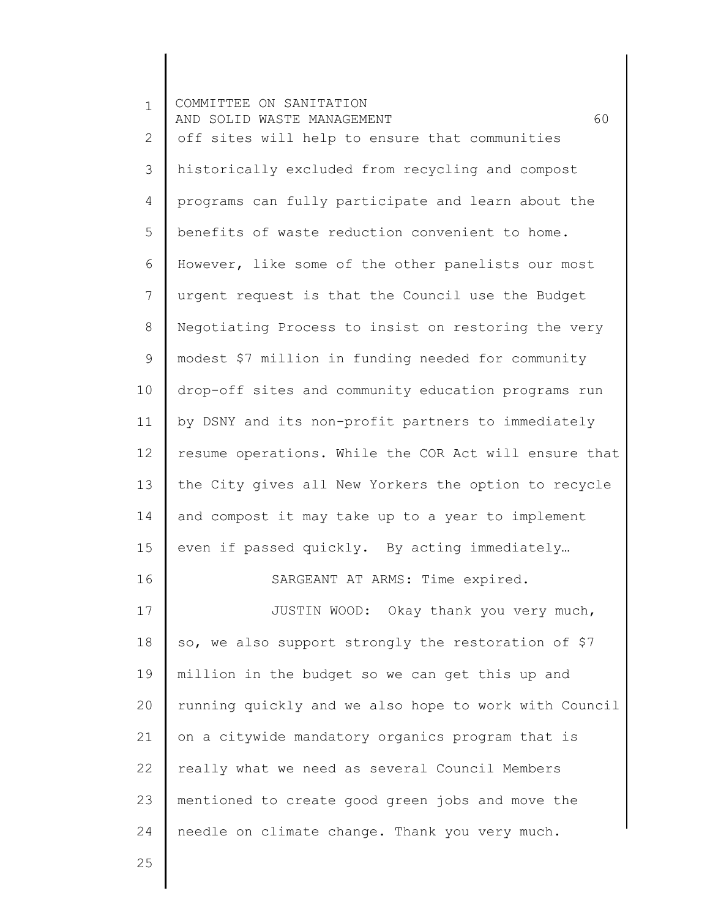| $\mathbf{1}$   | COMMITTEE ON SANITATION<br>60<br>AND SOLID WASTE MANAGEMENT |
|----------------|-------------------------------------------------------------|
| $\overline{2}$ | off sites will help to ensure that communities              |
| 3              | historically excluded from recycling and compost            |
| $\overline{4}$ | programs can fully participate and learn about the          |
| 5              | benefits of waste reduction convenient to home.             |
| 6              | However, like some of the other panelists our most          |
| 7              | urgent request is that the Council use the Budget           |
| 8              | Negotiating Process to insist on restoring the very         |
| $\mathsf 9$    | modest \$7 million in funding needed for community          |
| 10             | drop-off sites and community education programs run         |
| 11             | by DSNY and its non-profit partners to immediately          |
| 12             | resume operations. While the COR Act will ensure that       |
| 13             | the City gives all New Yorkers the option to recycle        |
| 14             | and compost it may take up to a year to implement           |
| 15             | even if passed quickly. By acting immediately               |
| 16             | SARGEANT AT ARMS: Time expired.                             |
| 17             | JUSTIN WOOD: Okay thank you very much,                      |
| 18             | so, we also support strongly the restoration of \$7         |
| 19             | million in the budget so we can get this up and             |
| 20             | running quickly and we also hope to work with Council       |
| 21             | on a citywide mandatory organics program that is            |
| 22             | really what we need as several Council Members              |
| 23             | mentioned to create good green jobs and move the            |
| 24             | needle on climate change. Thank you very much.              |
| 25             |                                                             |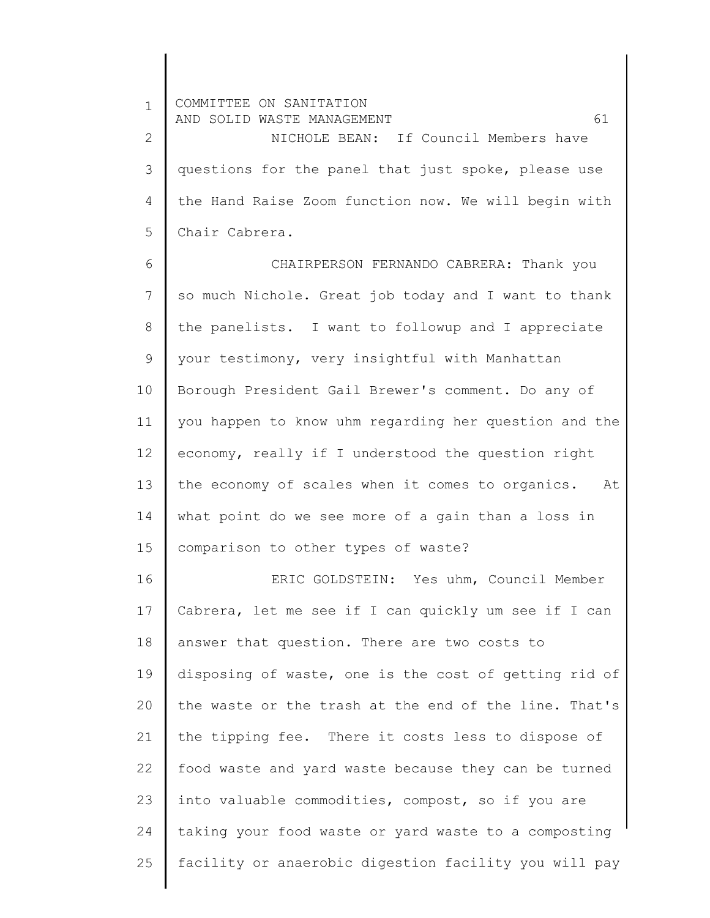1 2 3 4 5 COMMITTEE ON SANITATION AND SOLID WASTE MANAGEMENT 61 NICHOLE BEAN: If Council Members have questions for the panel that just spoke, please use the Hand Raise Zoom function now. We will begin with Chair Cabrera.

6 7 8 9 10 11 12 13 14 15 CHAIRPERSON FERNANDO CABRERA: Thank you so much Nichole. Great job today and I want to thank the panelists. I want to followup and I appreciate your testimony, very insightful with Manhattan Borough President Gail Brewer's comment. Do any of you happen to know uhm regarding her question and the economy, really if I understood the question right the economy of scales when it comes to organics. At what point do we see more of a gain than a loss in comparison to other types of waste?

16 17 18 19 20 21 22 23 24 25 ERIC GOLDSTEIN: Yes uhm, Council Member Cabrera, let me see if I can quickly um see if I can answer that question. There are two costs to disposing of waste, one is the cost of getting rid of the waste or the trash at the end of the line. That's the tipping fee. There it costs less to dispose of food waste and yard waste because they can be turned into valuable commodities, compost, so if you are taking your food waste or yard waste to a composting facility or anaerobic digestion facility you will pay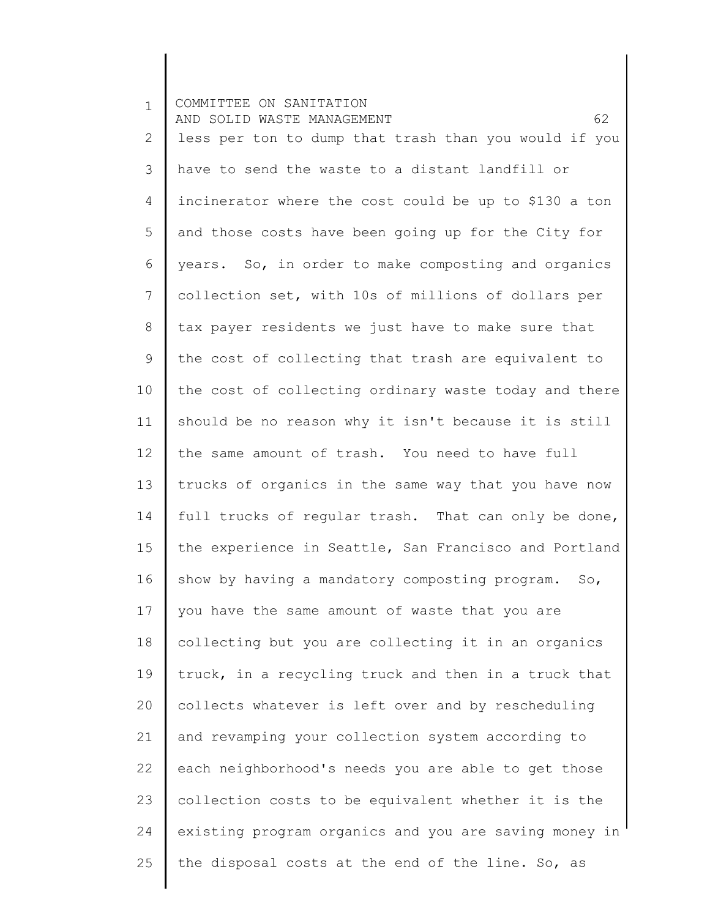1 2 3 4 5 6 7 8 9 10 11 12 13 14 15 16 17 18 19 20 21 22 23 24 25 COMMITTEE ON SANITATION AND SOLID WASTE MANAGEMENT 62 less per ton to dump that trash than you would if you have to send the waste to a distant landfill or incinerator where the cost could be up to \$130 a ton and those costs have been going up for the City for years. So, in order to make composting and organics collection set, with 10s of millions of dollars per tax payer residents we just have to make sure that the cost of collecting that trash are equivalent to the cost of collecting ordinary waste today and there should be no reason why it isn't because it is still the same amount of trash. You need to have full trucks of organics in the same way that you have now full trucks of regular trash. That can only be done, the experience in Seattle, San Francisco and Portland show by having a mandatory composting program. So, you have the same amount of waste that you are collecting but you are collecting it in an organics truck, in a recycling truck and then in a truck that collects whatever is left over and by rescheduling and revamping your collection system according to each neighborhood's needs you are able to get those collection costs to be equivalent whether it is the existing program organics and you are saving money in the disposal costs at the end of the line. So, as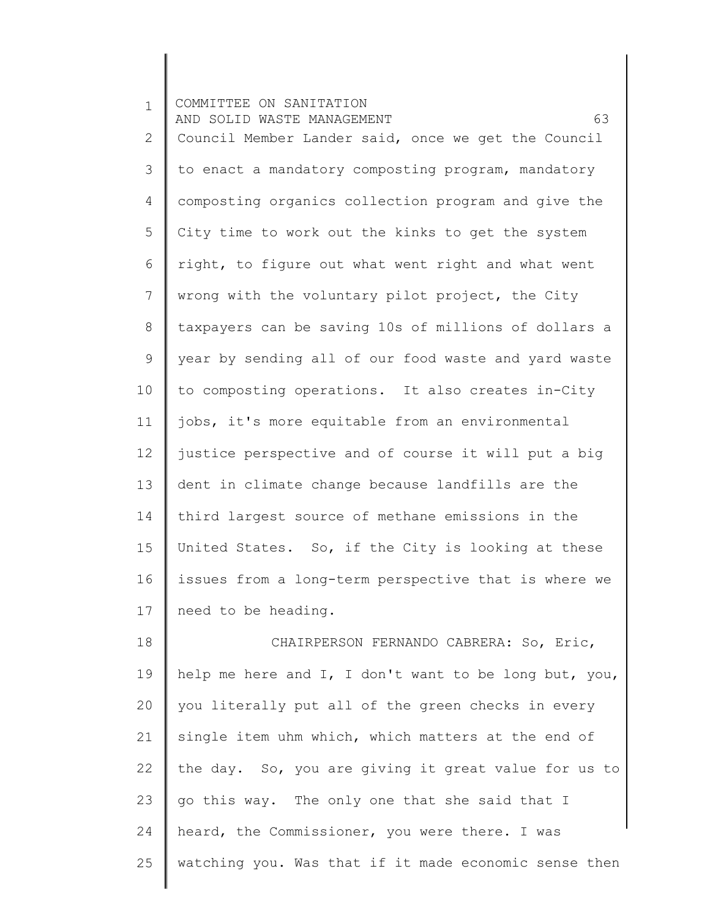1 2 3 4 5 6 7 8 9 10 11 12 13 14 15 16 17 18 COMMITTEE ON SANITATION AND SOLID WASTE MANAGEMENT 63 Council Member Lander said, once we get the Council to enact a mandatory composting program, mandatory composting organics collection program and give the City time to work out the kinks to get the system right, to figure out what went right and what went wrong with the voluntary pilot project, the City taxpayers can be saving 10s of millions of dollars a year by sending all of our food waste and yard waste to composting operations. It also creates in-City jobs, it's more equitable from an environmental justice perspective and of course it will put a big dent in climate change because landfills are the third largest source of methane emissions in the United States. So, if the City is looking at these issues from a long-term perspective that is where we need to be heading. CHAIRPERSON FERNANDO CABRERA: So, Eric,

19 20 21 22 23 24 25 help me here and I, I don't want to be long but, you, you literally put all of the green checks in every single item uhm which, which matters at the end of the day. So, you are giving it great value for us to go this way. The only one that she said that I heard, the Commissioner, you were there. I was watching you. Was that if it made economic sense then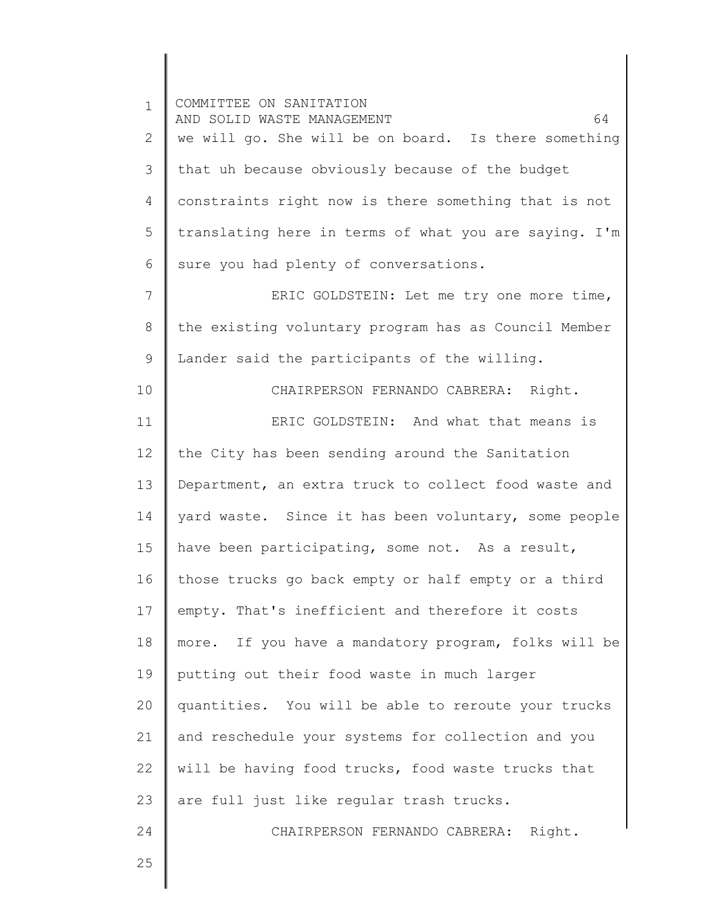1 2 3 4 5 6 7 8 9 10 11 12 13 14 15 16 17 18 19 20 21 22 23 24 25 COMMITTEE ON SANITATION AND SOLID WASTE MANAGEMENT 64 we will go. She will be on board. Is there something that uh because obviously because of the budget constraints right now is there something that is not translating here in terms of what you are saying. I'm sure you had plenty of conversations. ERIC GOLDSTEIN: Let me try one more time, the existing voluntary program has as Council Member Lander said the participants of the willing. CHAIRPERSON FERNANDO CABRERA: Right. ERIC GOLDSTEIN: And what that means is the City has been sending around the Sanitation Department, an extra truck to collect food waste and yard waste. Since it has been voluntary, some people have been participating, some not. As a result, those trucks go back empty or half empty or a third empty. That's inefficient and therefore it costs more. If you have a mandatory program, folks will be putting out their food waste in much larger quantities. You will be able to reroute your trucks and reschedule your systems for collection and you will be having food trucks, food waste trucks that are full just like regular trash trucks. CHAIRPERSON FERNANDO CABRERA: Right.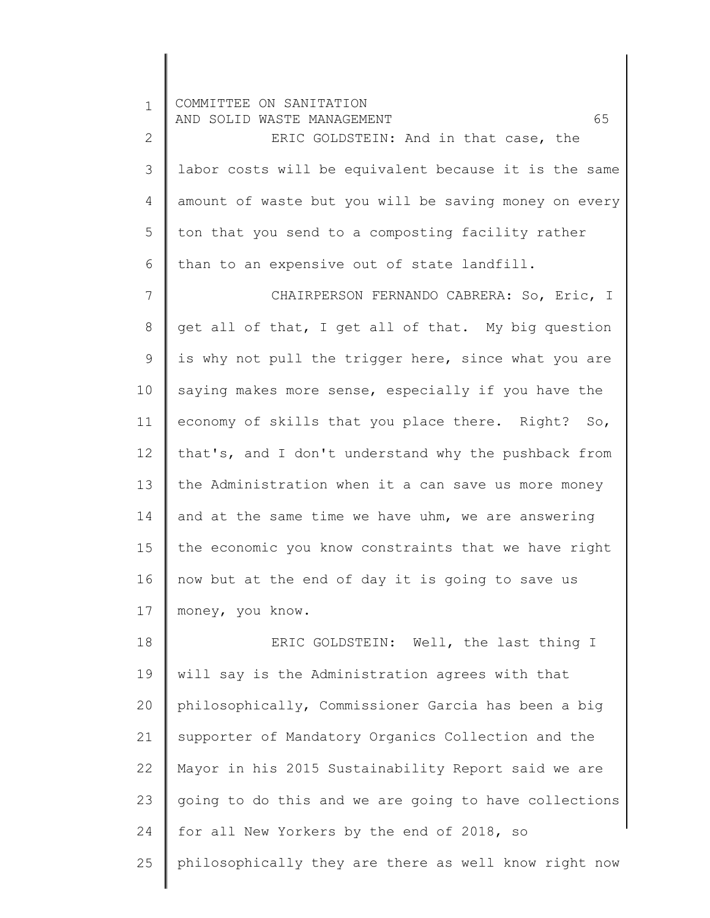1 2 3 4 5 6 7 8 9 10 11 12 13 14 15 16 17 18 19 20 21 22 23 24 COMMITTEE ON SANITATION AND SOLID WASTE MANAGEMENT 65 ERIC GOLDSTEIN: And in that case, the labor costs will be equivalent because it is the same amount of waste but you will be saving money on every ton that you send to a composting facility rather than to an expensive out of state landfill. CHAIRPERSON FERNANDO CABRERA: So, Eric, I get all of that, I get all of that. My big question is why not pull the trigger here, since what you are saying makes more sense, especially if you have the economy of skills that you place there. Right? So, that's, and I don't understand why the pushback from the Administration when it a can save us more money and at the same time we have uhm, we are answering the economic you know constraints that we have right now but at the end of day it is going to save us money, you know. ERIC GOLDSTEIN: Well, the last thing I will say is the Administration agrees with that philosophically, Commissioner Garcia has been a big supporter of Mandatory Organics Collection and the Mayor in his 2015 Sustainability Report said we are going to do this and we are going to have collections for all New Yorkers by the end of 2018, so

philosophically they are there as well know right now

25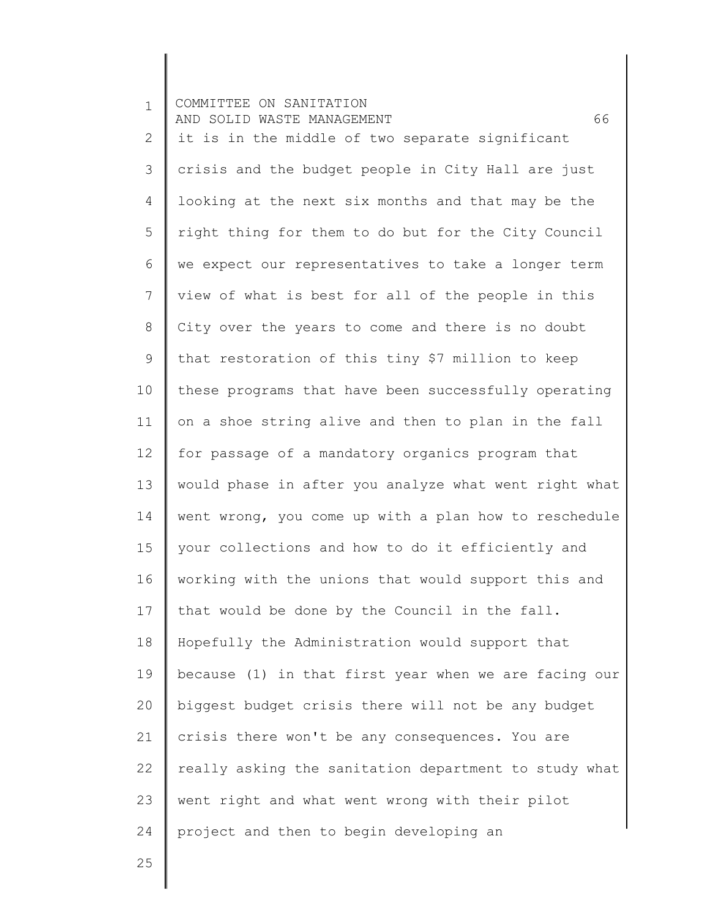| $\mathbf 1$    | COMMITTEE ON SANITATION<br>66<br>AND SOLID WASTE MANAGEMENT |
|----------------|-------------------------------------------------------------|
| $\mathbf{2}$   | it is in the middle of two separate significant             |
| 3              | crisis and the budget people in City Hall are just          |
| 4              | looking at the next six months and that may be the          |
| 5              | right thing for them to do but for the City Council         |
| 6              | we expect our representatives to take a longer term         |
| $\overline{7}$ | view of what is best for all of the people in this          |
| 8              | City over the years to come and there is no doubt           |
| 9              | that restoration of this tiny \$7 million to keep           |
| 10             | these programs that have been successfully operating        |
| 11             | on a shoe string alive and then to plan in the fall         |
| 12             | for passage of a mandatory organics program that            |
| 13             | would phase in after you analyze what went right what       |
| 14             | went wrong, you come up with a plan how to reschedule       |
| 15             | your collections and how to do it efficiently and           |
| 16             | working with the unions that would support this and         |
| 17             | that would be done by the Council in the fall.              |
| 18             | Hopefully the Administration would support that             |
| 19             | because (1) in that first year when we are facing our       |
| 20             | biggest budget crisis there will not be any budget          |
| 21             | crisis there won't be any consequences. You are             |
| 22             | really asking the sanitation department to study what       |
| 23             | went right and what went wrong with their pilot             |
| 24             | project and then to begin developing an                     |
| 25             |                                                             |

25

║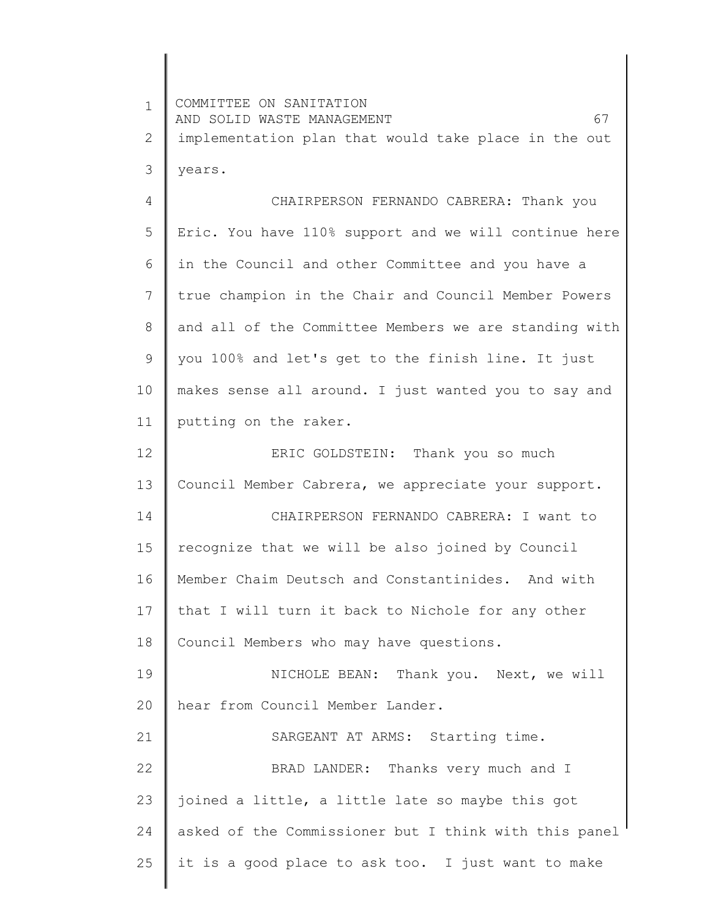1 2 3 4 5 6 7 8 9 10 11 12 13 14 15 16 17 18 19 20 21 22 23 24 25 COMMITTEE ON SANITATION AND SOLID WASTE MANAGEMENT FOR SALE AND SOLID WASTE implementation plan that would take place in the out years. CHAIRPERSON FERNANDO CABRERA: Thank you Eric. You have 110% support and we will continue here in the Council and other Committee and you have a true champion in the Chair and Council Member Powers and all of the Committee Members we are standing with you 100% and let's get to the finish line. It just makes sense all around. I just wanted you to say and putting on the raker. ERIC GOLDSTEIN: Thank you so much Council Member Cabrera, we appreciate your support. CHAIRPERSON FERNANDO CABRERA: I want to recognize that we will be also joined by Council Member Chaim Deutsch and Constantinides. And with that I will turn it back to Nichole for any other Council Members who may have questions. NICHOLE BEAN: Thank you. Next, we will hear from Council Member Lander. SARGEANT AT ARMS: Starting time. BRAD LANDER: Thanks very much and I joined a little, a little late so maybe this got asked of the Commissioner but I think with this panel it is a good place to ask too. I just want to make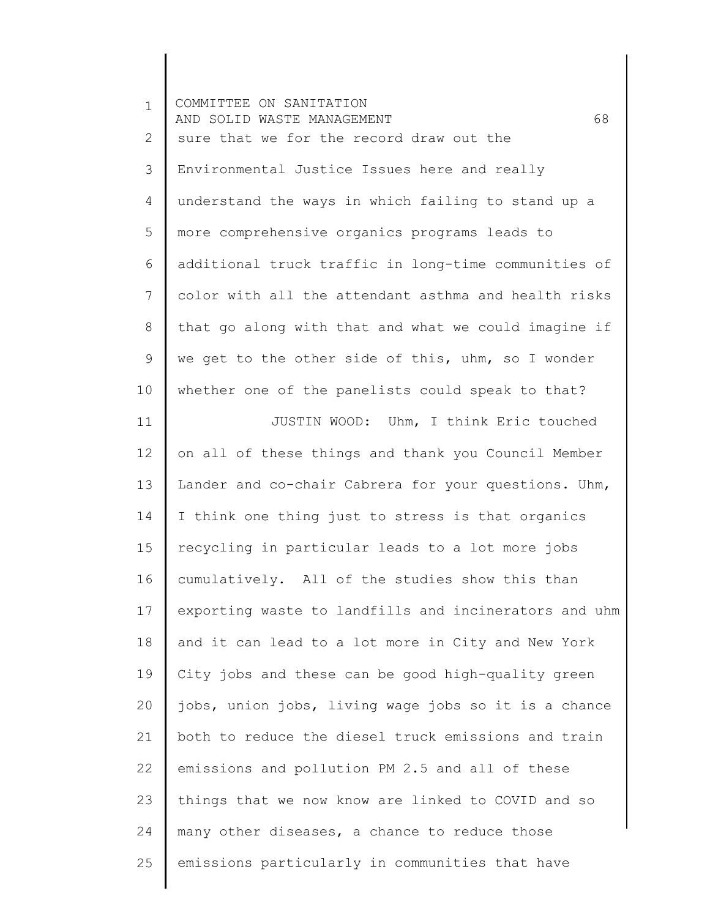| $\mathbf 1$     | COMMITTEE ON SANITATION<br>68<br>AND SOLID WASTE MANAGEMENT |
|-----------------|-------------------------------------------------------------|
| $\mathbf{2}$    | sure that we for the record draw out the                    |
| 3               | Environmental Justice Issues here and really                |
| 4               | understand the ways in which failing to stand up a          |
| 5               | more comprehensive organics programs leads to               |
| 6               | additional truck traffic in long-time communities of        |
| $\overline{7}$  | color with all the attendant asthma and health risks        |
| $8\,$           | that go along with that and what we could imagine if        |
| 9               | we get to the other side of this, uhm, so I wonder          |
| 10              | whether one of the panelists could speak to that?           |
| 11              | JUSTIN WOOD: Uhm, I think Eric touched                      |
| 12 <sup>°</sup> | on all of these things and thank you Council Member         |
| 13              | Lander and co-chair Cabrera for your questions. Uhm,        |
| 14              | I think one thing just to stress is that organics           |
| 15              | recycling in particular leads to a lot more jobs            |
| 16              | cumulatively. All of the studies show this than             |
| 17              | exporting waste to landfills and incinerators and uhm       |
| 18              | and it can lead to a lot more in City and New York          |
| 19              | City jobs and these can be good high-quality green          |
| 20              | jobs, union jobs, living wage jobs so it is a chance        |
| 21              | both to reduce the diesel truck emissions and train         |
| 22              | emissions and pollution PM 2.5 and all of these             |
| 23              | things that we now know are linked to COVID and so          |
| 24              | many other diseases, a chance to reduce those               |
| 25              | emissions particularly in communities that have             |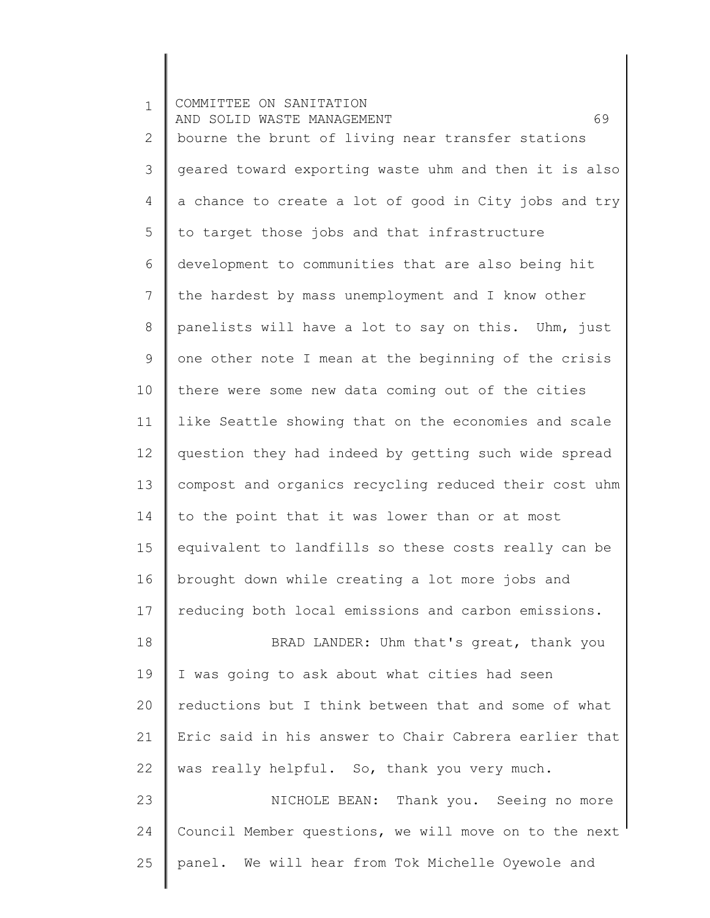1 2 3 4 5 6 7 8 9 10 11 12 13 14 15 16 17 18 19 20 21 22 23 24 25 COMMITTEE ON SANITATION AND SOLID WASTE MANAGEMENT 69 bourne the brunt of living near transfer stations geared toward exporting waste uhm and then it is also a chance to create a lot of good in City jobs and try to target those jobs and that infrastructure development to communities that are also being hit the hardest by mass unemployment and I know other panelists will have a lot to say on this. Uhm, just one other note I mean at the beginning of the crisis there were some new data coming out of the cities like Seattle showing that on the economies and scale question they had indeed by getting such wide spread compost and organics recycling reduced their cost uhm to the point that it was lower than or at most equivalent to landfills so these costs really can be brought down while creating a lot more jobs and reducing both local emissions and carbon emissions. BRAD LANDER: Uhm that's great, thank you I was going to ask about what cities had seen reductions but I think between that and some of what Eric said in his answer to Chair Cabrera earlier that was really helpful. So, thank you very much. NICHOLE BEAN: Thank you. Seeing no more Council Member questions, we will move on to the next panel. We will hear from Tok Michelle Oyewole and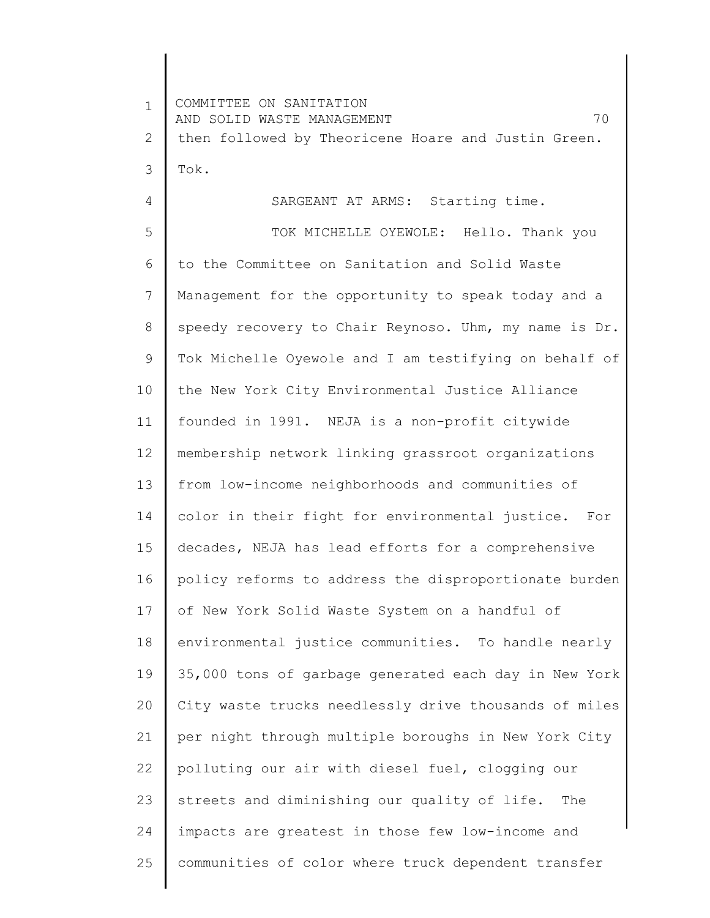1 2 3 4 5 6 7 8 9 10 11 12 13 14 15 16 17 18 19 20 21 22 23 24 25 COMMITTEE ON SANITATION AND SOLID WASTE MANAGEMENT 70 then followed by Theoricene Hoare and Justin Green. Tok. SARGEANT AT ARMS: Starting time. TOK MICHELLE OYEWOLE: Hello. Thank you to the Committee on Sanitation and Solid Waste Management for the opportunity to speak today and a speedy recovery to Chair Reynoso. Uhm, my name is Dr. Tok Michelle Oyewole and I am testifying on behalf of the New York City Environmental Justice Alliance founded in 1991. NEJA is a non-profit citywide membership network linking grassroot organizations from low-income neighborhoods and communities of color in their fight for environmental justice. For decades, NEJA has lead efforts for a comprehensive policy reforms to address the disproportionate burden of New York Solid Waste System on a handful of environmental justice communities. To handle nearly 35,000 tons of garbage generated each day in New York City waste trucks needlessly drive thousands of miles per night through multiple boroughs in New York City polluting our air with diesel fuel, clogging our streets and diminishing our quality of life. The impacts are greatest in those few low-income and communities of color where truck dependent transfer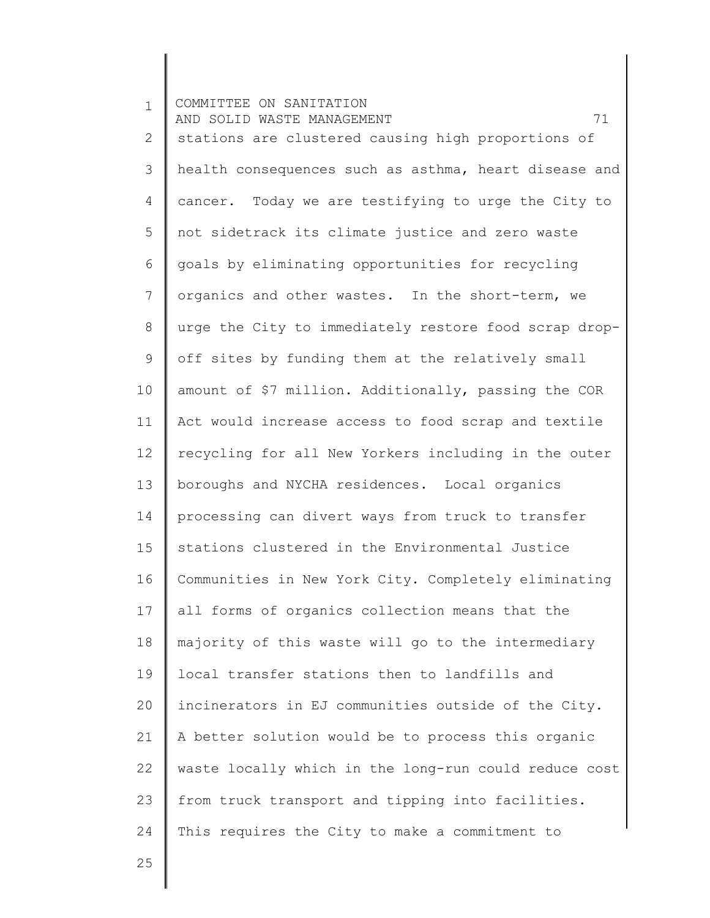| $\mathbf{1}$   | COMMITTEE ON SANITATION                               |
|----------------|-------------------------------------------------------|
|                | 71<br>AND SOLID WASTE MANAGEMENT                      |
| $\mathbf{2}$   | stations are clustered causing high proportions of    |
| 3              | health consequences such as asthma, heart disease and |
| 4              | cancer. Today we are testifying to urge the City to   |
| 5              | not sidetrack its climate justice and zero waste      |
| 6              | goals by eliminating opportunities for recycling      |
| $\overline{7}$ | organics and other wastes. In the short-term, we      |
| $8\,$          | urge the City to immediately restore food scrap drop- |
| $\mathsf 9$    | off sites by funding them at the relatively small     |
| 10             | amount of \$7 million. Additionally, passing the COR  |
| 11             | Act would increase access to food scrap and textile   |
| 12             | recycling for all New Yorkers including in the outer  |
| 13             | boroughs and NYCHA residences. Local organics         |
| 14             | processing can divert ways from truck to transfer     |
| 15             | stations clustered in the Environmental Justice       |
| 16             | Communities in New York City. Completely eliminating  |
| 17             | all forms of organics collection means that the       |
| 18             | majority of this waste will go to the intermediary    |
| 19             | local transfer stations then to landfills and         |
| 20             | incinerators in EJ communities outside of the City.   |
| 21             | A better solution would be to process this organic    |
| 22             | waste locally which in the long-run could reduce cost |
| 23             | from truck transport and tipping into facilities.     |
| 24             | This requires the City to make a commitment to        |
| 25             |                                                       |

25

║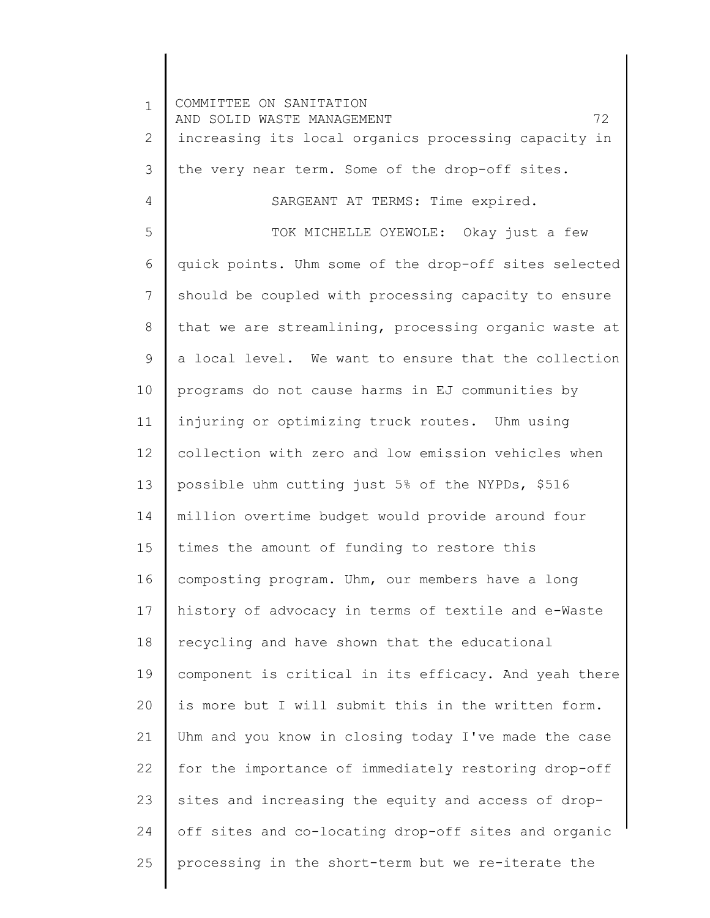1 2 3 4 5 6 7 8 9 10 11 12 13 14 15 16 17 18 19 20 21 22 23 24 25 COMMITTEE ON SANITATION AND SOLID WASTE MANAGEMENT 72 increasing its local organics processing capacity in the very near term. Some of the drop-off sites. SARGEANT AT TERMS: Time expired. TOK MICHELLE OYEWOLE: Okay just a few quick points. Uhm some of the drop-off sites selected should be coupled with processing capacity to ensure that we are streamlining, processing organic waste at a local level. We want to ensure that the collection programs do not cause harms in EJ communities by injuring or optimizing truck routes. Uhm using collection with zero and low emission vehicles when possible uhm cutting just 5% of the NYPDs, \$516 million overtime budget would provide around four times the amount of funding to restore this composting program. Uhm, our members have a long history of advocacy in terms of textile and e-Waste recycling and have shown that the educational component is critical in its efficacy. And yeah there is more but I will submit this in the written form. Uhm and you know in closing today I've made the case for the importance of immediately restoring drop-off sites and increasing the equity and access of dropoff sites and co-locating drop-off sites and organic processing in the short-term but we re-iterate the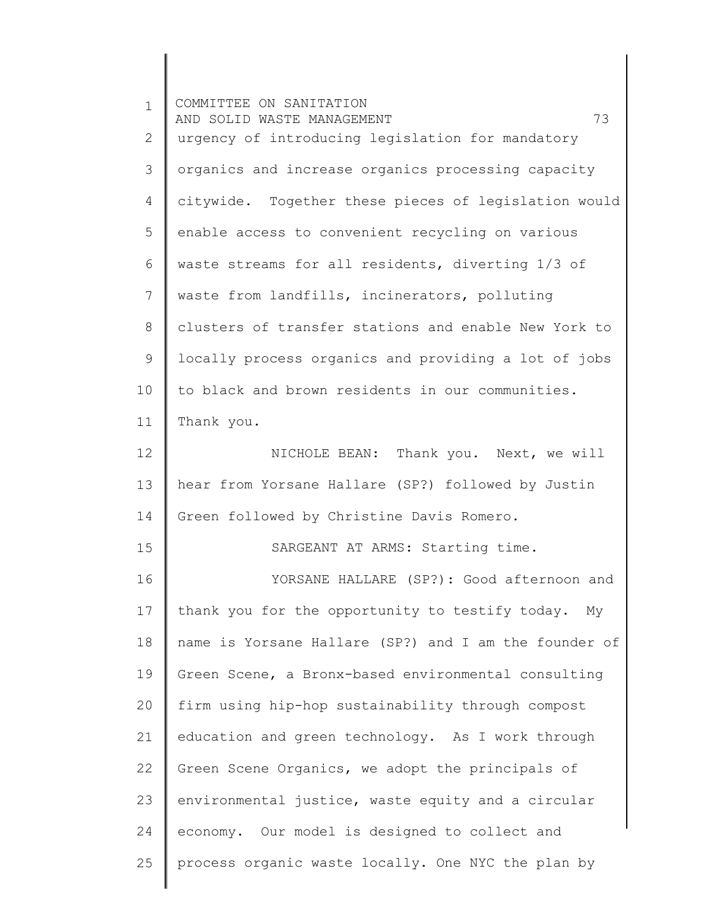| $\mathbf{1}$   | COMMITTEE ON SANITATION<br>73<br>AND SOLID WASTE MANAGEMENT |
|----------------|-------------------------------------------------------------|
| $\overline{2}$ | urgency of introducing legislation for mandatory            |
| 3              | organics and increase organics processing capacity          |
| 4              | citywide. Together these pieces of legislation would        |
| 5              | enable access to convenient recycling on various            |
| 6              | waste streams for all residents, diverting 1/3 of           |
| 7              | waste from landfills, incinerators, polluting               |
| 8              | clusters of transfer stations and enable New York to        |
| 9              | locally process organics and providing a lot of jobs        |
| 10             | to black and brown residents in our communities.            |
| 11             | Thank you.                                                  |
| 12             | NICHOLE BEAN: Thank you. Next, we will                      |
| 13             | hear from Yorsane Hallare (SP?) followed by Justin          |
| 14             | Green followed by Christine Davis Romero.                   |
| 15             | SARGEANT AT ARMS: Starting time.                            |
| 16             | YORSANE HALLARE (SP?): Good afternoon and                   |
| 17             | thank you for the opportunity to testify today.<br>My       |
| 18             | name is Yorsane Hallare (SP?) and I am the founder of       |
| 19             | Green Scene, a Bronx-based environmental consulting         |
| 20             | firm using hip-hop sustainability through compost           |
| 21             | education and green technology. As I work through           |
| 22             | Green Scene Organics, we adopt the principals of            |
| 23             | environmental justice, waste equity and a circular          |
| 24             | economy. Our model is designed to collect and               |
| 25             | process organic waste locally. One NYC the plan by          |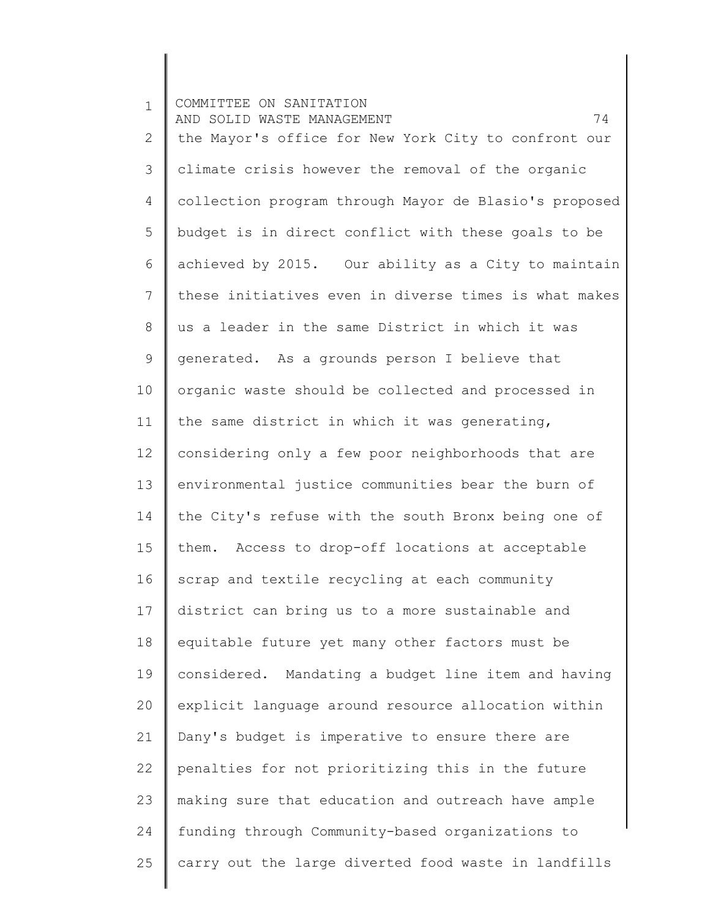1 2 3 4 5 6 7 8 9 10 11 12 13 14 15 16 17 18 19 20 21 22 23 24 25 COMMITTEE ON SANITATION AND SOLID WASTE MANAGEMENT 74 the Mayor's office for New York City to confront our climate crisis however the removal of the organic collection program through Mayor de Blasio's proposed budget is in direct conflict with these goals to be achieved by 2015. Our ability as a City to maintain these initiatives even in diverse times is what makes us a leader in the same District in which it was generated. As a grounds person I believe that organic waste should be collected and processed in the same district in which it was generating, considering only a few poor neighborhoods that are environmental justice communities bear the burn of the City's refuse with the south Bronx being one of them. Access to drop-off locations at acceptable scrap and textile recycling at each community district can bring us to a more sustainable and equitable future yet many other factors must be considered. Mandating a budget line item and having explicit language around resource allocation within Dany's budget is imperative to ensure there are penalties for not prioritizing this in the future making sure that education and outreach have ample funding through Community-based organizations to carry out the large diverted food waste in landfills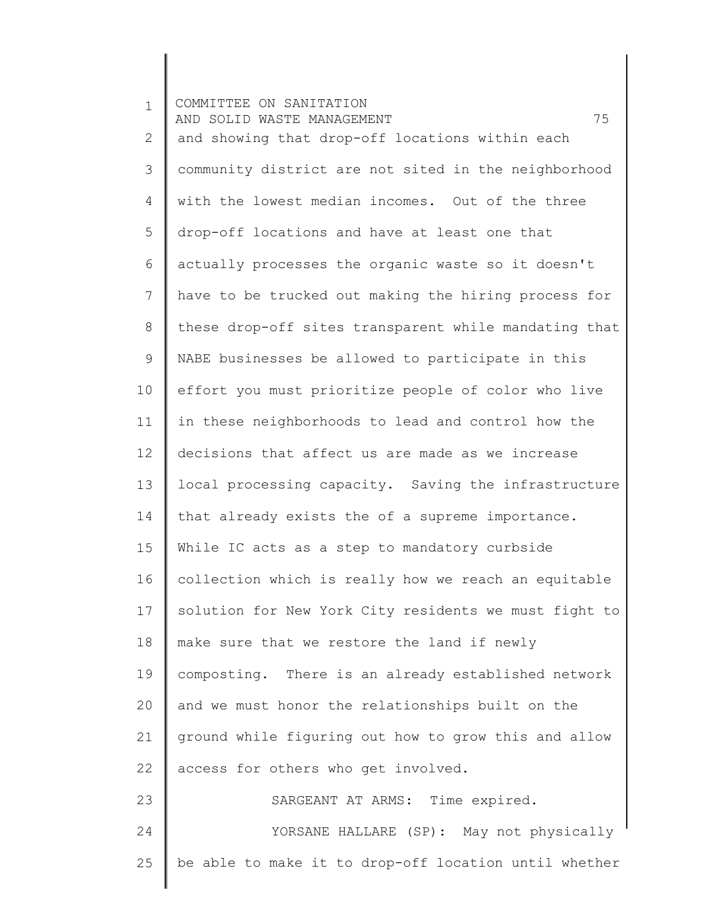1 2 3 4 5 6 7 8 9 10 11 12 13 14 15 16 17 18 19 20 21 22 23 24 25 COMMITTEE ON SANITATION AND SOLID WASTE MANAGEMENT 75 and showing that drop-off locations within each community district are not sited in the neighborhood with the lowest median incomes. Out of the three drop-off locations and have at least one that actually processes the organic waste so it doesn't have to be trucked out making the hiring process for these drop-off sites transparent while mandating that NABE businesses be allowed to participate in this effort you must prioritize people of color who live in these neighborhoods to lead and control how the decisions that affect us are made as we increase local processing capacity. Saving the infrastructure that already exists the of a supreme importance. While IC acts as a step to mandatory curbside collection which is really how we reach an equitable solution for New York City residents we must fight to make sure that we restore the land if newly composting. There is an already established network and we must honor the relationships built on the ground while figuring out how to grow this and allow access for others who get involved. SARGEANT AT ARMS: Time expired. YORSANE HALLARE (SP): May not physically be able to make it to drop-off location until whether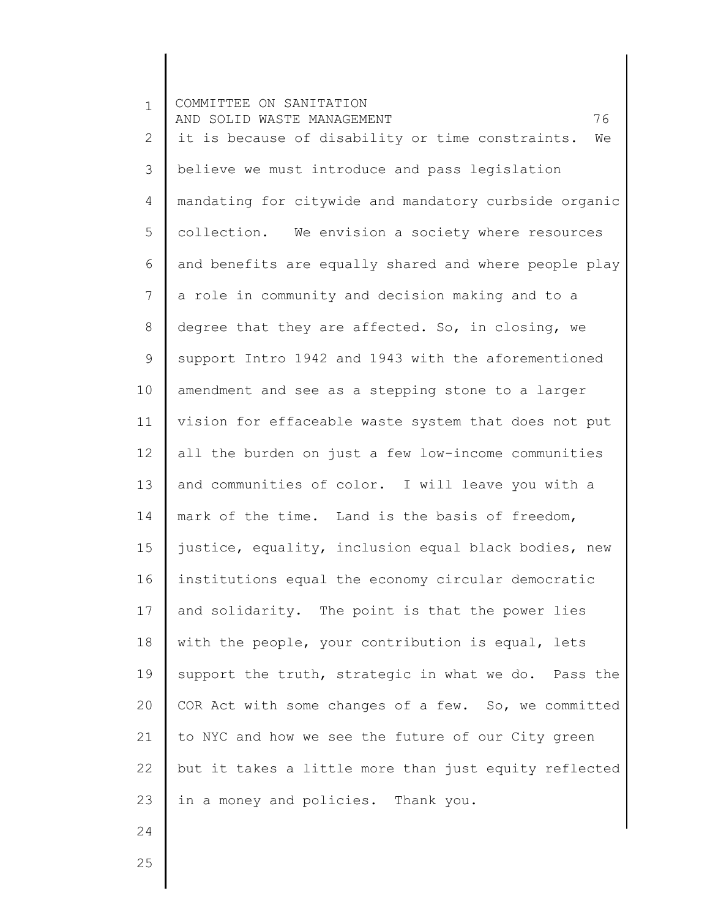1 2 3 4 5 6 7 8 9 10 11 12 13 14 15 16 17 18 19 20 21 22 23 24 COMMITTEE ON SANITATION AND SOLID WASTE MANAGEMENT 76 it is because of disability or time constraints. We believe we must introduce and pass legislation mandating for citywide and mandatory curbside organic collection. We envision a society where resources and benefits are equally shared and where people play a role in community and decision making and to a degree that they are affected. So, in closing, we support Intro 1942 and 1943 with the aforementioned amendment and see as a stepping stone to a larger vision for effaceable waste system that does not put all the burden on just a few low-income communities and communities of color. I will leave you with a mark of the time. Land is the basis of freedom, justice, equality, inclusion equal black bodies, new institutions equal the economy circular democratic and solidarity. The point is that the power lies with the people, your contribution is equal, lets support the truth, strategic in what we do. Pass the COR Act with some changes of a few. So, we committed to NYC and how we see the future of our City green but it takes a little more than just equity reflected in a money and policies. Thank you.

25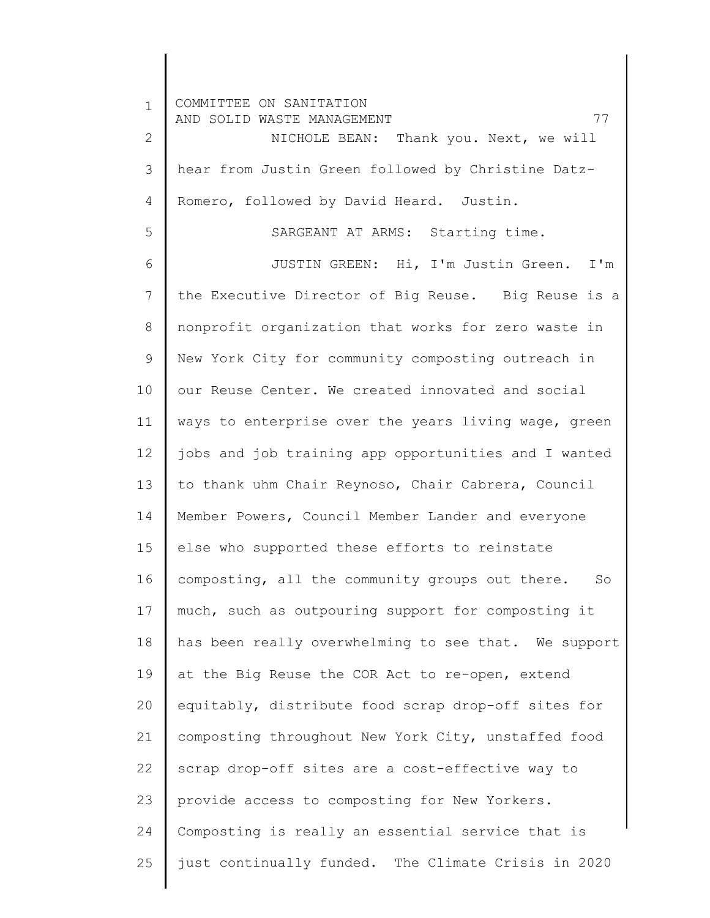1 2 3 4 5 6 7 8 9 10 11 12 13 14 15 16 17 18 19 20 21 22 23 24 25 COMMITTEE ON SANITATION AND SOLID WASTE MANAGEMENT FOR THE SOLID TO THE MANAGEMENT STATE AND THE SOLID TO THE SOLID THE STATE AND THE NICHOLE BEAN: Thank you. Next, we will hear from Justin Green followed by Christine Datz-Romero, followed by David Heard. Justin. SARGEANT AT ARMS: Starting time. JUSTIN GREEN: Hi, I'm Justin Green. I'm the Executive Director of Big Reuse. Big Reuse is a nonprofit organization that works for zero waste in New York City for community composting outreach in our Reuse Center. We created innovated and social ways to enterprise over the years living wage, green jobs and job training app opportunities and I wanted to thank uhm Chair Reynoso, Chair Cabrera, Council Member Powers, Council Member Lander and everyone else who supported these efforts to reinstate composting, all the community groups out there. So much, such as outpouring support for composting it has been really overwhelming to see that. We support at the Big Reuse the COR Act to re-open, extend equitably, distribute food scrap drop-off sites for composting throughout New York City, unstaffed food scrap drop-off sites are a cost-effective way to provide access to composting for New Yorkers. Composting is really an essential service that is just continually funded. The Climate Crisis in 2020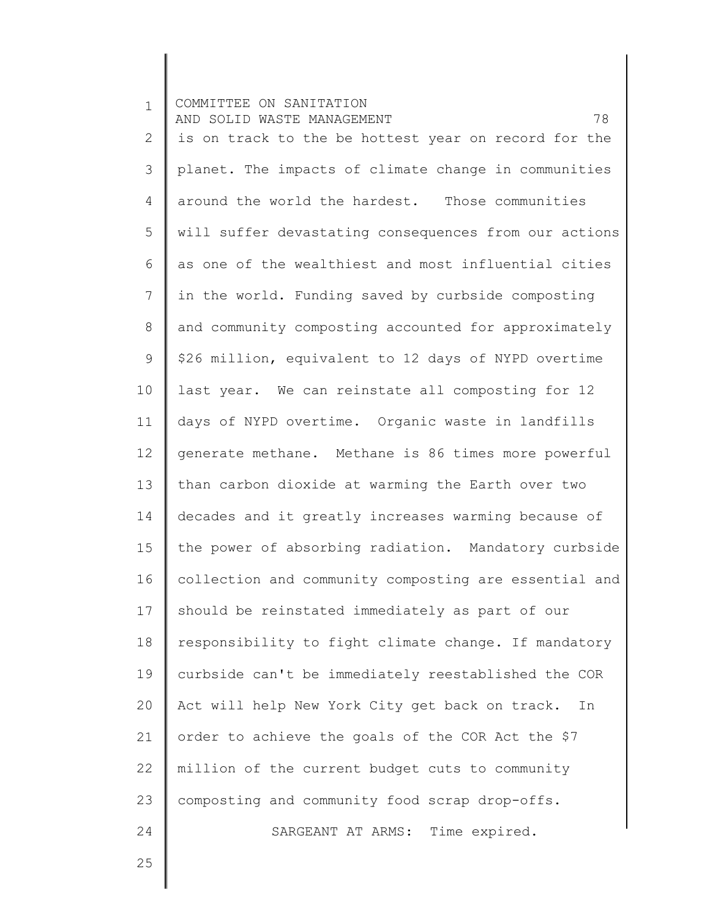1 2 3 4 5 6 7 8 9 10 11 12 13 14 15 16 17 18 19 20 21 22 23 24 25 COMMITTEE ON SANITATION AND SOLID WASTE MANAGEMENT 78 is on track to the be hottest year on record for the planet. The impacts of climate change in communities around the world the hardest. Those communities will suffer devastating consequences from our actions as one of the wealthiest and most influential cities in the world. Funding saved by curbside composting and community composting accounted for approximately \$26 million, equivalent to 12 days of NYPD overtime last year. We can reinstate all composting for 12 days of NYPD overtime. Organic waste in landfills generate methane. Methane is 86 times more powerful than carbon dioxide at warming the Earth over two decades and it greatly increases warming because of the power of absorbing radiation. Mandatory curbside collection and community composting are essential and should be reinstated immediately as part of our responsibility to fight climate change. If mandatory curbside can't be immediately reestablished the COR Act will help New York City get back on track. In order to achieve the goals of the COR Act the \$7 million of the current budget cuts to community composting and community food scrap drop-offs. SARGEANT AT ARMS: Time expired.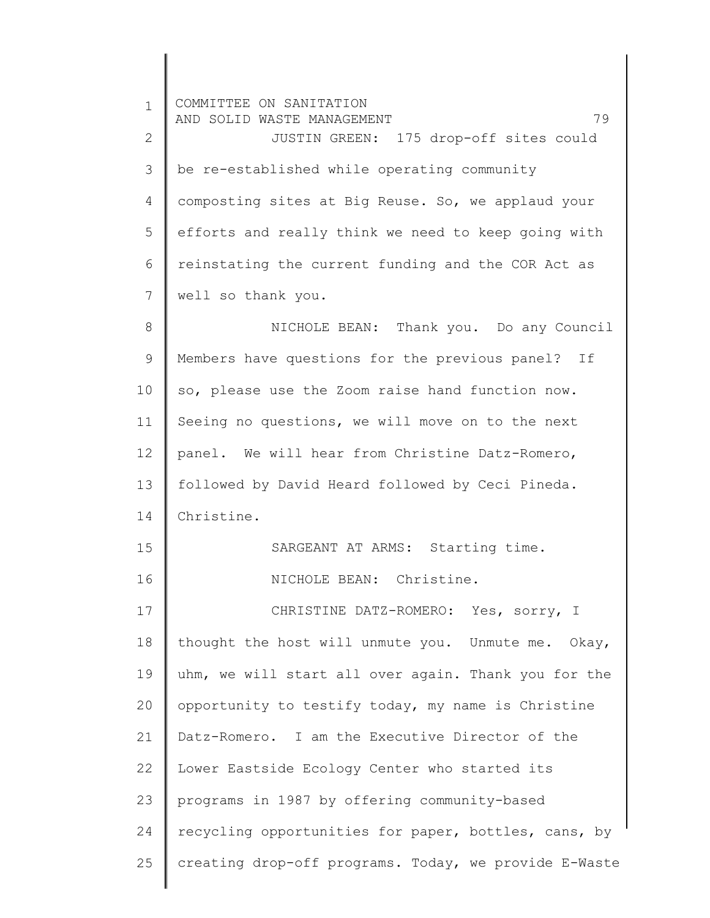1 2 3 4 5 6 7 8 9 10 11 12 13 14 15 16 17 18 19 20 21 22 23 24 25 COMMITTEE ON SANITATION AND SOLID WASTE MANAGEMENT 79 JUSTIN GREEN: 175 drop-off sites could be re-established while operating community composting sites at Big Reuse. So, we applaud your efforts and really think we need to keep going with reinstating the current funding and the COR Act as well so thank you. NICHOLE BEAN: Thank you. Do any Council Members have questions for the previous panel? If so, please use the Zoom raise hand function now. Seeing no questions, we will move on to the next panel. We will hear from Christine Datz-Romero, followed by David Heard followed by Ceci Pineda. Christine. SARGEANT AT ARMS: Starting time. NICHOLE BEAN: Christine. CHRISTINE DATZ-ROMERO: Yes, sorry, I thought the host will unmute you. Unmute me. Okay, uhm, we will start all over again. Thank you for the opportunity to testify today, my name is Christine Datz-Romero. I am the Executive Director of the Lower Eastside Ecology Center who started its programs in 1987 by offering community-based recycling opportunities for paper, bottles, cans, by creating drop-off programs. Today, we provide E-Waste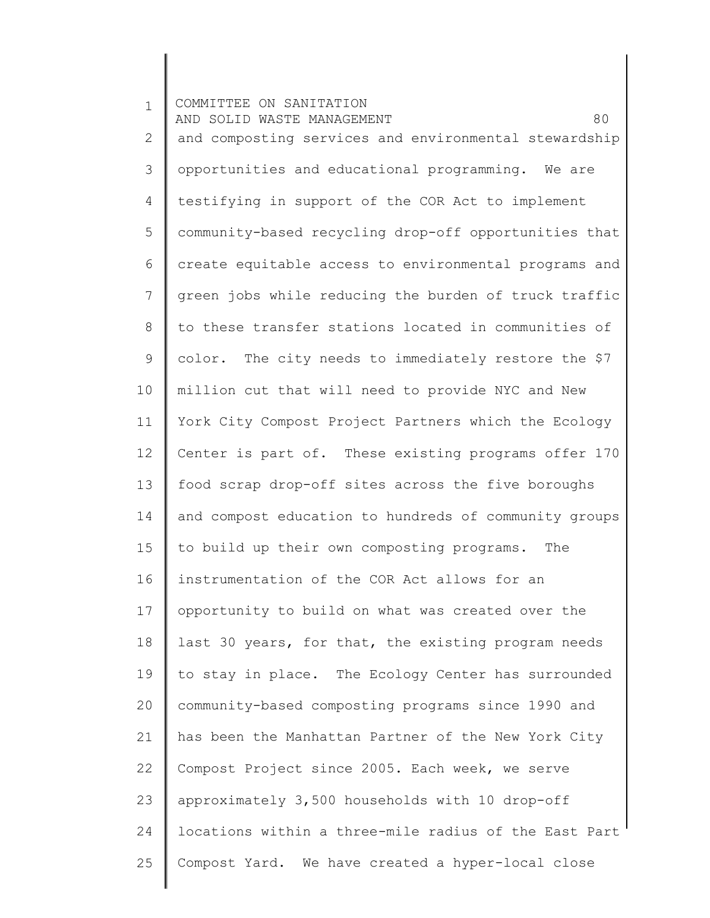1 2 3 4 5 6 7 8 9 10 11 12 13 14 15 16 17 18 19 20 21 22 23 24 25 COMMITTEE ON SANITATION AND SOLID WASTE MANAGEMENT **AND SOLID WASTE** and composting services and environmental stewardship opportunities and educational programming. We are testifying in support of the COR Act to implement community-based recycling drop-off opportunities that create equitable access to environmental programs and green jobs while reducing the burden of truck traffic to these transfer stations located in communities of color. The city needs to immediately restore the \$7 million cut that will need to provide NYC and New York City Compost Project Partners which the Ecology Center is part of. These existing programs offer 170 food scrap drop-off sites across the five boroughs and compost education to hundreds of community groups to build up their own composting programs. The instrumentation of the COR Act allows for an opportunity to build on what was created over the last 30 years, for that, the existing program needs to stay in place. The Ecology Center has surrounded community-based composting programs since 1990 and has been the Manhattan Partner of the New York City Compost Project since 2005. Each week, we serve approximately 3,500 households with 10 drop-off locations within a three-mile radius of the East Part Compost Yard. We have created a hyper-local close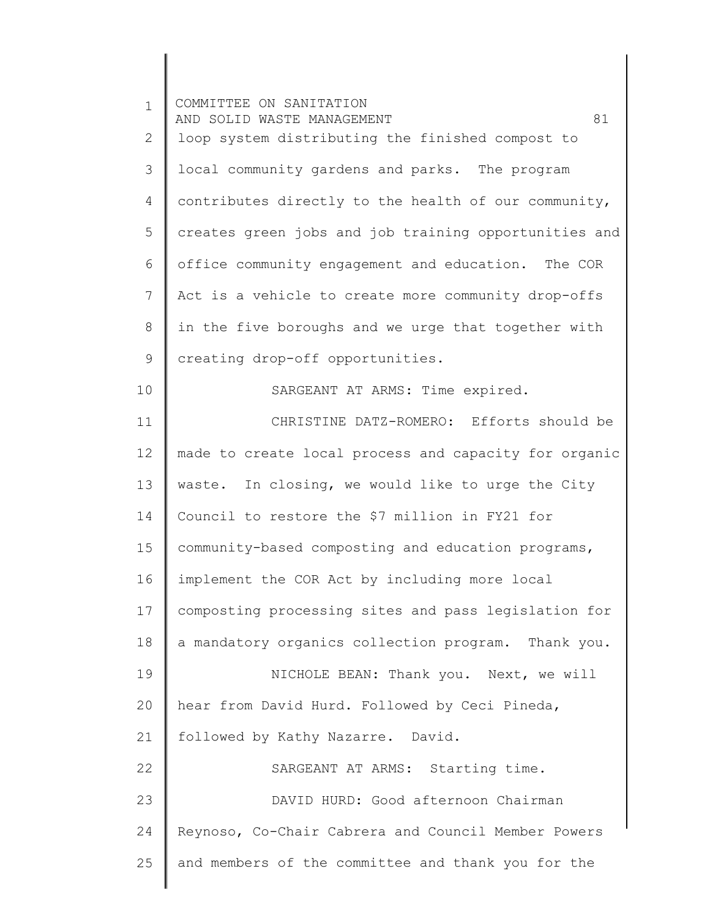1 2 3 4 5 6 7 8 9 10 11 12 13 14 15 16 17 18 19 20 21 22 23 24 25 COMMITTEE ON SANITATION AND SOLID WASTE MANAGEMENT 61 loop system distributing the finished compost to local community gardens and parks. The program contributes directly to the health of our community, creates green jobs and job training opportunities and office community engagement and education. The COR Act is a vehicle to create more community drop-offs in the five boroughs and we urge that together with creating drop-off opportunities. SARGEANT AT ARMS: Time expired. CHRISTINE DATZ-ROMERO: Efforts should be made to create local process and capacity for organic waste. In closing, we would like to urge the City Council to restore the \$7 million in FY21 for community-based composting and education programs, implement the COR Act by including more local composting processing sites and pass legislation for a mandatory organics collection program. Thank you. NICHOLE BEAN: Thank you. Next, we will hear from David Hurd. Followed by Ceci Pineda, followed by Kathy Nazarre. David. SARGEANT AT ARMS: Starting time. DAVID HURD: Good afternoon Chairman Reynoso, Co-Chair Cabrera and Council Member Powers and members of the committee and thank you for the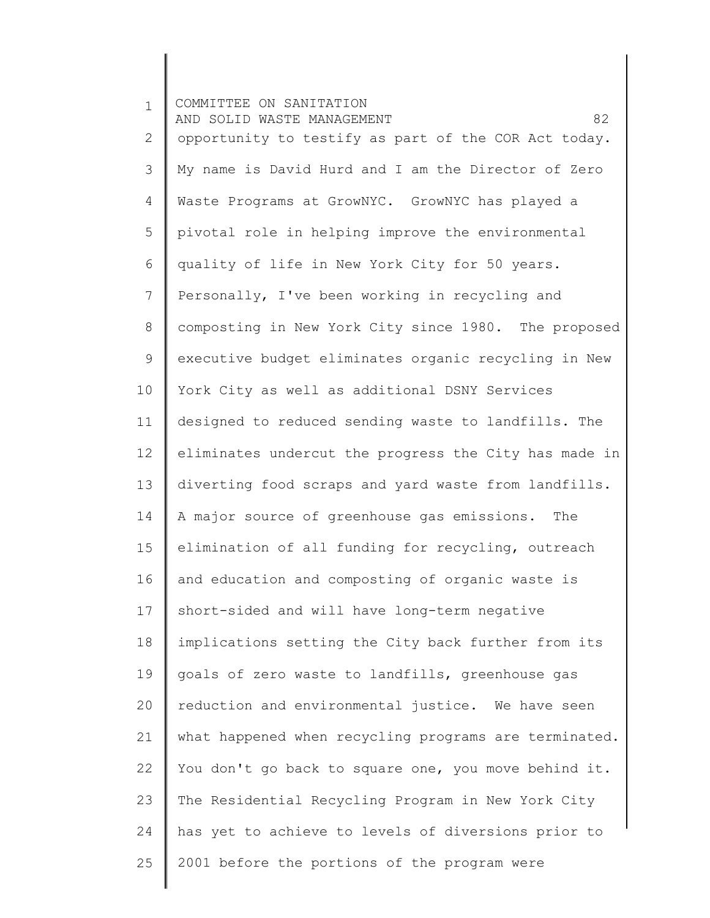1 2 3 4 5 6 7 8 9 10 11 12 13 14 15 16 17 18 19 20 21 22 23 24 25 COMMITTEE ON SANITATION AND SOLID WASTE MANAGEMENT **1990 120 AND** S2 opportunity to testify as part of the COR Act today. My name is David Hurd and I am the Director of Zero Waste Programs at GrowNYC. GrowNYC has played a pivotal role in helping improve the environmental quality of life in New York City for 50 years. Personally, I've been working in recycling and composting in New York City since 1980. The proposed executive budget eliminates organic recycling in New York City as well as additional DSNY Services designed to reduced sending waste to landfills. The eliminates undercut the progress the City has made in diverting food scraps and yard waste from landfills. A major source of greenhouse gas emissions. The elimination of all funding for recycling, outreach and education and composting of organic waste is short-sided and will have long-term negative implications setting the City back further from its goals of zero waste to landfills, greenhouse gas reduction and environmental justice. We have seen what happened when recycling programs are terminated. You don't go back to square one, you move behind it. The Residential Recycling Program in New York City has yet to achieve to levels of diversions prior to 2001 before the portions of the program were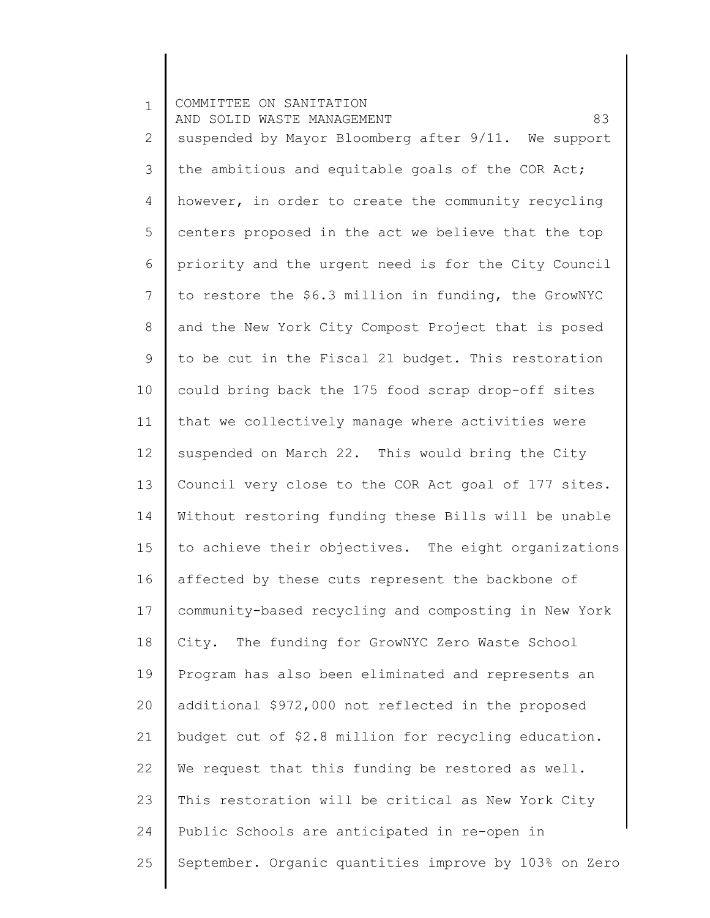1 2 3 4 5 6 7 8 9 10 11 12 13 14 15 16 17 18 19 20 21 22 23 24 25 COMMITTEE ON SANITATION AND SOLID WASTE MANAGEMENT 63 suspended by Mayor Bloomberg after 9/11. We support the ambitious and equitable goals of the COR Act; however, in order to create the community recycling centers proposed in the act we believe that the top priority and the urgent need is for the City Council to restore the \$6.3 million in funding, the GrowNYC and the New York City Compost Project that is posed to be cut in the Fiscal 21 budget. This restoration could bring back the 175 food scrap drop-off sites that we collectively manage where activities were suspended on March 22. This would bring the City Council very close to the COR Act goal of 177 sites. Without restoring funding these Bills will be unable to achieve their objectives. The eight organizations affected by these cuts represent the backbone of community-based recycling and composting in New York City. The funding for GrowNYC Zero Waste School Program has also been eliminated and represents an additional \$972,000 not reflected in the proposed budget cut of \$2.8 million for recycling education. We request that this funding be restored as well. This restoration will be critical as New York City Public Schools are anticipated in re-open in September. Organic quantities improve by 103% on Zero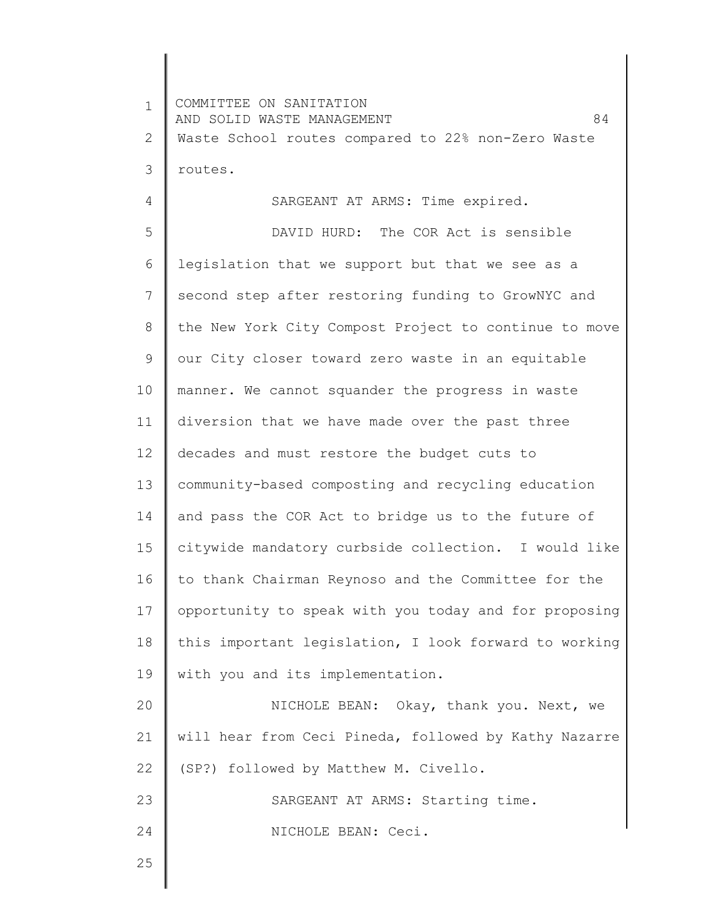1 2 3 4 5 6 7 8 9 10 11 12 13 14 15 16 17 18 19 20 21 22 23 24 25 COMMITTEE ON SANITATION AND SOLID WASTE MANAGEMENT FOR SAMING AND SOLID WASTE Waste School routes compared to 22% non-Zero Waste routes. SARGEANT AT ARMS: Time expired. DAVID HURD: The COR Act is sensible legislation that we support but that we see as a second step after restoring funding to GrowNYC and the New York City Compost Project to continue to move our City closer toward zero waste in an equitable manner. We cannot squander the progress in waste diversion that we have made over the past three decades and must restore the budget cuts to community-based composting and recycling education and pass the COR Act to bridge us to the future of citywide mandatory curbside collection. I would like to thank Chairman Reynoso and the Committee for the opportunity to speak with you today and for proposing this important legislation, I look forward to working with you and its implementation. NICHOLE BEAN: Okay, thank you. Next, we will hear from Ceci Pineda, followed by Kathy Nazarre (SP?) followed by Matthew M. Civello. SARGEANT AT ARMS: Starting time. NICHOLE BEAN: Ceci.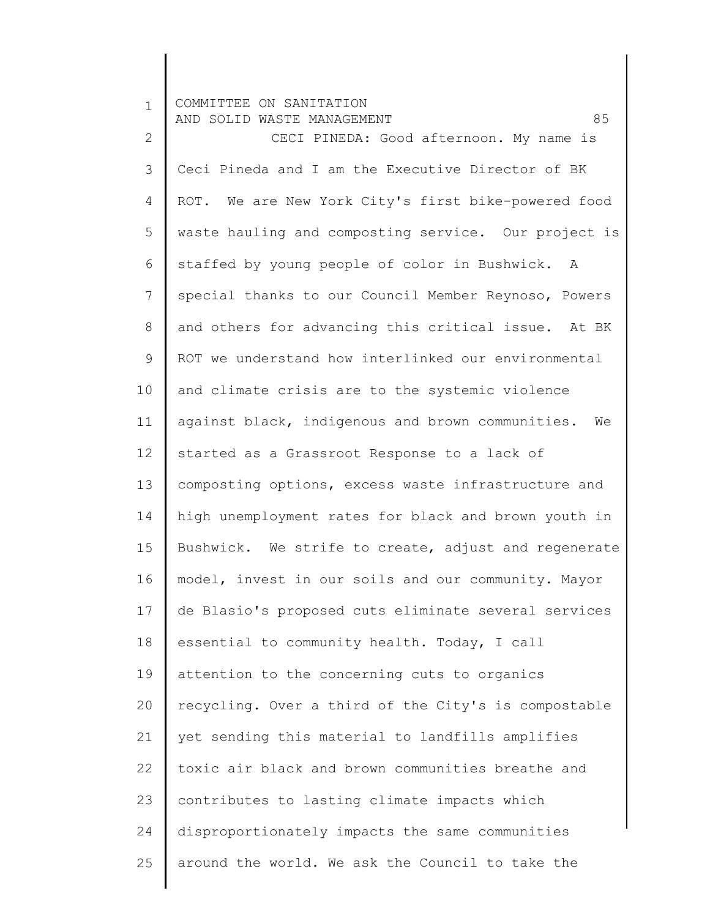| $\mathbf{1}$   | COMMITTEE ON SANITATION<br>85<br>AND SOLID WASTE MANAGEMENT |
|----------------|-------------------------------------------------------------|
| $\overline{2}$ | CECI PINEDA: Good afternoon. My name is                     |
| 3              | Ceci Pineda and I am the Executive Director of BK           |
| 4              | ROT. We are New York City's first bike-powered food         |
| 5              | waste hauling and composting service. Our project is        |
| 6              | staffed by young people of color in Bushwick. A             |
| $\overline{7}$ | special thanks to our Council Member Reynoso, Powers        |
| $\,8\,$        | and others for advancing this critical issue. At BK         |
| $\mathsf 9$    | ROT we understand how interlinked our environmental         |
| 10             | and climate crisis are to the systemic violence             |
| 11             | against black, indigenous and brown communities.<br>We      |
| 12             | started as a Grassroot Response to a lack of                |
| 13             | composting options, excess waste infrastructure and         |
| 14             | high unemployment rates for black and brown youth in        |
| 15             | Bushwick. We strife to create, adjust and regenerate        |
| 16             | model, invest in our soils and our community. Mayor         |
| 17             | de Blasio's proposed cuts eliminate several services        |
| 18             | essential to community health. Today, I call                |
| 19             | attention to the concerning cuts to organics                |
| 20             | recycling. Over a third of the City's is compostable        |
| 21             | yet sending this material to landfills amplifies            |
| 22             | toxic air black and brown communities breathe and           |
| 23             | contributes to lasting climate impacts which                |
| 24             | disproportionately impacts the same communities             |
| 25             | around the world. We ask the Council to take the            |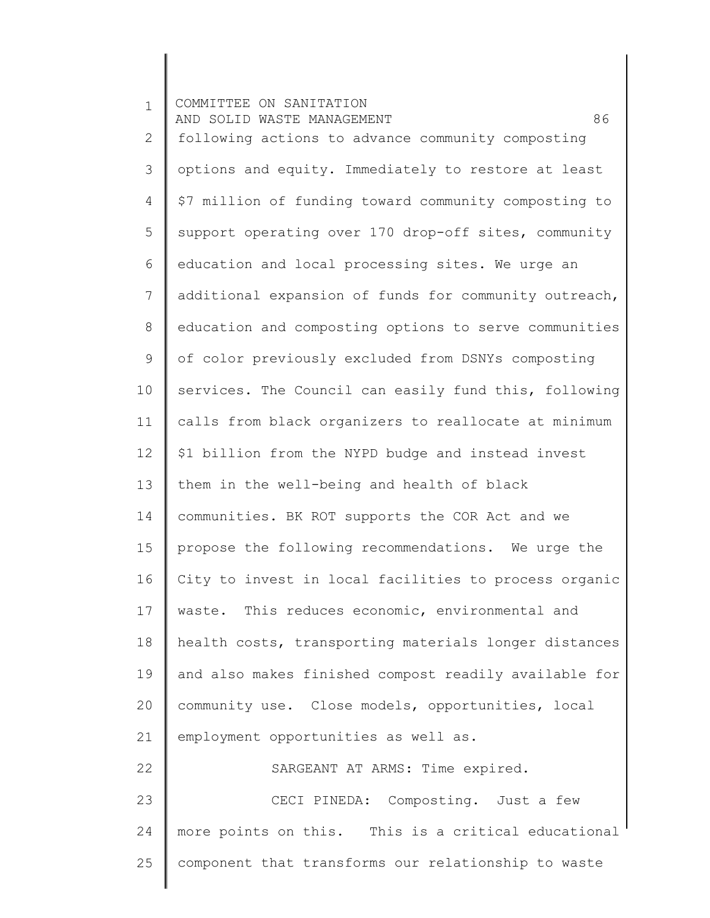1 2 3 4 5 6 7 8 9 10 11 12 13 14 15 16 17 18 19 20 21 22 23 24 25 COMMITTEE ON SANITATION AND SOLID WASTE MANAGEMENT 66 following actions to advance community composting options and equity. Immediately to restore at least \$7 million of funding toward community composting to support operating over 170 drop-off sites, community education and local processing sites. We urge an additional expansion of funds for community outreach, education and composting options to serve communities of color previously excluded from DSNYs composting services. The Council can easily fund this, following calls from black organizers to reallocate at minimum \$1 billion from the NYPD budge and instead invest them in the well-being and health of black communities. BK ROT supports the COR Act and we propose the following recommendations. We urge the City to invest in local facilities to process organic waste. This reduces economic, environmental and health costs, transporting materials longer distances and also makes finished compost readily available for community use. Close models, opportunities, local employment opportunities as well as. SARGEANT AT ARMS: Time expired. CECI PINEDA: Composting. Just a few more points on this. This is a critical educational component that transforms our relationship to waste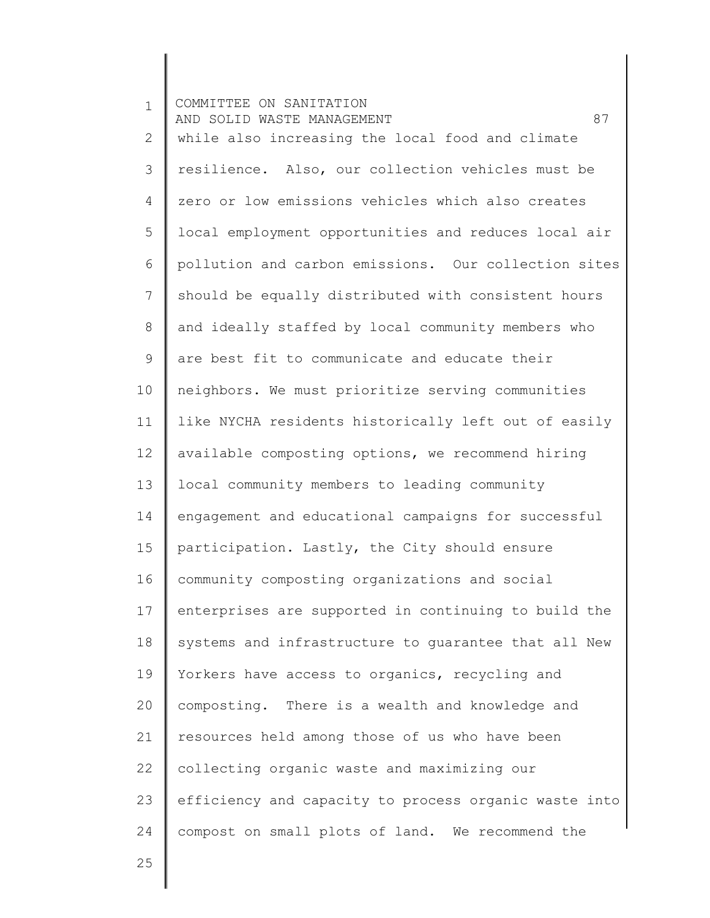1 2 3 4 5 6 7 8 9 10 11 12 13 14 15 16 17 18 19 20 21 22 23 24 COMMITTEE ON SANITATION AND SOLID WASTE MANAGEMENT 67 while also increasing the local food and climate resilience. Also, our collection vehicles must be zero or low emissions vehicles which also creates local employment opportunities and reduces local air pollution and carbon emissions. Our collection sites should be equally distributed with consistent hours and ideally staffed by local community members who are best fit to communicate and educate their neighbors. We must prioritize serving communities like NYCHA residents historically left out of easily available composting options, we recommend hiring local community members to leading community engagement and educational campaigns for successful participation. Lastly, the City should ensure community composting organizations and social enterprises are supported in continuing to build the systems and infrastructure to guarantee that all New Yorkers have access to organics, recycling and composting. There is a wealth and knowledge and resources held among those of us who have been collecting organic waste and maximizing our efficiency and capacity to process organic waste into compost on small plots of land. We recommend the

25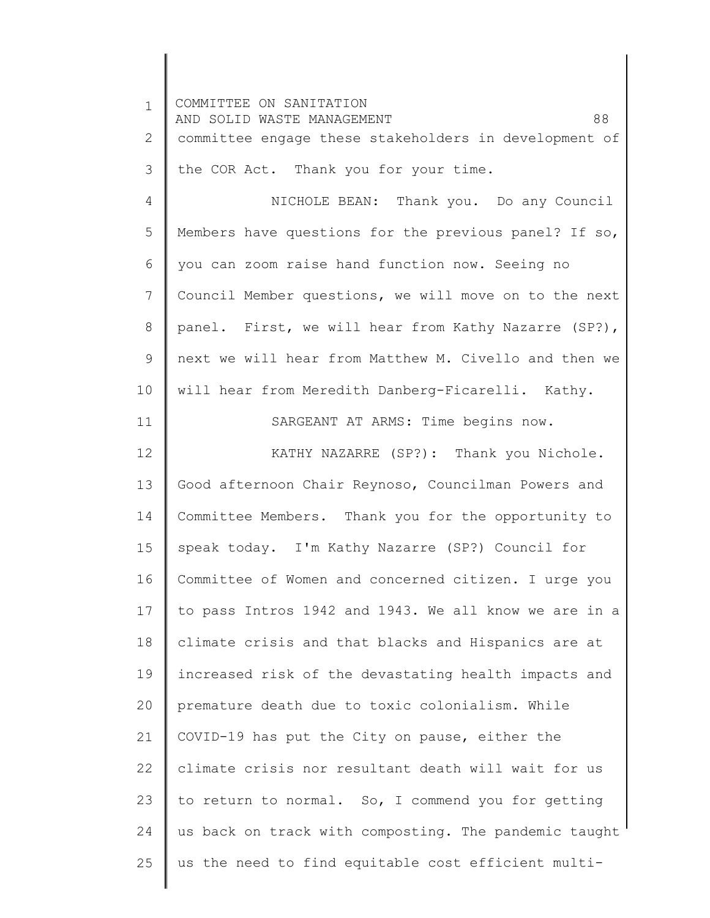1 2 3 4 5 6 7 8 9 10 11 12 13 14 15 16 17 18 19 20 21 22 23 24 25 COMMITTEE ON SANITATION AND SOLID WASTE MANAGEMENT 68 committee engage these stakeholders in development of the COR Act. Thank you for your time. NICHOLE BEAN: Thank you. Do any Council Members have questions for the previous panel? If so, you can zoom raise hand function now. Seeing no Council Member questions, we will move on to the next panel. First, we will hear from Kathy Nazarre (SP?), next we will hear from Matthew M. Civello and then we will hear from Meredith Danberg-Ficarelli. Kathy. SARGEANT AT ARMS: Time begins now. KATHY NAZARRE (SP?): Thank you Nichole. Good afternoon Chair Reynoso, Councilman Powers and Committee Members. Thank you for the opportunity to speak today. I'm Kathy Nazarre (SP?) Council for Committee of Women and concerned citizen. I urge you to pass Intros 1942 and 1943. We all know we are in a climate crisis and that blacks and Hispanics are at increased risk of the devastating health impacts and premature death due to toxic colonialism. While COVID-19 has put the City on pause, either the climate crisis nor resultant death will wait for us to return to normal. So, I commend you for getting us back on track with composting. The pandemic taught us the need to find equitable cost efficient multi-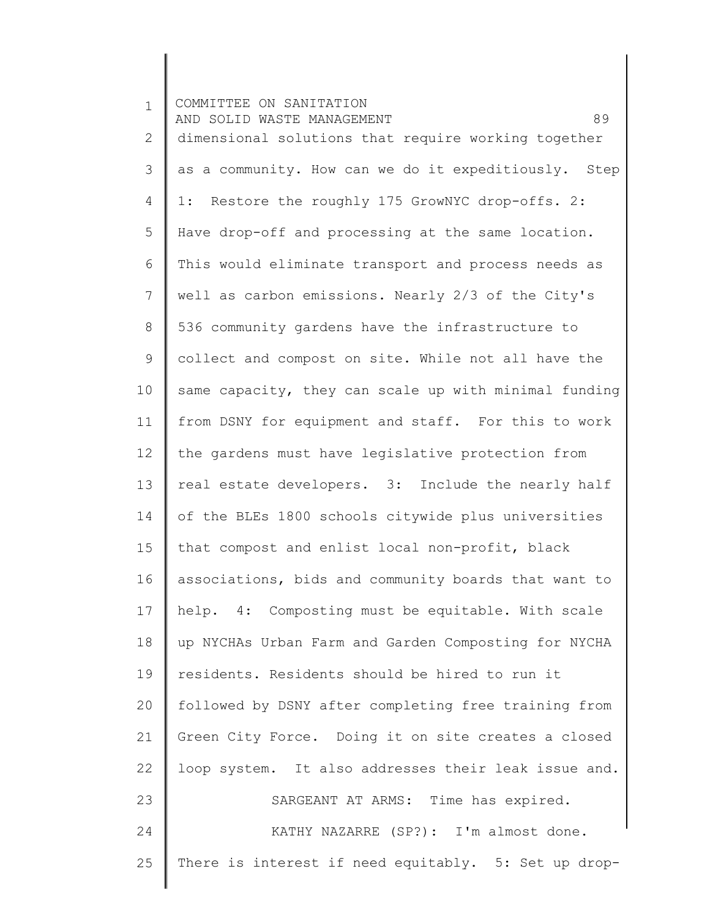| $\mathbf 1$    | COMMITTEE ON SANITATION<br>89<br>AND SOLID WASTE MANAGEMENT |
|----------------|-------------------------------------------------------------|
| $\mathbf{2}$   | dimensional solutions that require working together         |
| $\mathcal{S}$  | as a community. How can we do it expeditiously. Step        |
| $\overline{4}$ | 1: Restore the roughly 175 GrowNYC drop-offs. 2:            |
| 5              | Have drop-off and processing at the same location.          |
| 6              | This would eliminate transport and process needs as         |
| $7\phantom{.}$ | well as carbon emissions. Nearly 2/3 of the City's          |
| $\,8\,$        | 536 community gardens have the infrastructure to            |
| $\mathsf 9$    | collect and compost on site. While not all have the         |
| 10             | same capacity, they can scale up with minimal funding       |
| 11             | from DSNY for equipment and staff. For this to work         |
| 12             | the gardens must have legislative protection from           |
| 13             | real estate developers. 3: Include the nearly half          |
| 14             | of the BLEs 1800 schools citywide plus universities         |
| 15             | that compost and enlist local non-profit, black             |
| 16             | associations, bids and community boards that want to        |
| 17             | help. 4: Composting must be equitable. With scale           |
| 18             | up NYCHAs Urban Farm and Garden Composting for NYCHA        |
| 19             | residents. Residents should be hired to run it              |
| 20             | followed by DSNY after completing free training from        |
| 21             | Green City Force. Doing it on site creates a closed         |
| 22             | loop system. It also addresses their leak issue and.        |
| 23             | SARGEANT AT ARMS: Time has expired.                         |
| 24             | KATHY NAZARRE (SP?): I'm almost done.                       |
| 25             | There is interest if need equitably. 5: Set up drop-        |

║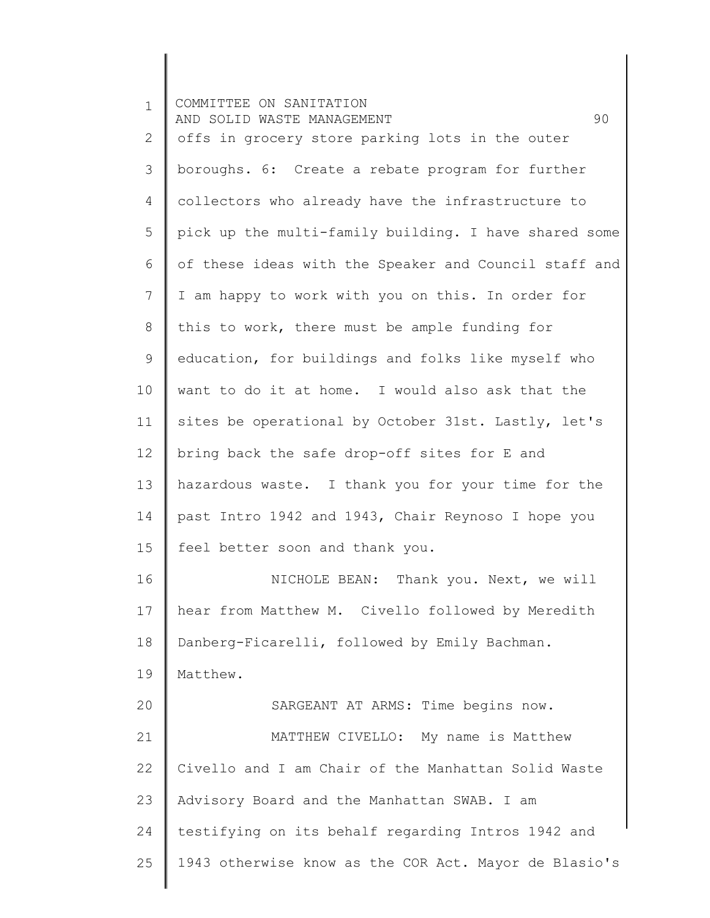| $\mathbf 1$ | COMMITTEE ON SANITATION<br>90<br>AND SOLID WASTE MANAGEMENT |
|-------------|-------------------------------------------------------------|
| 2           | offs in grocery store parking lots in the outer             |
| 3           | boroughs. 6: Create a rebate program for further            |
| 4           | collectors who already have the infrastructure to           |
| 5           | pick up the multi-family building. I have shared some       |
| 6           | of these ideas with the Speaker and Council staff and       |
| 7           | I am happy to work with you on this. In order for           |
| 8           | this to work, there must be ample funding for               |
| $\mathsf 9$ | education, for buildings and folks like myself who          |
| 10          | want to do it at home. I would also ask that the            |
| 11          | sites be operational by October 31st. Lastly, let's         |
| 12          | bring back the safe drop-off sites for E and                |
| 13          | hazardous waste. I thank you for your time for the          |
| 14          | past Intro 1942 and 1943, Chair Reynoso I hope you          |
| 15          | feel better soon and thank you.                             |
| 16          | NICHOLE BEAN: Thank you. Next, we will                      |
| 17          | hear from Matthew M. Civello followed by Meredith           |
| 18          | Danberg-Ficarelli, followed by Emily Bachman.               |
| 19          | Matthew.                                                    |
| 20          | SARGEANT AT ARMS: Time begins now.                          |
| 21          | MATTHEW CIVELLO: My name is Matthew                         |
| 22          | Civello and I am Chair of the Manhattan Solid Waste         |
| 23          | Advisory Board and the Manhattan SWAB. I am                 |
| 24          | testifying on its behalf regarding Intros 1942 and          |
| 25          | 1943 otherwise know as the COR Act. Mayor de Blasio's       |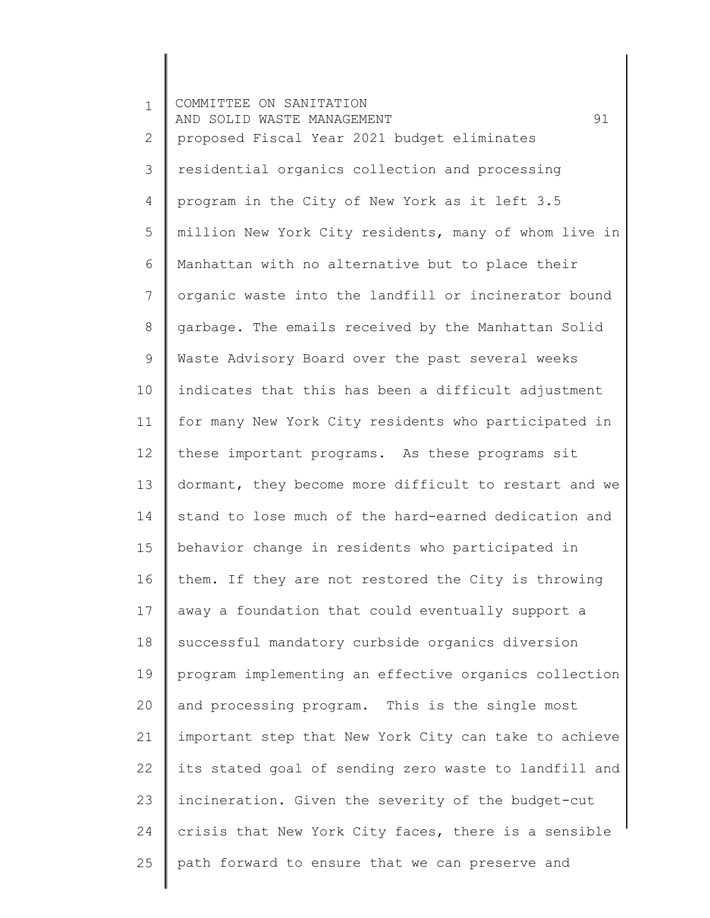1 2 3 4 5 6 7 8 9 10 11 12 13 14 15 16 17 18 19 20 21 22 23 24 25 COMMITTEE ON SANITATION AND SOLID WASTE MANAGEMENT 61 proposed Fiscal Year 2021 budget eliminates residential organics collection and processing program in the City of New York as it left 3.5 million New York City residents, many of whom live in Manhattan with no alternative but to place their organic waste into the landfill or incinerator bound garbage. The emails received by the Manhattan Solid Waste Advisory Board over the past several weeks indicates that this has been a difficult adjustment for many New York City residents who participated in these important programs. As these programs sit dormant, they become more difficult to restart and we stand to lose much of the hard-earned dedication and behavior change in residents who participated in them. If they are not restored the City is throwing away a foundation that could eventually support a successful mandatory curbside organics diversion program implementing an effective organics collection and processing program. This is the single most important step that New York City can take to achieve its stated goal of sending zero waste to landfill and incineration. Given the severity of the budget-cut crisis that New York City faces, there is a sensible path forward to ensure that we can preserve and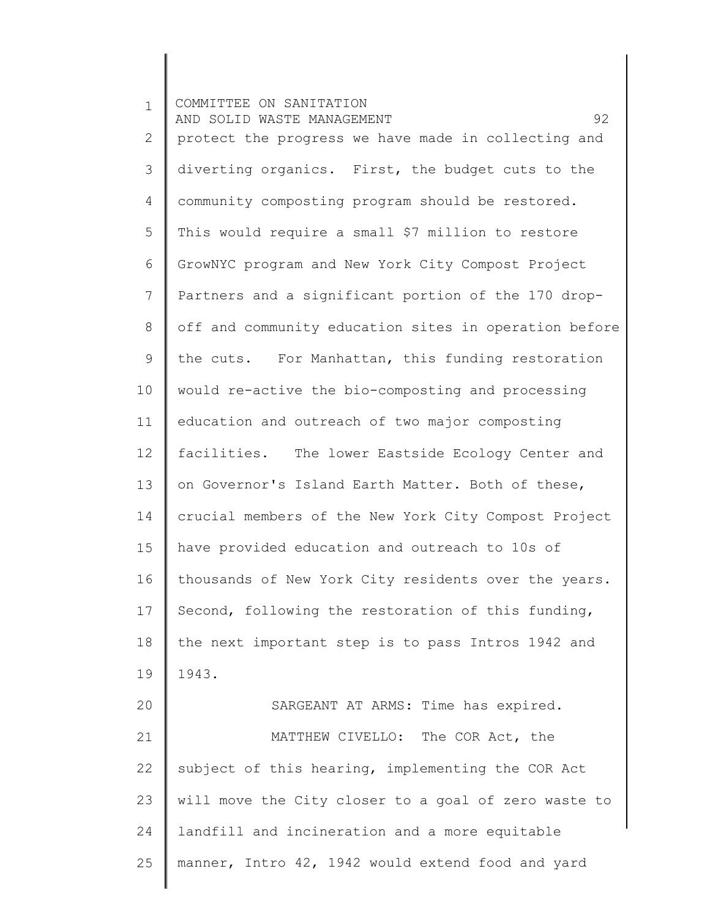1 2 3 4 5 6 7 8 9 10 11 12 13 14 15 16 17 18 19 20 21 22 23 24 25 COMMITTEE ON SANITATION AND SOLID WASTE MANAGEMENT 62 protect the progress we have made in collecting and diverting organics. First, the budget cuts to the community composting program should be restored. This would require a small \$7 million to restore GrowNYC program and New York City Compost Project Partners and a significant portion of the 170 dropoff and community education sites in operation before the cuts. For Manhattan, this funding restoration would re-active the bio-composting and processing education and outreach of two major composting facilities. The lower Eastside Ecology Center and on Governor's Island Earth Matter. Both of these, crucial members of the New York City Compost Project have provided education and outreach to 10s of thousands of New York City residents over the years. Second, following the restoration of this funding, the next important step is to pass Intros 1942 and 1943. SARGEANT AT ARMS: Time has expired. MATTHEW CIVELLO: The COR Act, the subject of this hearing, implementing the COR Act will move the City closer to a goal of zero waste to landfill and incineration and a more equitable manner, Intro 42, 1942 would extend food and yard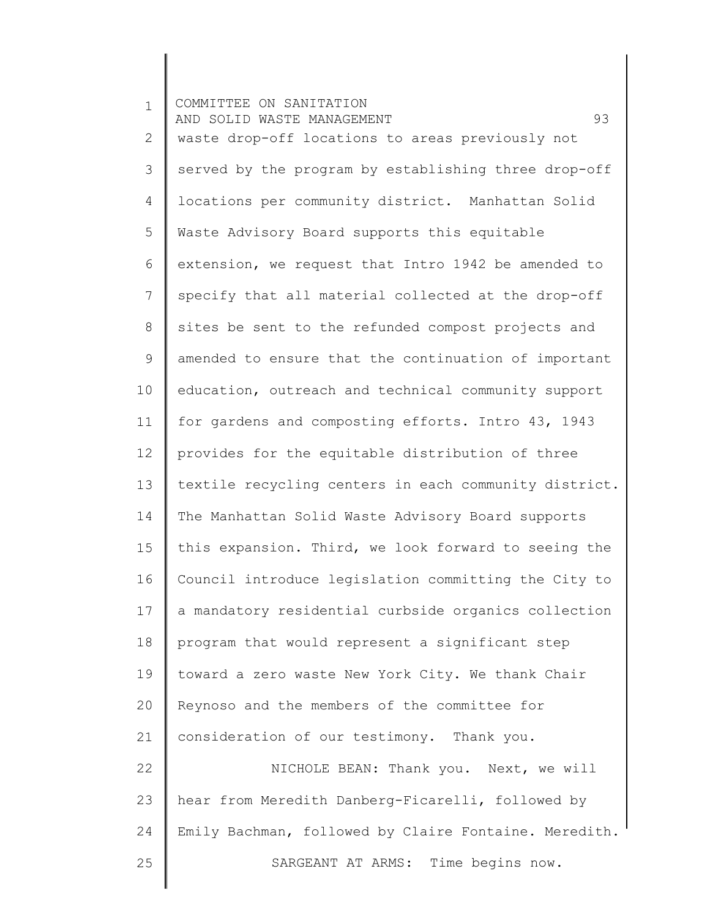1 2 3 4 5 6 7 8 9 10 11 12 13 14 15 16 17 18 19 20 21 22 23 24 25 COMMITTEE ON SANITATION AND SOLID WASTE MANAGEMENT 63 waste drop-off locations to areas previously not served by the program by establishing three drop-off locations per community district. Manhattan Solid Waste Advisory Board supports this equitable extension, we request that Intro 1942 be amended to specify that all material collected at the drop-off sites be sent to the refunded compost projects and amended to ensure that the continuation of important education, outreach and technical community support for gardens and composting efforts. Intro 43, 1943 provides for the equitable distribution of three textile recycling centers in each community district. The Manhattan Solid Waste Advisory Board supports this expansion. Third, we look forward to seeing the Council introduce legislation committing the City to a mandatory residential curbside organics collection program that would represent a significant step toward a zero waste New York City. We thank Chair Reynoso and the members of the committee for consideration of our testimony. Thank you. NICHOLE BEAN: Thank you. Next, we will hear from Meredith Danberg-Ficarelli, followed by Emily Bachman, followed by Claire Fontaine. Meredith. SARGEANT AT ARMS: Time begins now.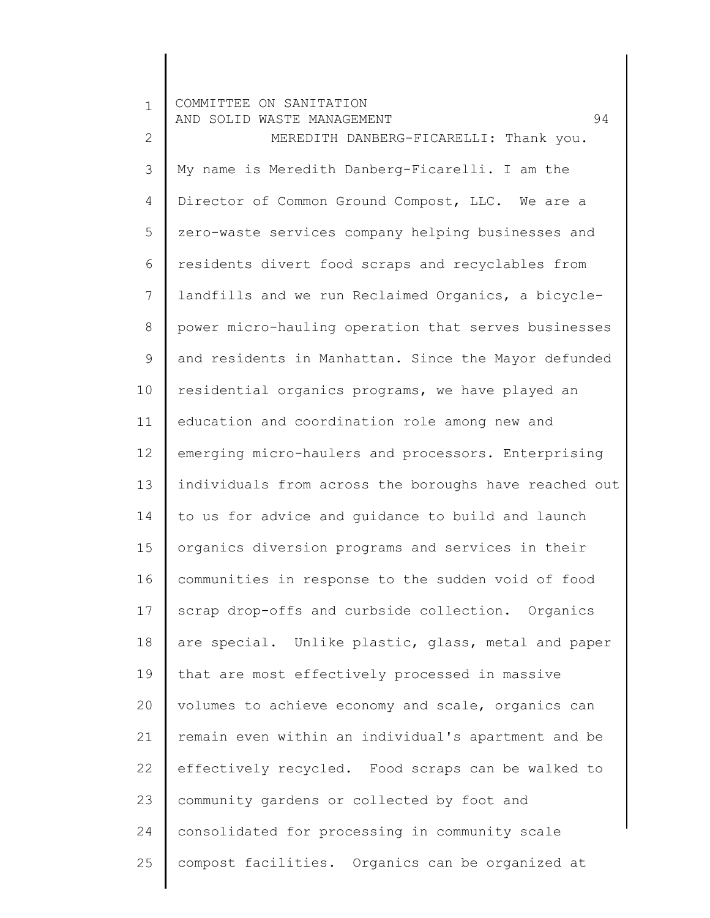1 2 3 4 5 6 7 8 9 10 11 12 13 14 15 16 17 18 19 20 21 22 23 24 25 COMMITTEE ON SANITATION AND SOLID WASTE MANAGEMENT 94 MEREDITH DANBERG-FICARELLI: Thank you. My name is Meredith Danberg-Ficarelli. I am the Director of Common Ground Compost, LLC. We are a zero-waste services company helping businesses and residents divert food scraps and recyclables from landfills and we run Reclaimed Organics, a bicyclepower micro-hauling operation that serves businesses and residents in Manhattan. Since the Mayor defunded residential organics programs, we have played an education and coordination role among new and emerging micro-haulers and processors. Enterprising individuals from across the boroughs have reached out to us for advice and guidance to build and launch organics diversion programs and services in their communities in response to the sudden void of food scrap drop-offs and curbside collection. Organics are special. Unlike plastic, glass, metal and paper that are most effectively processed in massive volumes to achieve economy and scale, organics can remain even within an individual's apartment and be effectively recycled. Food scraps can be walked to community gardens or collected by foot and consolidated for processing in community scale compost facilities. Organics can be organized at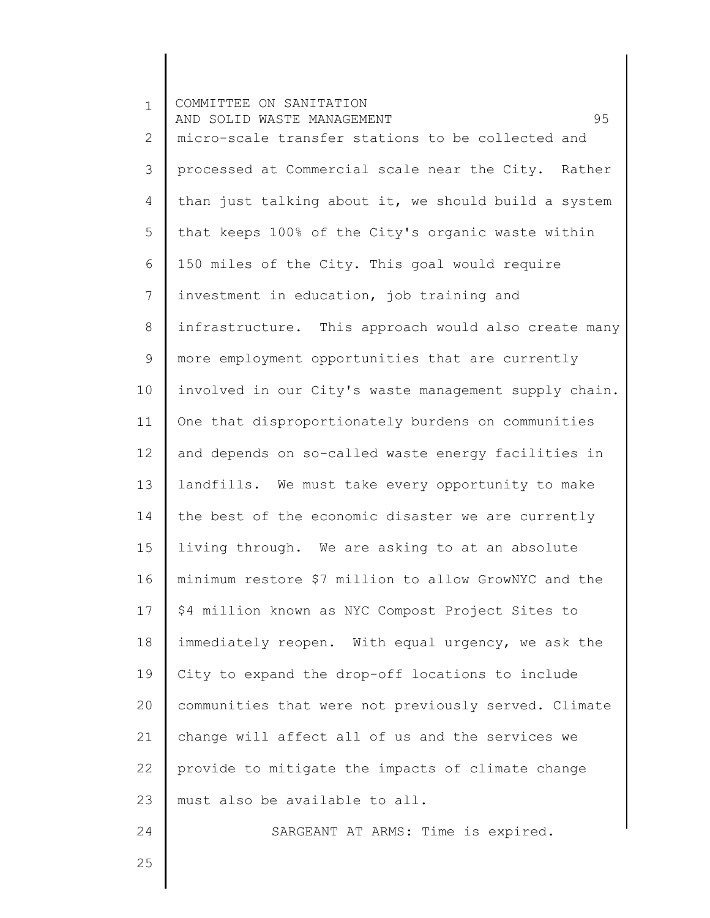1 2 3 4 5 6 7 8 9 10 11 12 13 14 15 16 17 18 19 20 21 22 23 24 25 COMMITTEE ON SANITATION AND SOLID WASTE MANAGEMENT 675 micro-scale transfer stations to be collected and processed at Commercial scale near the City. Rather than just talking about it, we should build a system that keeps 100% of the City's organic waste within 150 miles of the City. This goal would require investment in education, job training and infrastructure. This approach would also create many more employment opportunities that are currently involved in our City's waste management supply chain. One that disproportionately burdens on communities and depends on so-called waste energy facilities in landfills. We must take every opportunity to make the best of the economic disaster we are currently living through. We are asking to at an absolute minimum restore \$7 million to allow GrowNYC and the \$4 million known as NYC Compost Project Sites to immediately reopen. With equal urgency, we ask the City to expand the drop-off locations to include communities that were not previously served. Climate change will affect all of us and the services we provide to mitigate the impacts of climate change must also be available to all. SARGEANT AT ARMS: Time is expired.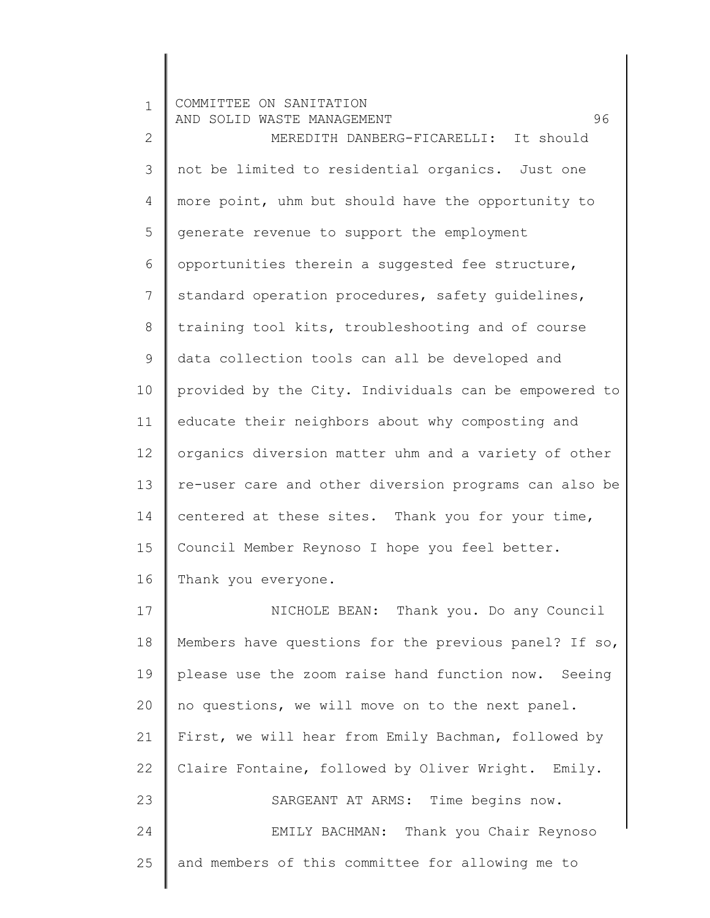1 2 3 4 5 6 7 8 9 10 11 12 13 14 15 16 17 18 19 20 21 22 23 24 25 COMMITTEE ON SANITATION AND SOLID WASTE MANAGEMENT 96 MEREDITH DANBERG-FICARELLI: It should not be limited to residential organics. Just one more point, uhm but should have the opportunity to generate revenue to support the employment opportunities therein a suggested fee structure, standard operation procedures, safety guidelines, training tool kits, troubleshooting and of course data collection tools can all be developed and provided by the City. Individuals can be empowered to educate their neighbors about why composting and organics diversion matter uhm and a variety of other re-user care and other diversion programs can also be centered at these sites. Thank you for your time, Council Member Reynoso I hope you feel better. Thank you everyone. NICHOLE BEAN: Thank you. Do any Council Members have questions for the previous panel? If so, please use the zoom raise hand function now. Seeing no questions, we will move on to the next panel. First, we will hear from Emily Bachman, followed by Claire Fontaine, followed by Oliver Wright. Emily. SARGEANT AT ARMS: Time begins now. EMILY BACHMAN: Thank you Chair Reynoso and members of this committee for allowing me to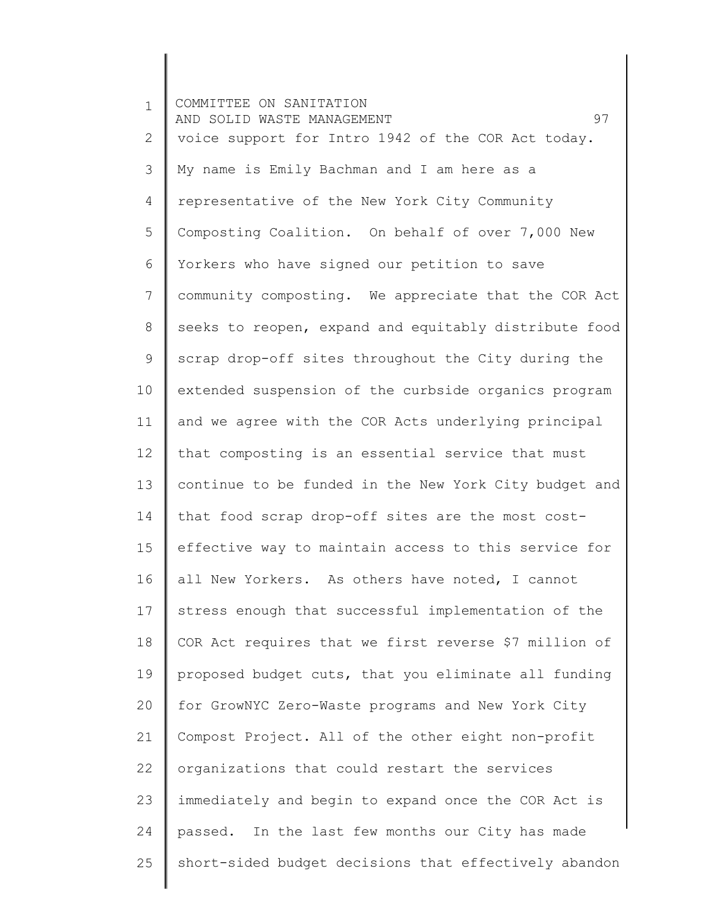1 2 3 4 5 6 7 8 9 10 11 12 13 14 15 16 17 18 19 20 21 22 23 24 25 COMMITTEE ON SANITATION AND SOLID WASTE MANAGEMENT 97 voice support for Intro 1942 of the COR Act today. My name is Emily Bachman and I am here as a representative of the New York City Community Composting Coalition. On behalf of over 7,000 New Yorkers who have signed our petition to save community composting. We appreciate that the COR Act seeks to reopen, expand and equitably distribute food scrap drop-off sites throughout the City during the extended suspension of the curbside organics program and we agree with the COR Acts underlying principal that composting is an essential service that must continue to be funded in the New York City budget and that food scrap drop-off sites are the most costeffective way to maintain access to this service for all New Yorkers. As others have noted, I cannot stress enough that successful implementation of the COR Act requires that we first reverse \$7 million of proposed budget cuts, that you eliminate all funding for GrowNYC Zero-Waste programs and New York City Compost Project. All of the other eight non-profit organizations that could restart the services immediately and begin to expand once the COR Act is passed. In the last few months our City has made short-sided budget decisions that effectively abandon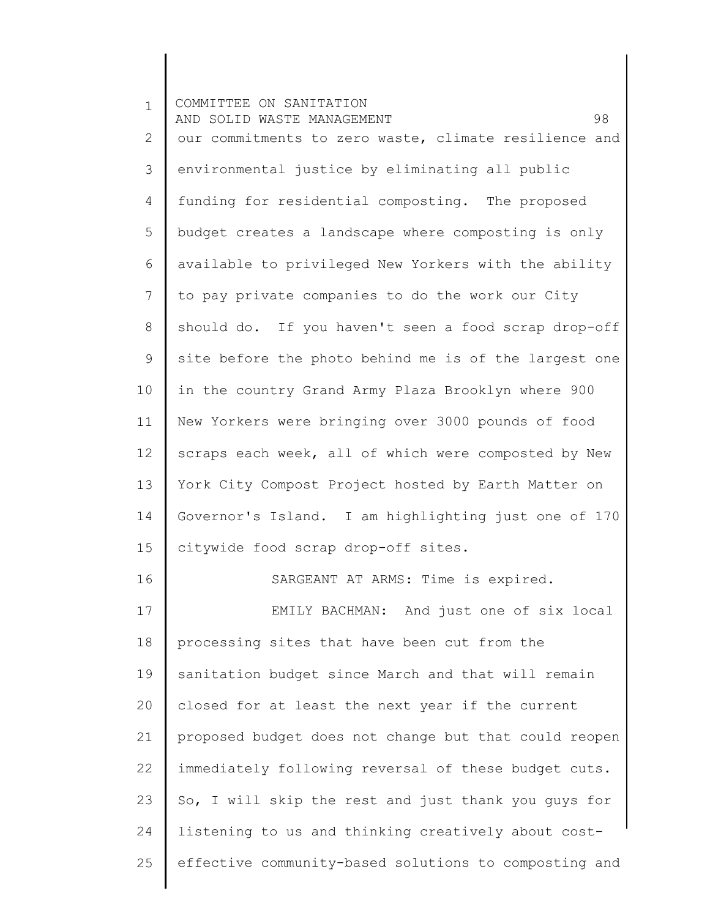1 2 3 4 5 6 7 8 9 10 11 12 13 14 15 16 17 18 19 20 21 22 23 24 25 COMMITTEE ON SANITATION AND SOLID WASTE MANAGEMENT 98 our commitments to zero waste, climate resilience and environmental justice by eliminating all public funding for residential composting. The proposed budget creates a landscape where composting is only available to privileged New Yorkers with the ability to pay private companies to do the work our City should do. If you haven't seen a food scrap drop-off site before the photo behind me is of the largest one in the country Grand Army Plaza Brooklyn where 900 New Yorkers were bringing over 3000 pounds of food scraps each week, all of which were composted by New York City Compost Project hosted by Earth Matter on Governor's Island. I am highlighting just one of 170 citywide food scrap drop-off sites. SARGEANT AT ARMS: Time is expired. EMILY BACHMAN: And just one of six local processing sites that have been cut from the sanitation budget since March and that will remain closed for at least the next year if the current proposed budget does not change but that could reopen immediately following reversal of these budget cuts. So, I will skip the rest and just thank you guys for listening to us and thinking creatively about costeffective community-based solutions to composting and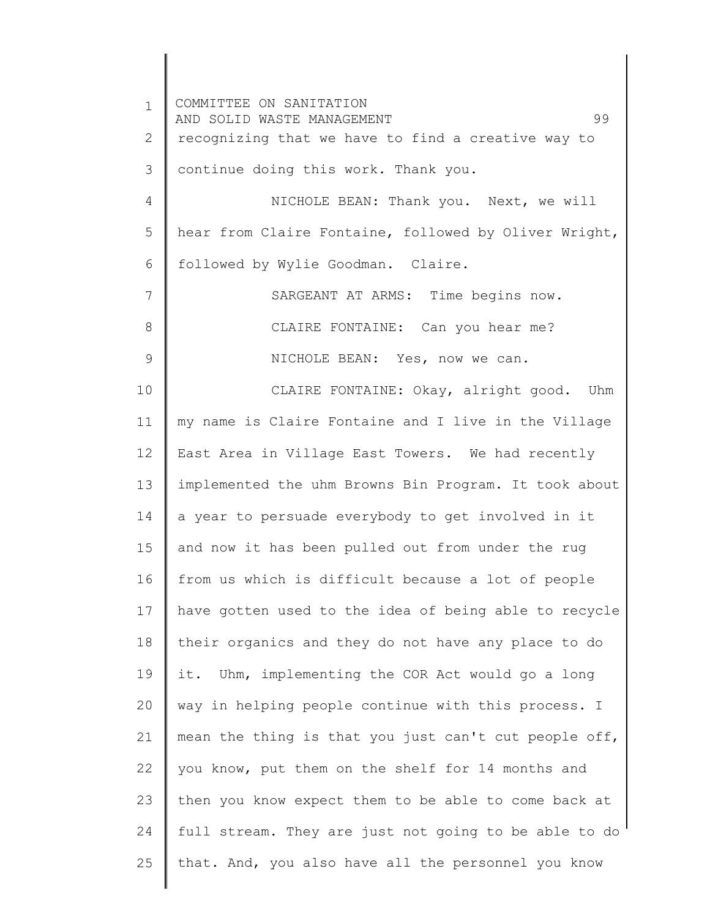1 2 3 4 5 6 7 8 9 10 11 12 13 14 15 16 17 18 19 20 21 22 23 24 25 COMMITTEE ON SANITATION AND SOLID WASTE MANAGEMENT 99 recognizing that we have to find a creative way to continue doing this work. Thank you. NICHOLE BEAN: Thank you. Next, we will hear from Claire Fontaine, followed by Oliver Wright, followed by Wylie Goodman. Claire. SARGEANT AT ARMS: Time begins now. CLAIRE FONTAINE: Can you hear me? NICHOLE BEAN: Yes, now we can. CLAIRE FONTAINE: Okay, alright good. Uhm my name is Claire Fontaine and I live in the Village East Area in Village East Towers. We had recently implemented the uhm Browns Bin Program. It took about a year to persuade everybody to get involved in it and now it has been pulled out from under the rug from us which is difficult because a lot of people have gotten used to the idea of being able to recycle their organics and they do not have any place to do it. Uhm, implementing the COR Act would go a long way in helping people continue with this process. I mean the thing is that you just can't cut people off, you know, put them on the shelf for 14 months and then you know expect them to be able to come back at full stream. They are just not going to be able to do that. And, you also have all the personnel you know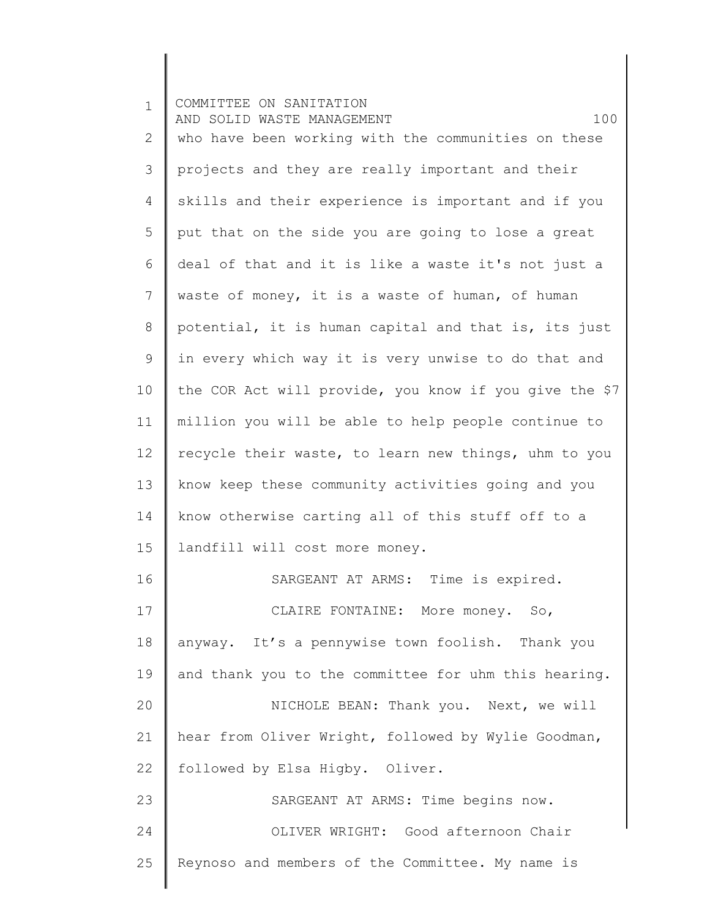1 2 3 4 5 6 7 8 9 10 11 12 13 14 15 16 17 18 19 20 21 22 23 24 25 COMMITTEE ON SANITATION AND SOLID WASTE MANAGEMENT 100 who have been working with the communities on these projects and they are really important and their skills and their experience is important and if you put that on the side you are going to lose a great deal of that and it is like a waste it's not just a waste of money, it is a waste of human, of human potential, it is human capital and that is, its just in every which way it is very unwise to do that and the COR Act will provide, you know if you give the \$7 million you will be able to help people continue to recycle their waste, to learn new things, uhm to you know keep these community activities going and you know otherwise carting all of this stuff off to a landfill will cost more money. SARGEANT AT ARMS: Time is expired. CLAIRE FONTAINE: More money. So, anyway. It's a pennywise town foolish. Thank you and thank you to the committee for uhm this hearing. NICHOLE BEAN: Thank you. Next, we will hear from Oliver Wright, followed by Wylie Goodman, followed by Elsa Higby. Oliver. SARGEANT AT ARMS: Time begins now. OLIVER WRIGHT: Good afternoon Chair Reynoso and members of the Committee. My name is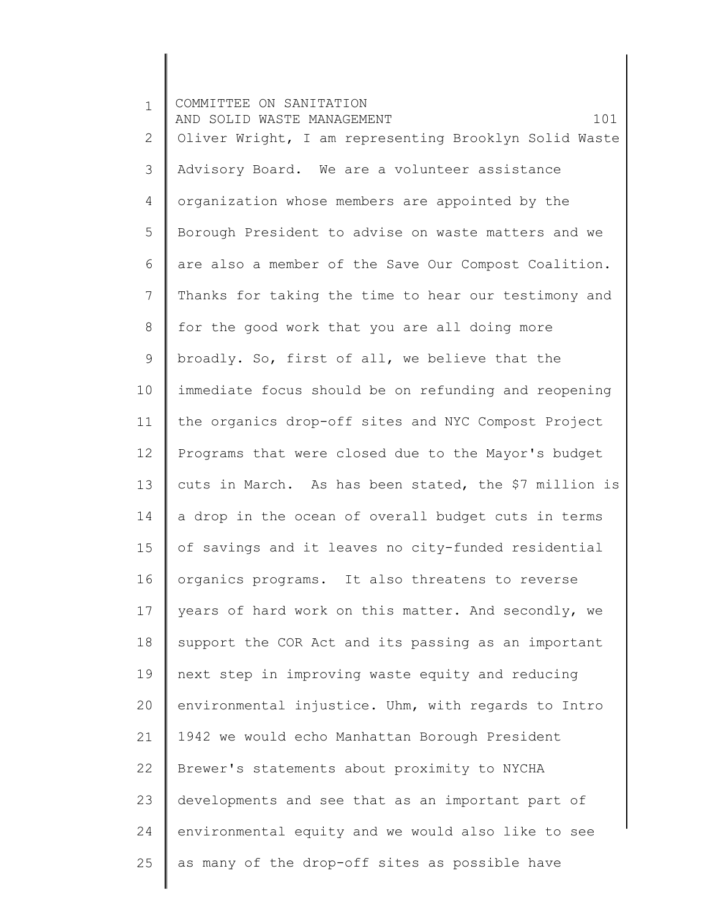1 2 3 4 5 6 7 8 9 10 11 12 13 14 15 16 17 18 19 20 21 22 23 24 25 COMMITTEE ON SANITATION AND SOLID WASTE MANAGEMENT 101 Oliver Wright, I am representing Brooklyn Solid Waste Advisory Board. We are a volunteer assistance organization whose members are appointed by the Borough President to advise on waste matters and we are also a member of the Save Our Compost Coalition. Thanks for taking the time to hear our testimony and for the good work that you are all doing more broadly. So, first of all, we believe that the immediate focus should be on refunding and reopening the organics drop-off sites and NYC Compost Project Programs that were closed due to the Mayor's budget cuts in March. As has been stated, the \$7 million is a drop in the ocean of overall budget cuts in terms of savings and it leaves no city-funded residential organics programs. It also threatens to reverse years of hard work on this matter. And secondly, we support the COR Act and its passing as an important next step in improving waste equity and reducing environmental injustice. Uhm, with regards to Intro 1942 we would echo Manhattan Borough President Brewer's statements about proximity to NYCHA developments and see that as an important part of environmental equity and we would also like to see as many of the drop-off sites as possible have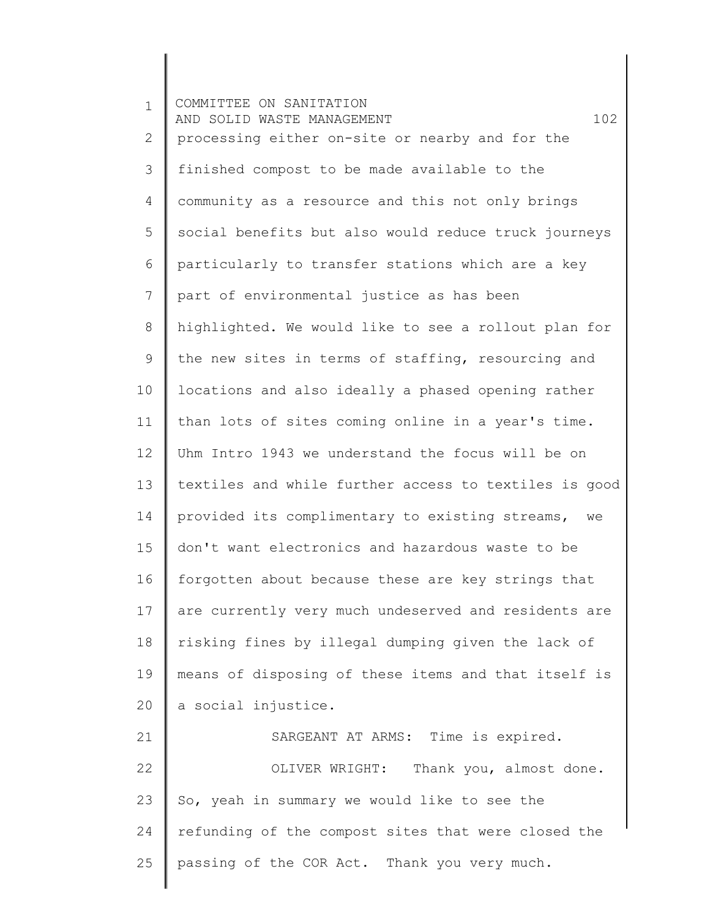1 2 3 4 5 6 7 8 9 10 11 12 13 14 15 16 17 18 19 20 21 22 23 24 25 COMMITTEE ON SANITATION AND SOLID WASTE MANAGEMENT 102 processing either on-site or nearby and for the finished compost to be made available to the community as a resource and this not only brings social benefits but also would reduce truck journeys particularly to transfer stations which are a key part of environmental justice as has been highlighted. We would like to see a rollout plan for the new sites in terms of staffing, resourcing and locations and also ideally a phased opening rather than lots of sites coming online in a year's time. Uhm Intro 1943 we understand the focus will be on textiles and while further access to textiles is good provided its complimentary to existing streams, we don't want electronics and hazardous waste to be forgotten about because these are key strings that are currently very much undeserved and residents are risking fines by illegal dumping given the lack of means of disposing of these items and that itself is a social injustice. SARGEANT AT ARMS: Time is expired. OLIVER WRIGHT: Thank you, almost done. So, yeah in summary we would like to see the refunding of the compost sites that were closed the passing of the COR Act. Thank you very much.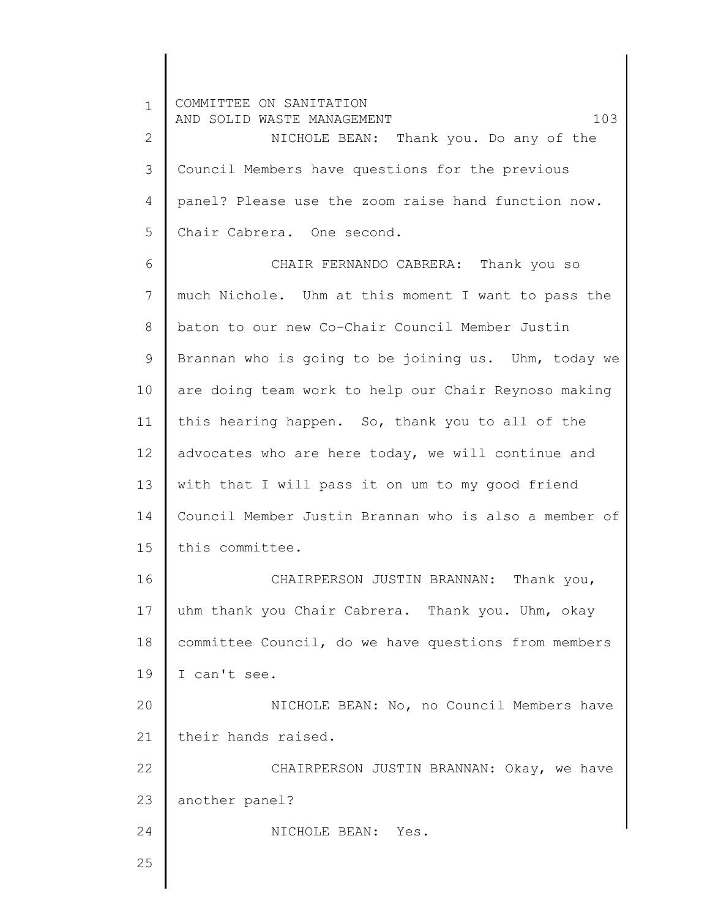1 2 3 4 5 6 7 8 9 10 11 12 13 14 15 16 17 18 19 20 21 22 23 24 25 COMMITTEE ON SANITATION AND SOLID WASTE MANAGEMENT 103 NICHOLE BEAN: Thank you. Do any of the Council Members have questions for the previous panel? Please use the zoom raise hand function now. Chair Cabrera. One second. CHAIR FERNANDO CABRERA: Thank you so much Nichole. Uhm at this moment I want to pass the baton to our new Co-Chair Council Member Justin Brannan who is going to be joining us. Uhm, today we are doing team work to help our Chair Reynoso making this hearing happen. So, thank you to all of the advocates who are here today, we will continue and with that I will pass it on um to my good friend Council Member Justin Brannan who is also a member of this committee. CHAIRPERSON JUSTIN BRANNAN: Thank you, uhm thank you Chair Cabrera. Thank you. Uhm, okay committee Council, do we have questions from members I can't see. NICHOLE BEAN: No, no Council Members have their hands raised. CHAIRPERSON JUSTIN BRANNAN: Okay, we have another panel? NICHOLE BEAN: Yes.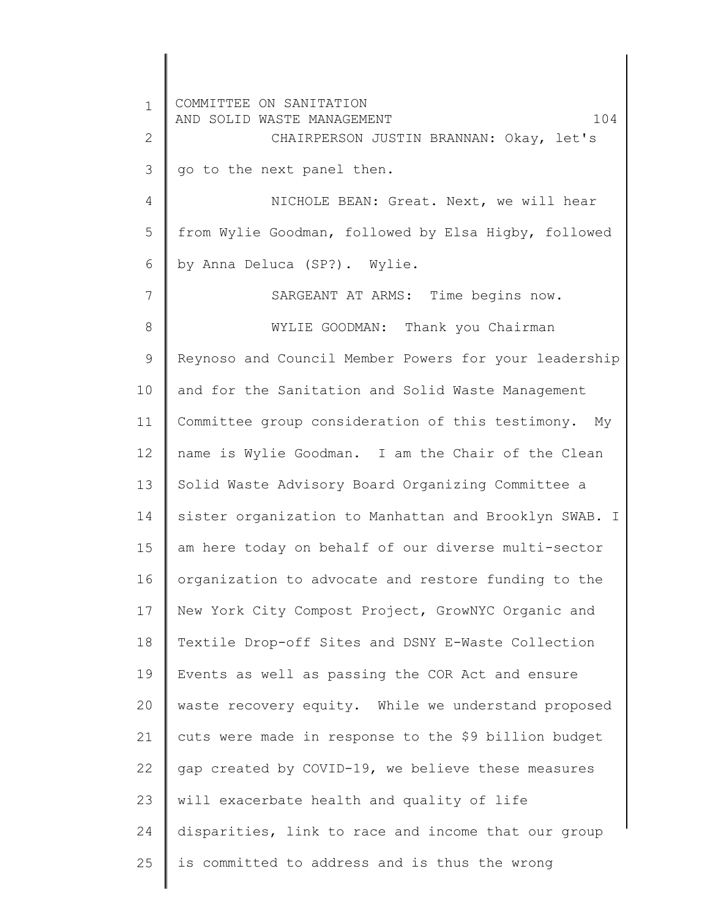1 2 3 4 5 6 7 8 9 10 11 12 13 14 15 16 17 18 19 20 21 22 23 24 25 COMMITTEE ON SANITATION AND SOLID WASTE MANAGEMENT 104 CHAIRPERSON JUSTIN BRANNAN: Okay, let's go to the next panel then. NICHOLE BEAN: Great. Next, we will hear from Wylie Goodman, followed by Elsa Higby, followed by Anna Deluca (SP?). Wylie. SARGEANT AT ARMS: Time begins now. WYLIE GOODMAN: Thank you Chairman Reynoso and Council Member Powers for your leadership and for the Sanitation and Solid Waste Management Committee group consideration of this testimony. My name is Wylie Goodman. I am the Chair of the Clean Solid Waste Advisory Board Organizing Committee a sister organization to Manhattan and Brooklyn SWAB. I am here today on behalf of our diverse multi-sector organization to advocate and restore funding to the New York City Compost Project, GrowNYC Organic and Textile Drop-off Sites and DSNY E-Waste Collection Events as well as passing the COR Act and ensure waste recovery equity. While we understand proposed cuts were made in response to the \$9 billion budget gap created by COVID-19, we believe these measures will exacerbate health and quality of life disparities, link to race and income that our group is committed to address and is thus the wrong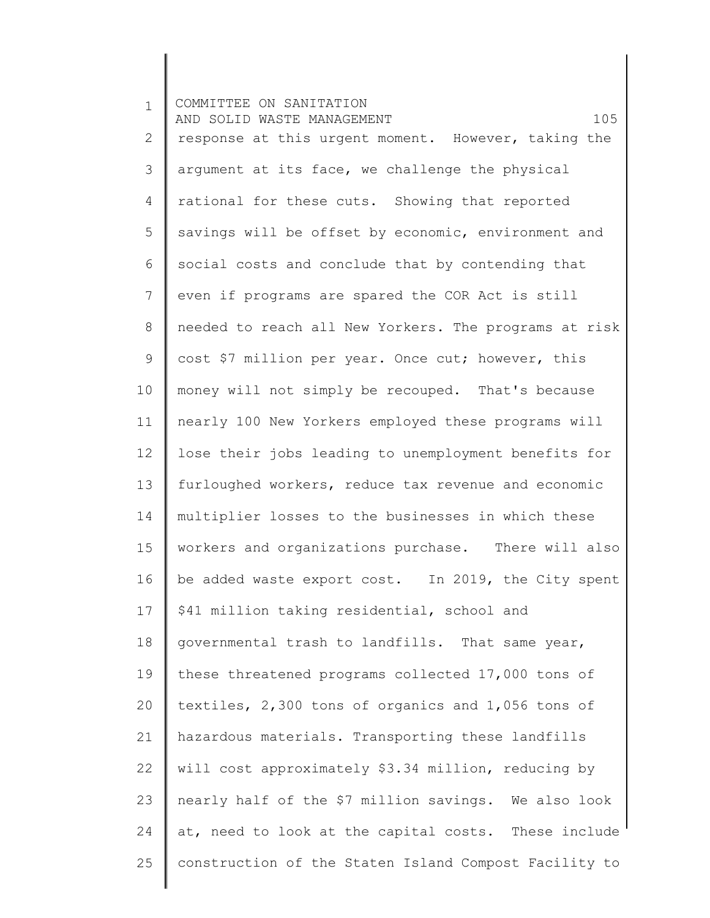1 2 3 4 5 6 7 8 9 10 11 12 13 14 15 16 17 18 19 20 21 22 23 24 25 COMMITTEE ON SANITATION AND SOLID WASTE MANAGEMENT 105 response at this urgent moment. However, taking the argument at its face, we challenge the physical rational for these cuts. Showing that reported savings will be offset by economic, environment and social costs and conclude that by contending that even if programs are spared the COR Act is still needed to reach all New Yorkers. The programs at risk cost \$7 million per year. Once cut; however, this money will not simply be recouped. That's because nearly 100 New Yorkers employed these programs will lose their jobs leading to unemployment benefits for furloughed workers, reduce tax revenue and economic multiplier losses to the businesses in which these workers and organizations purchase. There will also be added waste export cost. In 2019, the City spent \$41 million taking residential, school and governmental trash to landfills. That same year, these threatened programs collected 17,000 tons of textiles, 2,300 tons of organics and 1,056 tons of hazardous materials. Transporting these landfills will cost approximately \$3.34 million, reducing by nearly half of the \$7 million savings. We also look at, need to look at the capital costs. These include construction of the Staten Island Compost Facility to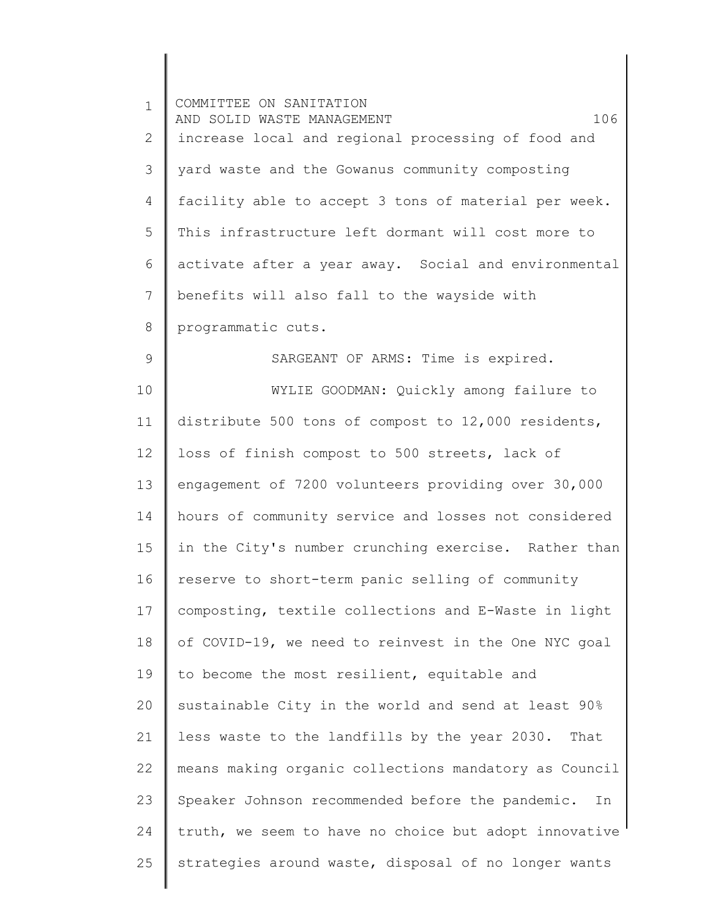| $\mathbf{1}$ | COMMITTEE ON SANITATION<br>106<br>AND SOLID WASTE MANAGEMENT |
|--------------|--------------------------------------------------------------|
| 2            | increase local and regional processing of food and           |
| 3            | yard waste and the Gowanus community composting              |
| 4            | facility able to accept 3 tons of material per week.         |
| 5            | This infrastructure left dormant will cost more to           |
| 6            | activate after a year away. Social and environmental         |
| 7            | benefits will also fall to the wayside with                  |
| 8            | programmatic cuts.                                           |
| 9            | SARGEANT OF ARMS: Time is expired.                           |
| 10           | WYLIE GOODMAN: Quickly among failure to                      |
| 11           | distribute 500 tons of compost to 12,000 residents,          |
| 12           | loss of finish compost to 500 streets, lack of               |
| 13           | engagement of 7200 volunteers providing over 30,000          |
| 14           | hours of community service and losses not considered         |
| 15           | in the City's number crunching exercise. Rather than         |
| 16           | reserve to short-term panic selling of community             |
| 17           | composting, textile collections and E-Waste in light         |
| 18           | of COVID-19, we need to reinvest in the One NYC goal         |
| 19           | to become the most resilient, equitable and                  |
| 20           | sustainable City in the world and send at least 90%          |
| 21           | less waste to the landfills by the year 2030. That           |
| 22           | means making organic collections mandatory as Council        |
| 23           | Speaker Johnson recommended before the pandemic.<br>In       |
| 24           | truth, we seem to have no choice but adopt innovative        |
| 25           | strategies around waste, disposal of no longer wants         |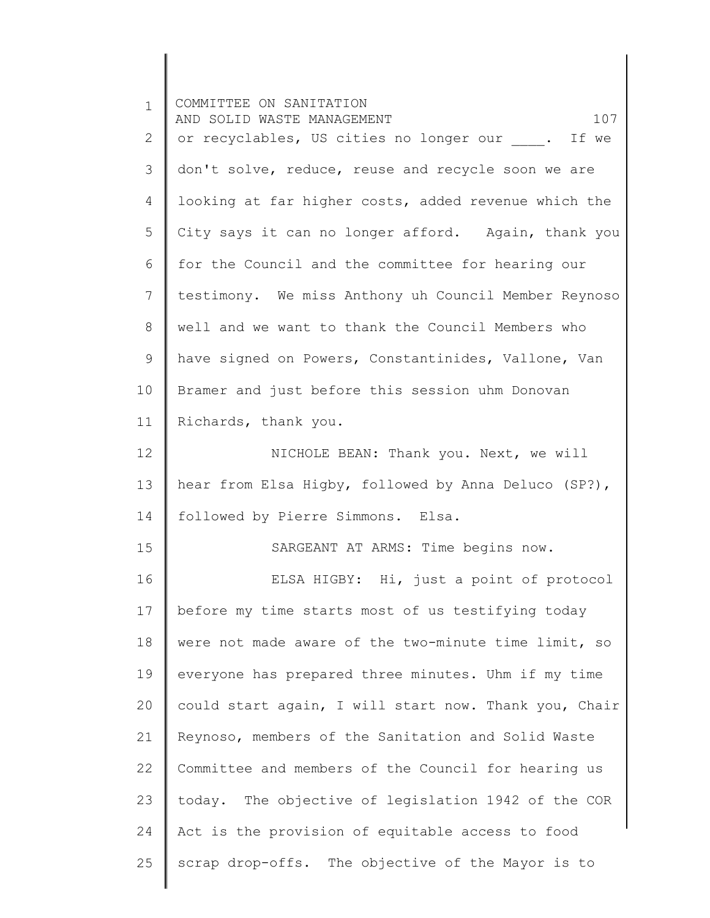| $\mathbf{1}$ | COMMITTEE ON SANITATION<br>107<br>AND SOLID WASTE MANAGEMENT |
|--------------|--------------------------------------------------------------|
| 2            | or recyclables, US cities no longer our . If we              |
| 3            | don't solve, reduce, reuse and recycle soon we are           |
| 4            | looking at far higher costs, added revenue which the         |
| 5            | City says it can no longer afford. Again, thank you          |
| 6            | for the Council and the committee for hearing our            |
| 7            | testimony. We miss Anthony uh Council Member Reynoso         |
| 8            | well and we want to thank the Council Members who            |
| 9            | have signed on Powers, Constantinides, Vallone, Van          |
| 10           | Bramer and just before this session uhm Donovan              |
| 11           | Richards, thank you.                                         |
| 12           | NICHOLE BEAN: Thank you. Next, we will                       |
| 13           | hear from Elsa Higby, followed by Anna Deluco (SP?),         |
| 14           | followed by Pierre Simmons. Elsa.                            |
| 15           | SARGEANT AT ARMS: Time begins now.                           |
| 16           | ELSA HIGBY: Hi, just a point of protocol                     |
| 17           | before my time starts most of us testifying today            |
| 18           | were not made aware of the two-minute time limit, so         |
| 19           | everyone has prepared three minutes. Uhm if my time          |
| 20           | could start again, I will start now. Thank you, Chair        |
| 21           | Reynoso, members of the Sanitation and Solid Waste           |
| 22           | Committee and members of the Council for hearing us          |
| 23           | today. The objective of legislation 1942 of the COR          |
| 24           | Act is the provision of equitable access to food             |
| 25           | scrap drop-offs. The objective of the Mayor is to            |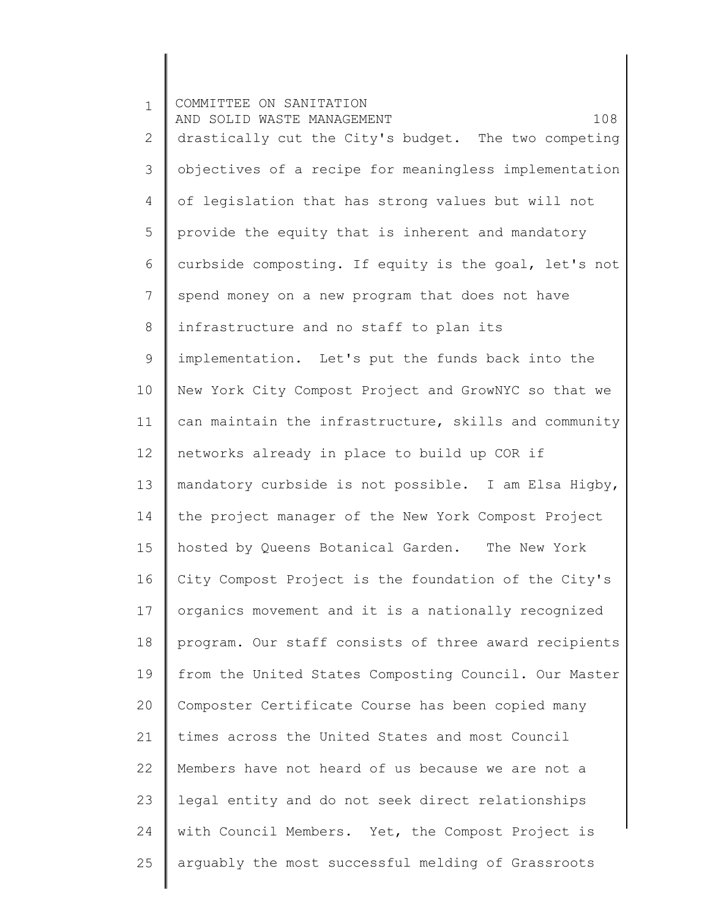1 2 3 4 5 6 7 8 9 10 11 12 13 14 15 16 17 18 19 20 21 22 23 24 25 COMMITTEE ON SANITATION AND SOLID WASTE MANAGEMENT 108 drastically cut the City's budget. The two competing objectives of a recipe for meaningless implementation of legislation that has strong values but will not provide the equity that is inherent and mandatory curbside composting. If equity is the goal, let's not spend money on a new program that does not have infrastructure and no staff to plan its implementation. Let's put the funds back into the New York City Compost Project and GrowNYC so that we can maintain the infrastructure, skills and community networks already in place to build up COR if mandatory curbside is not possible. I am Elsa Higby, the project manager of the New York Compost Project hosted by Queens Botanical Garden. The New York City Compost Project is the foundation of the City's organics movement and it is a nationally recognized program. Our staff consists of three award recipients from the United States Composting Council. Our Master Composter Certificate Course has been copied many times across the United States and most Council Members have not heard of us because we are not a legal entity and do not seek direct relationships with Council Members. Yet, the Compost Project is arguably the most successful melding of Grassroots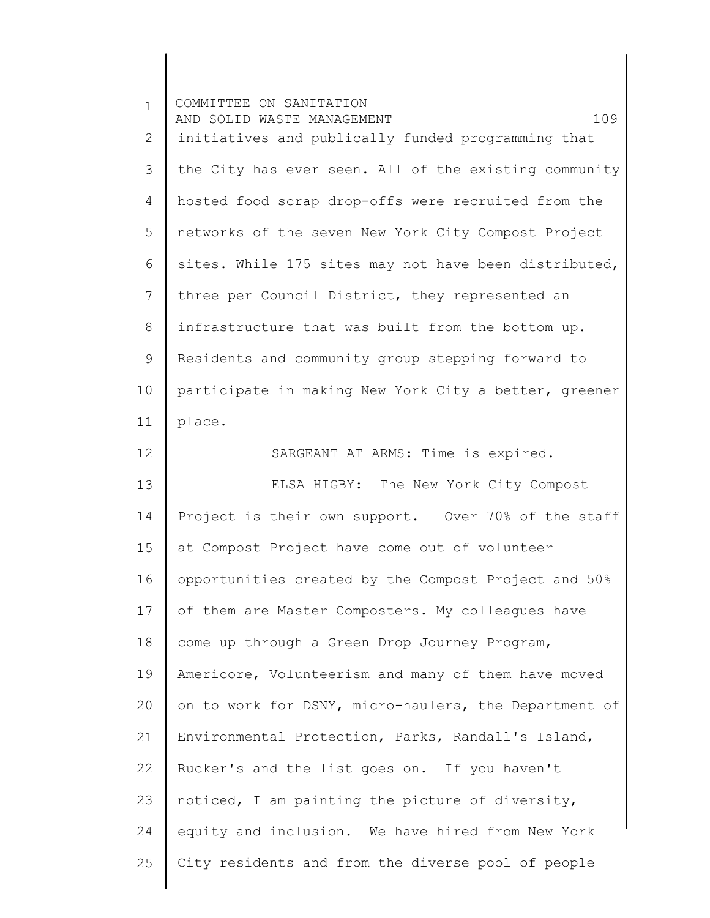| $\mathbf 1$ | COMMITTEE ON SANITATION<br>109<br>AND SOLID WASTE MANAGEMENT |
|-------------|--------------------------------------------------------------|
| 2           | initiatives and publically funded programming that           |
| 3           | the City has ever seen. All of the existing community        |
| 4           | hosted food scrap drop-offs were recruited from the          |
| 5           | networks of the seven New York City Compost Project          |
| 6           | sites. While 175 sites may not have been distributed,        |
| 7           | three per Council District, they represented an              |
| 8           | infrastructure that was built from the bottom up.            |
| 9           | Residents and community group stepping forward to            |
| 10          | participate in making New York City a better, greener        |
| 11          | place.                                                       |
| 12          | SARGEANT AT ARMS: Time is expired.                           |
| 13          | ELSA HIGBY: The New York City Compost                        |
| 14          | Project is their own support. Over 70% of the staff          |
| 15          | at Compost Project have come out of volunteer                |
| 16          | opportunities created by the Compost Project and 50%         |
| 17          | of them are Master Composters. My colleagues have            |
| 18          | come up through a Green Drop Journey Program,                |
| 19          | Americore, Volunteerism and many of them have moved          |
| 20          | on to work for DSNY, micro-haulers, the Department of        |
| 21          | Environmental Protection, Parks, Randall's Island,           |
| 22          | Rucker's and the list goes on. If you haven't                |
| 23          | noticed, I am painting the picture of diversity,             |
| 24          | equity and inclusion. We have hired from New York            |
| 25          | City residents and from the diverse pool of people           |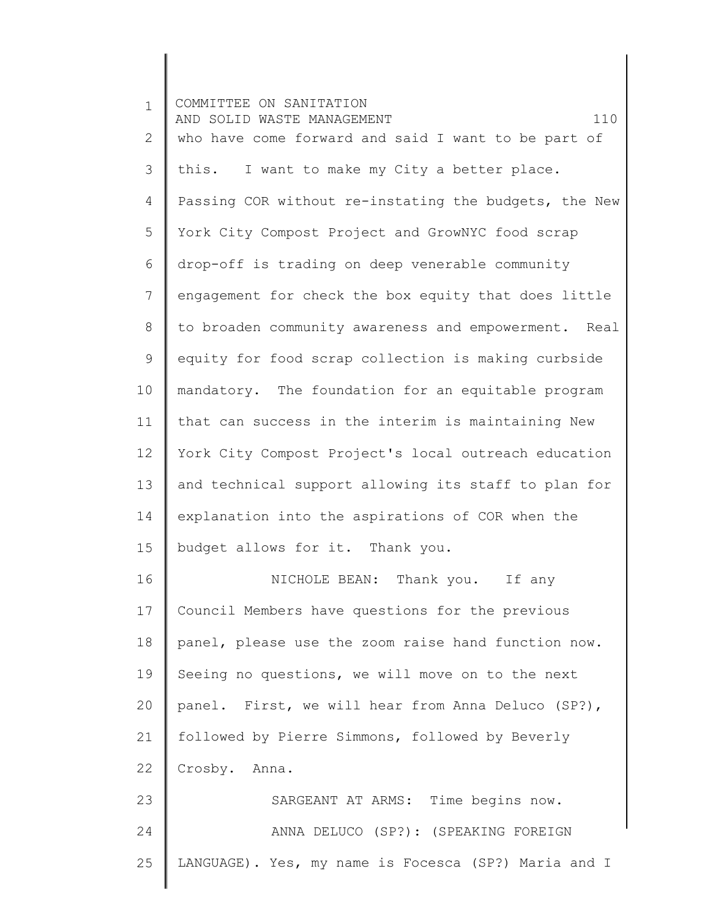| $\mathbf{1}$ | COMMITTEE ON SANITATION<br>110<br>AND SOLID WASTE MANAGEMENT |
|--------------|--------------------------------------------------------------|
| 2            | who have come forward and said I want to be part of          |
| 3            | I want to make my City a better place.<br>this.              |
| 4            | Passing COR without re-instating the budgets, the New        |
| 5            | York City Compost Project and GrowNYC food scrap             |
| 6            | drop-off is trading on deep venerable community              |
| 7            | engagement for check the box equity that does little         |
| 8            | to broaden community awareness and empowerment. Real         |
| 9            | equity for food scrap collection is making curbside          |
| 10           | mandatory. The foundation for an equitable program           |
| 11           | that can success in the interim is maintaining New           |
| 12           | York City Compost Project's local outreach education         |
| 13           | and technical support allowing its staff to plan for         |
| 14           | explanation into the aspirations of COR when the             |
| 15           | budget allows for it. Thank you.                             |
| 16           | NICHOLE BEAN: Thank you. If any                              |
| 17           | Council Members have questions for the previous              |
| 18           | panel, please use the zoom raise hand function now.          |
| 19           | Seeing no questions, we will move on to the next             |
| 20           | panel. First, we will hear from Anna Deluco (SP?),           |
| 21           | followed by Pierre Simmons, followed by Beverly              |
| 22           | Crosby. Anna.                                                |
| 23           | SARGEANT AT ARMS: Time begins now.                           |
| 24           | ANNA DELUCO (SP?): (SPEAKING FOREIGN                         |
| 25           | LANGUAGE). Yes, my name is Focesca (SP?) Maria and I         |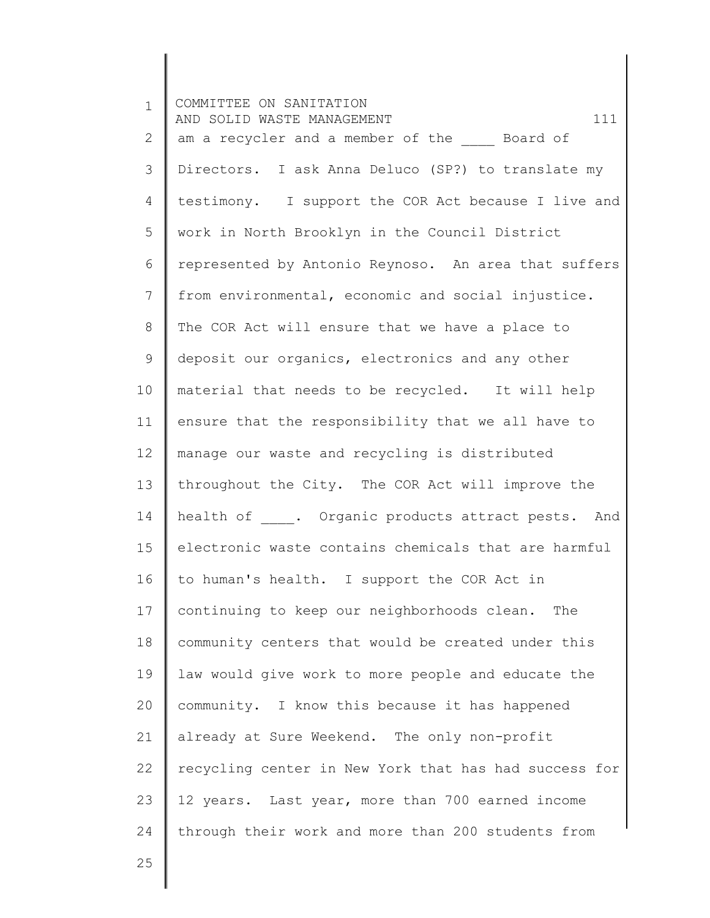1 2 3 4 5 6 7 8 9 10 11 12 13 14 15 16 17 18 19 20 21 22 23 24 COMMITTEE ON SANITATION AND SOLID WASTE MANAGEMENT 111 am a recycler and a member of the Board of Directors. I ask Anna Deluco (SP?) to translate my testimony. I support the COR Act because I live and work in North Brooklyn in the Council District represented by Antonio Reynoso. An area that suffers from environmental, economic and social injustice. The COR Act will ensure that we have a place to deposit our organics, electronics and any other material that needs to be recycled. It will help ensure that the responsibility that we all have to manage our waste and recycling is distributed throughout the City. The COR Act will improve the health of . Organic products attract pests. And electronic waste contains chemicals that are harmful to human's health. I support the COR Act in continuing to keep our neighborhoods clean. The community centers that would be created under this law would give work to more people and educate the community. I know this because it has happened already at Sure Weekend. The only non-profit recycling center in New York that has had success for 12 years. Last year, more than 700 earned income through their work and more than 200 students from

25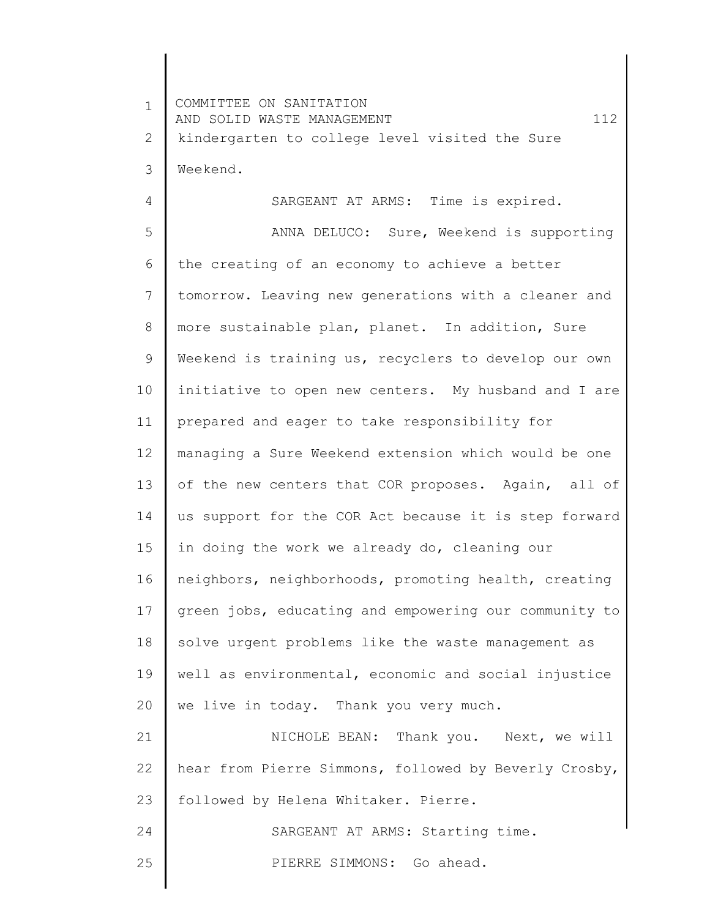1 2 3 4 5 6 7 8 9 10 11 12 13 14 15 16 17 18 19 20 21 22 23 24 25 COMMITTEE ON SANITATION AND SOLID WASTE MANAGEMENT 112 kindergarten to college level visited the Sure Weekend. SARGEANT AT ARMS: Time is expired. ANNA DELUCO: Sure, Weekend is supporting the creating of an economy to achieve a better tomorrow. Leaving new generations with a cleaner and more sustainable plan, planet. In addition, Sure Weekend is training us, recyclers to develop our own initiative to open new centers. My husband and I are prepared and eager to take responsibility for managing a Sure Weekend extension which would be one of the new centers that COR proposes. Again, all of us support for the COR Act because it is step forward in doing the work we already do, cleaning our neighbors, neighborhoods, promoting health, creating green jobs, educating and empowering our community to solve urgent problems like the waste management as well as environmental, economic and social injustice we live in today. Thank you very much. NICHOLE BEAN: Thank you. Next, we will hear from Pierre Simmons, followed by Beverly Crosby, followed by Helena Whitaker. Pierre. SARGEANT AT ARMS: Starting time. PIERRE SIMMONS: Go ahead.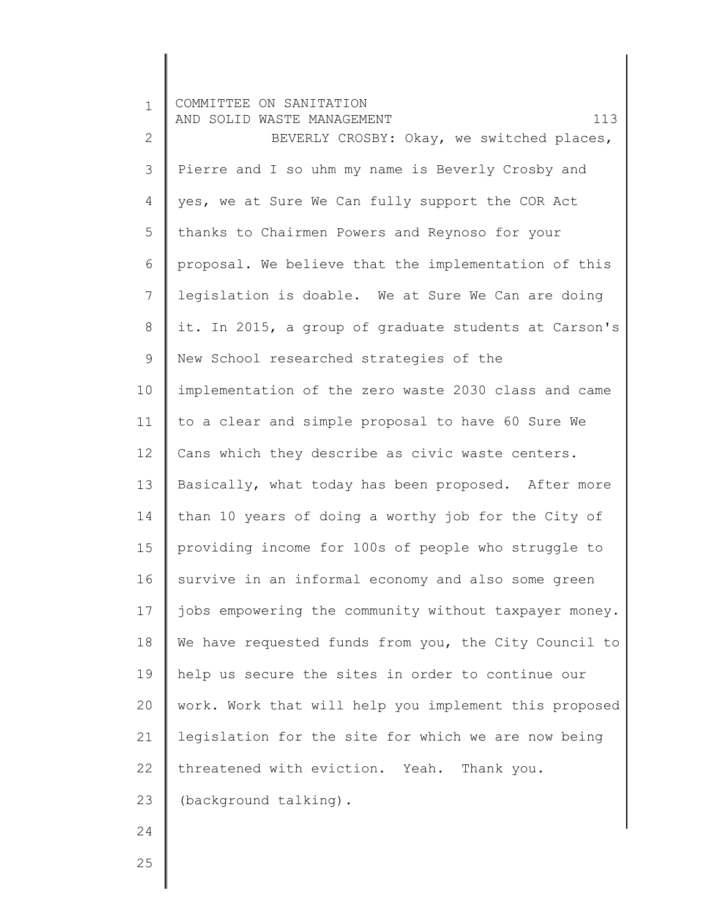| $\mathbf 1$    | COMMITTEE ON SANITATION<br>AND SOLID WASTE MANAGEMENT<br>113 |
|----------------|--------------------------------------------------------------|
| $\mathbf{2}$   | BEVERLY CROSBY: Okay, we switched places,                    |
| 3              | Pierre and I so uhm my name is Beverly Crosby and            |
| 4              | yes, we at Sure We Can fully support the COR Act             |
| 5              | thanks to Chairmen Powers and Reynoso for your               |
| 6              | proposal. We believe that the implementation of this         |
| $\overline{7}$ | legislation is doable. We at Sure We Can are doing           |
| $8\,$          | it. In 2015, a group of graduate students at Carson's        |
| $\mathsf 9$    | New School researched strategies of the                      |
| 10             | implementation of the zero waste 2030 class and came         |
| 11             | to a clear and simple proposal to have 60 Sure We            |
| 12             | Cans which they describe as civic waste centers.             |
| 13             | Basically, what today has been proposed. After more          |
| 14             | than 10 years of doing a worthy job for the City of          |
| 15             | providing income for 100s of people who struggle to          |
| 16             | survive in an informal economy and also some green           |
| 17             | jobs empowering the community without taxpayer money.        |
| 18             | We have requested funds from you, the City Council to        |
| 19             | help us secure the sites in order to continue our            |
| 20             | work. Work that will help you implement this proposed        |
| 21             | legislation for the site for which we are now being          |
| 22             | threatened with eviction. Yeah.<br>Thank you.                |
| 23             | (background talking).                                        |
| 24             |                                                              |
| 25             |                                                              |

25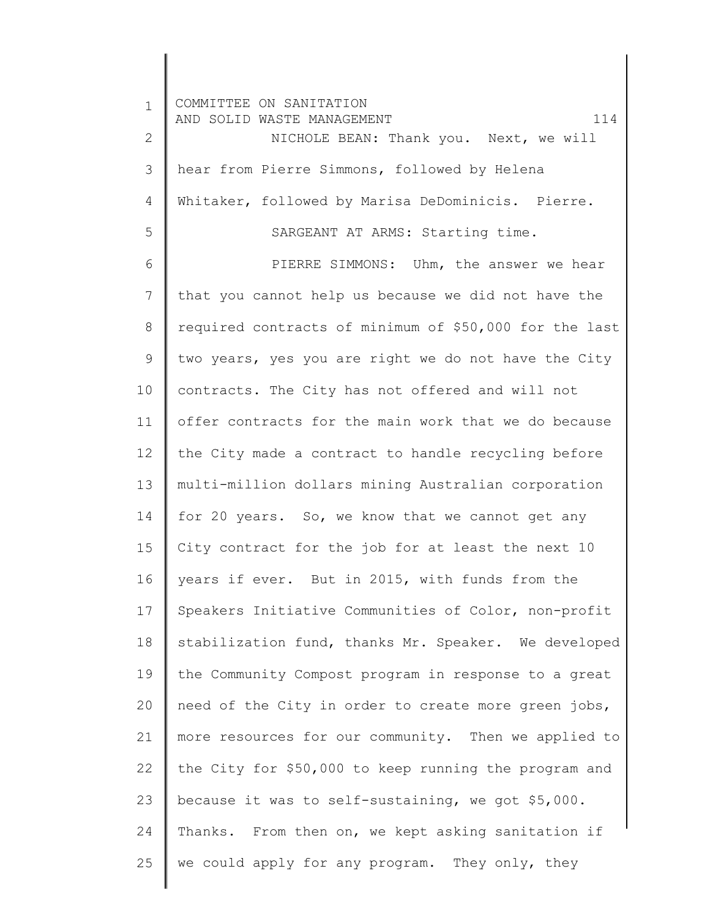1 2 3 4 5 6 7 8 9 10 11 12 13 14 15 16 17 18 19 20 21 22 23 24 25 COMMITTEE ON SANITATION AND SOLID WASTE MANAGEMENT THE SOLID THAT IT A NICHOLE BEAN: Thank you. Next, we will hear from Pierre Simmons, followed by Helena Whitaker, followed by Marisa DeDominicis. Pierre. SARGEANT AT ARMS: Starting time. PIERRE SIMMONS: Uhm, the answer we hear that you cannot help us because we did not have the required contracts of minimum of \$50,000 for the last two years, yes you are right we do not have the City contracts. The City has not offered and will not offer contracts for the main work that we do because the City made a contract to handle recycling before multi-million dollars mining Australian corporation for 20 years. So, we know that we cannot get any City contract for the job for at least the next 10 years if ever. But in 2015, with funds from the Speakers Initiative Communities of Color, non-profit stabilization fund, thanks Mr. Speaker. We developed the Community Compost program in response to a great need of the City in order to create more green jobs, more resources for our community. Then we applied to the City for \$50,000 to keep running the program and because it was to self-sustaining, we got \$5,000. Thanks. From then on, we kept asking sanitation if we could apply for any program. They only, they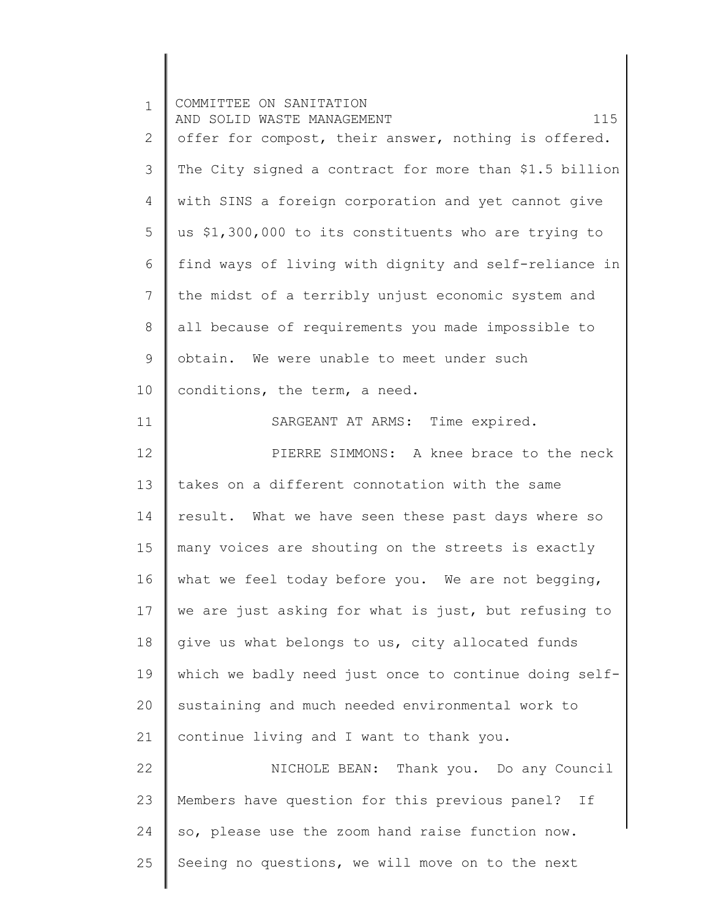| $\mathbf{1}$ | COMMITTEE ON SANITATION<br>115<br>AND SOLID WASTE MANAGEMENT |
|--------------|--------------------------------------------------------------|
| 2            | offer for compost, their answer, nothing is offered.         |
| 3            | The City signed a contract for more than \$1.5 billion       |
| 4            | with SINS a foreign corporation and yet cannot give          |
| 5            | us \$1,300,000 to its constituents who are trying to         |
| 6            | find ways of living with dignity and self-reliance in        |
| 7            | the midst of a terribly unjust economic system and           |
| 8            | all because of requirements you made impossible to           |
| 9            | obtain. We were unable to meet under such                    |
| 10           | conditions, the term, a need.                                |
| 11           | SARGEANT AT ARMS: Time expired.                              |
| 12           | PIERRE SIMMONS: A knee brace to the neck                     |
| 13           | takes on a different connotation with the same               |
| 14           | result. What we have seen these past days where so           |
| 15           | many voices are shouting on the streets is exactly           |
| 16           | what we feel today before you. We are not begging,           |
| 17           | we are just asking for what is just, but refusing to         |
| 18           | give us what belongs to us, city allocated funds             |
| 19           | which we badly need just once to continue doing self-        |
| 20           | sustaining and much needed environmental work to             |
| 21           | continue living and I want to thank you.                     |
| 22           | NICHOLE BEAN: Thank you. Do any Council                      |
| 23           | Members have question for this previous panel? If            |
| 24           | so, please use the zoom hand raise function now.             |
| 25           | Seeing no questions, we will move on to the next             |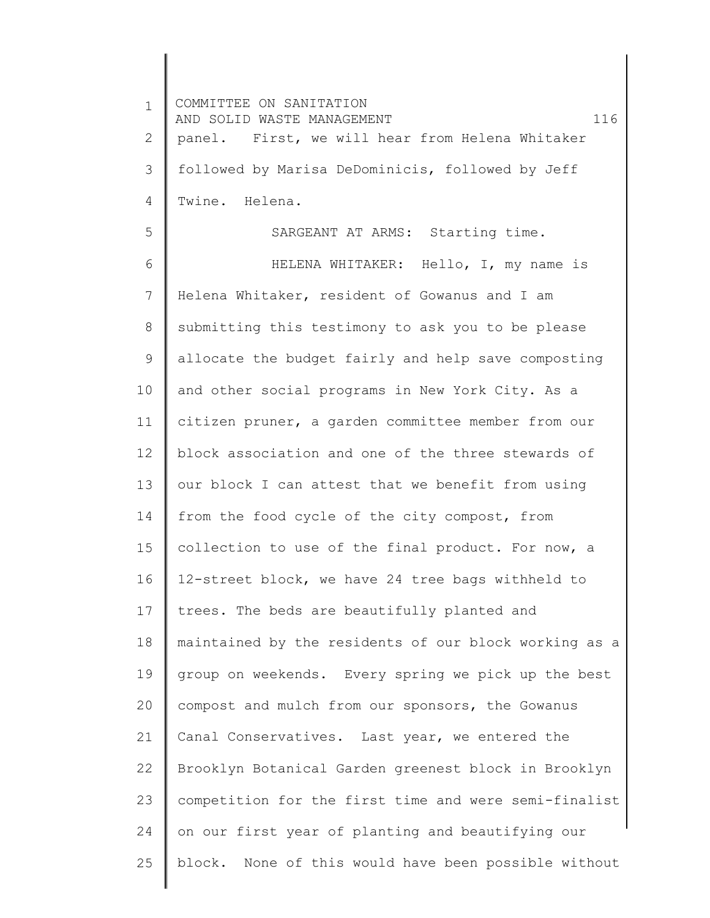1 2 3 4 5 6 7 8 9 10 11 12 13 14 15 16 17 18 19 20 21 22 23 24 25 COMMITTEE ON SANITATION AND SOLID WASTE MANAGEMENT 116 panel. First, we will hear from Helena Whitaker followed by Marisa DeDominicis, followed by Jeff Twine. Helena. SARGEANT AT ARMS: Starting time. HELENA WHITAKER: Hello, I, my name is Helena Whitaker, resident of Gowanus and I am submitting this testimony to ask you to be please allocate the budget fairly and help save composting and other social programs in New York City. As a citizen pruner, a garden committee member from our block association and one of the three stewards of our block I can attest that we benefit from using from the food cycle of the city compost, from collection to use of the final product. For now, a 12-street block, we have 24 tree bags withheld to trees. The beds are beautifully planted and maintained by the residents of our block working as a group on weekends. Every spring we pick up the best compost and mulch from our sponsors, the Gowanus Canal Conservatives. Last year, we entered the Brooklyn Botanical Garden greenest block in Brooklyn competition for the first time and were semi-finalist on our first year of planting and beautifying our block. None of this would have been possible without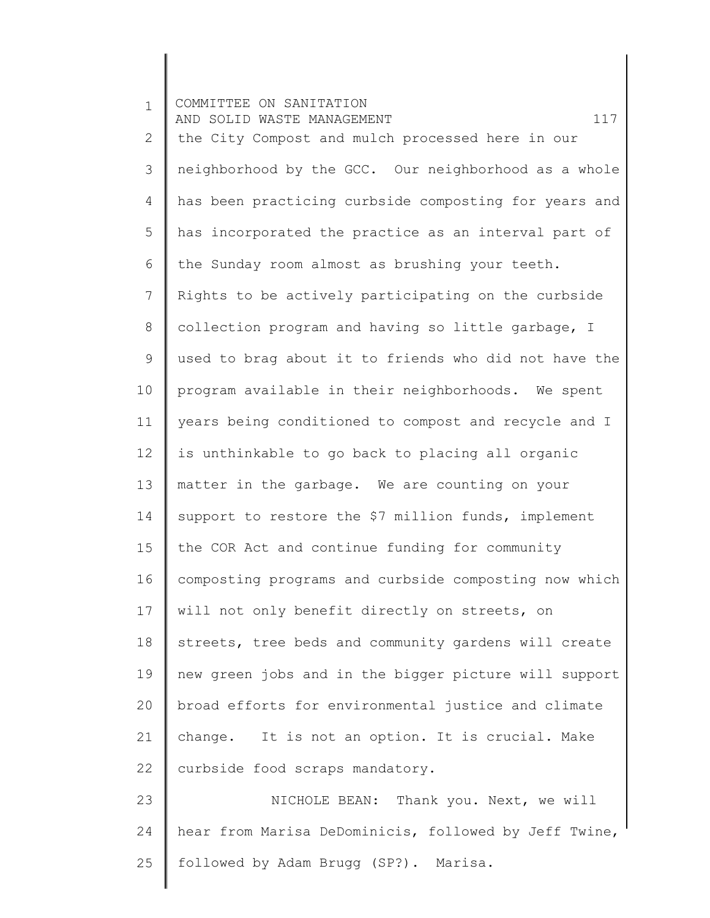1 2 3 4 5 6 7 8 9 10 11 12 13 14 15 16 17 18 19 20 21 22 23 24 25 COMMITTEE ON SANITATION AND SOLID WASTE MANAGEMENT 117 the City Compost and mulch processed here in our neighborhood by the GCC. Our neighborhood as a whole has been practicing curbside composting for years and has incorporated the practice as an interval part of the Sunday room almost as brushing your teeth. Rights to be actively participating on the curbside collection program and having so little garbage, I used to brag about it to friends who did not have the program available in their neighborhoods. We spent years being conditioned to compost and recycle and I is unthinkable to go back to placing all organic matter in the garbage. We are counting on your support to restore the \$7 million funds, implement the COR Act and continue funding for community composting programs and curbside composting now which will not only benefit directly on streets, on streets, tree beds and community gardens will create new green jobs and in the bigger picture will support broad efforts for environmental justice and climate change. It is not an option. It is crucial. Make curbside food scraps mandatory. NICHOLE BEAN: Thank you. Next, we will hear from Marisa DeDominicis, followed by Jeff Twine, followed by Adam Brugg (SP?). Marisa.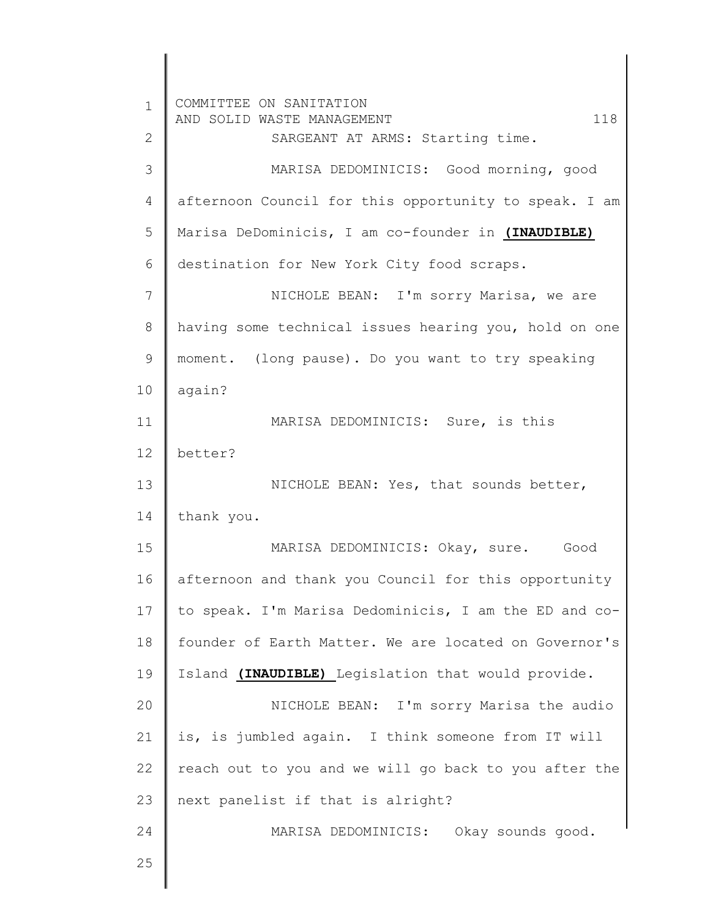1 2 3 4 5 6 7 8 9 10 11 12 13 14 15 16 17 18 19 20 21 22 23 24 25 COMMITTEE ON SANITATION AND SOLID WASTE MANAGEMENT 118 SARGEANT AT ARMS: Starting time. MARISA DEDOMINICIS: Good morning, good afternoon Council for this opportunity to speak. I am Marisa DeDominicis, I am co-founder in **(INAUDIBLE)**  destination for New York City food scraps. NICHOLE BEAN: I'm sorry Marisa, we are having some technical issues hearing you, hold on one moment. (long pause). Do you want to try speaking again? MARISA DEDOMINICIS: Sure, is this better? NICHOLE BEAN: Yes, that sounds better, thank you. MARISA DEDOMINICIS: Okay, sure. Good afternoon and thank you Council for this opportunity to speak. I'm Marisa Dedominicis, I am the ED and cofounder of Earth Matter. We are located on Governor's Island **(INAUDIBLE)** Legislation that would provide. NICHOLE BEAN: I'm sorry Marisa the audio is, is jumbled again. I think someone from IT will reach out to you and we will go back to you after the next panelist if that is alright? MARISA DEDOMINICIS: Okay sounds good.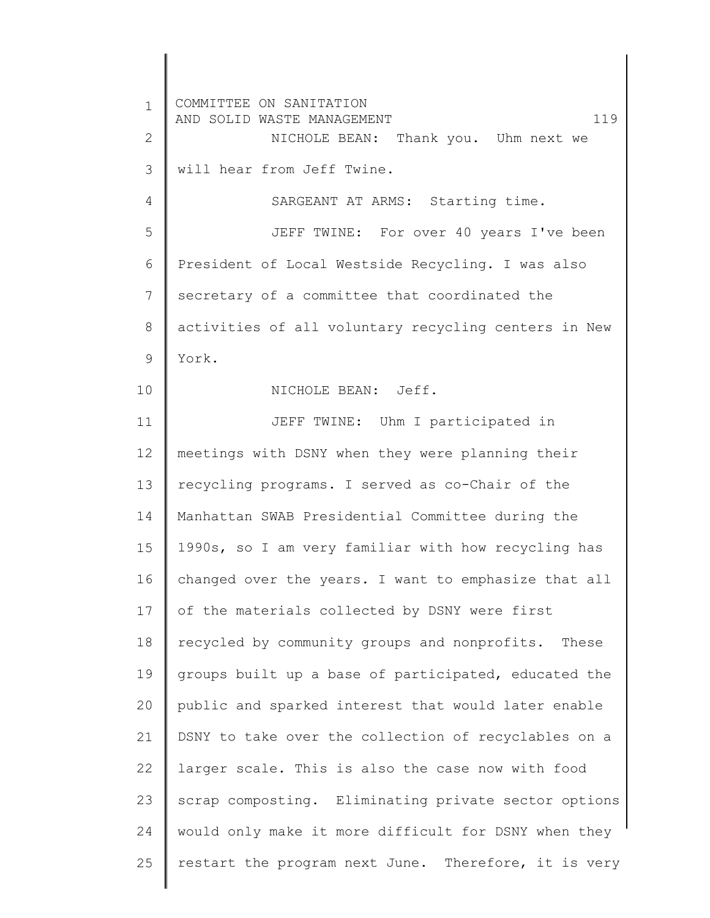1 2 3 4 5 6 7 8 9 10 11 12 13 14 15 16 17 18 19 20 21 22 23 24 25 COMMITTEE ON SANITATION AND SOLID WASTE MANAGEMENT 119 NICHOLE BEAN: Thank you. Uhm next we will hear from Jeff Twine. SARGEANT AT ARMS: Starting time. JEFF TWINE: For over 40 years I've been President of Local Westside Recycling. I was also secretary of a committee that coordinated the activities of all voluntary recycling centers in New York. NICHOLE BEAN: Jeff. JEFF TWINE: Uhm I participated in meetings with DSNY when they were planning their recycling programs. I served as co-Chair of the Manhattan SWAB Presidential Committee during the 1990s, so I am very familiar with how recycling has changed over the years. I want to emphasize that all of the materials collected by DSNY were first recycled by community groups and nonprofits. These groups built up a base of participated, educated the public and sparked interest that would later enable DSNY to take over the collection of recyclables on a larger scale. This is also the case now with food scrap composting. Eliminating private sector options would only make it more difficult for DSNY when they restart the program next June. Therefore, it is very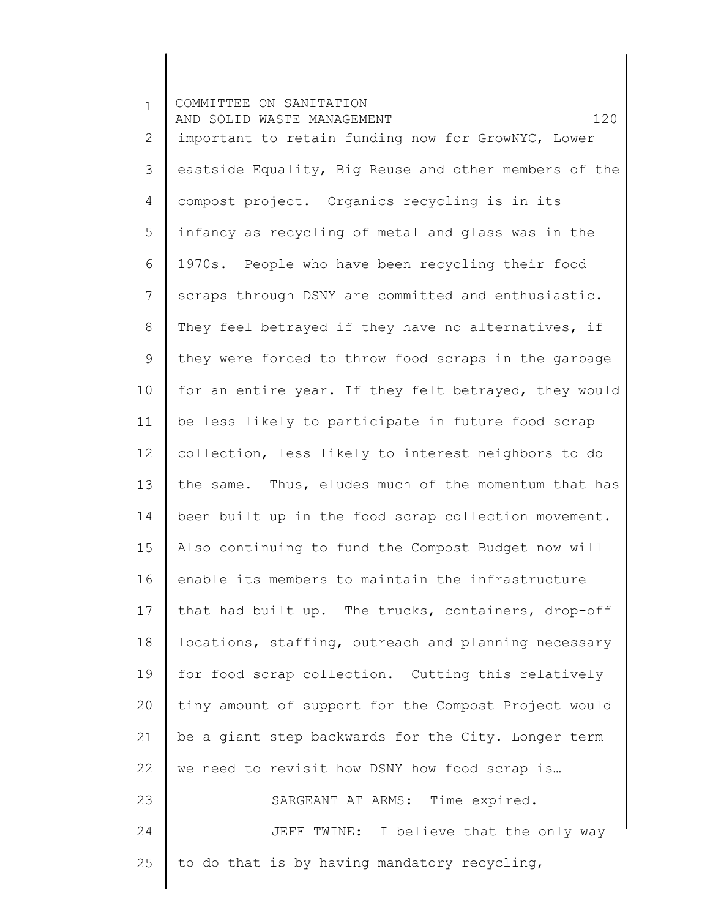1 2 3 4 5 6 7 8 9 10 11 12 13 14 15 16 17 18 19 20 21 22 23 24 25 COMMITTEE ON SANITATION AND SOLID WASTE MANAGEMENT 120 important to retain funding now for GrowNYC, Lower eastside Equality, Big Reuse and other members of the compost project. Organics recycling is in its infancy as recycling of metal and glass was in the 1970s. People who have been recycling their food scraps through DSNY are committed and enthusiastic. They feel betrayed if they have no alternatives, if they were forced to throw food scraps in the garbage for an entire year. If they felt betrayed, they would be less likely to participate in future food scrap collection, less likely to interest neighbors to do the same. Thus, eludes much of the momentum that has been built up in the food scrap collection movement. Also continuing to fund the Compost Budget now will enable its members to maintain the infrastructure that had built up. The trucks, containers, drop-off locations, staffing, outreach and planning necessary for food scrap collection. Cutting this relatively tiny amount of support for the Compost Project would be a giant step backwards for the City. Longer term we need to revisit how DSNY how food scrap is… SARGEANT AT ARMS: Time expired. JEFF TWINE: I believe that the only way to do that is by having mandatory recycling,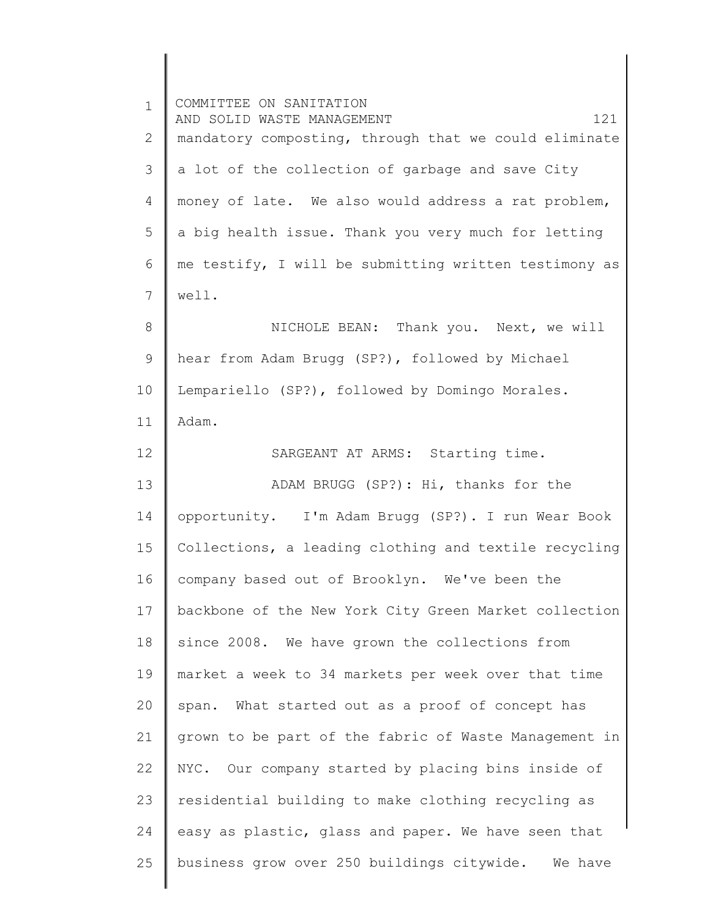1 2 3 4 5 6 7 8 9 10 11 12 13 14 15 16 17 18 19 20 21 22 23 24 25 COMMITTEE ON SANITATION AND SOLID WASTE MANAGEMENT 121 mandatory composting, through that we could eliminate a lot of the collection of garbage and save City money of late. We also would address a rat problem, a big health issue. Thank you very much for letting me testify, I will be submitting written testimony as well. NICHOLE BEAN: Thank you. Next, we will hear from Adam Brugg (SP?), followed by Michael Lempariello (SP?), followed by Domingo Morales. Adam. SARGEANT AT ARMS: Starting time. ADAM BRUGG (SP?): Hi, thanks for the opportunity. I'm Adam Brugg (SP?). I run Wear Book Collections, a leading clothing and textile recycling company based out of Brooklyn. We've been the backbone of the New York City Green Market collection since 2008. We have grown the collections from market a week to 34 markets per week over that time span. What started out as a proof of concept has grown to be part of the fabric of Waste Management in NYC. Our company started by placing bins inside of residential building to make clothing recycling as easy as plastic, glass and paper. We have seen that business grow over 250 buildings citywide. We have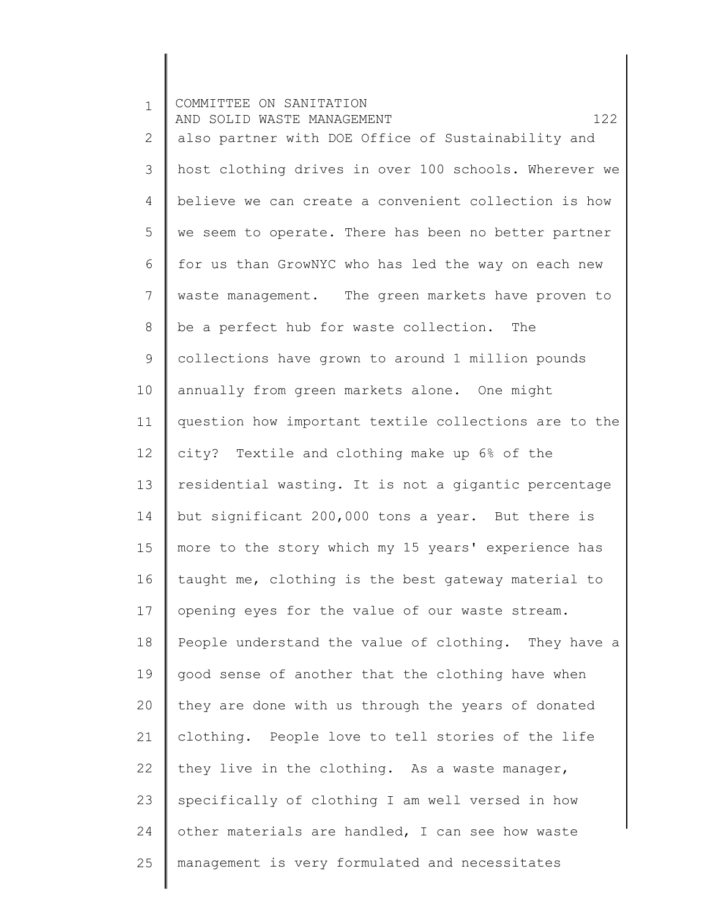1 2 3 4 5 6 7 8 9 10 11 12 13 14 15 16 17 18 19 20 21 22 23 24 25 COMMITTEE ON SANITATION AND SOLID WASTE MANAGEMENT 122 also partner with DOE Office of Sustainability and host clothing drives in over 100 schools. Wherever we believe we can create a convenient collection is how we seem to operate. There has been no better partner for us than GrowNYC who has led the way on each new waste management. The green markets have proven to be a perfect hub for waste collection. The collections have grown to around 1 million pounds annually from green markets alone. One might question how important textile collections are to the city? Textile and clothing make up 6% of the residential wasting. It is not a gigantic percentage but significant 200,000 tons a year. But there is more to the story which my 15 years' experience has taught me, clothing is the best gateway material to opening eyes for the value of our waste stream. People understand the value of clothing. They have a good sense of another that the clothing have when they are done with us through the years of donated clothing. People love to tell stories of the life they live in the clothing. As a waste manager, specifically of clothing I am well versed in how other materials are handled, I can see how waste management is very formulated and necessitates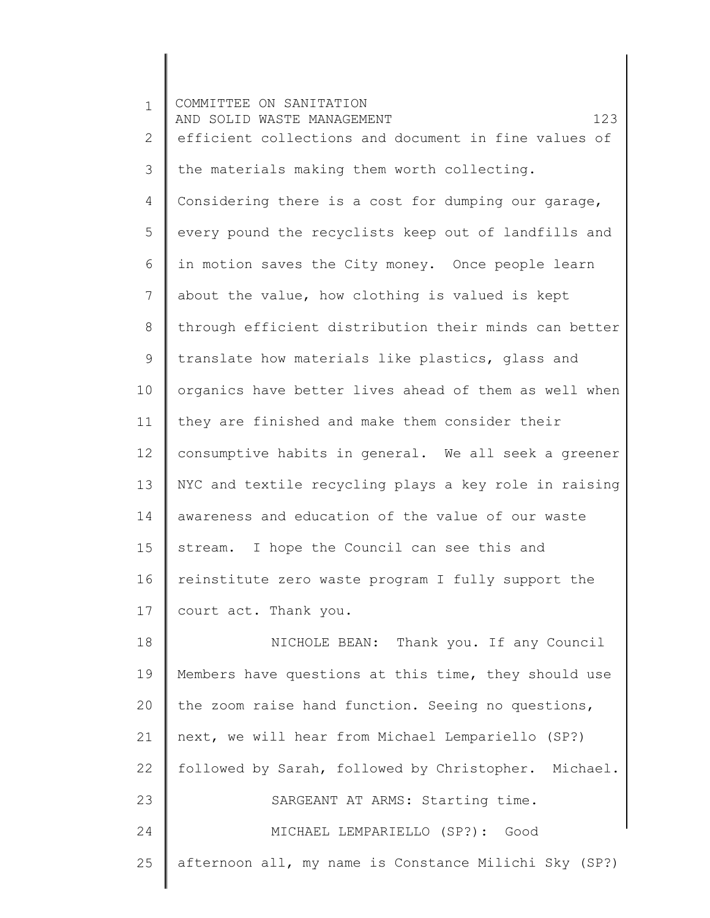1 2 3 4 5 6 7 8 9 10 11 12 13 14 15 16 17 18 19 20 21 22 23 24 25 COMMITTEE ON SANITATION AND SOLID WASTE MANAGEMENT 123 efficient collections and document in fine values of the materials making them worth collecting. Considering there is a cost for dumping our garage, every pound the recyclists keep out of landfills and in motion saves the City money. Once people learn about the value, how clothing is valued is kept through efficient distribution their minds can better translate how materials like plastics, glass and organics have better lives ahead of them as well when they are finished and make them consider their consumptive habits in general. We all seek a greener NYC and textile recycling plays a key role in raising awareness and education of the value of our waste stream. I hope the Council can see this and reinstitute zero waste program I fully support the court act. Thank you. NICHOLE BEAN: Thank you. If any Council Members have questions at this time, they should use the zoom raise hand function. Seeing no questions, next, we will hear from Michael Lempariello (SP?) followed by Sarah, followed by Christopher. Michael. SARGEANT AT ARMS: Starting time. MICHAEL LEMPARIELLO (SP?): Good afternoon all, my name is Constance Milichi Sky (SP?)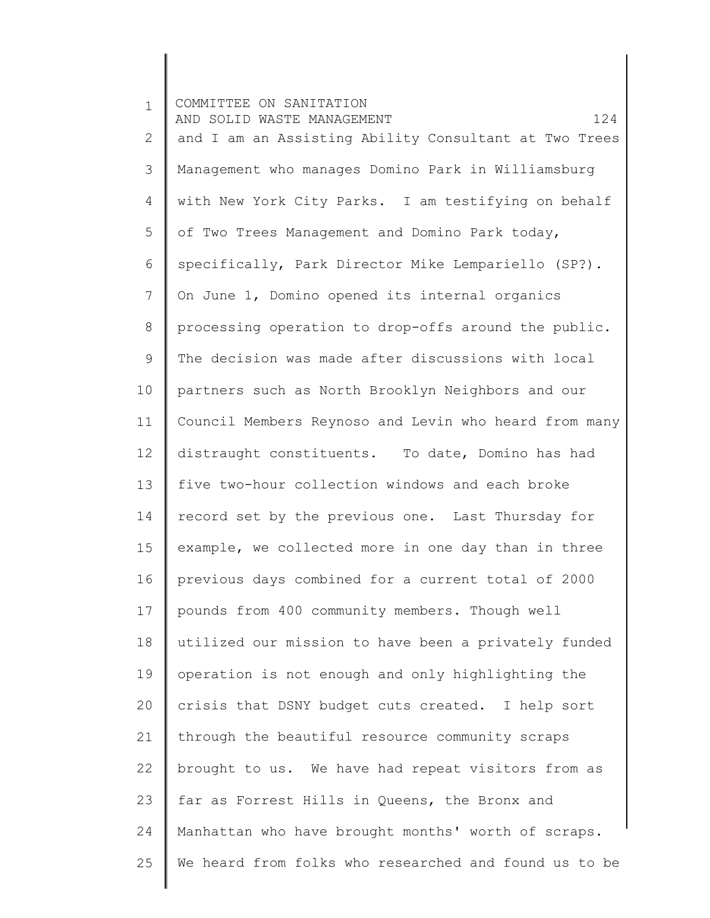1 2 3 4 5 6 7 8 9 10 11 12 13 14 15 16 17 18 19 20 21 22 23 24 25 COMMITTEE ON SANITATION AND SOLID WASTE MANAGEMENT 124 and I am an Assisting Ability Consultant at Two Trees Management who manages Domino Park in Williamsburg with New York City Parks. I am testifying on behalf of Two Trees Management and Domino Park today, specifically, Park Director Mike Lempariello (SP?). On June 1, Domino opened its internal organics processing operation to drop-offs around the public. The decision was made after discussions with local partners such as North Brooklyn Neighbors and our Council Members Reynoso and Levin who heard from many distraught constituents. To date, Domino has had five two-hour collection windows and each broke record set by the previous one. Last Thursday for example, we collected more in one day than in three previous days combined for a current total of 2000 pounds from 400 community members. Though well utilized our mission to have been a privately funded operation is not enough and only highlighting the crisis that DSNY budget cuts created. I help sort through the beautiful resource community scraps brought to us. We have had repeat visitors from as far as Forrest Hills in Queens, the Bronx and Manhattan who have brought months' worth of scraps. We heard from folks who researched and found us to be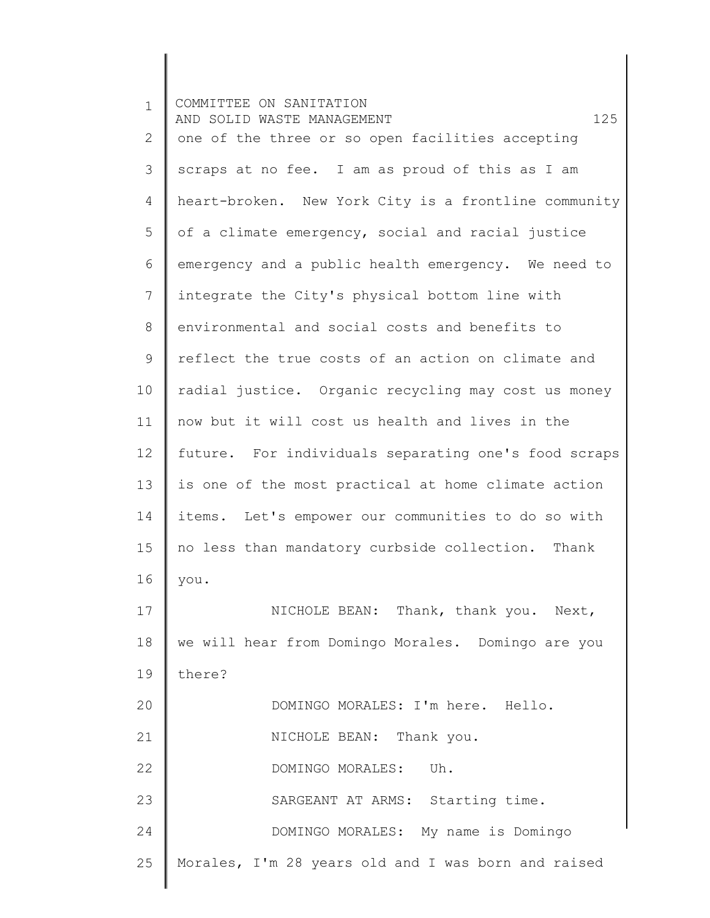| $\mathbf{1}$   | COMMITTEE ON SANITATION<br>125<br>AND SOLID WASTE MANAGEMENT |
|----------------|--------------------------------------------------------------|
| 2              | one of the three or so open facilities accepting             |
| 3              | scraps at no fee. I am as proud of this as I am              |
| $\overline{4}$ | heart-broken. New York City is a frontline community         |
| 5              | of a climate emergency, social and racial justice            |
| 6              | emergency and a public health emergency. We need to          |
| 7              | integrate the City's physical bottom line with               |
| 8              | environmental and social costs and benefits to               |
| 9              | reflect the true costs of an action on climate and           |
| 10             | radial justice. Organic recycling may cost us money          |
| 11             | now but it will cost us health and lives in the              |
| 12             | future. For individuals separating one's food scraps         |
| 13             | is one of the most practical at home climate action          |
| 14             | items. Let's empower our communities to do so with           |
| 15             | no less than mandatory curbside collection.<br>Thank         |
| 16             | you.                                                         |
| 17             | NICHOLE BEAN: Thank, thank you. Next,                        |
| 18             | we will hear from Domingo Morales. Domingo are you           |
| 19             | there?                                                       |
| 20             | DOMINGO MORALES: I'm here. Hello.                            |
| 21             | NICHOLE BEAN: Thank you.                                     |
| 22             | DOMINGO MORALES: Uh.                                         |
| 23             | SARGEANT AT ARMS: Starting time.                             |
| 24             | DOMINGO MORALES: My name is Domingo                          |
| 25             | Morales, I'm 28 years old and I was born and raised          |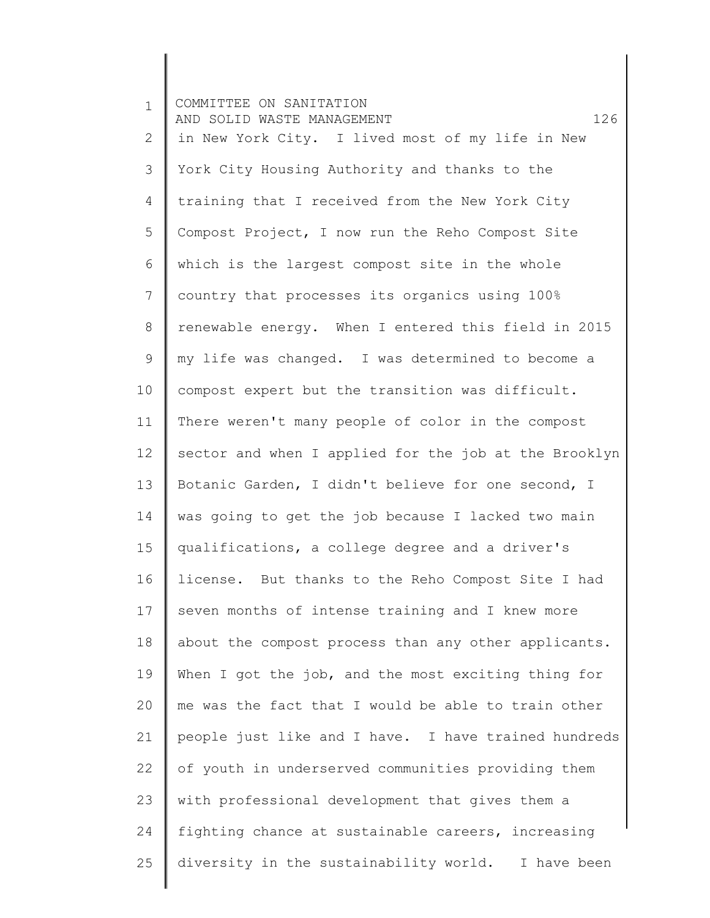1 2 3 4 5 6 7 8 9 10 11 12 13 14 15 16 17 18 19 20 21 22 23 24 25 COMMITTEE ON SANITATION AND SOLID WASTE MANAGEMENT 126 in New York City. I lived most of my life in New York City Housing Authority and thanks to the training that I received from the New York City Compost Project, I now run the Reho Compost Site which is the largest compost site in the whole country that processes its organics using 100% renewable energy. When I entered this field in 2015 my life was changed. I was determined to become a compost expert but the transition was difficult. There weren't many people of color in the compost sector and when I applied for the job at the Brooklyn Botanic Garden, I didn't believe for one second, I was going to get the job because I lacked two main qualifications, a college degree and a driver's license. But thanks to the Reho Compost Site I had seven months of intense training and I knew more about the compost process than any other applicants. When I got the job, and the most exciting thing for me was the fact that I would be able to train other people just like and I have. I have trained hundreds of youth in underserved communities providing them with professional development that gives them a fighting chance at sustainable careers, increasing diversity in the sustainability world. I have been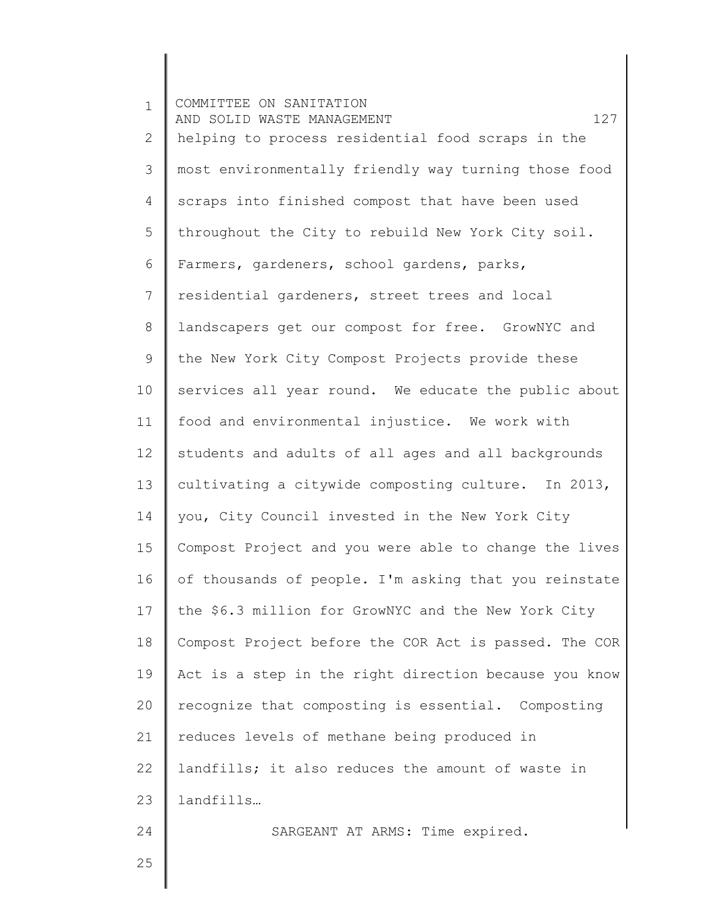1 2 3 4 5 6 7 8 9 10 11 12 13 14 15 16 17 18 19 20 21 22 23 24 25 COMMITTEE ON SANITATION AND SOLID WASTE MANAGEMENT 127 helping to process residential food scraps in the most environmentally friendly way turning those food scraps into finished compost that have been used throughout the City to rebuild New York City soil. Farmers, gardeners, school gardens, parks, residential gardeners, street trees and local landscapers get our compost for free. GrowNYC and the New York City Compost Projects provide these services all year round. We educate the public about food and environmental injustice. We work with students and adults of all ages and all backgrounds cultivating a citywide composting culture. In 2013, you, City Council invested in the New York City Compost Project and you were able to change the lives of thousands of people. I'm asking that you reinstate the \$6.3 million for GrowNYC and the New York City Compost Project before the COR Act is passed. The COR Act is a step in the right direction because you know recognize that composting is essential. Composting reduces levels of methane being produced in landfills; it also reduces the amount of waste in landfills… SARGEANT AT ARMS: Time expired.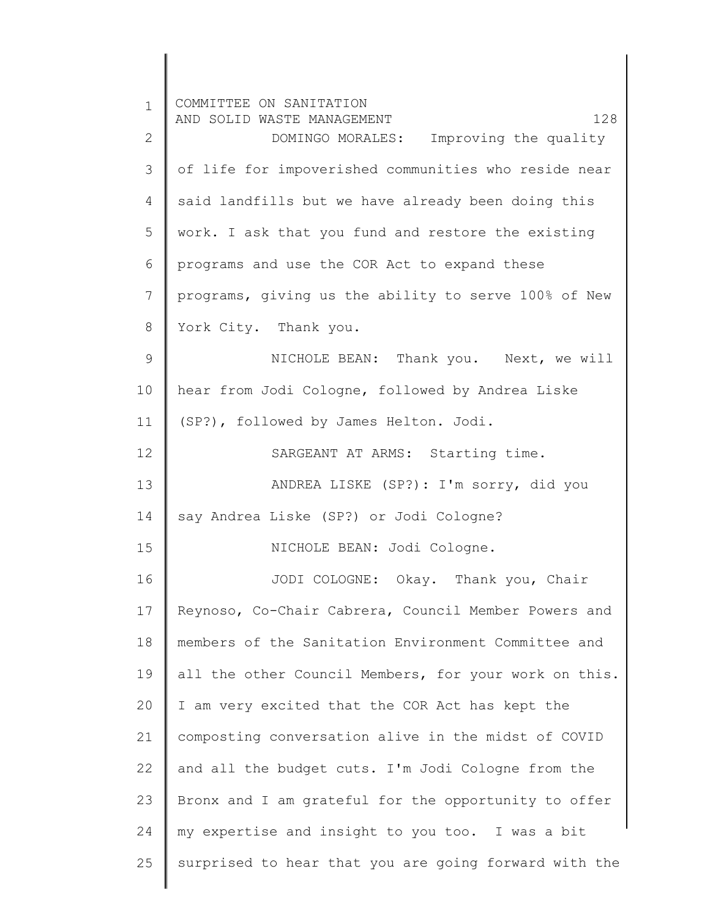| $\mathbf 1$   | COMMITTEE ON SANITATION<br>AND SOLID WASTE MANAGEMENT |
|---------------|-------------------------------------------------------|
| 2             | 128<br>DOMINGO MORALES: Improving the quality         |
| 3             | of life for impoverished communities who reside near  |
| 4             | said landfills but we have already been doing this    |
| 5             | work. I ask that you fund and restore the existing    |
| 6             | programs and use the COR Act to expand these          |
| 7             | programs, giving us the ability to serve 100% of New  |
| 8             | York City. Thank you.                                 |
| $\mathcal{G}$ | NICHOLE BEAN: Thank you. Next, we will                |
| 10            | hear from Jodi Cologne, followed by Andrea Liske      |
| 11            | (SP?), followed by James Helton. Jodi.                |
| 12            | SARGEANT AT ARMS: Starting time.                      |
| 13            | ANDREA LISKE (SP?): I'm sorry, did you                |
| 14            | say Andrea Liske (SP?) or Jodi Cologne?               |
| 15            | NICHOLE BEAN: Jodi Cologne.                           |
| 16            | JODI COLOGNE: Okay. Thank you, Chair                  |
| 17            | Reynoso, Co-Chair Cabrera, Council Member Powers and  |
| 18            | members of the Sanitation Environment Committee and   |
| 19            | all the other Council Members, for your work on this. |
| 20            | I am very excited that the COR Act has kept the       |
| 21            | composting conversation alive in the midst of COVID   |
| 22            | and all the budget cuts. I'm Jodi Cologne from the    |
| 23            | Bronx and I am grateful for the opportunity to offer  |
| 24            | my expertise and insight to you too. I was a bit      |
| 25            | surprised to hear that you are going forward with the |
|               |                                                       |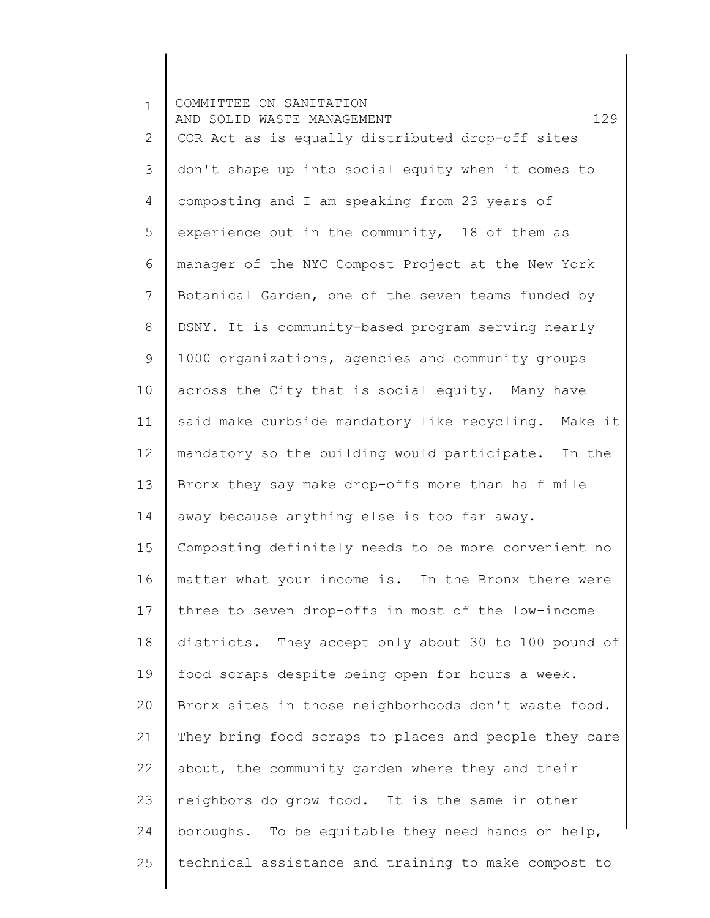| $\mathbf 1$    | COMMITTEE ON SANITATION<br>129<br>AND SOLID WASTE MANAGEMENT |
|----------------|--------------------------------------------------------------|
| $\overline{2}$ | COR Act as is equally distributed drop-off sites             |
| 3              | don't shape up into social equity when it comes to           |
| $\overline{4}$ | composting and I am speaking from 23 years of                |
| 5              | experience out in the community, 18 of them as               |
| 6              | manager of the NYC Compost Project at the New York           |
| $\overline{7}$ | Botanical Garden, one of the seven teams funded by           |
| 8              | DSNY. It is community-based program serving nearly           |
| 9              | 1000 organizations, agencies and community groups            |
| 10             | across the City that is social equity. Many have             |
| 11             | said make curbside mandatory like recycling. Make it         |
| 12             | mandatory so the building would participate. In the          |
| 13             | Bronx they say make drop-offs more than half mile            |
| 14             | away because anything else is too far away.                  |
| 15             | Composting definitely needs to be more convenient no         |
| 16             | matter what your income is. In the Bronx there were          |
| 17             | three to seven drop-offs in most of the low-income           |
| 18             | districts. They accept only about 30 to 100 pound of         |
| 19             | food scraps despite being open for hours a week.             |
| 20             | Bronx sites in those neighborhoods don't waste food.         |
| 21             | They bring food scraps to places and people they care        |
| 22             | about, the community garden where they and their             |
| 23             | neighbors do grow food. It is the same in other              |
| 24             | boroughs. To be equitable they need hands on help,           |
| 25             | technical assistance and training to make compost to         |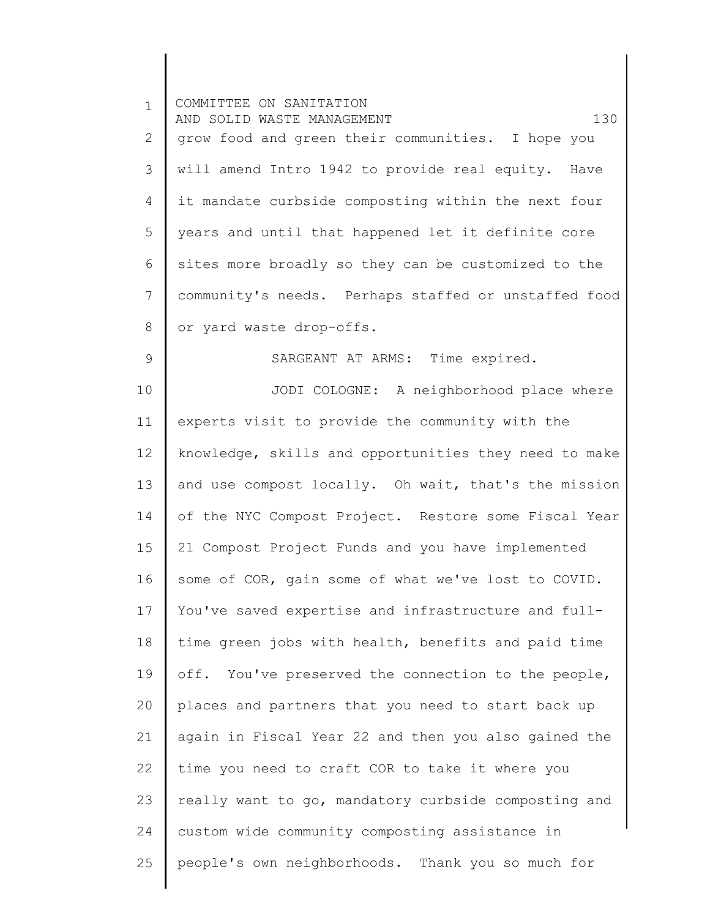|              | COMMITTEE ON SANITATION                               |
|--------------|-------------------------------------------------------|
| $\mathbf 1$  | AND SOLID WASTE MANAGEMENT<br>130                     |
| $\mathbf{2}$ | grow food and green their communities. I hope you     |
| 3            | will amend Intro 1942 to provide real equity. Have    |
| 4            | it mandate curbside composting within the next four   |
| 5            | years and until that happened let it definite core    |
| 6            | sites more broadly so they can be customized to the   |
| 7            | community's needs. Perhaps staffed or unstaffed food  |
| $8\,$        | or yard waste drop-offs.                              |
| $\mathsf 9$  | SARGEANT AT ARMS: Time expired.                       |
| 10           | JODI COLOGNE: A neighborhood place where              |
| 11           | experts visit to provide the community with the       |
| 12           | knowledge, skills and opportunities they need to make |
| 13           | and use compost locally. Oh wait, that's the mission  |
| 14           | of the NYC Compost Project. Restore some Fiscal Year  |
| 15           | 21 Compost Project Funds and you have implemented     |
| 16           | some of COR, gain some of what we've lost to COVID.   |
| 17           | You've saved expertise and infrastructure and full-   |
| 18           | time green jobs with health, benefits and paid time   |
| 19           | off. You've preserved the connection to the people,   |
| 20           | places and partners that you need to start back up    |
| 21           | again in Fiscal Year 22 and then you also gained the  |
| 22           | time you need to craft COR to take it where you       |
| 23           | really want to go, mandatory curbside composting and  |
| 24           | custom wide community composting assistance in        |
| 25           | people's own neighborhoods. Thank you so much for     |
|              |                                                       |

 $\begin{array}{c} \hline \end{array}$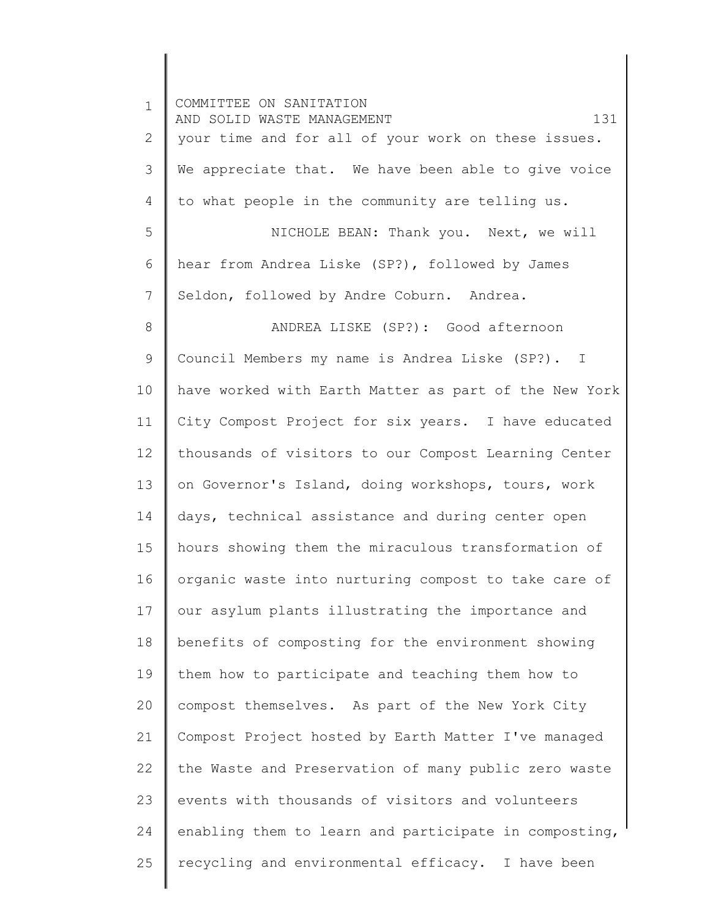| $\mathbf 1$   | COMMITTEE ON SANITATION<br>131<br>AND SOLID WASTE MANAGEMENT |
|---------------|--------------------------------------------------------------|
| $\mathbf{2}$  | your time and for all of your work on these issues.          |
| $\mathcal{S}$ | We appreciate that. We have been able to give voice          |
| 4             | to what people in the community are telling us.              |
| 5             | NICHOLE BEAN: Thank you. Next, we will                       |
| 6             | hear from Andrea Liske (SP?), followed by James              |
| 7             | Seldon, followed by Andre Coburn. Andrea.                    |
| 8             | ANDREA LISKE (SP?): Good afternoon                           |
| 9             | Council Members my name is Andrea Liske (SP?). I             |
| 10            | have worked with Earth Matter as part of the New York        |
| 11            | City Compost Project for six years. I have educated          |
| 12            | thousands of visitors to our Compost Learning Center         |
| 13            | on Governor's Island, doing workshops, tours, work           |
| 14            | days, technical assistance and during center open            |
| 15            | hours showing them the miraculous transformation of          |
| 16            | organic waste into nurturing compost to take care of         |
| 17            | our asylum plants illustrating the importance and            |
| 18            | benefits of composting for the environment showing           |
| 19            | them how to participate and teaching them how to             |
| 20            | compost themselves. As part of the New York City             |
| 21            | Compost Project hosted by Earth Matter I've managed          |
| 22            | the Waste and Preservation of many public zero waste         |
| 23            | events with thousands of visitors and volunteers             |
| 24            | enabling them to learn and participate in composting,        |
| 25            | recycling and environmental efficacy. I have been            |
|               |                                                              |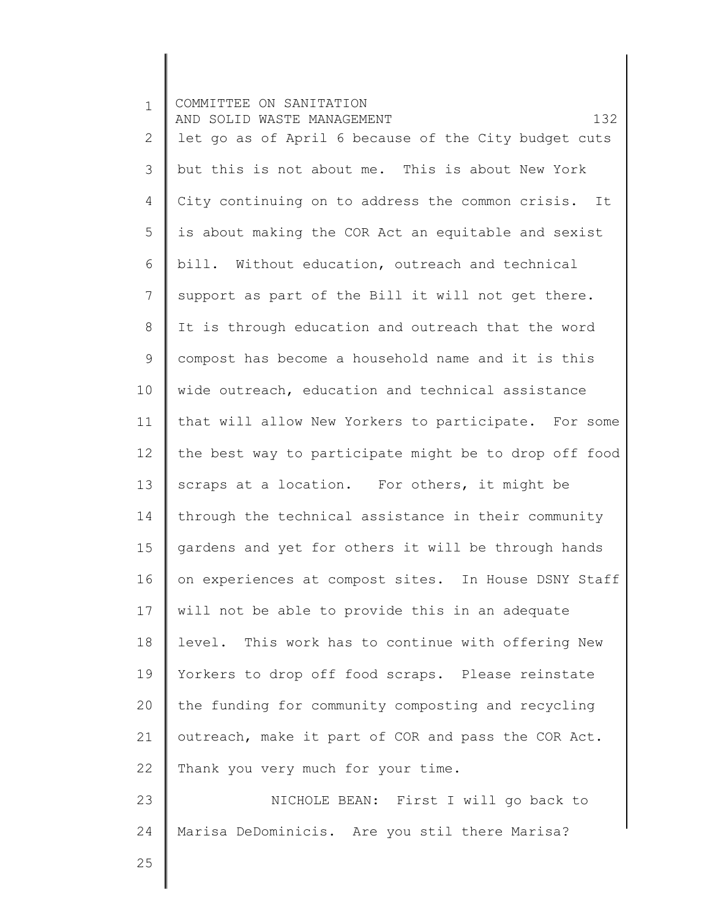| $\mathbf{1}$   | COMMITTEE ON SANITATION<br>132<br>AND SOLID WASTE MANAGEMENT |
|----------------|--------------------------------------------------------------|
| $\mathbf{2}$   | let go as of April 6 because of the City budget cuts         |
| 3              | but this is not about me. This is about New York             |
| $\overline{4}$ | City continuing on to address the common crisis. It          |
| 5              | is about making the COR Act an equitable and sexist          |
| 6              | bill. Without education, outreach and technical              |
| $\overline{7}$ | support as part of the Bill it will not get there.           |
| 8              | It is through education and outreach that the word           |
| $\mathsf 9$    | compost has become a household name and it is this           |
| 10             | wide outreach, education and technical assistance            |
| 11             | that will allow New Yorkers to participate. For some         |
| 12             | the best way to participate might be to drop off food        |
| 13             | scraps at a location. For others, it might be                |
| 14             | through the technical assistance in their community          |
| 15             | gardens and yet for others it will be through hands          |
| 16             | on experiences at compost sites. In House DSNY Staff         |
| 17             | will not be able to provide this in an adequate              |
| 18             | level. This work has to continue with offering New           |
| 19             | Yorkers to drop off food scraps. Please reinstate            |
| 20             | the funding for community composting and recycling           |
| 21             | outreach, make it part of COR and pass the COR Act.          |
| 22             | Thank you very much for your time.                           |
| 23             | NICHOLE BEAN: First I will go back to                        |
| 24             | Marisa DeDominicis. Are you stil there Marisa?               |
| 25             |                                                              |
|                |                                                              |

I ∥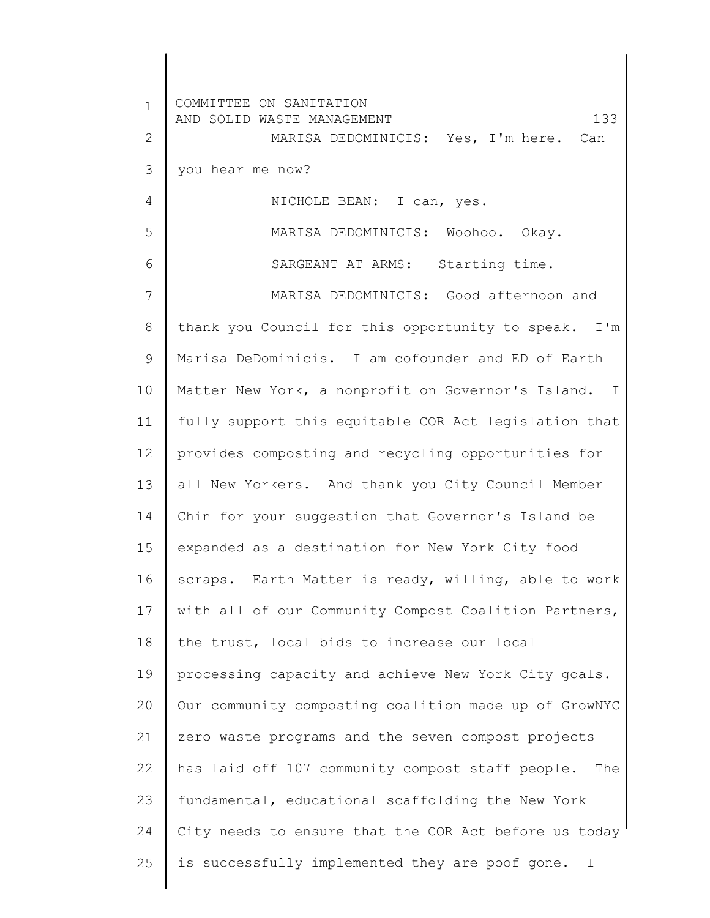1 2 3 4 5 6 7 8 9 10 11 12 13 14 15 16 17 18 19 20 21 22 23 24 25 COMMITTEE ON SANITATION AND SOLID WASTE MANAGEMENT 133 MARISA DEDOMINICIS: Yes, I'm here. Can you hear me now? NICHOLE BEAN: I can, yes. MARISA DEDOMINICIS: Woohoo. Okay. SARGEANT AT ARMS: Starting time. MARISA DEDOMINICIS: Good afternoon and thank you Council for this opportunity to speak. I'm Marisa DeDominicis. I am cofounder and ED of Earth Matter New York, a nonprofit on Governor's Island. I fully support this equitable COR Act legislation that provides composting and recycling opportunities for all New Yorkers. And thank you City Council Member Chin for your suggestion that Governor's Island be expanded as a destination for New York City food scraps. Earth Matter is ready, willing, able to work with all of our Community Compost Coalition Partners, the trust, local bids to increase our local processing capacity and achieve New York City goals. Our community composting coalition made up of GrowNYC zero waste programs and the seven compost projects has laid off 107 community compost staff people. The fundamental, educational scaffolding the New York City needs to ensure that the COR Act before us today is successfully implemented they are poof gone. I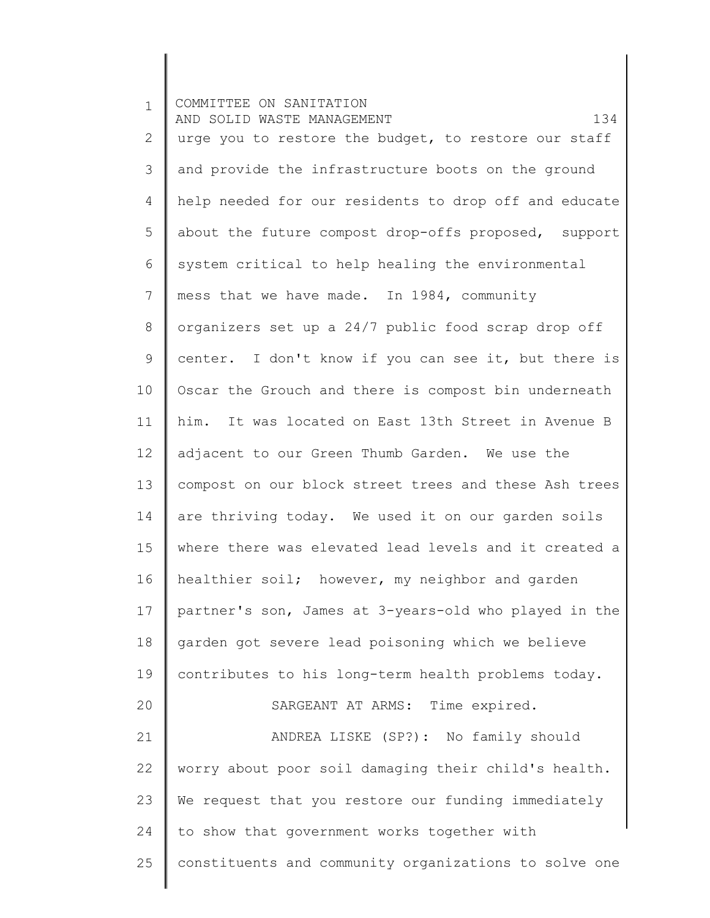1 2 3 4 5 6 7 8 9 10 11 12 13 14 15 16 17 18 19 20 21 22 23 24 25 COMMITTEE ON SANITATION AND SOLID WASTE MANAGEMENT 134 urge you to restore the budget, to restore our staff and provide the infrastructure boots on the ground help needed for our residents to drop off and educate about the future compost drop-offs proposed, support system critical to help healing the environmental mess that we have made. In 1984, community organizers set up a 24/7 public food scrap drop off center. I don't know if you can see it, but there is Oscar the Grouch and there is compost bin underneath him. It was located on East 13th Street in Avenue B adjacent to our Green Thumb Garden. We use the compost on our block street trees and these Ash trees are thriving today. We used it on our garden soils where there was elevated lead levels and it created a healthier soil; however, my neighbor and garden partner's son, James at 3-years-old who played in the garden got severe lead poisoning which we believe contributes to his long-term health problems today. SARGEANT AT ARMS: Time expired. ANDREA LISKE (SP?): No family should worry about poor soil damaging their child's health. We request that you restore our funding immediately to show that government works together with constituents and community organizations to solve one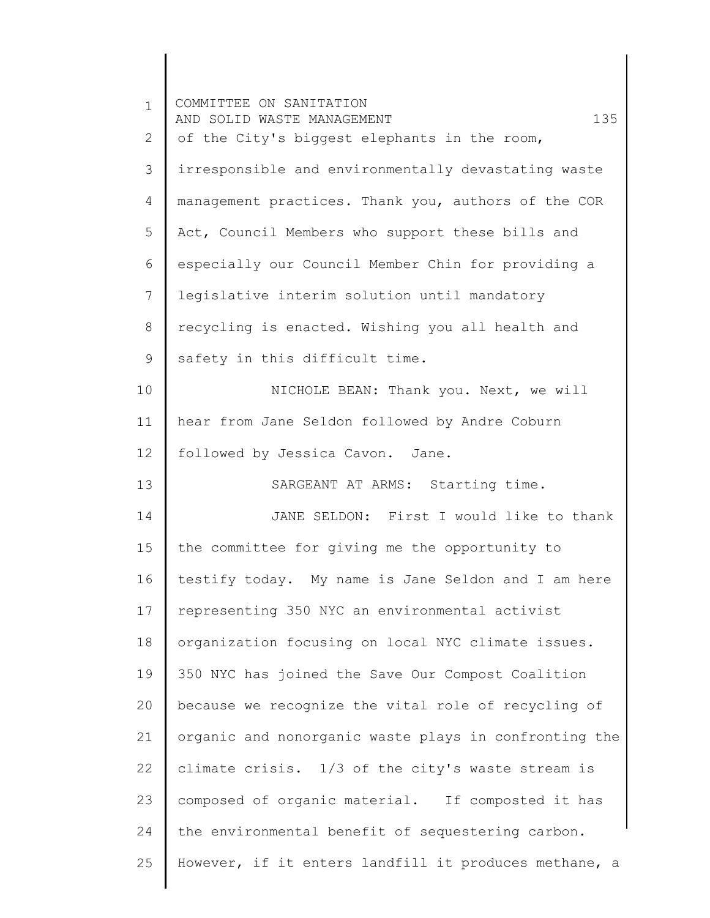| $\mathbf{1}$ | COMMITTEE ON SANITATION<br>135<br>AND SOLID WASTE MANAGEMENT |
|--------------|--------------------------------------------------------------|
| 2            | of the City's biggest elephants in the room,                 |
| 3            | irresponsible and environmentally devastating waste          |
| 4            | management practices. Thank you, authors of the COR          |
| 5            | Act, Council Members who support these bills and             |
| 6            | especially our Council Member Chin for providing a           |
| 7            | legislative interim solution until mandatory                 |
| 8            | recycling is enacted. Wishing you all health and             |
| 9            | safety in this difficult time.                               |
| 10           | NICHOLE BEAN: Thank you. Next, we will                       |
| 11           | hear from Jane Seldon followed by Andre Coburn               |
| 12           | followed by Jessica Cavon. Jane.                             |
| 13           | SARGEANT AT ARMS: Starting time.                             |
| 14           | JANE SELDON: First I would like to thank                     |
| 15           | the committee for giving me the opportunity to               |
| 16           | testify today. My name is Jane Seldon and I am here          |
| 17           | representing 350 NYC an environmental activist               |
| 18           | organization focusing on local NYC climate issues.           |
| 19           | 350 NYC has joined the Save Our Compost Coalition            |
| 20           | because we recognize the vital role of recycling of          |
| 21           | organic and nonorganic waste plays in confronting the        |
| 22           | climate crisis. 1/3 of the city's waste stream is            |
| 23           | composed of organic material. If composted it has            |
| 24           | the environmental benefit of sequestering carbon.            |
| 25           | However, if it enters landfill it produces methane, a        |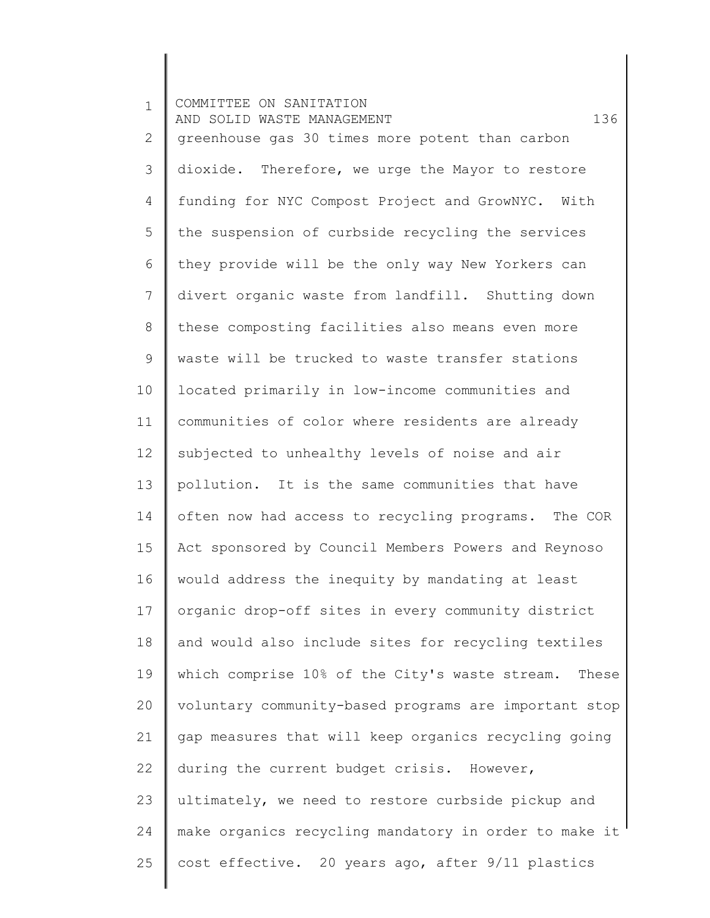1 2 3 4 5 6 7 8 9 10 11 12 13 14 15 16 17 18 19 20 21 22 23 24 25 COMMITTEE ON SANITATION AND SOLID WASTE MANAGEMENT 136 greenhouse gas 30 times more potent than carbon dioxide. Therefore, we urge the Mayor to restore funding for NYC Compost Project and GrowNYC. With the suspension of curbside recycling the services they provide will be the only way New Yorkers can divert organic waste from landfill. Shutting down these composting facilities also means even more waste will be trucked to waste transfer stations located primarily in low-income communities and communities of color where residents are already subjected to unhealthy levels of noise and air pollution. It is the same communities that have often now had access to recycling programs. The COR Act sponsored by Council Members Powers and Reynoso would address the inequity by mandating at least organic drop-off sites in every community district and would also include sites for recycling textiles which comprise 10% of the City's waste stream. These voluntary community-based programs are important stop gap measures that will keep organics recycling going during the current budget crisis. However, ultimately, we need to restore curbside pickup and make organics recycling mandatory in order to make it cost effective. 20 years ago, after 9/11 plastics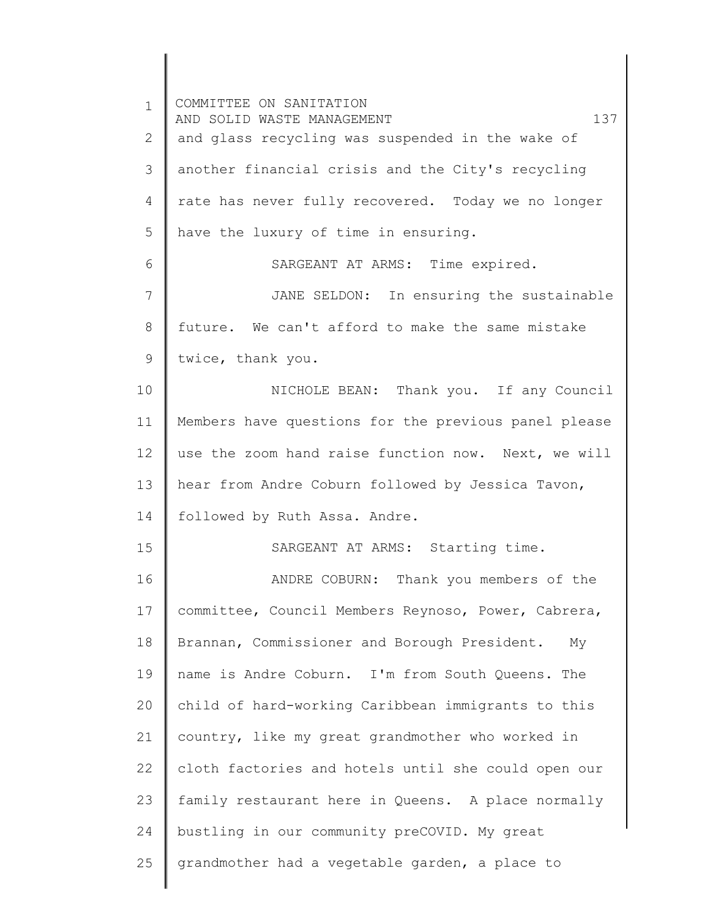1 2 3 4 5 6 7 8 9 10 11 12 13 14 15 16 17 18 19 20 21 22 23 24 25 COMMITTEE ON SANITATION AND SOLID WASTE MANAGEMENT 137 and glass recycling was suspended in the wake of another financial crisis and the City's recycling rate has never fully recovered. Today we no longer have the luxury of time in ensuring. SARGEANT AT ARMS: Time expired. JANE SELDON: In ensuring the sustainable future. We can't afford to make the same mistake twice, thank you. NICHOLE BEAN: Thank you. If any Council Members have questions for the previous panel please use the zoom hand raise function now. Next, we will hear from Andre Coburn followed by Jessica Tavon, followed by Ruth Assa. Andre. SARGEANT AT ARMS: Starting time. ANDRE COBURN: Thank you members of the committee, Council Members Reynoso, Power, Cabrera, Brannan, Commissioner and Borough President. My name is Andre Coburn. I'm from South Queens. The child of hard-working Caribbean immigrants to this country, like my great grandmother who worked in cloth factories and hotels until she could open our family restaurant here in Queens. A place normally bustling in our community preCOVID. My great grandmother had a vegetable garden, a place to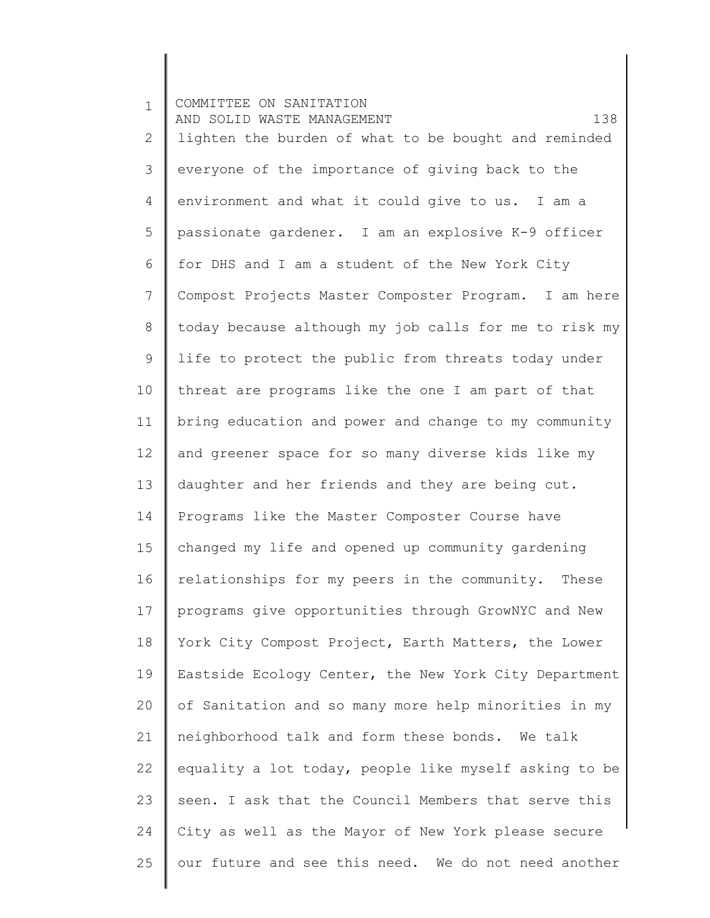1 2 3 4 5 6 7 8 9 10 11 12 13 14 15 16 17 18 19 20 21 22 23 24 25 COMMITTEE ON SANITATION AND SOLID WASTE MANAGEMENT 138 lighten the burden of what to be bought and reminded everyone of the importance of giving back to the environment and what it could give to us. I am a passionate gardener. I am an explosive K-9 officer for DHS and I am a student of the New York City Compost Projects Master Composter Program. I am here today because although my job calls for me to risk my life to protect the public from threats today under threat are programs like the one I am part of that bring education and power and change to my community and greener space for so many diverse kids like my daughter and her friends and they are being cut. Programs like the Master Composter Course have changed my life and opened up community gardening relationships for my peers in the community. These programs give opportunities through GrowNYC and New York City Compost Project, Earth Matters, the Lower Eastside Ecology Center, the New York City Department of Sanitation and so many more help minorities in my neighborhood talk and form these bonds. We talk equality a lot today, people like myself asking to be seen. I ask that the Council Members that serve this City as well as the Mayor of New York please secure our future and see this need. We do not need another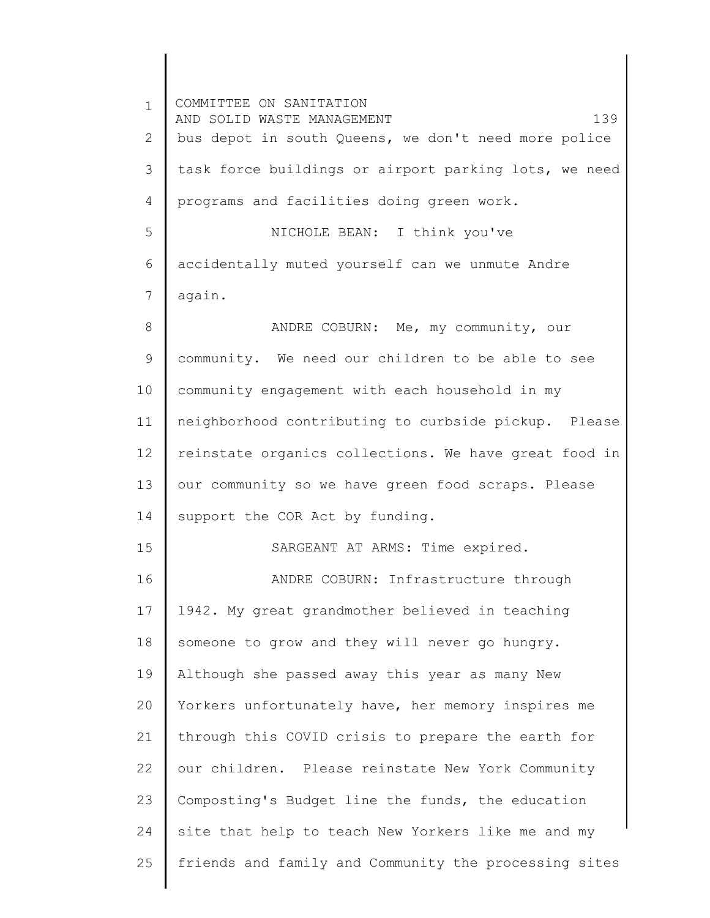1 2 3 4 5 6 7 8 9 10 11 12 13 14 15 16 17 18 19 20 21 22 23 24 25 COMMITTEE ON SANITATION AND SOLID WASTE MANAGEMENT 139 bus depot in south Queens, we don't need more police task force buildings or airport parking lots, we need programs and facilities doing green work. NICHOLE BEAN: I think you've accidentally muted yourself can we unmute Andre again. ANDRE COBURN: Me, my community, our community. We need our children to be able to see community engagement with each household in my neighborhood contributing to curbside pickup. Please reinstate organics collections. We have great food in our community so we have green food scraps. Please support the COR Act by funding. SARGEANT AT ARMS: Time expired. ANDRE COBURN: Infrastructure through 1942. My great grandmother believed in teaching someone to grow and they will never go hungry. Although she passed away this year as many New Yorkers unfortunately have, her memory inspires me through this COVID crisis to prepare the earth for our children. Please reinstate New York Community Composting's Budget line the funds, the education site that help to teach New Yorkers like me and my friends and family and Community the processing sites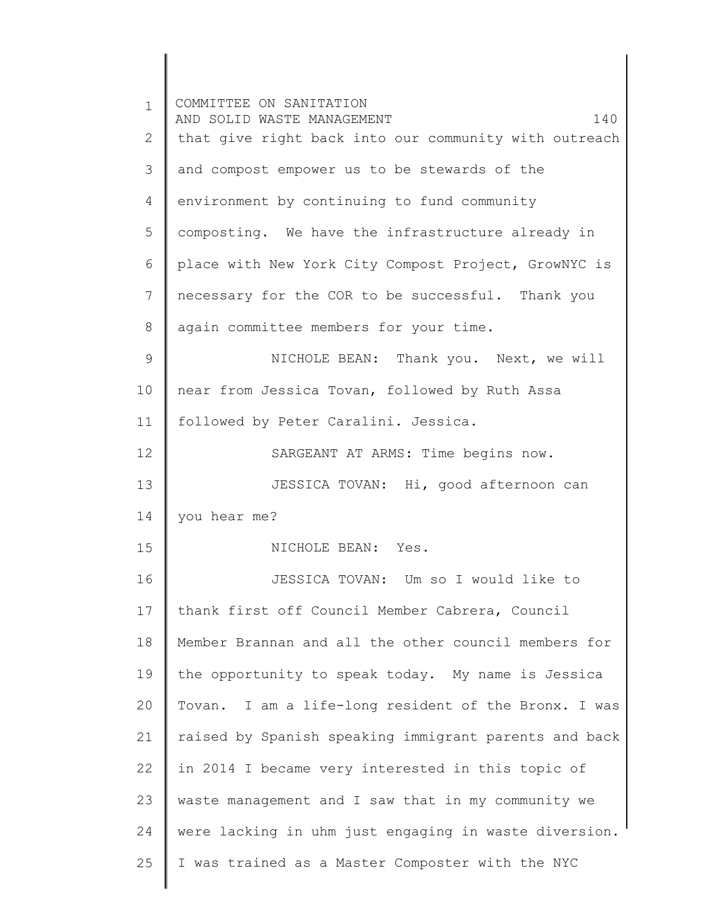| $\mathbf 1$ | COMMITTEE ON SANITATION<br>AND SOLID WASTE MANAGEMENT<br>140 |
|-------------|--------------------------------------------------------------|
| 2           | that give right back into our community with outreach        |
| 3           | and compost empower us to be stewards of the                 |
| 4           | environment by continuing to fund community                  |
| 5           | composting. We have the infrastructure already in            |
| 6           | place with New York City Compost Project, GrowNYC is         |
| 7           | necessary for the COR to be successful. Thank you            |
| 8           | again committee members for your time.                       |
| 9           | NICHOLE BEAN: Thank you. Next, we will                       |
| 10          | near from Jessica Tovan, followed by Ruth Assa               |
| 11          | followed by Peter Caralini. Jessica.                         |
| 12          | SARGEANT AT ARMS: Time begins now.                           |
| 13          | JESSICA TOVAN: Hi, good afternoon can                        |
| 14          | you hear me?                                                 |
| 15          | NICHOLE BEAN: Yes.                                           |
| 16          | JESSICA TOVAN: Um so I would like to                         |
| 17          | thank first off Council Member Cabrera, Council              |
| 18          | Member Brannan and all the other council members for         |
| 19          | the opportunity to speak today. My name is Jessica           |
| 20          | Tovan. I am a life-long resident of the Bronx. I was         |
| 21          | raised by Spanish speaking immigrant parents and back        |
| 22          | in 2014 I became very interested in this topic of            |
| 23          | waste management and I saw that in my community we           |
| 24          | were lacking in uhm just engaging in waste diversion.        |
| 25          | I was trained as a Master Composter with the NYC             |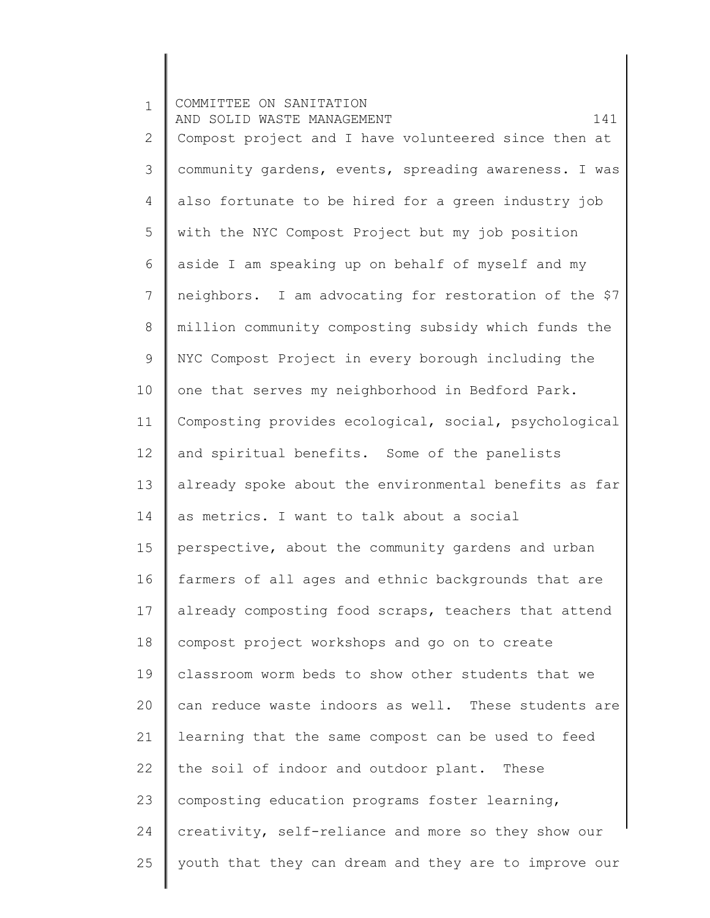1 2 3 4 5 6 7 8 9 10 11 12 13 14 15 16 17 18 19 20 21 22 23 24 25 COMMITTEE ON SANITATION AND SOLID WASTE MANAGEMENT 141 Compost project and I have volunteered since then at community gardens, events, spreading awareness. I was also fortunate to be hired for a green industry job with the NYC Compost Project but my job position aside I am speaking up on behalf of myself and my neighbors. I am advocating for restoration of the \$7 million community composting subsidy which funds the NYC Compost Project in every borough including the one that serves my neighborhood in Bedford Park. Composting provides ecological, social, psychological and spiritual benefits. Some of the panelists already spoke about the environmental benefits as far as metrics. I want to talk about a social perspective, about the community gardens and urban farmers of all ages and ethnic backgrounds that are already composting food scraps, teachers that attend compost project workshops and go on to create classroom worm beds to show other students that we can reduce waste indoors as well. These students are learning that the same compost can be used to feed the soil of indoor and outdoor plant. These composting education programs foster learning, creativity, self-reliance and more so they show our youth that they can dream and they are to improve our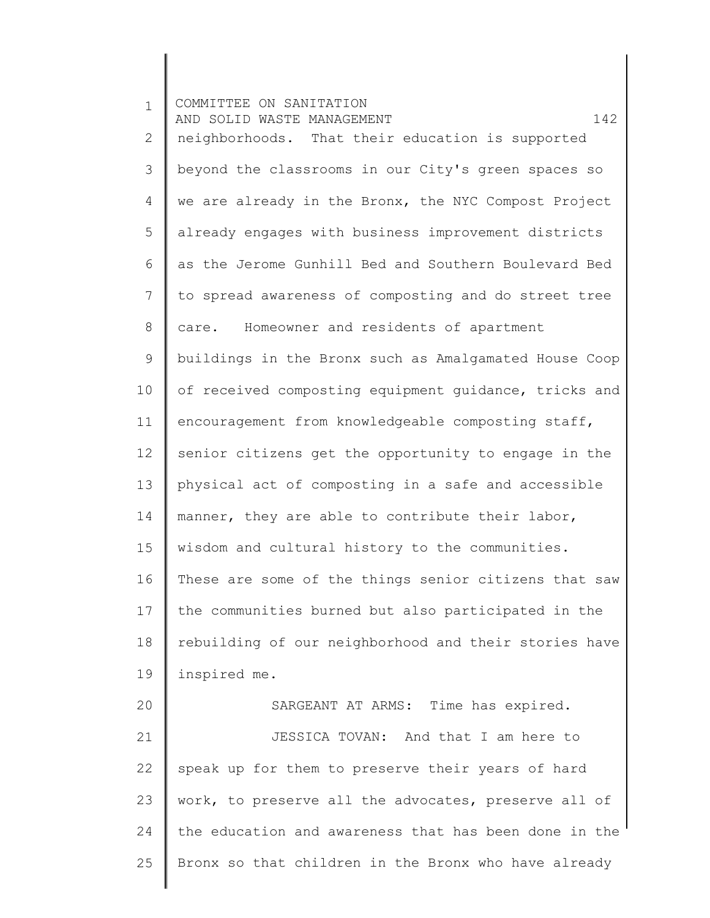1 2 3 4 5 6 7 8 9 10 11 12 13 14 15 16 17 18 19 20 21 22 23 24 25 COMMITTEE ON SANITATION AND SOLID WASTE MANAGEMENT 142 neighborhoods. That their education is supported beyond the classrooms in our City's green spaces so we are already in the Bronx, the NYC Compost Project already engages with business improvement districts as the Jerome Gunhill Bed and Southern Boulevard Bed to spread awareness of composting and do street tree care. Homeowner and residents of apartment buildings in the Bronx such as Amalgamated House Coop of received composting equipment guidance, tricks and encouragement from knowledgeable composting staff, senior citizens get the opportunity to engage in the physical act of composting in a safe and accessible manner, they are able to contribute their labor, wisdom and cultural history to the communities. These are some of the things senior citizens that saw the communities burned but also participated in the rebuilding of our neighborhood and their stories have inspired me. SARGEANT AT ARMS: Time has expired. JESSICA TOVAN: And that I am here to speak up for them to preserve their years of hard work, to preserve all the advocates, preserve all of the education and awareness that has been done in the Bronx so that children in the Bronx who have already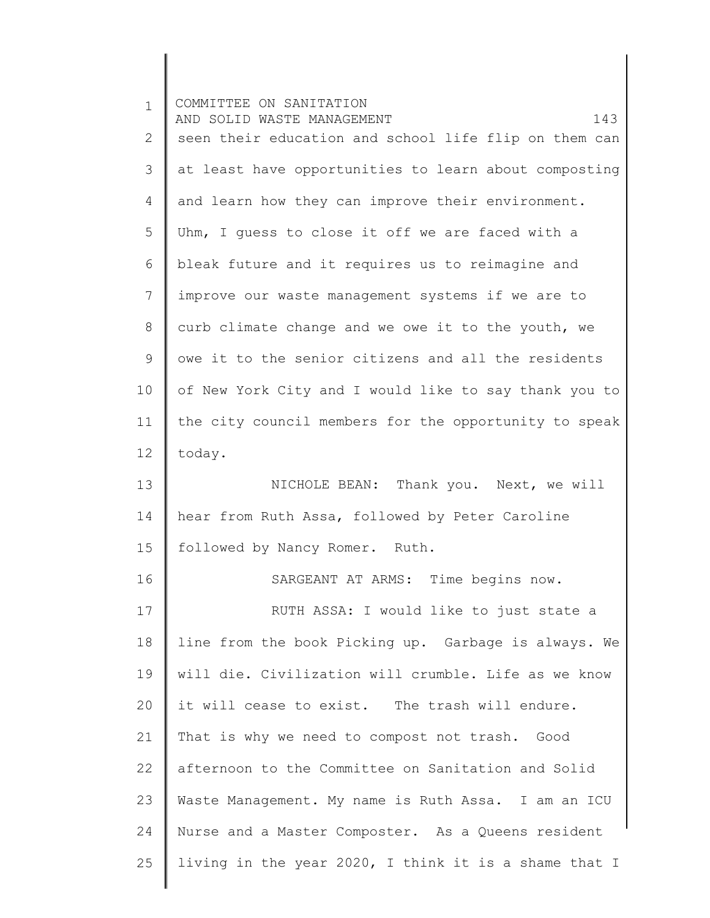| $\mathbf{1}$    | COMMITTEE ON SANITATION<br>AND SOLID WASTE MANAGEMENT<br>143 |
|-----------------|--------------------------------------------------------------|
| $\mathbf{2}$    | seen their education and school life flip on them can        |
| 3               | at least have opportunities to learn about composting        |
| $\overline{4}$  | and learn how they can improve their environment.            |
| 5               | Uhm, I quess to close it off we are faced with a             |
| 6               | bleak future and it requires us to reimagine and             |
| $7\phantom{.0}$ | improve our waste management systems if we are to            |
| $\,8\,$         | curb climate change and we owe it to the youth, we           |
| $\mathsf 9$     | owe it to the senior citizens and all the residents          |
| 10              | of New York City and I would like to say thank you to        |
| 11              | the city council members for the opportunity to speak        |
| 12              | today.                                                       |
| 13              | NICHOLE BEAN: Thank you. Next, we will                       |
| 14              | hear from Ruth Assa, followed by Peter Caroline              |
| 15              | followed by Nancy Romer. Ruth.                               |
| 16              | SARGEANT AT ARMS: Time begins now.                           |
| 17              | RUTH ASSA: I would like to just state a                      |
| 18              | line from the book Picking up. Garbage is always. We         |
| 19              | will die. Civilization will crumble. Life as we know         |
| 20              | it will cease to exist. The trash will endure.               |
| 21              | That is why we need to compost not trash. Good               |
| 22              | afternoon to the Committee on Sanitation and Solid           |
| 23              | Waste Management. My name is Ruth Assa. I am an ICU          |
| 24              | Nurse and a Master Composter. As a Queens resident           |
| 25              | living in the year 2020, I think it is a shame that I        |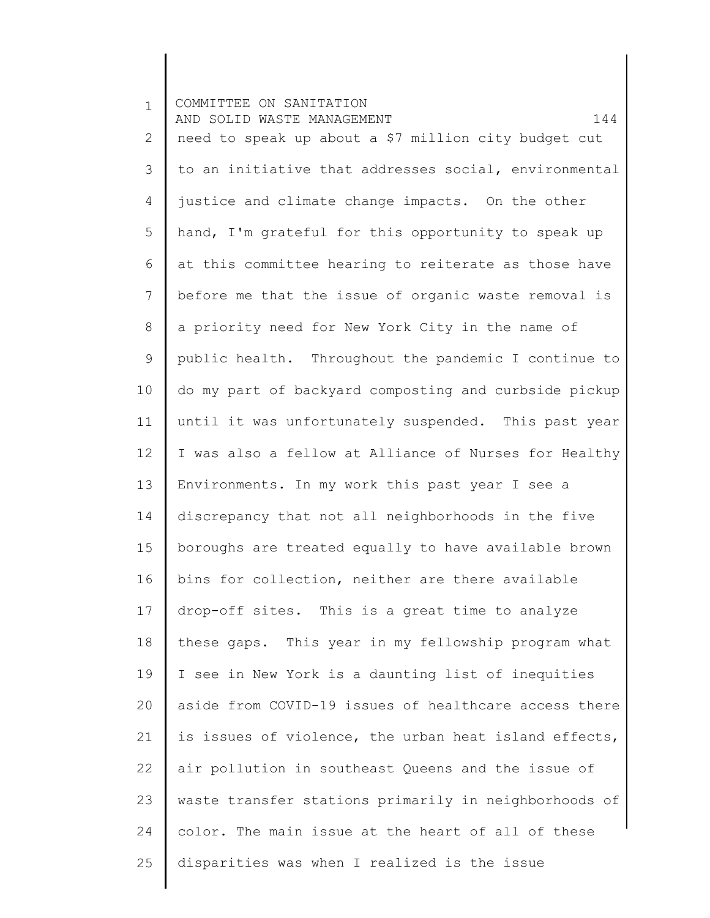1 2 3 4 5 6 7 8 9 10 11 12 13 14 15 16 17 18 19 20 21 22 23 24 25 COMMITTEE ON SANITATION AND SOLID WASTE MANAGEMENT 144 need to speak up about a \$7 million city budget cut to an initiative that addresses social, environmental justice and climate change impacts. On the other hand, I'm grateful for this opportunity to speak up at this committee hearing to reiterate as those have before me that the issue of organic waste removal is a priority need for New York City in the name of public health. Throughout the pandemic I continue to do my part of backyard composting and curbside pickup until it was unfortunately suspended. This past year I was also a fellow at Alliance of Nurses for Healthy Environments. In my work this past year I see a discrepancy that not all neighborhoods in the five boroughs are treated equally to have available brown bins for collection, neither are there available drop-off sites. This is a great time to analyze these gaps. This year in my fellowship program what I see in New York is a daunting list of inequities aside from COVID-19 issues of healthcare access there is issues of violence, the urban heat island effects, air pollution in southeast Queens and the issue of waste transfer stations primarily in neighborhoods of color. The main issue at the heart of all of these disparities was when I realized is the issue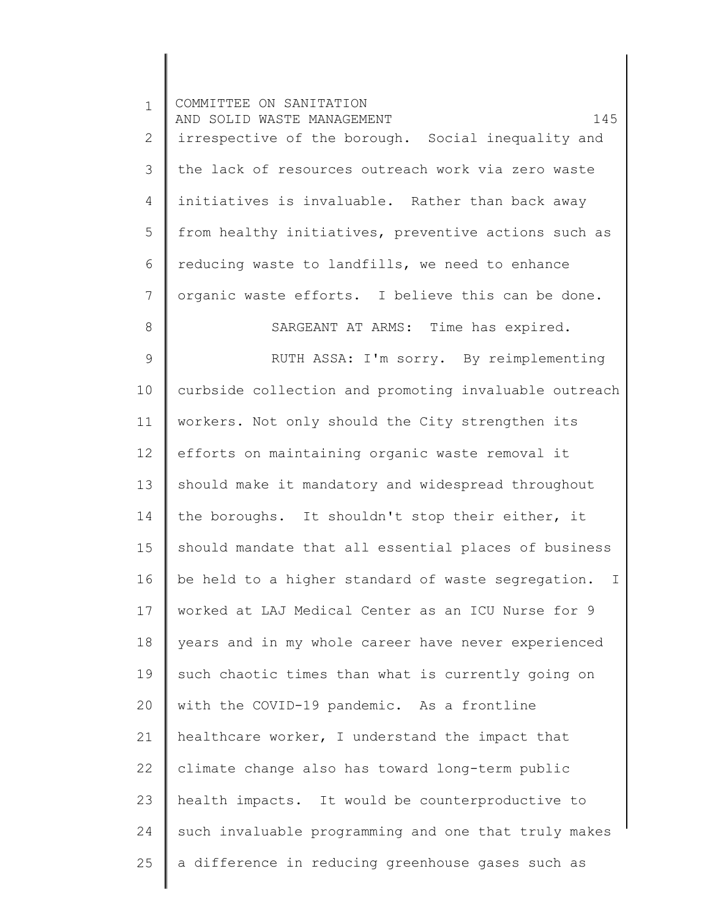| $\mathbf{1}$   | COMMITTEE ON SANITATION<br>145<br>AND SOLID WASTE MANAGEMENT |
|----------------|--------------------------------------------------------------|
| $\overline{2}$ | irrespective of the borough. Social inequality and           |
| 3              | the lack of resources outreach work via zero waste           |
| $\overline{4}$ | initiatives is invaluable. Rather than back away             |
| 5              | from healthy initiatives, preventive actions such as         |
| 6              | reducing waste to landfills, we need to enhance              |
| 7              | organic waste efforts. I believe this can be done.           |
| 8              | SARGEANT AT ARMS: Time has expired.                          |
| $\mathcal{G}$  | RUTH ASSA: I'm sorry. By reimplementing                      |
| 10             | curbside collection and promoting invaluable outreach        |
| 11             | workers. Not only should the City strengthen its             |
| 12             | efforts on maintaining organic waste removal it              |
| 13             | should make it mandatory and widespread throughout           |
| 14             | the boroughs. It shouldn't stop their either, it             |
| 15             | should mandate that all essential places of business         |
| 16             | be held to a higher standard of waste segregation.<br>T.     |
| 17             | worked at LAJ Medical Center as an ICU Nurse for 9           |
| 18             | years and in my whole career have never experienced          |
| 19             | such chaotic times than what is currently going on           |
| 20             | with the COVID-19 pandemic. As a frontline                   |
| 21             | healthcare worker, I understand the impact that              |
| 22             | climate change also has toward long-term public              |
| 23             | health impacts. It would be counterproductive to             |
| 24             | such invaluable programming and one that truly makes         |
| 25             | a difference in reducing greenhouse gases such as            |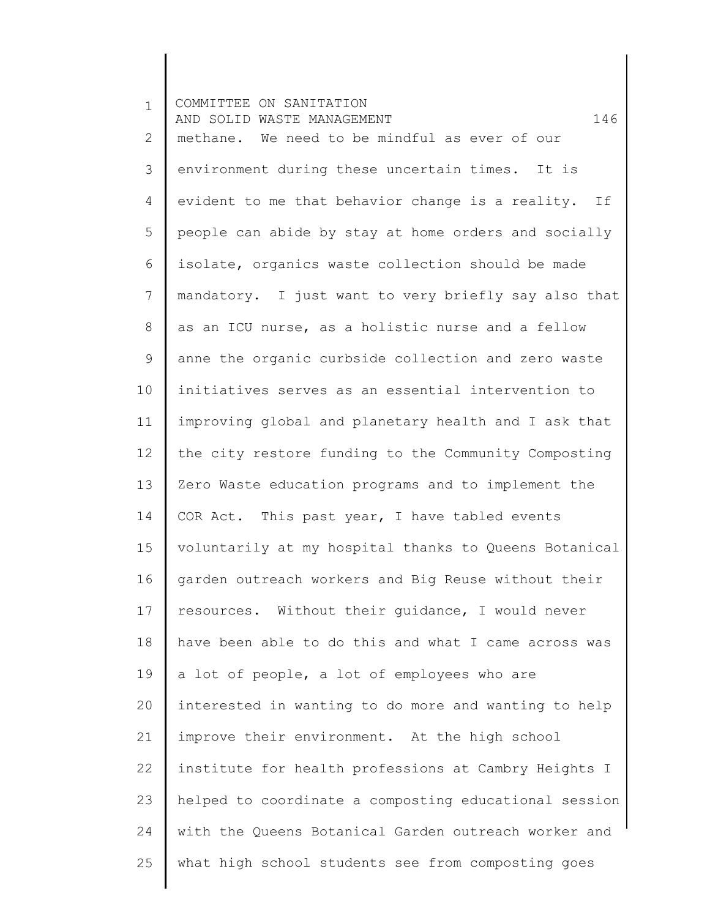1 2 3 4 5 6 7 8 9 10 11 12 13 14 15 16 17 18 19 20 21 22 23 24 25 COMMITTEE ON SANITATION AND SOLID WASTE MANAGEMENT 146 methane. We need to be mindful as ever of our environment during these uncertain times. It is evident to me that behavior change is a reality. If people can abide by stay at home orders and socially isolate, organics waste collection should be made mandatory. I just want to very briefly say also that as an ICU nurse, as a holistic nurse and a fellow anne the organic curbside collection and zero waste initiatives serves as an essential intervention to improving global and planetary health and I ask that the city restore funding to the Community Composting Zero Waste education programs and to implement the COR Act. This past year, I have tabled events voluntarily at my hospital thanks to Queens Botanical garden outreach workers and Big Reuse without their resources. Without their guidance, I would never have been able to do this and what I came across was a lot of people, a lot of employees who are interested in wanting to do more and wanting to help improve their environment. At the high school institute for health professions at Cambry Heights I helped to coordinate a composting educational session with the Queens Botanical Garden outreach worker and what high school students see from composting goes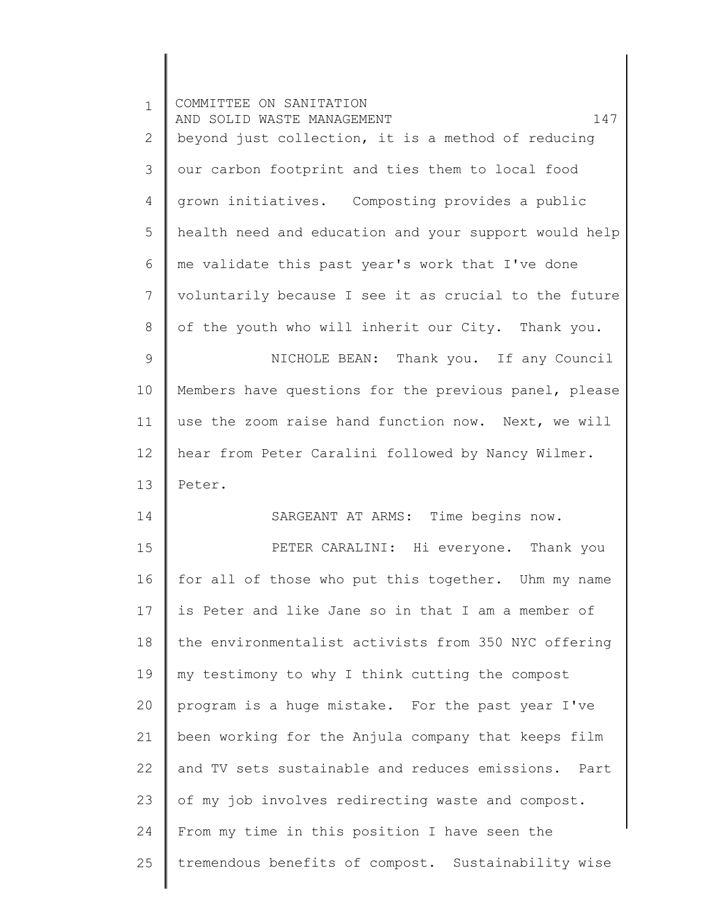| $\mathbf{1}$ | COMMITTEE ON SANITATION<br>AND SOLID WASTE MANAGEMENT<br>147 |
|--------------|--------------------------------------------------------------|
| $\mathbf{2}$ | beyond just collection, it is a method of reducing           |
| 3            | our carbon footprint and ties them to local food             |
| 4            | grown initiatives. Composting provides a public              |
| 5            | health need and education and your support would help        |
| 6            | me validate this past year's work that I've done             |
| 7            | voluntarily because I see it as crucial to the future        |
| $8\,$        | of the youth who will inherit our City. Thank you.           |
| 9            | NICHOLE BEAN: Thank you. If any Council                      |
| 10           | Members have questions for the previous panel, please        |
| 11           | use the zoom raise hand function now. Next, we will          |
| 12           | hear from Peter Caralini followed by Nancy Wilmer.           |
| 13           | Peter.                                                       |
| 14           | SARGEANT AT ARMS: Time begins now.                           |
| 15           | PETER CARALINI: Hi everyone. Thank you                       |
| 16           | for all of those who put this together. Uhm my name          |
| 17           | is Peter and like Jane so in that I am a member of           |
| 18           | the environmentalist activists from 350 NYC offering         |
| 19           | my testimony to why I think cutting the compost              |
| 20           | program is a huge mistake. For the past year I've            |
| 21           | been working for the Anjula company that keeps film          |
| 22           | and TV sets sustainable and reduces emissions. Part          |
| 23           | of my job involves redirecting waste and compost.            |
| 24           | From my time in this position I have seen the                |
| 25           | tremendous benefits of compost. Sustainability wise          |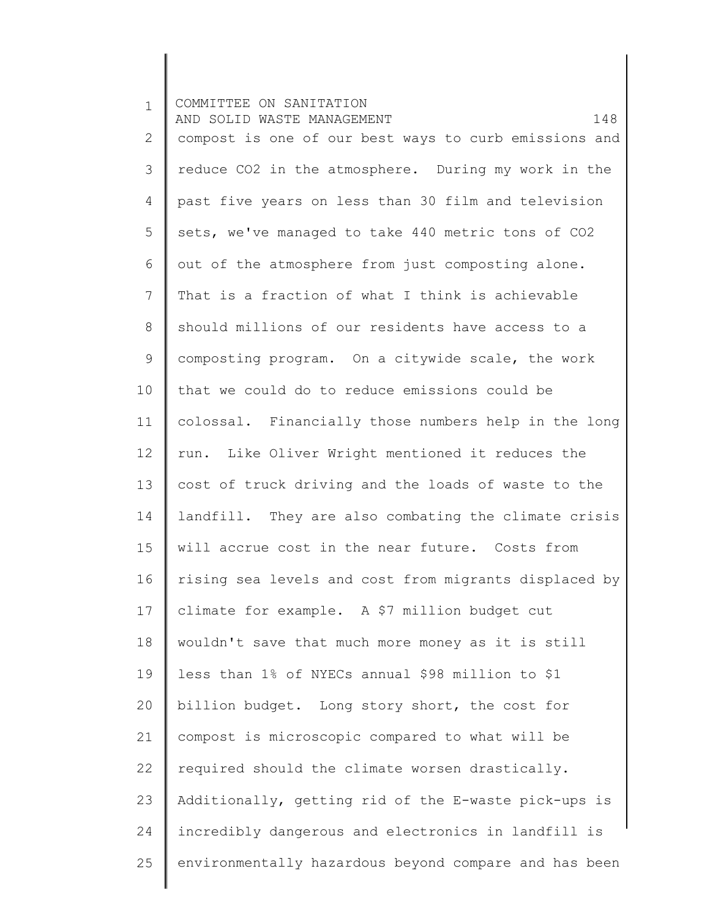1 2 3 4 5 6 7 8 9 10 11 12 13 14 15 16 17 18 19 20 21 22 23 24 25 COMMITTEE ON SANITATION AND SOLID WASTE MANAGEMENT 148 compost is one of our best ways to curb emissions and reduce CO2 in the atmosphere. During my work in the past five years on less than 30 film and television sets, we've managed to take 440 metric tons of CO2 out of the atmosphere from just composting alone. That is a fraction of what I think is achievable should millions of our residents have access to a composting program. On a citywide scale, the work that we could do to reduce emissions could be colossal. Financially those numbers help in the long run. Like Oliver Wright mentioned it reduces the cost of truck driving and the loads of waste to the landfill. They are also combating the climate crisis will accrue cost in the near future. Costs from rising sea levels and cost from migrants displaced by climate for example. A \$7 million budget cut wouldn't save that much more money as it is still less than 1% of NYECs annual \$98 million to \$1 billion budget. Long story short, the cost for compost is microscopic compared to what will be required should the climate worsen drastically. Additionally, getting rid of the E-waste pick-ups is incredibly dangerous and electronics in landfill is environmentally hazardous beyond compare and has been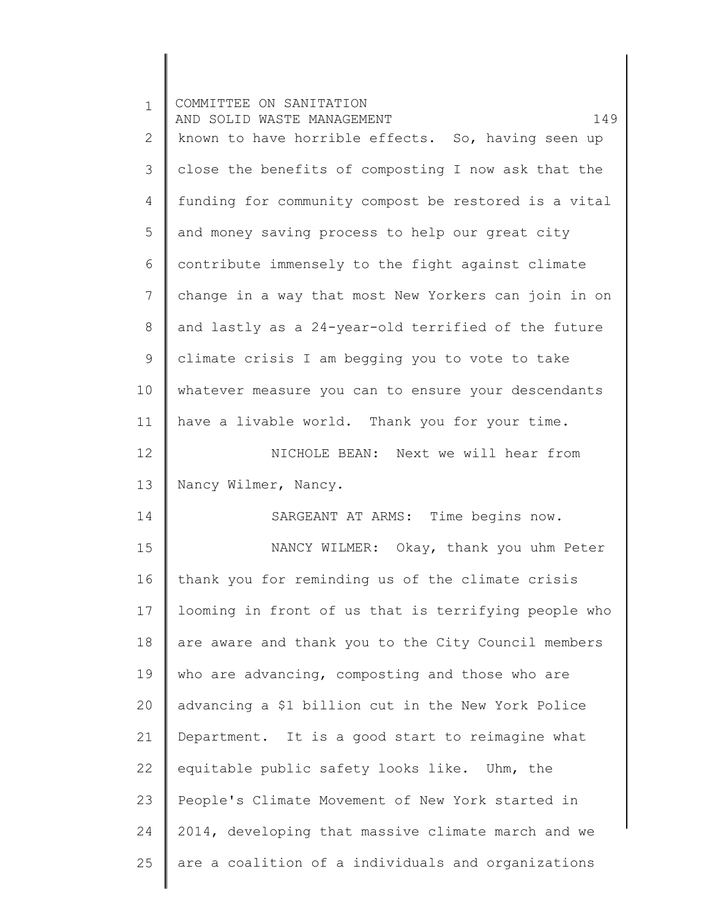| $\mathbf 1$    | COMMITTEE ON SANITATION<br>149<br>AND SOLID WASTE MANAGEMENT |
|----------------|--------------------------------------------------------------|
| 2              | known to have horrible effects. So, having seen up           |
| 3              | close the benefits of composting I now ask that the          |
| 4              | funding for community compost be restored is a vital         |
| 5              | and money saving process to help our great city              |
| 6              | contribute immensely to the fight against climate            |
| $7\phantom{.}$ | change in a way that most New Yorkers can join in on         |
| 8              | and lastly as a 24-year-old terrified of the future          |
| $\mathsf 9$    | climate crisis I am begging you to vote to take              |
| 10             | whatever measure you can to ensure your descendants          |
| 11             | have a livable world. Thank you for your time.               |
| 12             | NICHOLE BEAN: Next we will hear from                         |
| 13             | Nancy Wilmer, Nancy.                                         |
| 14             | SARGEANT AT ARMS: Time begins now.                           |
| 15             | NANCY WILMER: Okay, thank you uhm Peter                      |
| 16             | thank you for reminding us of the climate crisis             |
| 17             | looming in front of us that is terrifying people who         |
| 18             | are aware and thank you to the City Council members          |
| 19             | who are advancing, composting and those who are              |
| 20             | advancing a \$1 billion cut in the New York Police           |
| 21             | Department. It is a good start to reimagine what             |
| 22             | equitable public safety looks like. Uhm, the                 |
| 23             | People's Climate Movement of New York started in             |
| 24             | 2014, developing that massive climate march and we           |
| 25             | are a coalition of a individuals and organizations           |
|                |                                                              |

 $\begin{array}{c} \hline \end{array}$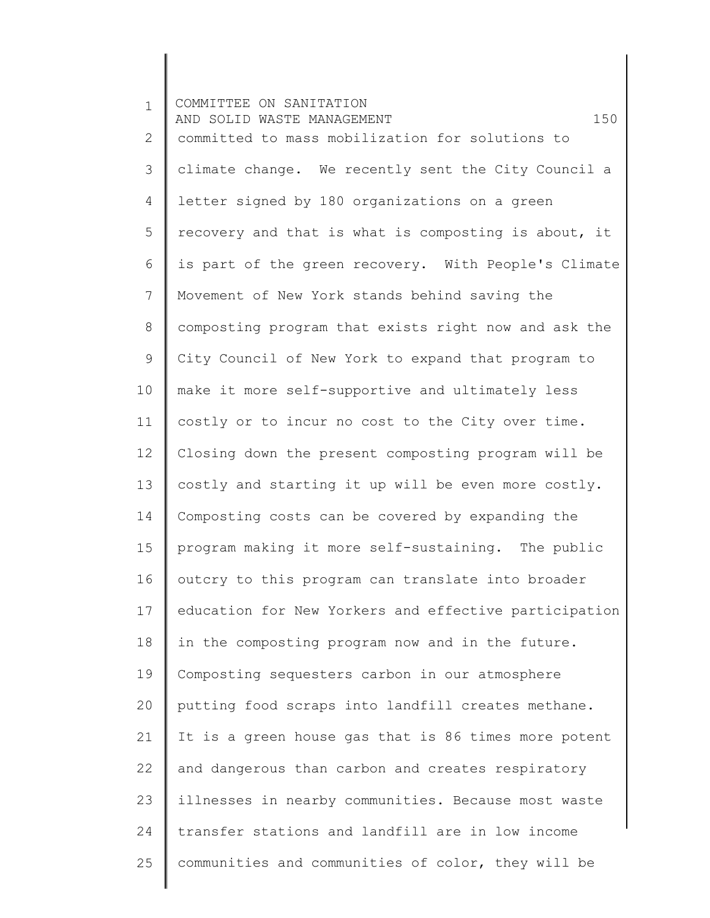1 2 3 4 5 6 7 8 9 10 11 12 13 14 15 16 17 18 19 20 21 22 23 24 25 COMMITTEE ON SANITATION AND SOLID WASTE MANAGEMENT 150 committed to mass mobilization for solutions to climate change. We recently sent the City Council a letter signed by 180 organizations on a green recovery and that is what is composting is about, it is part of the green recovery. With People's Climate Movement of New York stands behind saving the composting program that exists right now and ask the City Council of New York to expand that program to make it more self-supportive and ultimately less costly or to incur no cost to the City over time. Closing down the present composting program will be costly and starting it up will be even more costly. Composting costs can be covered by expanding the program making it more self-sustaining. The public outcry to this program can translate into broader education for New Yorkers and effective participation in the composting program now and in the future. Composting sequesters carbon in our atmosphere putting food scraps into landfill creates methane. It is a green house gas that is 86 times more potent and dangerous than carbon and creates respiratory illnesses in nearby communities. Because most waste transfer stations and landfill are in low income communities and communities of color, they will be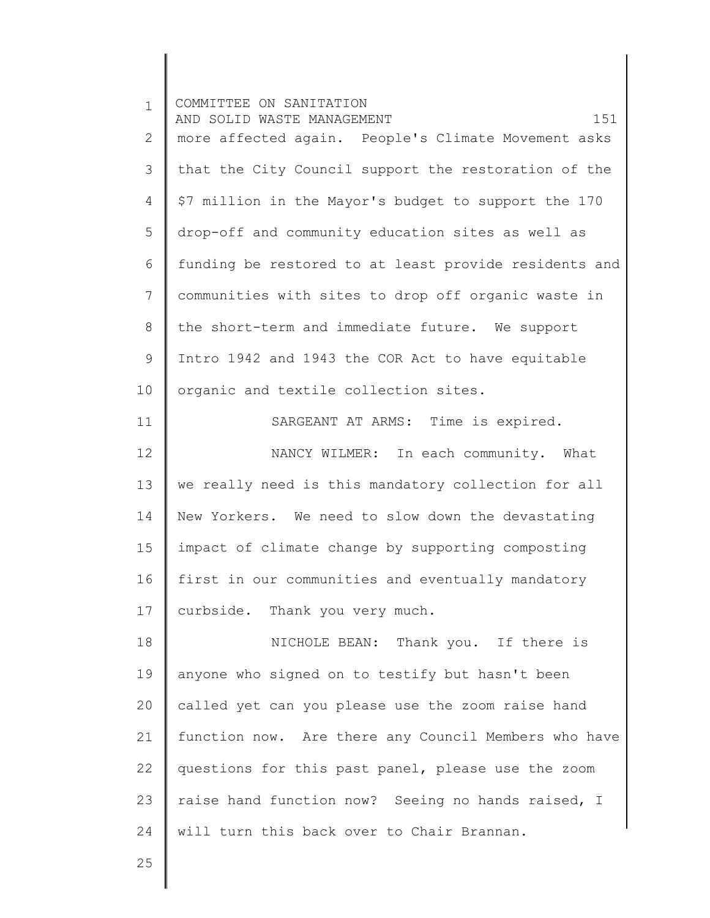1 2 3 4 5 6 7 8 9 10 11 12 13 14 15 16 17 18 19 20 21 22 23 24 25 COMMITTEE ON SANITATION AND SOLID WASTE MANAGEMENT 151 more affected again. People's Climate Movement asks that the City Council support the restoration of the \$7 million in the Mayor's budget to support the 170 drop-off and community education sites as well as funding be restored to at least provide residents and communities with sites to drop off organic waste in the short-term and immediate future. We support Intro 1942 and 1943 the COR Act to have equitable organic and textile collection sites. SARGEANT AT ARMS: Time is expired. NANCY WILMER: In each community. What we really need is this mandatory collection for all New Yorkers. We need to slow down the devastating impact of climate change by supporting composting first in our communities and eventually mandatory curbside. Thank you very much. NICHOLE BEAN: Thank you. If there is anyone who signed on to testify but hasn't been called yet can you please use the zoom raise hand function now. Are there any Council Members who have questions for this past panel, please use the zoom raise hand function now? Seeing no hands raised, I will turn this back over to Chair Brannan.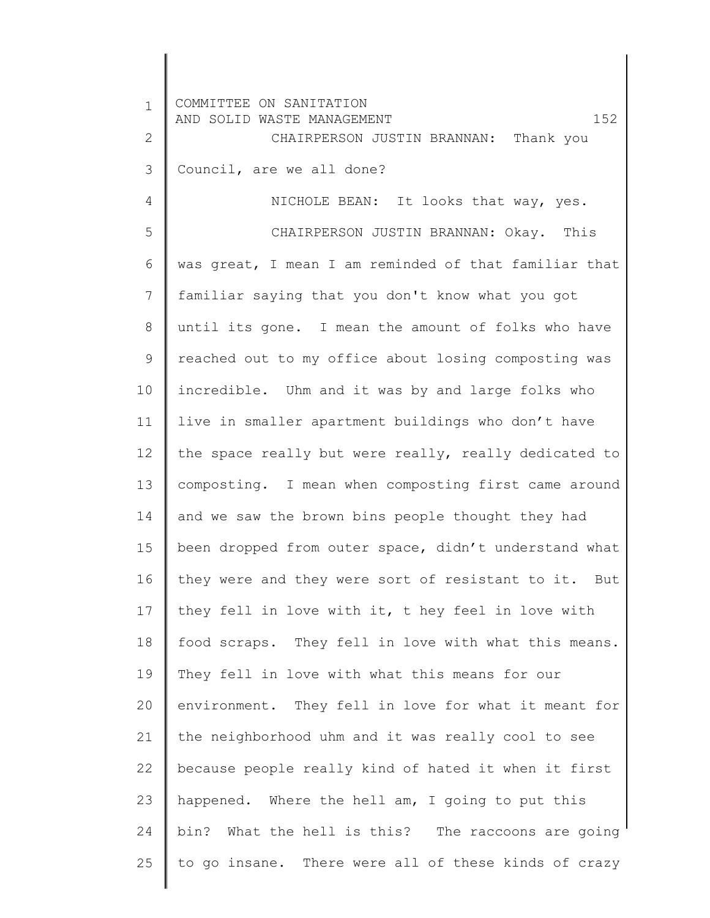1 2 3 4 5 6 7 8 9 10 11 12 13 14 15 16 17 18 19 20 21 22 23 24 25 COMMITTEE ON SANITATION AND SOLID WASTE MANAGEMENT 152 CHAIRPERSON JUSTIN BRANNAN: Thank you Council, are we all done? NICHOLE BEAN: It looks that way, yes. CHAIRPERSON JUSTIN BRANNAN: Okay. This was great, I mean I am reminded of that familiar that familiar saying that you don't know what you got until its gone. I mean the amount of folks who have reached out to my office about losing composting was incredible. Uhm and it was by and large folks who live in smaller apartment buildings who don't have the space really but were really, really dedicated to composting. I mean when composting first came around and we saw the brown bins people thought they had been dropped from outer space, didn't understand what they were and they were sort of resistant to it. But they fell in love with it, t hey feel in love with food scraps. They fell in love with what this means. They fell in love with what this means for our environment. They fell in love for what it meant for the neighborhood uhm and it was really cool to see because people really kind of hated it when it first happened. Where the hell am, I going to put this bin? What the hell is this? The raccoons are going to go insane. There were all of these kinds of crazy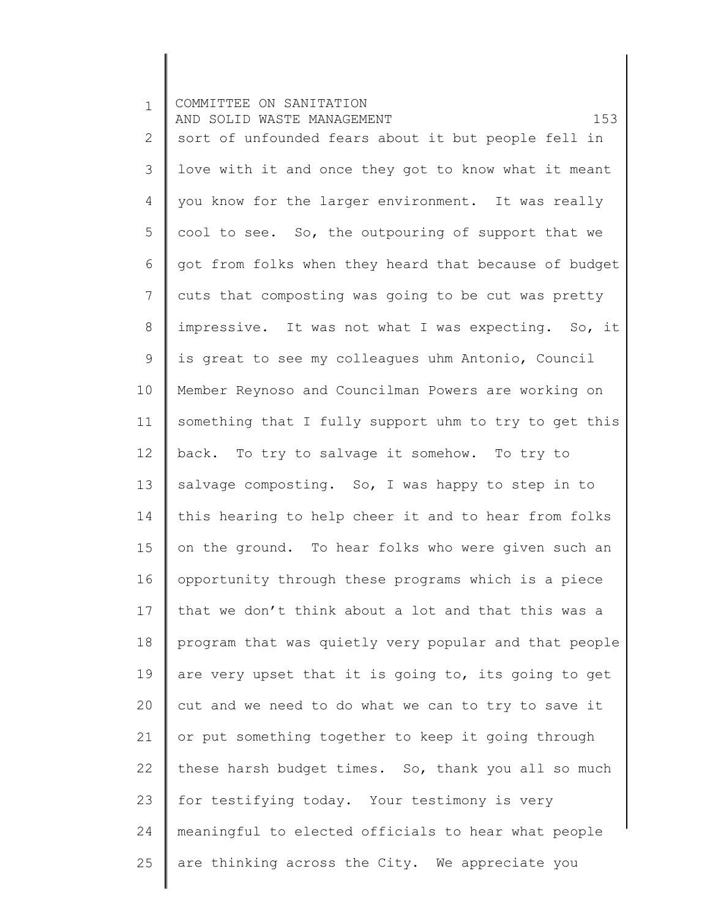1 2 3 4 5 6 7 8 9 10 11 12 13 14 15 16 17 18 19 20 21 22 23 24 25 COMMITTEE ON SANITATION AND SOLID WASTE MANAGEMENT 153 sort of unfounded fears about it but people fell in love with it and once they got to know what it meant you know for the larger environment. It was really cool to see. So, the outpouring of support that we got from folks when they heard that because of budget cuts that composting was going to be cut was pretty impressive. It was not what I was expecting. So, it is great to see my colleagues uhm Antonio, Council Member Reynoso and Councilman Powers are working on something that I fully support uhm to try to get this back. To try to salvage it somehow. To try to salvage composting. So, I was happy to step in to this hearing to help cheer it and to hear from folks on the ground. To hear folks who were given such an opportunity through these programs which is a piece that we don't think about a lot and that this was a program that was quietly very popular and that people are very upset that it is going to, its going to get cut and we need to do what we can to try to save it or put something together to keep it going through these harsh budget times. So, thank you all so much for testifying today. Your testimony is very meaningful to elected officials to hear what people are thinking across the City. We appreciate you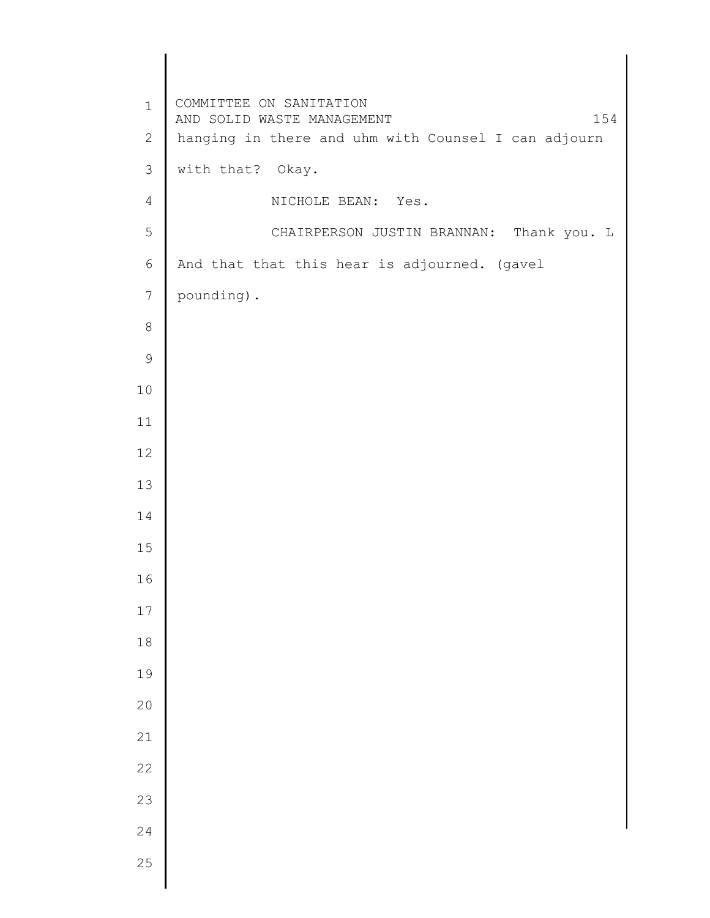```
1
 2
 3
 4
 5
 6
7
8
 9
10
11
12
13
14
15
16
17
18
19
20
21
22
23
24
25
    COMMITTEE ON SANITATION 
    AND SOLID WASTE MANAGEMENT 154
    hanging in there and uhm with Counsel I can adjourn 
    with that? Okay. 
               NICHOLE BEAN: Yes. 
               CHAIRPERSON JUSTIN BRANNAN: Thank you. L 
    And that that this hear is adjourned. (gavel 
    pounding).
```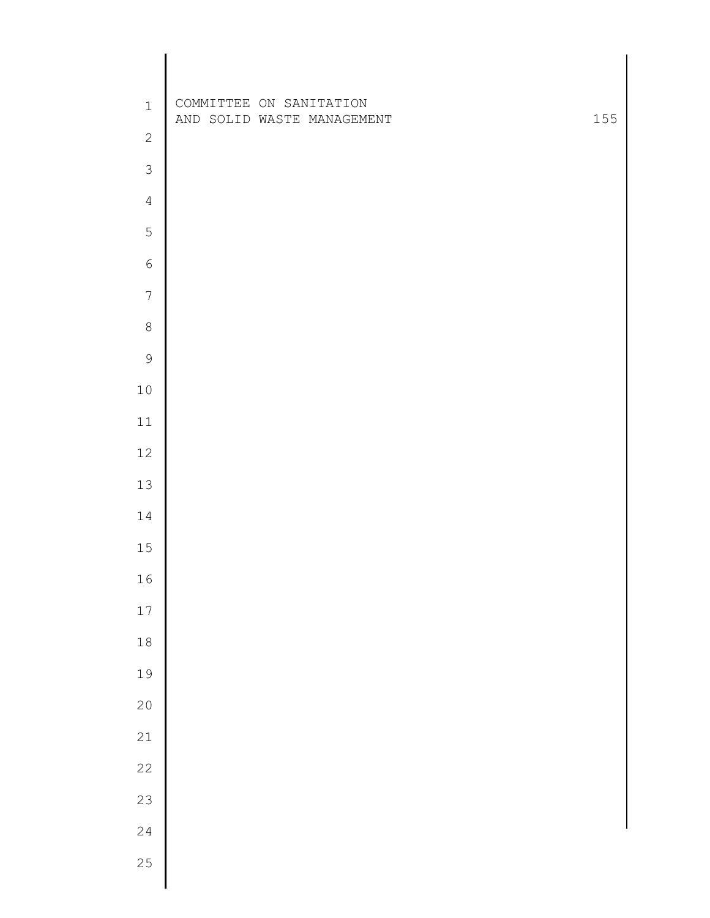| $\mathbf 1$    | COMMITTEE ON SANITATION<br>AND SOLID WASTE MANAGEMENT | 155 |
|----------------|-------------------------------------------------------|-----|
| $\mathbf{2}$   |                                                       |     |
| $\mathcal{S}$  |                                                       |     |
| $\overline{4}$ |                                                       |     |
| 5              |                                                       |     |
| $\sqrt{6}$     |                                                       |     |
| $\overline{7}$ |                                                       |     |
| $\,8\,$        |                                                       |     |
| $\mathcal{G}$  |                                                       |     |
| $10$           |                                                       |     |
| $11$           |                                                       |     |
| $12$           |                                                       |     |
| $13$           |                                                       |     |
| 14             |                                                       |     |
| $15\,$         |                                                       |     |
| $16$           |                                                       |     |
| $17\,$         |                                                       |     |
| $1\,8$         |                                                       |     |
| 19             |                                                       |     |
| $20$           |                                                       |     |
| 21             |                                                       |     |
| 22             |                                                       |     |
| 23             |                                                       |     |
| 24             |                                                       |     |
| 25<br>II       |                                                       |     |